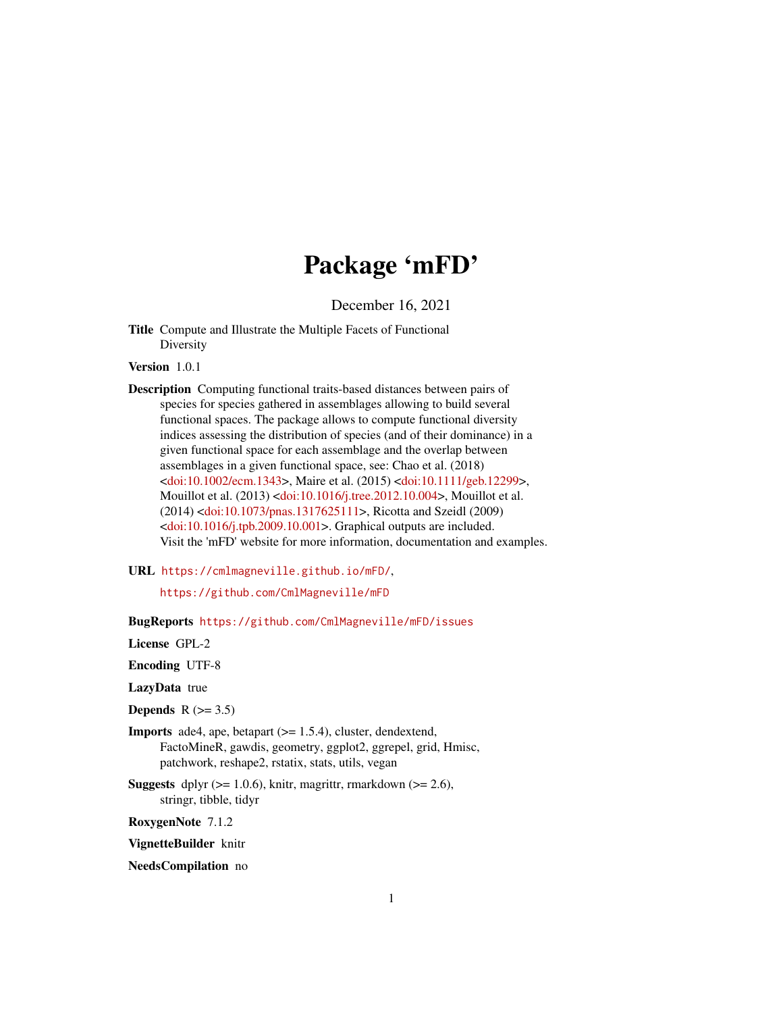# Package 'mFD'

December 16, 2021

<span id="page-0-0"></span>Title Compute and Illustrate the Multiple Facets of Functional Diversity

Version 1.0.1

Description Computing functional traits-based distances between pairs of species for species gathered in assemblages allowing to build several functional spaces. The package allows to compute functional diversity indices assessing the distribution of species (and of their dominance) in a given functional space for each assemblage and the overlap between assemblages in a given functional space, see: Chao et al. (2018) [<doi:10.1002/ecm.1343>](https://doi.org/10.1002/ecm.1343), Maire et al. (2015) [<doi:10.1111/geb.12299>](https://doi.org/10.1111/geb.12299), Mouillot et al. (2013) [<doi:10.1016/j.tree.2012.10.004>](https://doi.org/10.1016/j.tree.2012.10.004), Mouillot et al. (2014) [<doi:10.1073/pnas.1317625111>](https://doi.org/10.1073/pnas.1317625111), Ricotta and Szeidl (2009) [<doi:10.1016/j.tpb.2009.10.001>](https://doi.org/10.1016/j.tpb.2009.10.001). Graphical outputs are included. Visit the 'mFD' website for more information, documentation and examples.

URL <https://cmlmagneville.github.io/mFD/>,

<https://github.com/CmlMagneville/mFD>

BugReports <https://github.com/CmlMagneville/mFD/issues>

License GPL-2

Encoding UTF-8

LazyData true

Depends  $R$  ( $>= 3.5$ )

- **Imports** ade4, ape, betapart  $(>= 1.5.4)$ , cluster, dendextend, FactoMineR, gawdis, geometry, ggplot2, ggrepel, grid, Hmisc, patchwork, reshape2, rstatix, stats, utils, vegan
- **Suggests** dplyr  $(>= 1.0.6)$ , knitr, magrittr, rmarkdown  $(>= 2.6)$ , stringr, tibble, tidyr

RoxygenNote 7.1.2

VignetteBuilder knitr

#### NeedsCompilation no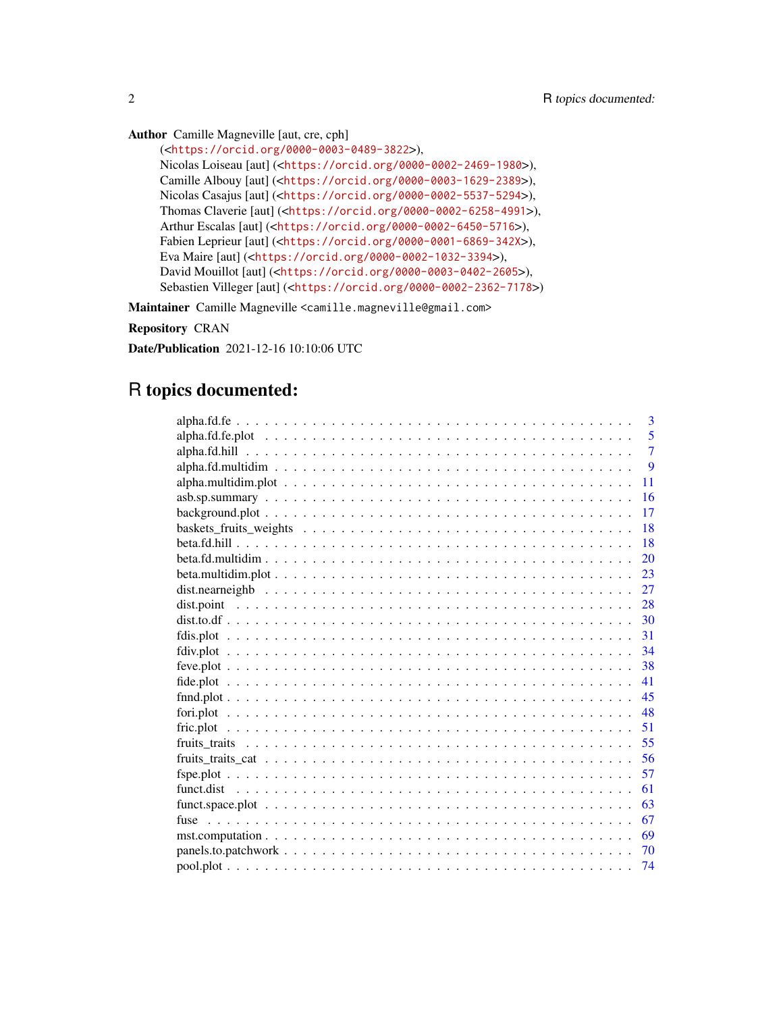Author Camille Magneville [aut, cre, cph]

```
(<https://orcid.org/0000-0003-0489-3822>),
Nicolas Loiseau [aut] (<https://orcid.org/0000-0002-2469-1980>),
Camille Albouy [aut] (<https://orcid.org/0000-0003-1629-2389>),
Nicolas Casajus [aut] (<https://orcid.org/0000-0002-5537-5294>),
Thomas Claverie [aut] (<https://orcid.org/0000-0002-6258-4991>),
Arthur Escalas [aut] (<https://orcid.org/0000-0002-6450-5716>),
Fabien Leprieur [aut] (<https://orcid.org/0000-0001-6869-342X>),
Eva Maire [aut] (<https://orcid.org/0000-0002-1032-3394>),
David Mouillot [aut] (<https://orcid.org/0000-0003-0402-2605>),
Sebastien Villeger [aut] (<https://orcid.org/0000-0002-2362-7178>)
```
Maintainer Camille Magneville <camille.magneville@gmail.com>

Repository CRAN

Date/Publication 2021-12-16 10:10:06 UTC

# R topics documented:

| 3              |
|----------------|
| 5              |
| $\overline{7}$ |
| 9              |
| 11             |
| 16             |
| 17             |
| 18             |
| 18             |
| 20             |
| 23             |
| 27             |
| 28             |
| 30             |
| 31             |
| 34             |
| 38             |
| 41             |
| 45             |
| 48             |
| 51             |
| 55             |
| 56             |
| 57             |
| 61             |
| 63             |
| 67             |
| 69             |
| 70             |
| 74             |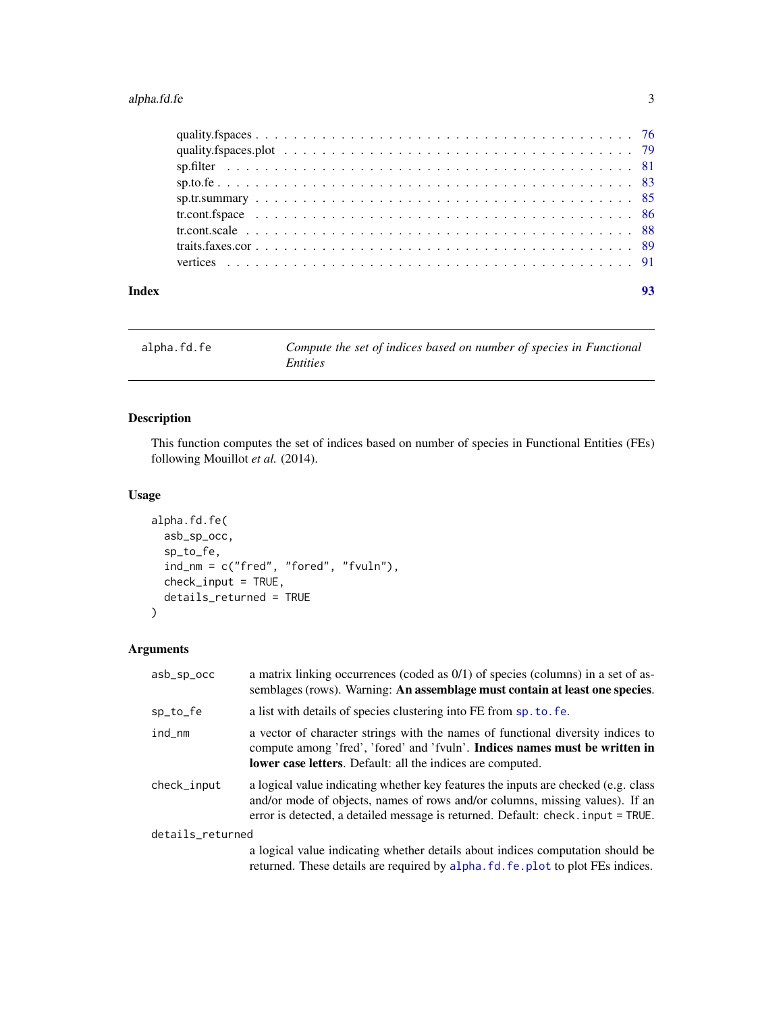# <span id="page-2-0"></span>alpha.fd.fe 3

| Index |  |
|-------|--|

<span id="page-2-1"></span>alpha.fd.fe *Compute the set of indices based on number of species in Functional Entities*

# Description

This function computes the set of indices based on number of species in Functional Entities (FEs) following Mouillot et al. (2014).

#### Usage

```
alpha.fd.fe(
  asb_sp_occ,
  sp_to_fe,
  ind_nm = c("fred", "fored", "fvuln"),
  check_input = TRUE,
  details_returned = TRUE
)
```
### Arguments

| asb_sp_occ       | a matrix linking occurrences (coded as 0/1) of species (columns) in a set of as-<br>semblages (rows). Warning: An assemblage must contain at least one species.                                                                                        |  |
|------------------|--------------------------------------------------------------------------------------------------------------------------------------------------------------------------------------------------------------------------------------------------------|--|
| sp_to_fe         | a list with details of species clustering into FE from sp. to. fe.                                                                                                                                                                                     |  |
| ind_nm           | a vector of character strings with the names of functional diversity indices to<br>compute among 'fred', 'fored' and 'fvuln'. Indices names must be written in<br>lower case letters. Default: all the indices are computed.                           |  |
| check_input      | a logical value indicating whether key features the inputs are checked (e.g. class<br>and/or mode of objects, names of rows and/or columns, missing values). If an<br>error is detected, a detailed message is returned. Default: check. input = TRUE. |  |
| details_returned |                                                                                                                                                                                                                                                        |  |
|                  | a logical value indicating whether details about indices computation should be<br>returned. These details are required by alpha. fd. fe. plot to plot FEs indices.                                                                                     |  |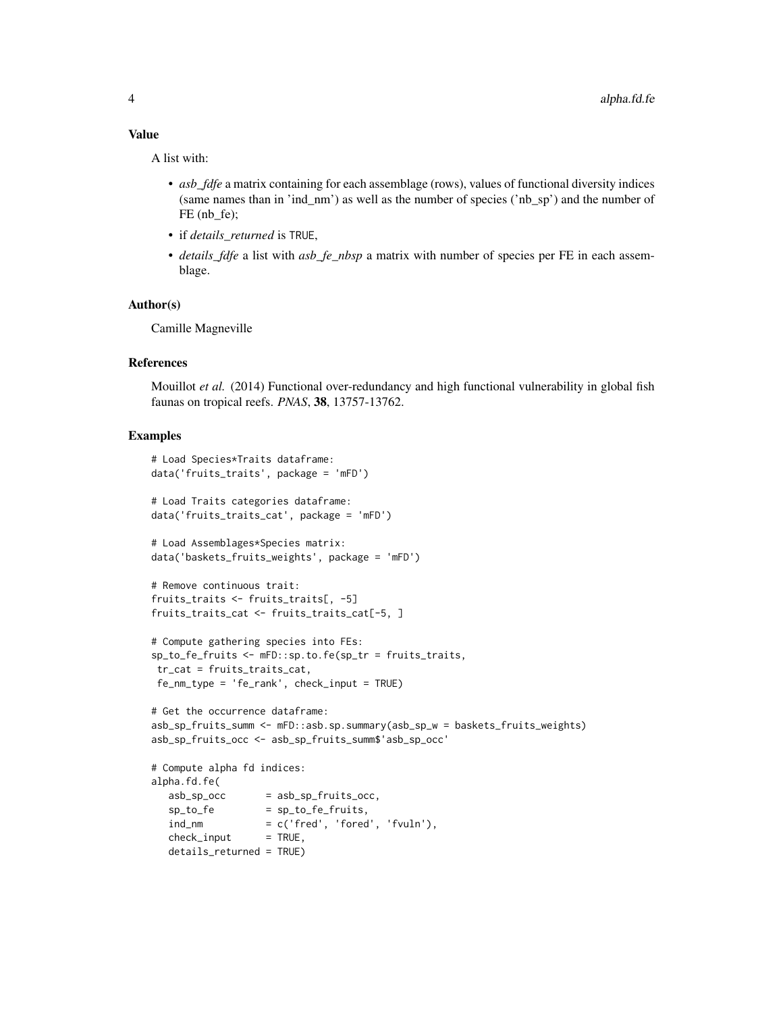#### Value

A list with:

- *asb\_fdfe* a matrix containing for each assemblage (rows), values of functional diversity indices (same names than in 'ind\_nm') as well as the number of species ('nb\_sp') and the number of FE (nb\_fe);
- if *details\_returned* is TRUE,
- *details\_fdfe* a list with *asb\_fe\_nbsp* a matrix with number of species per FE in each assemblage.

#### Author(s)

Camille Magneville

#### References

Mouillot *et al.* (2014) Functional over-redundancy and high functional vulnerability in global fish faunas on tropical reefs. *PNAS*, 38, 13757-13762.

```
# Load Species*Traits dataframe:
data('fruits_traits', package = 'mFD')
# Load Traits categories dataframe:
data('fruits_traits_cat', package = 'mFD')
# Load Assemblages*Species matrix:
data('baskets_fruits_weights', package = 'mFD')
# Remove continuous trait:
fruits_traits <- fruits_traits[, -5]
fruits_traits_cat <- fruits_traits_cat[-5, ]
# Compute gathering species into FEs:
sp_to_fe_fruits <- mFD::sp.to.fe(sp_tr = fruits_traits,
tr_cat = fruits_traits_cat,
fe_nm_type = 'fe_rank', check_input = TRUE)
# Get the occurrence dataframe:
asb_sp_fruits_summ <- mFD::asb.sp.summary(asb_sp_w = baskets_fruits_weights)
asb_sp_fruits_occ <- asb_sp_fruits_summ$'asb_sp_occ'
# Compute alpha fd indices:
alpha.fd.fe(
  asb_sp\_occ = asb_sp\_fruits\_occ,sp_to_fe = sp_to_fe_fruits,
  ind\_nm = c('fred', 'forced', 'fvuln'),check\_input = TRUE,
  details_returned = TRUE)
```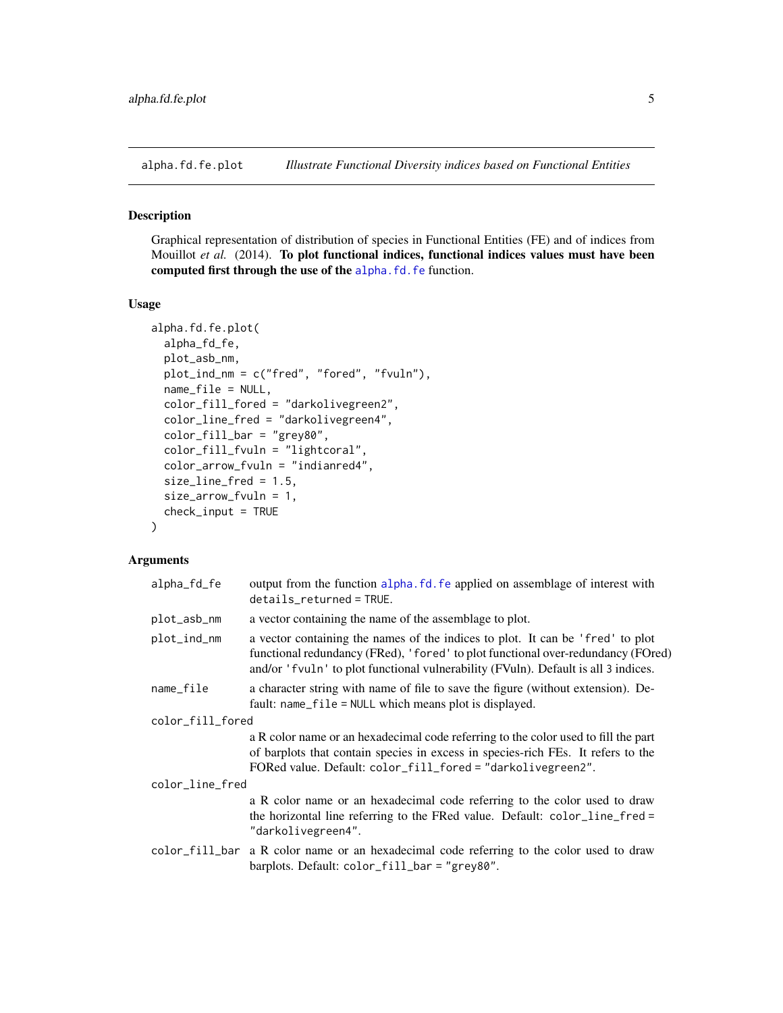#### <span id="page-4-1"></span><span id="page-4-0"></span>Description

Graphical representation of distribution of species in Functional Entities (FE) and of indices from Mouillot *et al.* (2014). To plot functional indices, functional indices values must have been computed first through the use of the [alpha.fd.fe](#page-2-1) function.

#### Usage

```
alpha.fd.fe.plot(
  alpha_fd_fe,
 plot_asb_nm,
 plot_ind_nm = c("fred", "fored", "fvuln"),
 name_file = NULL,
  color_fill_fored = "darkolivegreen2",
  color_line_fred = "darkolivegreen4",
  color_fill_bar = "grey80",
  color_fill_fvuln = "lightcoral",
  color_arrow_fvuln = "indianred4",
  size_line_fred = 1.5,
  size_arrow_fvuln = 1,
  check\_input = TRUE)
```
#### Arguments

| alpha_fd_fe      | output from the function alpha. fd. fe applied on assemblage of interest with<br>$details_returned = TRUE.$                                                                                                                                              |  |
|------------------|----------------------------------------------------------------------------------------------------------------------------------------------------------------------------------------------------------------------------------------------------------|--|
| plot_asb_nm      | a vector containing the name of the assemblage to plot.                                                                                                                                                                                                  |  |
| plot_ind_nm      | a vector containing the names of the indices to plot. It can be 'fred' to plot<br>functional redundancy (FRed), 'fored' to plot functional over-redundancy (FOred)<br>and/or 'fvuln' to plot functional vulnerability (FVuln). Default is all 3 indices. |  |
| name_file        | a character string with name of file to save the figure (without extension). De-<br>fault: $name_file = NULL$ which means plot is displayed.                                                                                                             |  |
| color_fill_fored |                                                                                                                                                                                                                                                          |  |
|                  | a R color name or an hexadecimal code referring to the color used to fill the part<br>of barplots that contain species in excess in species-rich FEs. It refers to the<br>FORed value. Default: color_fill_fored = "darkolivegreen2".                    |  |
| color_line_fred  |                                                                                                                                                                                                                                                          |  |
|                  | a R color name or an hexadecimal code referring to the color used to draw<br>the horizontal line referring to the FRed value. Default: color_line_fred =<br>"darkolivegreen4".                                                                           |  |
|                  | color_fill_bar a R color name or an hexadecimal code referring to the color used to draw<br>barplots. Default: color_fill_bar = "grey80".                                                                                                                |  |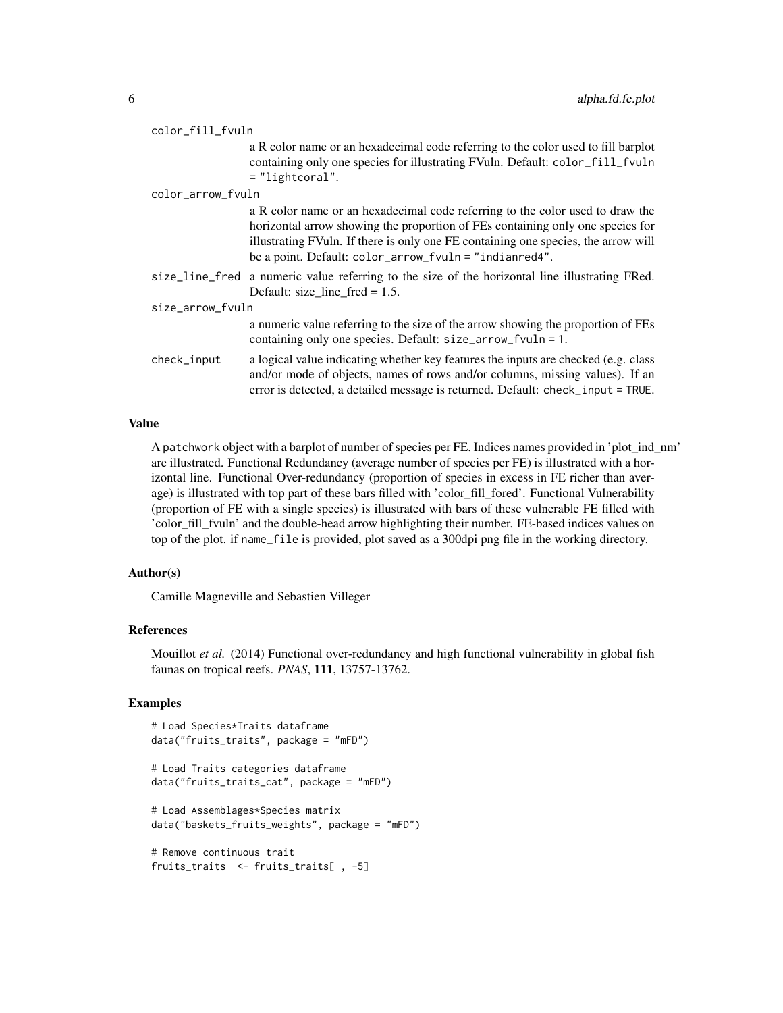| color_fill_fvuln  |                                                                                                                                                                                                                                                                                                                 |  |
|-------------------|-----------------------------------------------------------------------------------------------------------------------------------------------------------------------------------------------------------------------------------------------------------------------------------------------------------------|--|
|                   | a R color name or an hexadecimal code referring to the color used to fill barplot<br>containing only one species for illustrating FVuln. Default: color_fill_fvuln<br>$=$ "lightcoral".                                                                                                                         |  |
| color_arrow_fvuln |                                                                                                                                                                                                                                                                                                                 |  |
|                   | a R color name or an hexadecimal code referring to the color used to draw the<br>horizontal arrow showing the proportion of FEs containing only one species for<br>illustrating FVuln. If there is only one FE containing one species, the arrow will<br>be a point. Default: color_arrow_fvuln = "indianred4". |  |
|                   | size_line_fred a numeric value referring to the size of the horizontal line illustrating FRed.<br>Default: size_line_fred = $1.5$ .                                                                                                                                                                             |  |
| size_arrow_fvuln  |                                                                                                                                                                                                                                                                                                                 |  |
|                   | a numeric value referring to the size of the arrow showing the proportion of FEs<br>containing only one species. Default: size_arrow_fvuln = 1.                                                                                                                                                                 |  |
| check_input       | a logical value indicating whether key features the inputs are checked (e.g. class<br>and/or mode of objects, names of rows and/or columns, missing values). If an<br>error is detected, a detailed message is returned. Default: check_input = TRUE.                                                           |  |

#### Value

A patchwork object with a barplot of number of species per FE. Indices names provided in 'plot\_ind\_nm' are illustrated. Functional Redundancy (average number of species per FE) is illustrated with a horizontal line. Functional Over-redundancy (proportion of species in excess in FE richer than average) is illustrated with top part of these bars filled with 'color\_fill\_fored'. Functional Vulnerability (proportion of FE with a single species) is illustrated with bars of these vulnerable FE filled with 'color\_fill\_fvuln' and the double-head arrow highlighting their number. FE-based indices values on top of the plot. if name\_file is provided, plot saved as a 300dpi png file in the working directory.

#### Author(s)

Camille Magneville and Sebastien Villeger

### References

Mouillot *et al.* (2014) Functional over-redundancy and high functional vulnerability in global fish faunas on tropical reefs. *PNAS*, 111, 13757-13762.

```
# Load Species*Traits dataframe
data("fruits_traits", package = "mFD")
# Load Traits categories dataframe
data("fruits_traits_cat", package = "mFD")
# Load Assemblages*Species matrix
data("baskets_fruits_weights", package = "mFD")
# Remove continuous trait
fruits_traits <- fruits_traits[ , -5]
```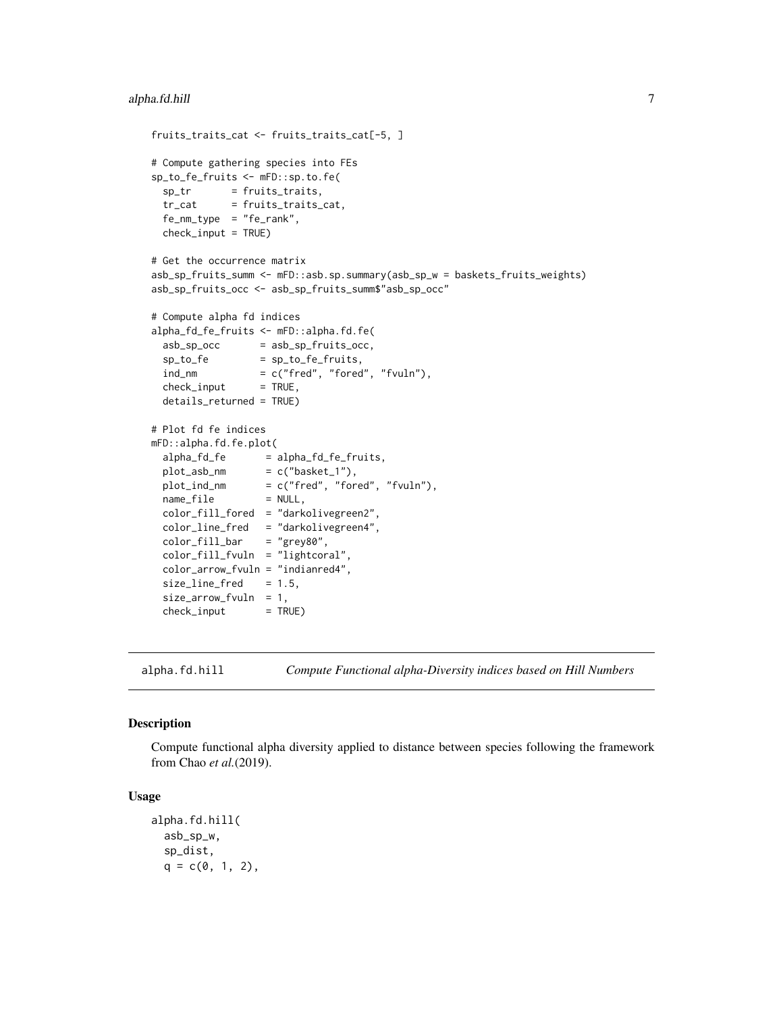```
fruits_traits_cat <- fruits_traits_cat[-5, ]
# Compute gathering species into FEs
sp_to_fe_fruits <- mFD::sp.to.fe(
 sp_tr = fruits_traits,
 tr_cat = fruits_traits_cat,
 fe_nm_type = "fe_rank",
 check_input = TRUE)
# Get the occurrence matrix
asb_sp_fruits_summ <- mFD::asb.sp.summary(asb_sp_w = baskets_fruits_weights)
asb_sp_fruits_occ <- asb_sp_fruits_summ$"asb_sp_occ"
# Compute alpha fd indices
alpha_fd_fe_fruits <- mFD::alpha.fd.fe(
 asb_sp\_occ = asb_sp\_fruits\_occ,sp\_to\_fe = sp\_to\_fe\_fruits,
 ind\_nm = c("fred", "forced", "fvuln"),check\_input = TRUE,
 details_returned = TRUE)
# Plot fd fe indices
mFD::alpha.fd.fe.plot(
 alpha_fd_fe = alpha_fd_fe_fruits,
 plot\_asb\_nm = c("basket_1"),plot_ind_nm = c("fred", "fored", "fvuln"),
 name_file = NULL,
 color_fill_fored = "darkolivegreen2",
 color_line_fred = "darkolivegreen4",<br>color_fill_bar = "grey80",
 color\_fill\_barcolor_fill_fvuln = "lightcoral",
 color_arrow_fvuln = "indianred4",
 size\_line\_freq = 1.5,
 size_arrow_fvuln = 1,
 check\_input = TRUE)
```
alpha.fd.hill *Compute Functional alpha-Diversity indices based on Hill Numbers*

#### Description

Compute functional alpha diversity applied to distance between species following the framework from Chao *et al.*(2019).

#### Usage

```
alpha.fd.hill(
 asb_sp_w,
  sp_dist,
  q = c(0, 1, 2),
```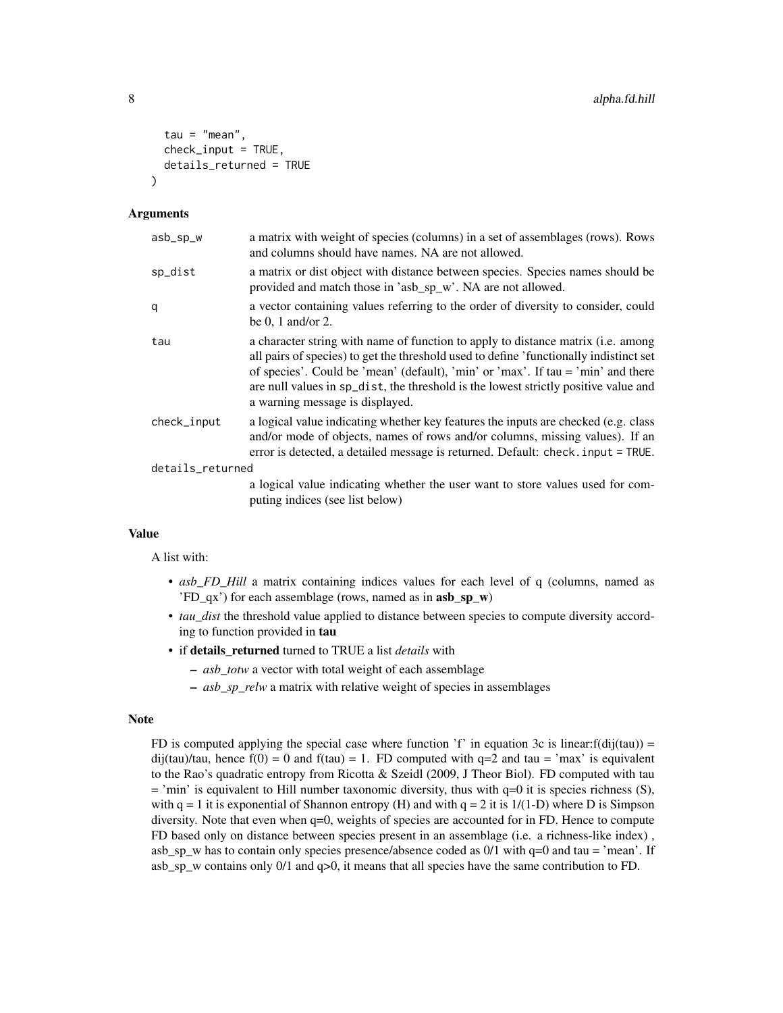```
tau = "mean",
  check\_input = TRUE,
  details_returned = TRUE
\lambda
```
#### Arguments

| asb_sp_w         | a matrix with weight of species (columns) in a set of assemblages (rows). Rows<br>and columns should have names. NA are not allowed.                                                                                                                                                                                                                                                             |
|------------------|--------------------------------------------------------------------------------------------------------------------------------------------------------------------------------------------------------------------------------------------------------------------------------------------------------------------------------------------------------------------------------------------------|
| sp_dist          | a matrix or dist object with distance between species. Species names should be<br>provided and match those in 'asb_sp_w'. NA are not allowed.                                                                                                                                                                                                                                                    |
| q                | a vector containing values referring to the order of diversity to consider, could<br>be 0, 1 and/or 2.                                                                                                                                                                                                                                                                                           |
| tau              | a character string with name of function to apply to distance matrix ( <i>i.e.</i> among<br>all pairs of species) to get the threshold used to define 'functionally indistinct set<br>of species'. Could be 'mean' (default), 'min' or 'max'. If tau = 'min' and there<br>are null values in sp_dist, the threshold is the lowest strictly positive value and<br>a warning message is displayed. |
| check_input      | a logical value indicating whether key features the inputs are checked (e.g. class<br>and/or mode of objects, names of rows and/or columns, missing values). If an<br>error is detected, a detailed message is returned. Default: check. input = TRUE.                                                                                                                                           |
| details_returned |                                                                                                                                                                                                                                                                                                                                                                                                  |
|                  | a logical value indicating whether the user want to store values used for com-<br>puting indices (see list below)                                                                                                                                                                                                                                                                                |

#### Value

A list with:

- *asb\_FD\_Hill* a matrix containing indices values for each level of q (columns, named as 'FD\_qx') for each assemblage (rows, named as in asb\_sp\_w)
- *tau\_dist* the threshold value applied to distance between species to compute diversity according to function provided in tau
- if details\_returned turned to TRUE a list *details* with
	- *asb\_totw* a vector with total weight of each assemblage
	- *asb\_sp\_relw* a matrix with relative weight of species in assemblages

#### Note

FD is computed applying the special case where function  $f'$  in equation 3c is linear: $f(dij(tau)) =$ dij(tau)/tau, hence  $f(0) = 0$  and  $f(tau) = 1$ . FD computed with  $q=2$  and tau = 'max' is equivalent to the Rao's quadratic entropy from Ricotta & Szeidl (2009, J Theor Biol). FD computed with tau  $=$  'min' is equivalent to Hill number taxonomic diversity, thus with  $q=0$  it is species richness (S), with  $q = 1$  it is exponential of Shannon entropy (H) and with  $q = 2$  it is  $1/(1-D)$  where D is Simpson diversity. Note that even when q=0, weights of species are accounted for in FD. Hence to compute FD based only on distance between species present in an assemblage (i.e. a richness-like index) , asb\_sp\_w has to contain only species presence/absence coded as  $0/1$  with  $q=0$  and tau = 'mean'. If asb\_sp\_w contains only  $0/1$  and  $q>0$ , it means that all species have the same contribution to FD.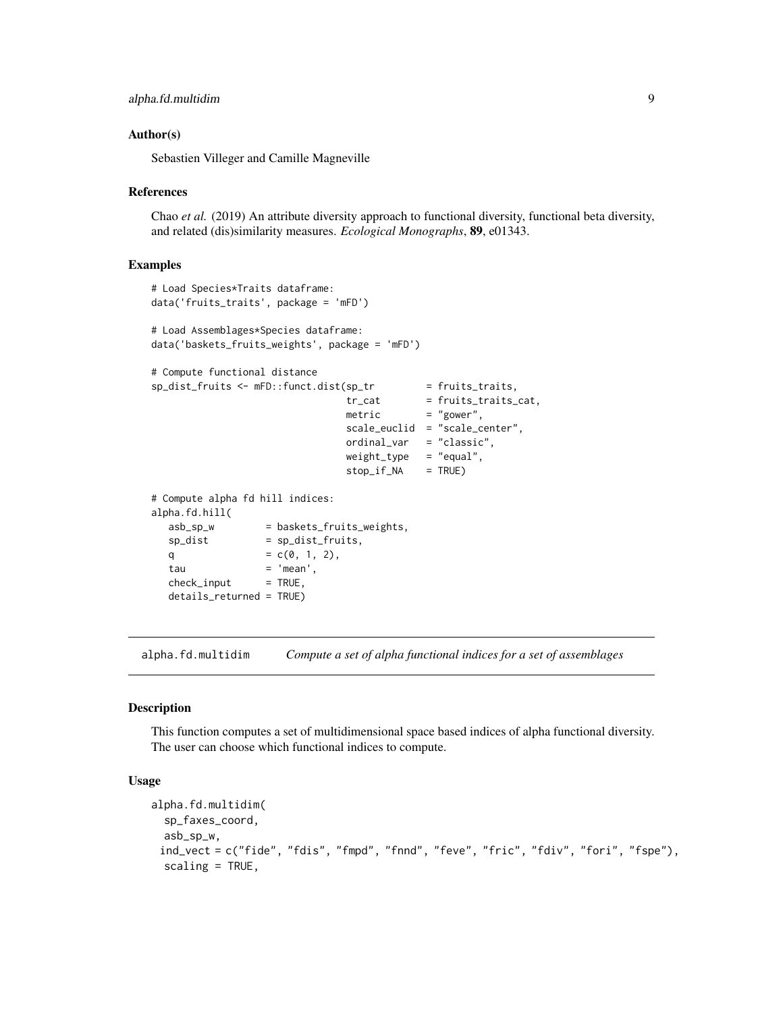```
alpha.fd.multidim 9
```
#### Author(s)

Sebastien Villeger and Camille Magneville

#### References

Chao *et al.* (2019) An attribute diversity approach to functional diversity, functional beta diversity, and related (dis)similarity measures. *Ecological Monographs*, 89, e01343.

#### Examples

```
# Load Species*Traits dataframe:
data('fruits_traits', package = 'mFD')
# Load Assemblages*Species dataframe:
data('baskets_fruits_weights', package = 'mFD')
# Compute functional distance
sp_dist_fruits <- mFD::funct.dist(sp_tr = fruits_traits,
                              tr\_cat = fruits_traits_cat,
                              metric = "gower",
                              scale_euclid = "scale_center",
                              ordinal_var = "classic",
                              weight_type = "equal",
                              stop_if_NA = TRUE)
# Compute alpha fd hill indices:
alpha.fd.hill(
  asb_sp_w = baskets_fruits_weights,
  sp\_dist = sp\_dist\_fruits,
  q = c(0, 1, 2),tau = 'mean',
  check\_input = TRUE,
  details_returned = TRUE)
```
<span id="page-8-1"></span>alpha.fd.multidim *Compute a set of alpha functional indices for a set of assemblages*

#### Description

This function computes a set of multidimensional space based indices of alpha functional diversity. The user can choose which functional indices to compute.

#### Usage

```
alpha.fd.multidim(
  sp_faxes_coord,
  asb_sp_w,
 ind_vect = c("fide", "fdis", "fmpd", "fnnd", "feve", "fric", "fdiv", "fori", "fspe"),
  scaling = TRUE,
```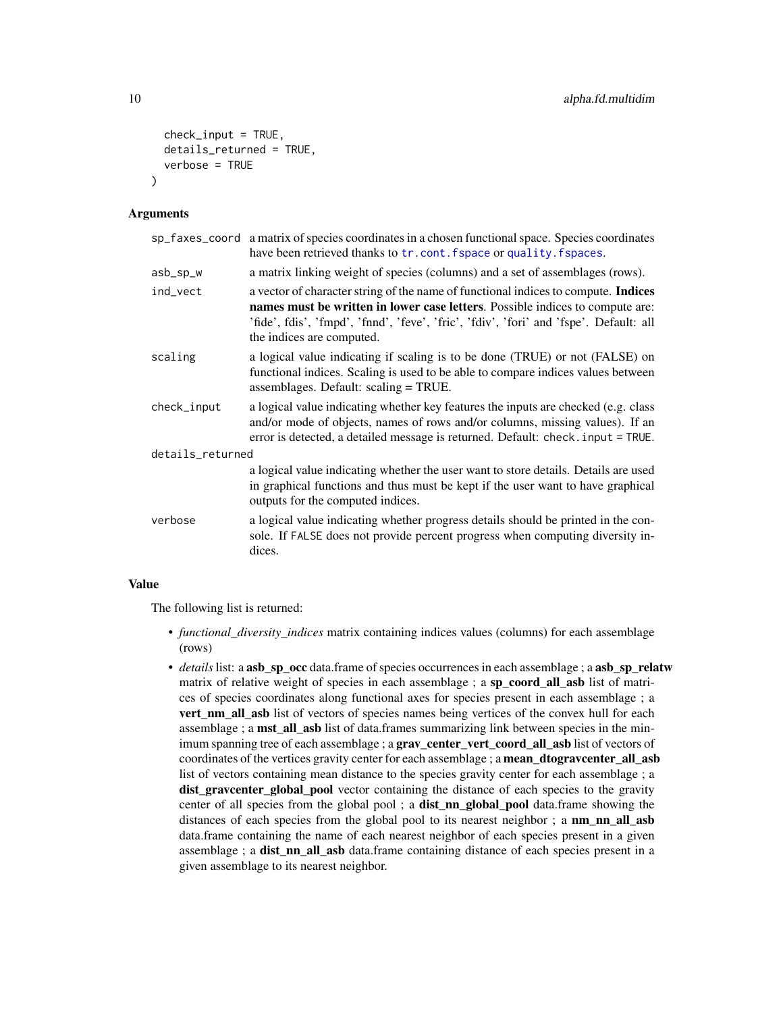```
check\_input = TRUE,details_returned = TRUE,
  verbose = TRUE
\lambda
```
#### **Arguments**

|                  | sp_faxes_coord a matrix of species coordinates in a chosen functional space. Species coordinates<br>have been retrieved thanks to tr. cont. fspace or quality. fspaces.                                                                                                                           |  |
|------------------|---------------------------------------------------------------------------------------------------------------------------------------------------------------------------------------------------------------------------------------------------------------------------------------------------|--|
| asb_sp_w         | a matrix linking weight of species (columns) and a set of assemblages (rows).                                                                                                                                                                                                                     |  |
| ind_vect         | a vector of character string of the name of functional indices to compute. <b>Indices</b><br>names must be written in lower case letters. Possible indices to compute are:<br>'fide', fdis', 'fmpd', 'fnnd', 'feve', 'fric', 'fdiv', 'fori' and 'fspe'. Default: all<br>the indices are computed. |  |
| scaling          | a logical value indicating if scaling is to be done (TRUE) or not (FALSE) on<br>functional indices. Scaling is used to be able to compare indices values between<br>assemblages. Default: scaling = TRUE.                                                                                         |  |
| check_input      | a logical value indicating whether key features the inputs are checked (e.g. class<br>and/or mode of objects, names of rows and/or columns, missing values). If an<br>error is detected, a detailed message is returned. Default: check. input = TRUE.                                            |  |
| details_returned |                                                                                                                                                                                                                                                                                                   |  |
|                  | a logical value indicating whether the user want to store details. Details are used<br>in graphical functions and thus must be kept if the user want to have graphical<br>outputs for the computed indices.                                                                                       |  |
| verbose          | a logical value indicating whether progress details should be printed in the con-<br>sole. If FALSE does not provide percent progress when computing diversity in-<br>dices.                                                                                                                      |  |
|                  |                                                                                                                                                                                                                                                                                                   |  |

#### Value

The following list is returned:

- *functional\_diversity\_indices* matrix containing indices values (columns) for each assemblage (rows)
- *details* list: a **asb\_sp\_occ** data.frame of species occurrences in each assemblage; a **asb\_sp\_relatw** matrix of relative weight of species in each assemblage ; a sp\_coord\_all\_asb list of matrices of species coordinates along functional axes for species present in each assemblage ; a vert\_nm\_all\_asb list of vectors of species names being vertices of the convex hull for each assemblage; a **mst\_all\_asb** list of data.frames summarizing link between species in the minimum spanning tree of each assemblage; a grav\_center\_vert\_coord\_all\_asb list of vectors of coordinates of the vertices gravity center for each assemblage; a mean\_dtogravcenter\_all\_asb list of vectors containing mean distance to the species gravity center for each assemblage ; a dist graventer global pool vector containing the distance of each species to the gravity center of all species from the global pool; a **dist\_nn\_global\_pool** data.frame showing the distances of each species from the global pool to its nearest neighbor; a  $nm$  nn all asb data.frame containing the name of each nearest neighbor of each species present in a given assemblage ; a **dist\_nn\_all\_asb** data.frame containing distance of each species present in a given assemblage to its nearest neighbor.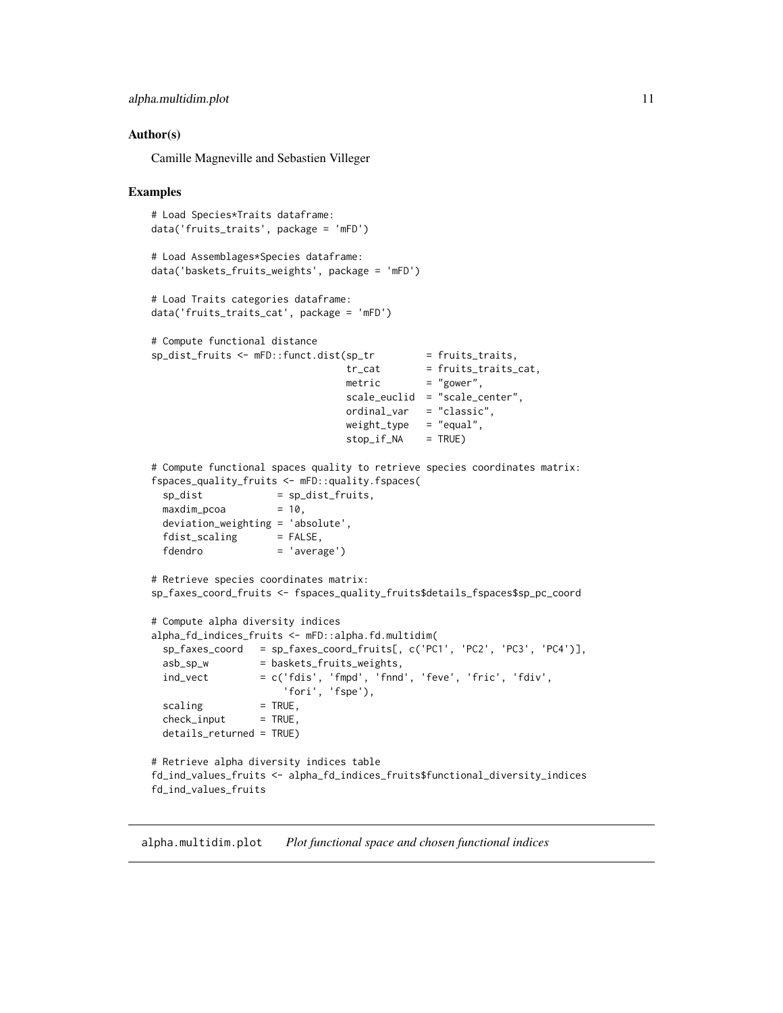```
alpha.multidim.plot 11
```
#### Author(s)

Camille Magneville and Sebastien Villeger

#### Examples

```
# Load Species*Traits dataframe:
data('fruits_traits', package = 'mFD')
# Load Assemblages*Species dataframe:
data('baskets_fruits_weights', package = 'mFD')
# Load Traits categories dataframe:
data('fruits_traits_cat', package = 'mFD')
# Compute functional distance
sp\_dist\_fruits \leftarrow mFD::funct.dist(sp\_tr = fruits\_traits,tr_{cat} = fruits_traits_cat,
                                metric = "gower",
                                scale_euclid = "scale_center",
                                ordinal_var = "classic",
                                weight_type = "equal",stop_if_NA = TRUE)
# Compute functional spaces quality to retrieve species coordinates matrix:
fspaces_quality_fruits <- mFD::quality.fspaces(
 sp\_dist = sp\_dist\_fruits,
 maxdim\_pcoa = 10,
 deviation_weighting = 'absolute',
 fdist\_scaling = FALSE,
 fdendro = 'average')
# Retrieve species coordinates matrix:
sp_faxes_coord_fruits <- fspaces_quality_fruits$details_fspaces$sp_pc_coord
# Compute alpha diversity indices
alpha_fd_indices_fruits <- mFD::alpha.fd.multidim(
 sp_faxes_coord = sp_faxes_coord_fruits[, c('PC1', 'PC2', 'PC3', 'PC4')],
 asb_sp_w = baskets_fruits_weights,
 ind\_vect = c('fdis', 'fmpd', 'fmd', 'feve', 'fric', 'fdiv','fori', 'fspe'),
 scaling = TRUE,check\_input = TRUE,
 details_returned = TRUE)
# Retrieve alpha diversity indices table
fd_ind_values_fruits <- alpha_fd_indices_fruits$functional_diversity_indices
fd_ind_values_fruits
```
alpha.multidim.plot *Plot functional space and chosen functional indices*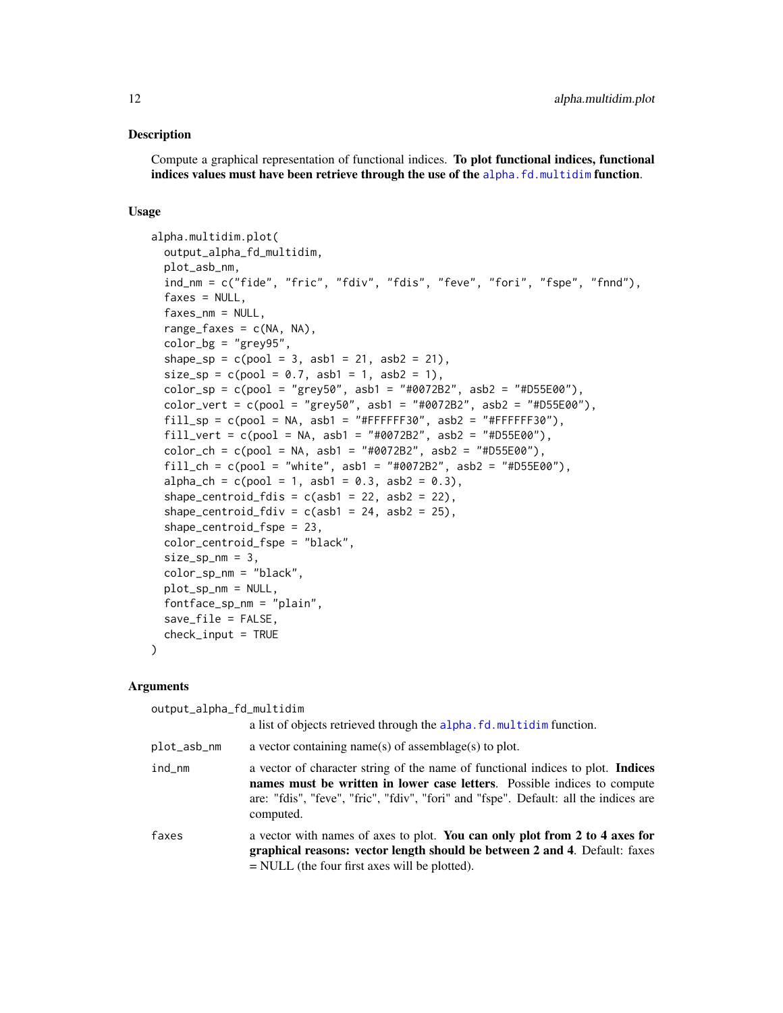#### **Description**

Compute a graphical representation of functional indices. To plot functional indices, functional indices values must have been retrieve through the use of the [alpha.fd.multidim](#page-8-1) function.

#### Usage

```
alpha.multidim.plot(
  output_alpha_fd_multidim,
 plot_asb_nm,
  ind_nm = c("fide", "fric", "fdiv", "fdis", "feve", "fori", "fspe", "fnnd"),
  faxes = NULL,faxes_m = NULL,range_faxes = c(NA, NA),
  color_bg = "grey95"shape_sp = c(pool = 3, asb1 = 21, asb2 = 21),size_sp = c(pool = 0.7, asb1 = 1, asb2 = 1),color_sp = c(pool = "grey50", asb1 = "#0072B2", asb2 = "#D55E00"),color_vert = c(pool = "grey50", asb1 = "#0072B2", asb2 = "#D55E00"),
  fill_sp = c(pool = NA, asb1 = "#FFFFFF530", asb2 = "#FFFFFFF30"),fill_vert = c(pool = NA, asb1 = "#0072B2", asb2 = "#D55E00"),
  color_ch = c(pool = NA, asb1 = "#0072B2", asb2 = "#D55E00"),
  fill_ch = c(pool = "white", asb1 = "#0072B2", asb2 = "#D55E00"),
  alpha_ch = c(pool = 1, asb1 = 0.3, asb2 = 0.3),
  shape_centroid_fdis = c(\text{asb1} = 22, \text{asb2} = 22),
  shape_centroid_fdiv = c(asb1 = 24, asb2 = 25),
  shape_centroid_fspe = 23,
  color_centroid_fspe = "black",
  size_sp_nm = 3,
  color_sp_nm = "black",
 plot_sp_nm = NULL,
  fontface_sp_nm = "plain",
  save_file = FALSE,
  check_input = TRUE
)
```
#### Arguments

| output_alpha_fd_multidim |                                                                                                                                                                                                                                                                         |  |
|--------------------------|-------------------------------------------------------------------------------------------------------------------------------------------------------------------------------------------------------------------------------------------------------------------------|--|
|                          | a list of objects retrieved through the alpha. fd. multidim function.                                                                                                                                                                                                   |  |
| plot_asb_nm              | a vector containing name(s) of assemblage(s) to plot.                                                                                                                                                                                                                   |  |
| ind_nm                   | a vector of character string of the name of functional indices to plot. <b>Indices</b><br>names must be written in lower case letters. Possible indices to compute<br>are: "fdis", "feve", "fric", "fdiv", "fori" and "fspe". Default: all the indices are<br>computed. |  |
| faxes                    | a vector with names of axes to plot. You can only plot from 2 to 4 axes for<br>graphical reasons: vector length should be between 2 and 4. Default: faxes<br>$=$ NULL (the four first axes will be plotted).                                                            |  |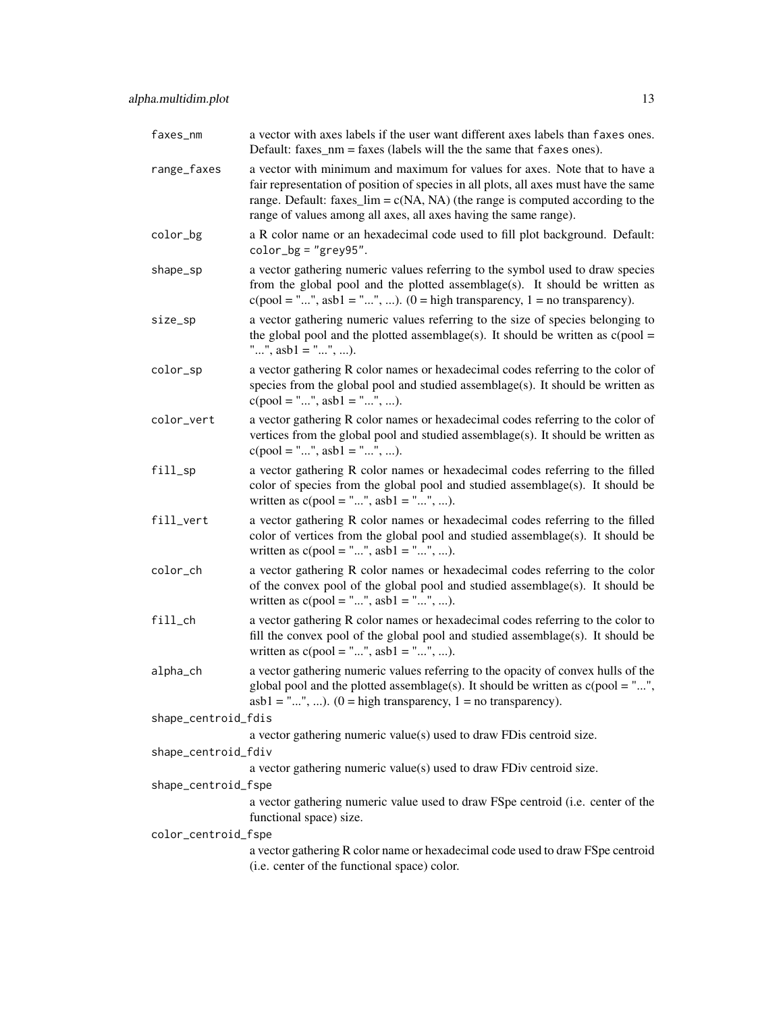| faxes_nm            | a vector with axes labels if the user want different axes labels than faxes ones.<br>Default: $faxes_nm = faxes$ (labels will the the same that $faxes$ ones).                                                                                                                                                              |
|---------------------|-----------------------------------------------------------------------------------------------------------------------------------------------------------------------------------------------------------------------------------------------------------------------------------------------------------------------------|
| range_faxes         | a vector with minimum and maximum for values for axes. Note that to have a<br>fair representation of position of species in all plots, all axes must have the same<br>range. Default: faxes_ $\lim = c(NA, NA)$ (the range is computed according to the<br>range of values among all axes, all axes having the same range). |
| color_bg            | a R color name or an hexadecimal code used to fill plot background. Default:<br>$color_{bg} = "grey95".$                                                                                                                                                                                                                    |
| shape_sp            | a vector gathering numeric values referring to the symbol used to draw species<br>from the global pool and the plotted assemblage(s). It should be written as<br>$c(pool = "", asbl = "", ).$ (0 = high transparency, 1 = no transparency).                                                                                 |
| size_sp             | a vector gathering numeric values referring to the size of species belonging to<br>the global pool and the plotted assemblage(s). It should be written as $c(pool =$<br>"", $asb1 =$ "", ).                                                                                                                                 |
| color_sp            | a vector gathering R color names or hexadecimal codes referring to the color of<br>species from the global pool and studied assemblage(s). It should be written as<br>$c(pool = "", asbl = "", ).$                                                                                                                          |
| color_vert          | a vector gathering R color names or hexadecimal codes referring to the color of<br>vertices from the global pool and studied assemblage(s). It should be written as<br>$c(pool = "", asb1 = "", ).$                                                                                                                         |
| fill_sp             | a vector gathering R color names or hexadecimal codes referring to the filled<br>color of species from the global pool and studied assemblage(s). It should be<br>written as $c(pool = "", ask1 = "", ).$                                                                                                                   |
| fill_vert           | a vector gathering R color names or hexadecimal codes referring to the filled<br>color of vertices from the global pool and studied assemblage(s). It should be<br>written as $c(pool = "", ask1 = "", ).$                                                                                                                  |
| color_ch            | a vector gathering R color names or hexadecimal codes referring to the color<br>of the convex pool of the global pool and studied assemblage(s). It should be<br>written as $c(pool = "", ask1 = "", ).$                                                                                                                    |
| $fill$ _ch          | a vector gathering R color names or hexadecimal codes referring to the color to<br>fill the convex pool of the global pool and studied assemblage(s). It should be<br>written as $c(pool = "", ask1 = "", ).$                                                                                                               |
| alpha_ch            | a vector gathering numeric values referring to the opacity of convex hulls of the<br>global pool and the plotted assemblage(s). It should be written as $c(pool = "",$<br>$asb1 = "", $ . $(0 = high transparency, 1 = no transparency)$ .                                                                                  |
| shape_centroid_fdis |                                                                                                                                                                                                                                                                                                                             |
|                     | a vector gathering numeric value(s) used to draw FD is centroid size.                                                                                                                                                                                                                                                       |
| shape_centroid_fdiv |                                                                                                                                                                                                                                                                                                                             |
|                     | a vector gathering numeric value(s) used to draw FDiv centroid size.                                                                                                                                                                                                                                                        |
| shape_centroid_fspe |                                                                                                                                                                                                                                                                                                                             |
|                     | a vector gathering numeric value used to draw FSpe centroid (i.e. center of the<br>functional space) size.                                                                                                                                                                                                                  |
| color_centroid_fspe |                                                                                                                                                                                                                                                                                                                             |
|                     | a vector gathering R color name or hexadecimal code used to draw FSpe centroid<br>(i.e. center of the functional space) color.                                                                                                                                                                                              |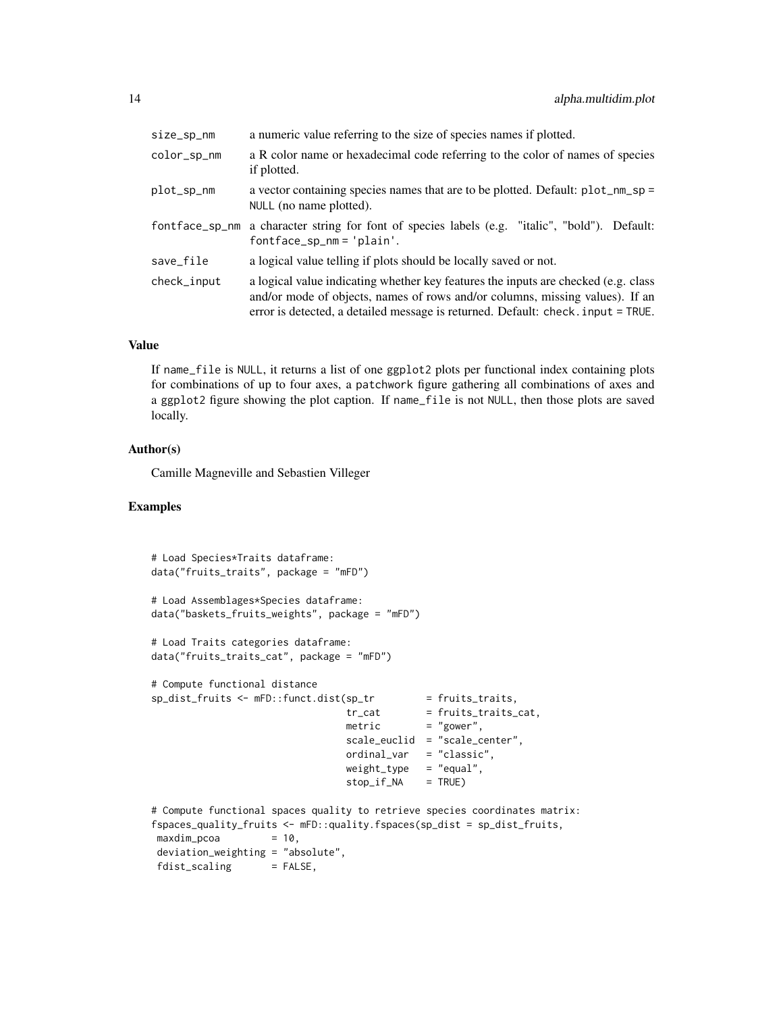| size_sp_nm     | a numeric value referring to the size of species names if plotted.                                                                                                                                                                                     |
|----------------|--------------------------------------------------------------------------------------------------------------------------------------------------------------------------------------------------------------------------------------------------------|
| color_sp_nm    | a R color name or hexadecimal code referring to the color of names of species<br>if plotted.                                                                                                                                                           |
| plot_sp_nm     | a vector containing species names that are to be plotted. Default: plot_nm_sp =<br>NULL (no name plotted).                                                                                                                                             |
| fontface_sp_nm | a character string for font of species labels (e.g. "italic", "bold"). Default:<br>$fontface_sp_nm = 'plain'.$                                                                                                                                         |
| save_file      | a logical value telling if plots should be locally saved or not.                                                                                                                                                                                       |
| check_input    | a logical value indicating whether key features the inputs are checked (e.g. class<br>and/or mode of objects, names of rows and/or columns, missing values). If an<br>error is detected, a detailed message is returned. Default: check. input = TRUE. |

#### Value

If name\_file is NULL, it returns a list of one ggplot2 plots per functional index containing plots for combinations of up to four axes, a patchwork figure gathering all combinations of axes and a ggplot2 figure showing the plot caption. If name\_file is not NULL, then those plots are saved locally.

### Author(s)

Camille Magneville and Sebastien Villeger

```
# Load Species*Traits dataframe:
data("fruits_traits", package = "mFD")
# Load Assemblages*Species dataframe:
data("baskets_fruits_weights", package = "mFD")
# Load Traits categories dataframe:
data("fruits_traits_cat", package = "mFD")
# Compute functional distance
sp\_dist\_fruits \leftarrow mFD::funct.dist(sp\_tr = fruits\_trails,tr_{cat} = fruits_traits_cat,
                                metric = "gower",
                                scale_euclid = "scale_center",
                                ordinal_var = "classic",
                                weight_type = "equal",
                                stop_if_N = TRUE)# Compute functional spaces quality to retrieve species coordinates matrix:
fspaces_quality_fruits <- mFD::quality.fspaces(sp_dist = sp_dist_fruits,
maxdim_pcoa = 10,
deviation_weighting = "absolute",
fdist_scaling = FALSE,
```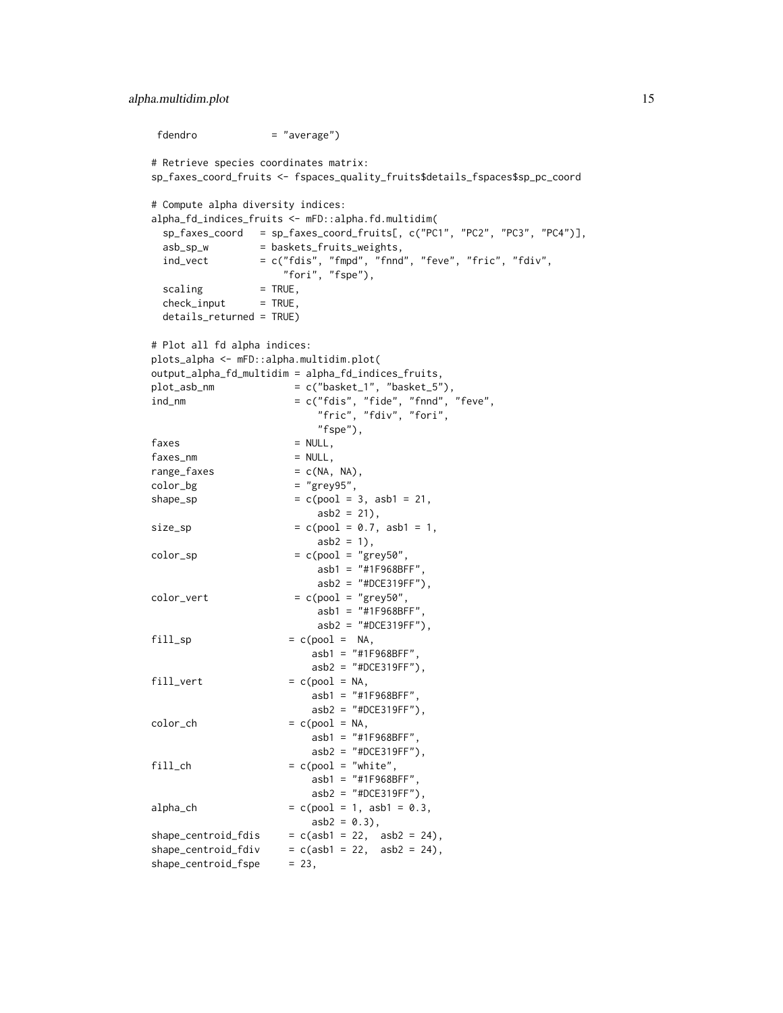#### alpha.multidim.plot 15

```
fdendro = "average")
# Retrieve species coordinates matrix:
sp_faxes_coord_fruits <- fspaces_quality_fruits$details_fspaces$sp_pc_coord
# Compute alpha diversity indices:
alpha_fd_indices_fruits <- mFD::alpha.fd.multidim(
 sp_faxes_coord = sp_faxes_coord_fruits[, c("PC1", "PC2", "PC3", "PC4")],
 asb_sp_w = baskets_fruits_weights,
 ind_vect = c("fdis", "fmpd", "fnnd", "feve", "fric", "fdiv",
                   "fori", "fspe"),
 scaling = TRUE,check\_input = TRUE,
 details_returned = TRUE)
# Plot all fd alpha indices:
plots_alpha <- mFD::alpha.multidim.plot(
output_alpha_fd_multidim = alpha_fd_indices_fruits,
plot\_asb\_nm = c("basket_1", "basket_5"),
ind\_nm = c("fdis", "fide", "fnnd", "feve","fric", "fdiv", "fori",
                        "fspe"),
faxes = NULL,faxes_nm = NULL,range_faxes = c(NA, NA),color\_bg = "grey95",
shape_sp = c(pool = 3, asb1 = 21,asb2 = 21,
size_sp = c(pool = 0.7, asb1 = 1,asb2 = 1),
color_sp = c(pool = "grey50",asb1 = "#1F968BFF",
                        asb2 = "HDCE319FF"),
color\_vert = c(pool = "grey50",
                        asb1 = "#1F968BFF",
                        asb2 = "#DCE319FF"),
fill\_sp = c(pool = NA,
                       asb1 = "#1F968BFF",
                       asb2 = "#DCE319FF"),
fill\_vert = c(pool = NA,
                       asb1 = "#1F968BFF",
                       asb2 = "#DCE319FF"),
color\_ch = c(pool = NA,asb1 = "#1F968BFF",
                       asb2 = "HDEB19FF"),
fill\_ch = c(pool = "white",asb1 = "#1F968BFF",
                       asb2 = "HDCE319FF"),
alpha_ch = c(pool = 1, asb1 = 0.3,
                       asb2 = 0.3,
shape\_centroid_fdis = c(asb1 = 22, asb2 = 24),
shape\_centroid_fdiv = c(asb1 = 22, asb2 = 24),
shape_centroid_fspe = 23,
```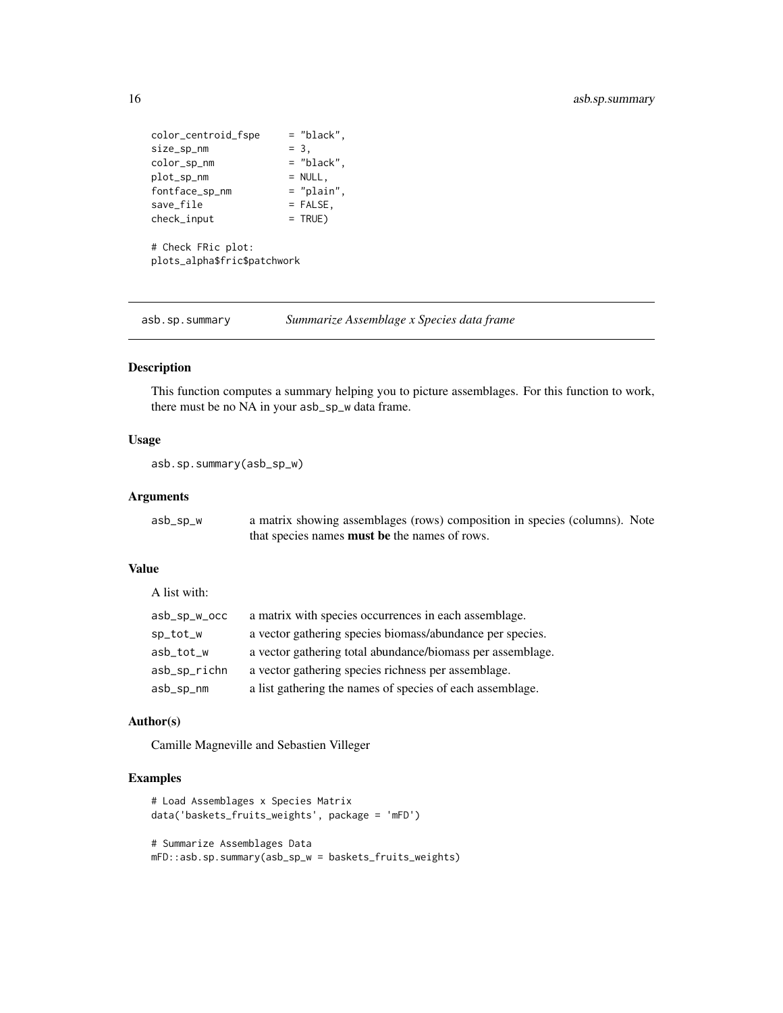```
color_centroid_fspe = "black",
size\_sp\_nm = 3,
\begin{aligned} \text{size\_sp\_nm} \\ \text{color\_sp\_nm} \end{aligned} = "black",
plot_sp_nm = NULL,<br>fontface_sp_nm = "plain",
fontface_sp_nm
save\_file = FALSE,check\_input = TRUE)
# Check FRic plot:
plots_alpha$fric$patchwork
```
asb.sp.summary *Summarize Assemblage x Species data frame*

#### Description

This function computes a summary helping you to picture assemblages. For this function to work, there must be no NA in your asb\_sp\_w data frame.

#### Usage

asb.sp.summary(asb\_sp\_w)

#### Arguments

A list with:

| asb_sp_w | a matrix showing assemblages (rows) composition in species (columns). Note |
|----------|----------------------------------------------------------------------------|
|          | that species names <b>must be</b> the names of rows.                       |

#### Value

| $asb_sp_w_{occ}$ | a matrix with species occurrences in each assemblage.      |
|------------------|------------------------------------------------------------|
| sp_tot_w         | a vector gathering species biomass/abundance per species.  |
| asb_tot_w        | a vector gathering total abundance/biomass per assemblage. |
| asb_sp_richn     | a vector gathering species richness per assemblage.        |
| asb_sp_nm        | a list gathering the names of species of each assemblage.  |

#### Author(s)

Camille Magneville and Sebastien Villeger

```
# Load Assemblages x Species Matrix
data('baskets_fruits_weights', package = 'mFD')
# Summarize Assemblages Data
mFD::asb.sp.summary(asb_sp_w = baskets_fruits_weights)
```
<span id="page-15-0"></span>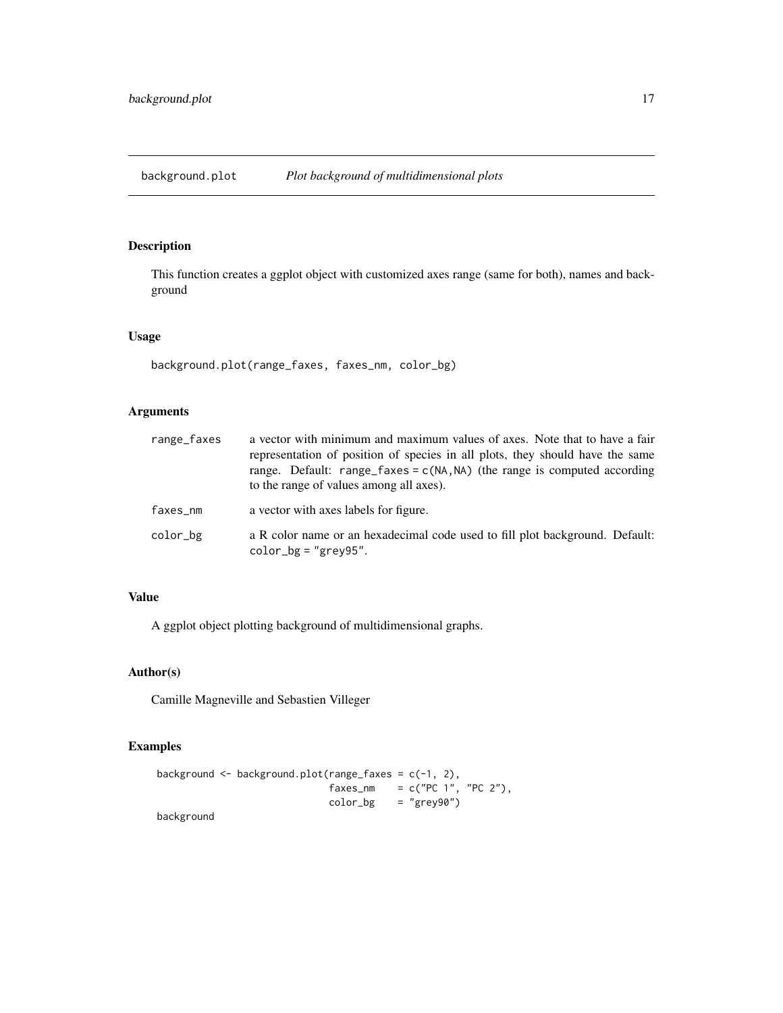<span id="page-16-1"></span><span id="page-16-0"></span>background.plot *Plot background of multidimensional plots*

#### Description

This function creates a ggplot object with customized axes range (same for both), names and background

#### Usage

background.plot(range\_faxes, faxes\_nm, color\_bg)

# Arguments

| range_faxes | a vector with minimum and maximum values of axes. Note that to have a fair<br>representation of position of species in all plots, they should have the same<br>range. Default: range_faxes = $c(NA, NA)$ (the range is computed according<br>to the range of values among all axes). |
|-------------|--------------------------------------------------------------------------------------------------------------------------------------------------------------------------------------------------------------------------------------------------------------------------------------|
| faxes_nm    | a vector with axes labels for figure.                                                                                                                                                                                                                                                |
| color_bg    | a R color name or an hexadecimal code used to fill plot background. Default:<br>$color_bg = "grey95".$                                                                                                                                                                               |

#### Value

A ggplot object plotting background of multidimensional graphs.

#### Author(s)

Camille Magneville and Sebastien Villeger

```
background <- background.plot(range_faxes = c(-1, 2),
                             faxes_{nm} = c("PC 1", "PC 2"),color_bg = "grey90")background
```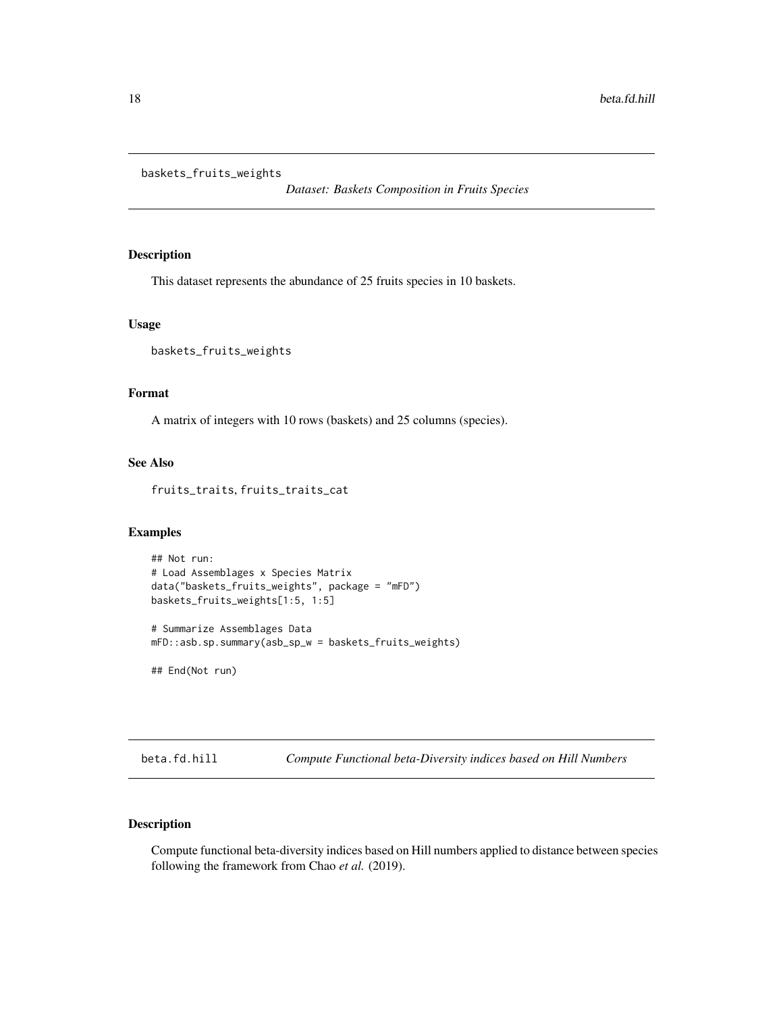<span id="page-17-0"></span>baskets\_fruits\_weights

*Dataset: Baskets Composition in Fruits Species*

#### Description

This dataset represents the abundance of 25 fruits species in 10 baskets.

#### Usage

baskets\_fruits\_weights

#### Format

A matrix of integers with 10 rows (baskets) and 25 columns (species).

#### See Also

fruits\_traits, fruits\_traits\_cat

#### Examples

```
## Not run:
# Load Assemblages x Species Matrix
data("baskets_fruits_weights", package = "mFD")
baskets_fruits_weights[1:5, 1:5]
# Summarize Assemblages Data
```
mFD::asb.sp.summary(asb\_sp\_w = baskets\_fruits\_weights)

## End(Not run)

beta.fd.hill *Compute Functional beta-Diversity indices based on Hill Numbers*

#### Description

Compute functional beta-diversity indices based on Hill numbers applied to distance between species following the framework from Chao *et al.* (2019).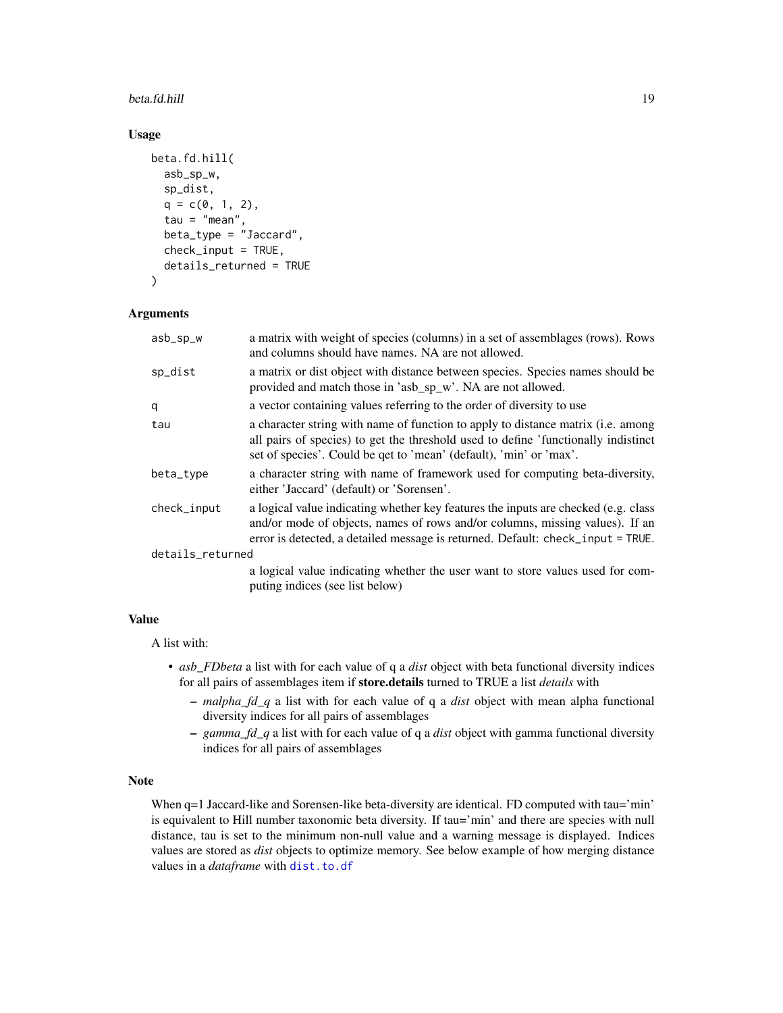#### beta.fd.hill 19

#### Usage

```
beta.fd.hill(
 asb_sp_w,
  sp_dist,
  q = c(0, 1, 2),
  tau = "mean",beta_type = "Jaccard",
  check_input = TRUE,
  details_returned = TRUE
)
```
#### **Arguments**

| asb_sp_w         | a matrix with weight of species (columns) in a set of assemblages (rows). Rows<br>and columns should have names. NA are not allowed.                                                                                                                  |  |
|------------------|-------------------------------------------------------------------------------------------------------------------------------------------------------------------------------------------------------------------------------------------------------|--|
| sp_dist          | a matrix or dist object with distance between species. Species names should be<br>provided and match those in 'asb_sp_w'. NA are not allowed.                                                                                                         |  |
| q                | a vector containing values referring to the order of diversity to use                                                                                                                                                                                 |  |
| tau              | a character string with name of function to apply to distance matrix (i.e. among<br>all pairs of species) to get the threshold used to define 'functionally indistinct<br>set of species'. Could be qet to 'mean' (default), 'min' or 'max'.          |  |
| beta_type        | a character string with name of framework used for computing beta-diversity,<br>either 'Jaccard' (default) or 'Sorensen'.                                                                                                                             |  |
| check_input      | a logical value indicating whether key features the inputs are checked (e.g. class<br>and/or mode of objects, names of rows and/or columns, missing values). If an<br>error is detected, a detailed message is returned. Default: check_input = TRUE. |  |
| details_returned |                                                                                                                                                                                                                                                       |  |
|                  | a logical value indicating whether the user want to store values used for com-<br>puting indices (see list below)                                                                                                                                     |  |

#### Value

A list with:

- *asb\_FDbeta* a list with for each value of q a *dist* object with beta functional diversity indices for all pairs of assemblages item if store.details turned to TRUE a list *details* with
	- *malpha\_fd\_q* a list with for each value of q a *dist* object with mean alpha functional diversity indices for all pairs of assemblages
	- *gamma\_fd\_q* a list with for each value of q a *dist* object with gamma functional diversity indices for all pairs of assemblages

#### Note

When q=1 Jaccard-like and Sorensen-like beta-diversity are identical. FD computed with tau='min' is equivalent to Hill number taxonomic beta diversity. If tau='min' and there are species with null distance, tau is set to the minimum non-null value and a warning message is displayed. Indices values are stored as *dist* objects to optimize memory. See below example of how merging distance values in a *dataframe* with [dist.to.df](#page-29-1)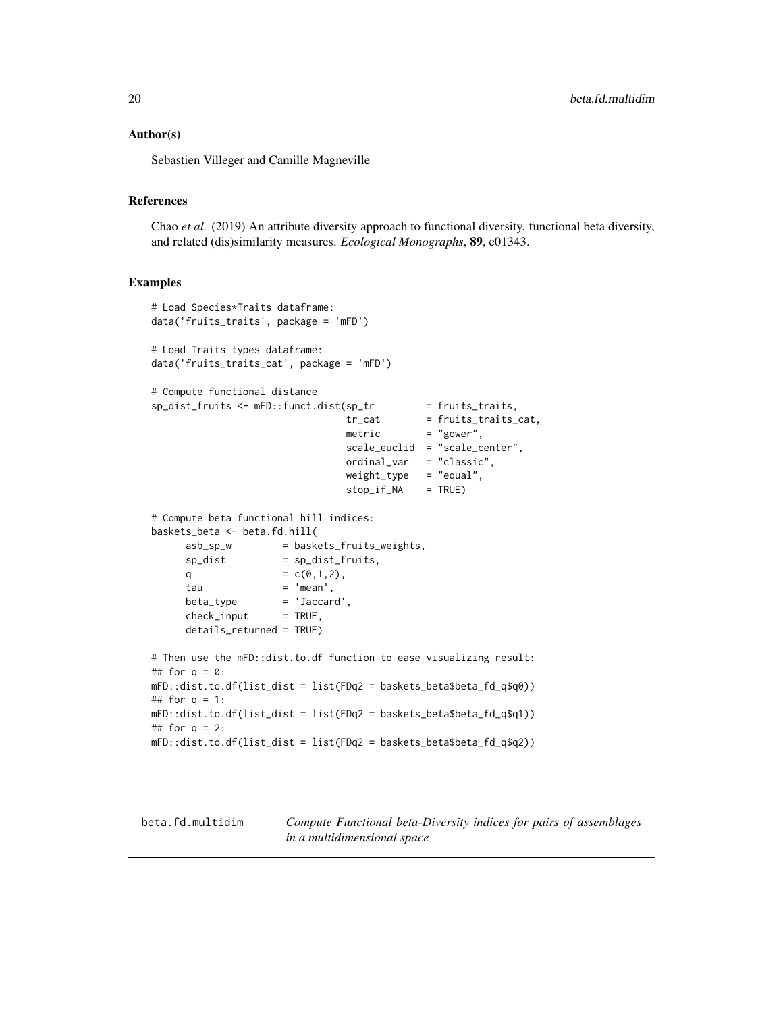#### <span id="page-19-0"></span>Author(s)

Sebastien Villeger and Camille Magneville

#### References

Chao *et al.* (2019) An attribute diversity approach to functional diversity, functional beta diversity, and related (dis)similarity measures. *Ecological Monographs*, 89, e01343.

#### Examples

```
# Load Species*Traits dataframe:
data('fruits_traits', package = 'mFD')
# Load Traits types dataframe:
data('fruits_traits_cat', package = 'mFD')
# Compute functional distance
sp\_dist\_fruits \leftarrow mFD::funct.dist(sp\_tr \qquad = fruits\_trails,tr_{cat} = fruits_traits_cat,<br>matric = "gover"
                                metric = "gower",
                                 scale_euclid = "scale_center",
                                ordinal_var = "classic",
                                weight_type = "equal",stop_if_M = TRUE)# Compute beta functional hill indices:
baskets_beta <- beta.fd.hill(
     asb_sp_w = baskets_fruits_weights,
     sp\_dist = sp\_dist\_fruits,
     q = c(0,1,2),
     tau = 'mean',beta_type = 'Jaccard',
     check\_input = TRUE,
     details_returned = TRUE)
# Then use the mFD::dist.to.df function to ease visualizing result:
## for q = 0:
mFD::dist.to.df(list_dist = list(FDq2 = baskets_beta$beta_fd_q$q0))
## for q = 1:
mFD::dist.to.df(list_dist = list(FDq2 = baskets_beta$beta_fd_q$q1))
## for q = 2:
mFD::dist.to.df(list_dist = list(FDq2 = baskets_beta$beta_fd_q$q2))
```
<span id="page-19-1"></span>beta.fd.multidim *Compute Functional beta-Diversity indices for pairs of assemblages in a multidimensional space*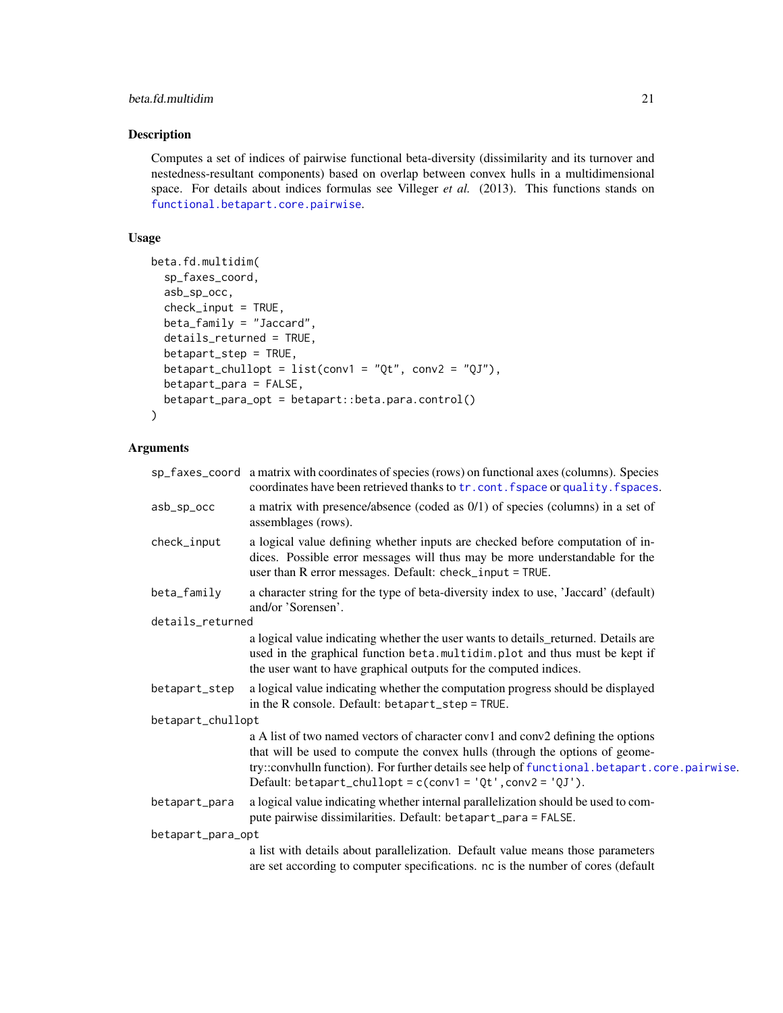#### beta.fd.multidim 21

#### Description

Computes a set of indices of pairwise functional beta-diversity (dissimilarity and its turnover and nestedness-resultant components) based on overlap between convex hulls in a multidimensional space. For details about indices formulas see Villeger *et al.* (2013). This functions stands on [functional.betapart.core.pairwise](#page-0-0).

#### Usage

```
beta.fd.multidim(
  sp_faxes_coord,
  asb_sp_occ,
  check_input = TRUE,
  beta_family = "Jaccard",
  details_returned = TRUE,
  betapart_step = TRUE,
  betapart_chullopt = list(conv1 = "Qt", conv2 = "QJ"),
  betapart_para = FALSE,
  betapart_para_opt = betapart::beta.para.control()
)
```
#### Arguments

|                   | sp_faxes_coord a matrix with coordinates of species (rows) on functional axes (columns). Species<br>coordinates have been retrieved thanks to tr. cont. fspace or quality. fspaces.                                                                                                                                               |  |
|-------------------|-----------------------------------------------------------------------------------------------------------------------------------------------------------------------------------------------------------------------------------------------------------------------------------------------------------------------------------|--|
| asb_sp_occ        | a matrix with presence/absence (coded as 0/1) of species (columns) in a set of<br>assemblages (rows).                                                                                                                                                                                                                             |  |
| check_input       | a logical value defining whether inputs are checked before computation of in-<br>dices. Possible error messages will thus may be more understandable for the<br>user than R error messages. Default: check_input = TRUE.                                                                                                          |  |
| beta_family       | a character string for the type of beta-diversity index to use, 'Jaccard' (default)<br>and/or 'Sorensen'.                                                                                                                                                                                                                         |  |
| details_returned  |                                                                                                                                                                                                                                                                                                                                   |  |
|                   | a logical value indicating whether the user wants to details_returned. Details are<br>used in the graphical function beta.multidim.plot and thus must be kept if<br>the user want to have graphical outputs for the computed indices.                                                                                             |  |
| betapart_step     | a logical value indicating whether the computation progress should be displayed<br>in the R console. Default: betapart_step = TRUE.                                                                                                                                                                                               |  |
| betapart_chullopt |                                                                                                                                                                                                                                                                                                                                   |  |
|                   | a A list of two named vectors of character conv1 and conv2 defining the options<br>that will be used to compute the convex hulls (through the options of geome-<br>try::convhulln function). For further details see help of functional.betapart.core.pairwise.<br>Default: betapart_chullopt = $c$ (conv1 = 'Qt', conv2 = 'QJ'). |  |
| betapart_para     | a logical value indicating whether internal parallelization should be used to com-<br>pute pairwise dissimilarities. Default: betapart_para = FALSE.                                                                                                                                                                              |  |
| betapart_para_opt |                                                                                                                                                                                                                                                                                                                                   |  |
|                   | a list with details about parallelization. Default value means those parameters<br>are set according to computer specifications. nc is the number of cores (default                                                                                                                                                               |  |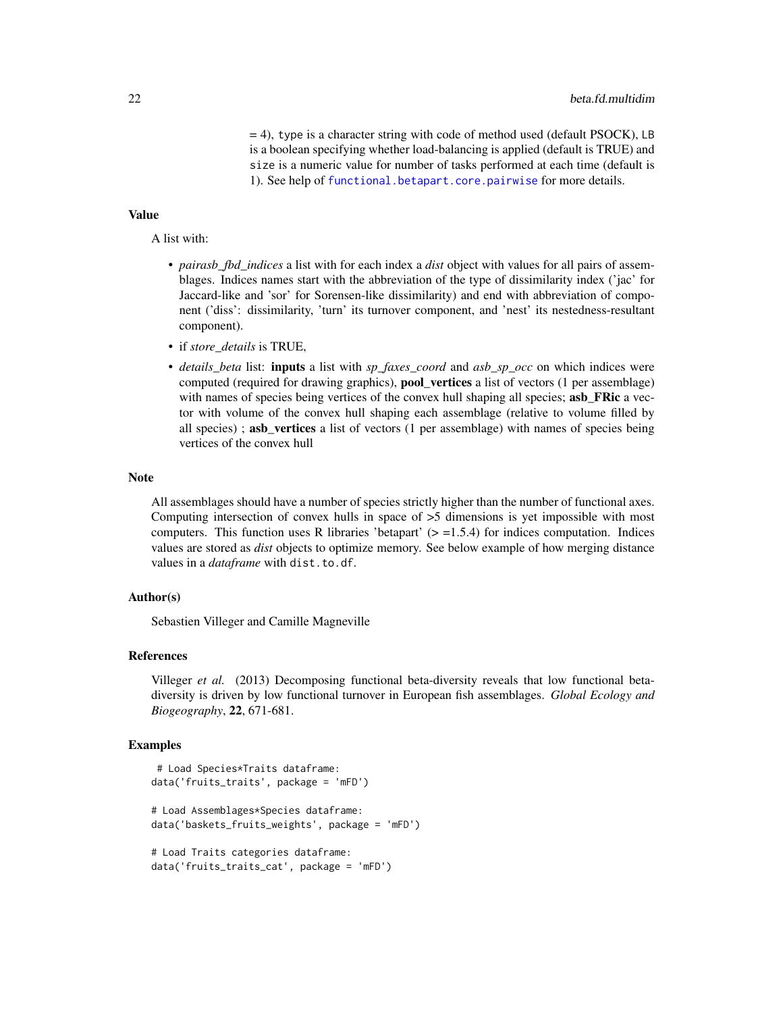= 4), type is a character string with code of method used (default PSOCK), LB is a boolean specifying whether load-balancing is applied (default is TRUE) and size is a numeric value for number of tasks performed at each time (default is 1). See help of [functional.betapart.core.pairwise](#page-0-0) for more details.

#### Value

A list with:

- *pairasb\_fbd\_indices* a list with for each index a *dist* object with values for all pairs of assemblages. Indices names start with the abbreviation of the type of dissimilarity index ('jac' for Jaccard-like and 'sor' for Sorensen-like dissimilarity) and end with abbreviation of component ('diss': dissimilarity, 'turn' its turnover component, and 'nest' its nestedness-resultant component).
- if *store\_details* is TRUE,
- *details beta* list: **inputs** a list with *sp\_faxes\_coord* and *asb\_sp\_occ* on which indices were computed (required for drawing graphics), pool\_vertices a list of vectors (1 per assemblage) with names of species being vertices of the convex hull shaping all species; **asb\_FRic** a vector with volume of the convex hull shaping each assemblage (relative to volume filled by all species); **asb\_vertices** a list of vectors (1 per assemblage) with names of species being vertices of the convex hull

#### **Note**

All assemblages should have a number of species strictly higher than the number of functional axes. Computing intersection of convex hulls in space of  $>5$  dimensions is yet impossible with most computers. This function uses R libraries 'betapart' ( $> = 1.5.4$ ) for indices computation. Indices values are stored as *dist* objects to optimize memory. See below example of how merging distance values in a *dataframe* with dist.to.df.

#### Author(s)

Sebastien Villeger and Camille Magneville

#### References

Villeger *et al.* (2013) Decomposing functional beta-diversity reveals that low functional betadiversity is driven by low functional turnover in European fish assemblages. *Global Ecology and Biogeography*, 22, 671-681.

```
# Load Species*Traits dataframe:
data('fruits_traits', package = 'mFD')
# Load Assemblages*Species dataframe:
data('baskets_fruits_weights', package = 'mFD')
# Load Traits categories dataframe:
data('fruits_traits_cat', package = 'mFD')
```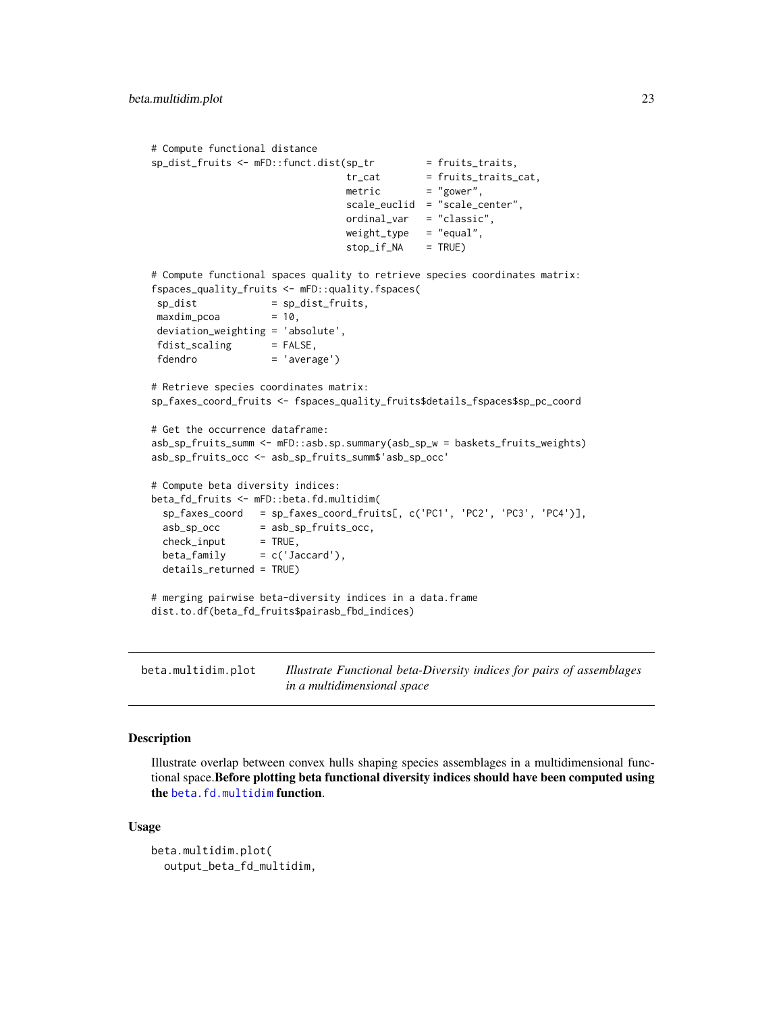```
# Compute functional distance
sp\_dist\_fruits \leftarrow mFD::funct.dist(sp\_tr = fruits\_traits,tr_{cat} = fruits_traits_cat,
                                metric = "gower",
                                scale_euclid = "scale_center",
                                ordinal_var = "classic",
                                weight_type = "equal",stop_if_NA = TRUE)
# Compute functional spaces quality to retrieve species coordinates matrix:
fspaces_quality_fruits <- mFD::quality.fspaces(
sp\_dist = sp\_dist\_fruits,
maxdim_pcoa = 10,
deviation_weighting = 'absolute',
fdist_scaling = FALSE,
fdendro = 'average')
# Retrieve species coordinates matrix:
sp_faxes_coord_fruits <- fspaces_quality_fruits$details_fspaces$sp_pc_coord
# Get the occurrence dataframe:
asb_sp_fruits_summ <- mFD::asb.sp.summary(asb_sp_w = baskets_fruits_weights)
asb_sp_fruits_occ <- asb_sp_fruits_summ$'asb_sp_occ'
# Compute beta diversity indices:
beta_fd_fruits <- mFD::beta.fd.multidim(
 sp_faxes_coord = sp_faxes_coord_fruits[, c('PC1', 'PC2', 'PC3', 'PC4')],
 asb_sp_occ = asb_sp_fruits_occ,
 check\_input = TRUE,
 beta_{min} = c('Jaccard'),
 details_returned = TRUE)
# merging pairwise beta-diversity indices in a data.frame
dist.to.df(beta_fd_fruits$pairasb_fbd_indices)
```
beta.multidim.plot *Illustrate Functional beta-Diversity indices for pairs of assemblages in a multidimensional space*

# Description

Illustrate overlap between convex hulls shaping species assemblages in a multidimensional functional space.Before plotting beta functional diversity indices should have been computed using the [beta.fd.multidim](#page-19-1) function.

#### Usage

```
beta.multidim.plot(
  output_beta_fd_multidim,
```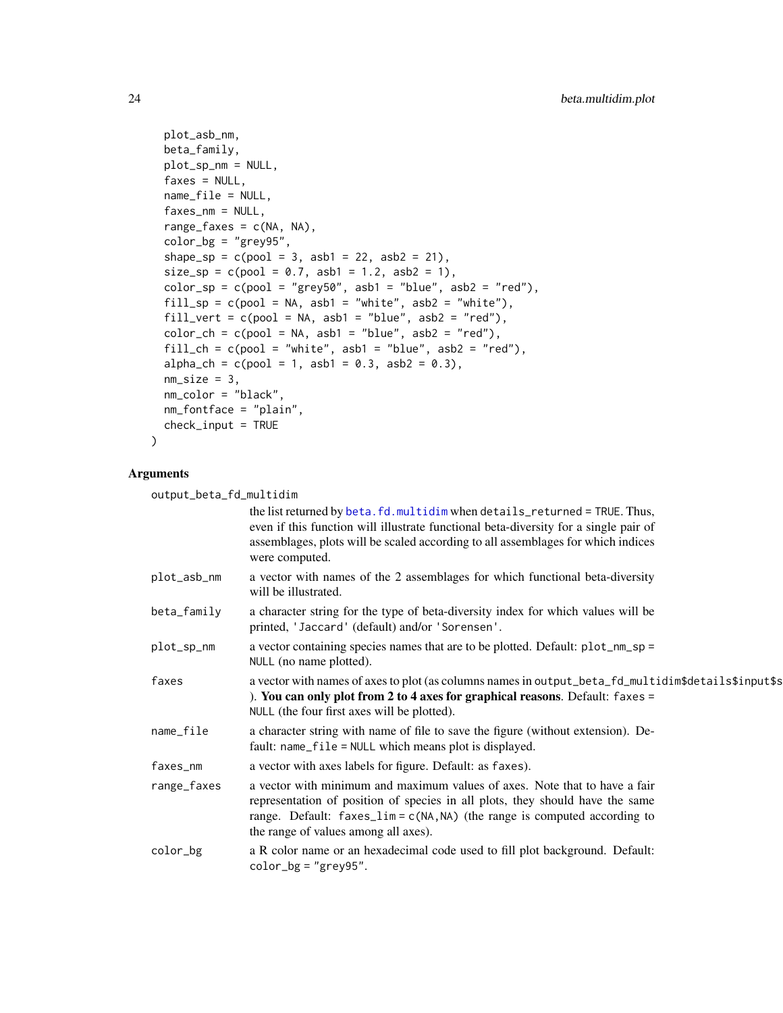```
plot_asb_nm,
 beta_family,
 plot_sp_nm = NULL,
 faxes = NULL,name_file = NULL,
 faxes_nm = NULL,
 range_faxes = c(NA, NA),color_bg = "grey95",shape_sp = c(pool = 3, asb1 = 22, asb2 = 21),
 size_sp = c(pool = 0.7, asb1 = 1.2, asb2 = 1),color_sp = c(pool = "grey50", asb1 = "blue", asb2 = "red"),
 fill_sp = c(pool = NA, asbl = "white", asbl = "white"),fill_vert = c(pool = NA, asb1 = "blue", asb2 = "red"),color_ch = c(pool = NA, asb1 = "blue", asb2 = "red"),fill_ch = c(pool = "white", asb1 = "blue", asb2 = "red"),alpha_ch = c(pool = 1, asb1 = 0.3, asb2 = 0.3),
 nm\_size = 3,
 nm_color = "black",
 nm_fontface = "plain",
 check_input = TRUE
)
```
# Arguments

output\_beta\_fd\_multidim

| <u>vutput_beta_ru_muitiuim</u>                                                                                                                                                                                                                                                      |
|-------------------------------------------------------------------------------------------------------------------------------------------------------------------------------------------------------------------------------------------------------------------------------------|
| the list returned by beta. fd. multidim when details_returned = TRUE. Thus,<br>even if this function will illustrate functional beta-diversity for a single pair of<br>assemblages, plots will be scaled according to all assemblages for which indices<br>were computed.           |
| a vector with names of the 2 assemblages for which functional beta-diversity<br>will be illustrated.                                                                                                                                                                                |
| a character string for the type of beta-diversity index for which values will be<br>printed, 'Jaccard' (default) and/or 'Sorensen'.                                                                                                                                                 |
| a vector containing species names that are to be plotted. Default: plot_nm_sp =<br>NULL (no name plotted).                                                                                                                                                                          |
| a vector with names of axes to plot (as columns names in output_beta_fd_multidim\$details\$input\$s<br>). You can only plot from 2 to 4 axes for graphical reasons. Default: $f$ axes =<br>NULL (the four first axes will be plotted).                                              |
| a character string with name of file to save the figure (without extension). De-<br>fault: name_file = NULL which means plot is displayed.                                                                                                                                          |
| a vector with axes labels for figure. Default: as faxes).                                                                                                                                                                                                                           |
| a vector with minimum and maximum values of axes. Note that to have a fair<br>representation of position of species in all plots, they should have the same<br>range. Default: $faxes\_lim = c(NA, NA)$ (the range is computed according to<br>the range of values among all axes). |
| a R color name or an hexadecimal code used to fill plot background. Default:<br>$color_bg = "grey95".$                                                                                                                                                                              |
|                                                                                                                                                                                                                                                                                     |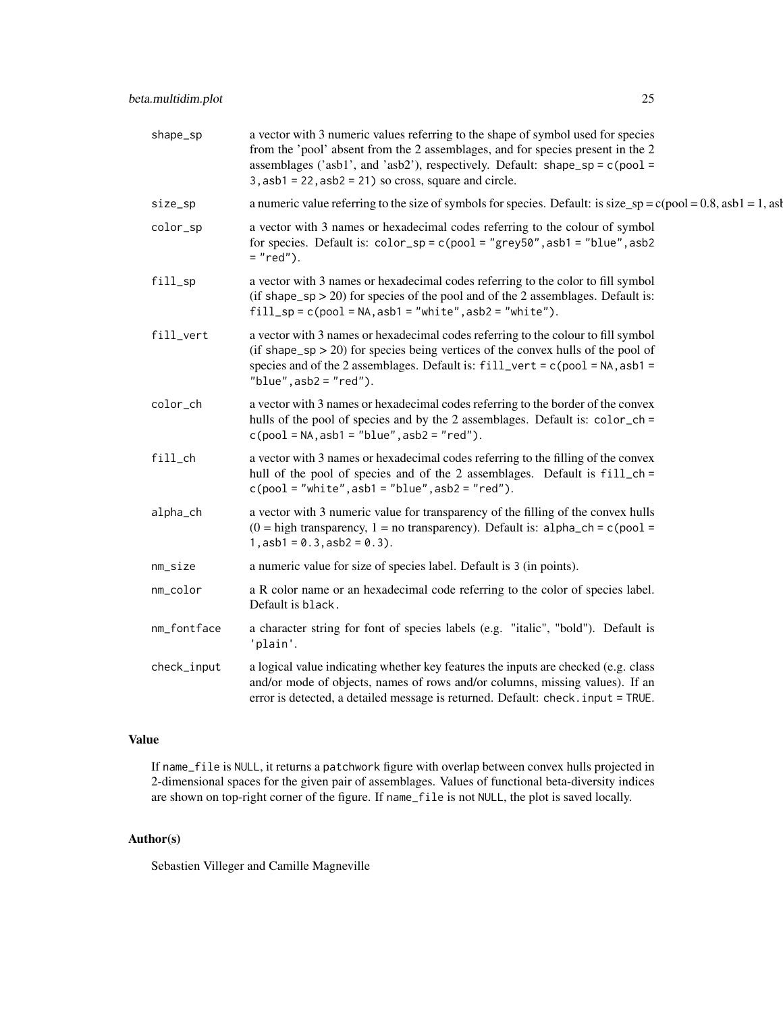| shape_sp    | a vector with 3 numeric values referring to the shape of symbol used for species<br>from the 'pool' absent from the 2 assemblages, and for species present in the 2<br>assemblages ('asb1', and 'asb2'), respectively. Default: shape_sp = $c$ (pool =<br>$3,$ asb $1 = 22,$ asb $2 = 21$ ) so cross, square and circle. |
|-------------|--------------------------------------------------------------------------------------------------------------------------------------------------------------------------------------------------------------------------------------------------------------------------------------------------------------------------|
| size_sp     | a numeric value referring to the size of symbols for species. Default: is size_sp = $c(pool = 0.8, asb1 = 1, asb2)$                                                                                                                                                                                                      |
| color_sp    | a vector with 3 names or hexadecimal codes referring to the colour of symbol<br>for species. Default is: $color_sp = c(pool = "grey50", asb1 = "blue", asb2$<br>$= "red".$                                                                                                                                               |
| fill_sp     | a vector with 3 names or hexadecimal codes referring to the color to fill symbol<br>(if shape_sp $>$ 20) for species of the pool and of the 2 assemblages. Default is:<br>$fill_sp = c(pool = NA, asb1 = "white", asb2 = "white").$                                                                                      |
| fill_vert   | a vector with 3 names or hexadecimal codes referring to the colour to fill symbol<br>(if shape_sp $>$ 20) for species being vertices of the convex hulls of the pool of<br>species and of the 2 assemblages. Default is: $fill\_vert = c(pool = NA, asb1 =$<br>"blue", $asb2 = "red"$ ).                                 |
| color_ch    | a vector with 3 names or hexadecimal codes referring to the border of the convex<br>hulls of the pool of species and by the 2 assemblages. Default is: color_ch =<br>$c(pool = NA, asb1 = "blue", asb2 = "red").$                                                                                                        |
| $fill$ _ch  | a vector with 3 names or hexadecimal codes referring to the filling of the convex<br>hull of the pool of species and of the 2 assemblages. Default is fill_ch =<br>$c(pool = "white", asb1 = "blue", asb2 = "red").$                                                                                                     |
| alpha_ch    | a vector with 3 numeric value for transparency of the filling of the convex hulls<br>$(0 = high transparency, 1 = no transparency).$ Default is: alpha_ch = c(pool =<br>$1,$ asb1 = 0.3, asb2 = 0.3).                                                                                                                    |
| nm_size     | a numeric value for size of species label. Default is 3 (in points).                                                                                                                                                                                                                                                     |
| nm_color    | a R color name or an hexadecimal code referring to the color of species label.<br>Default is black.                                                                                                                                                                                                                      |
| nm_fontface | a character string for font of species labels (e.g. "italic", "bold"). Default is<br>'plain'.                                                                                                                                                                                                                            |
| check_input | a logical value indicating whether key features the inputs are checked (e.g. class<br>and/or mode of objects, names of rows and/or columns, missing values). If an<br>error is detected, a detailed message is returned. Default: check. input = TRUE.                                                                   |

# Value

If name\_file is NULL, it returns a patchwork figure with overlap between convex hulls projected in 2-dimensional spaces for the given pair of assemblages. Values of functional beta-diversity indices are shown on top-right corner of the figure. If name\_file is not NULL, the plot is saved locally.

# Author(s)

Sebastien Villeger and Camille Magneville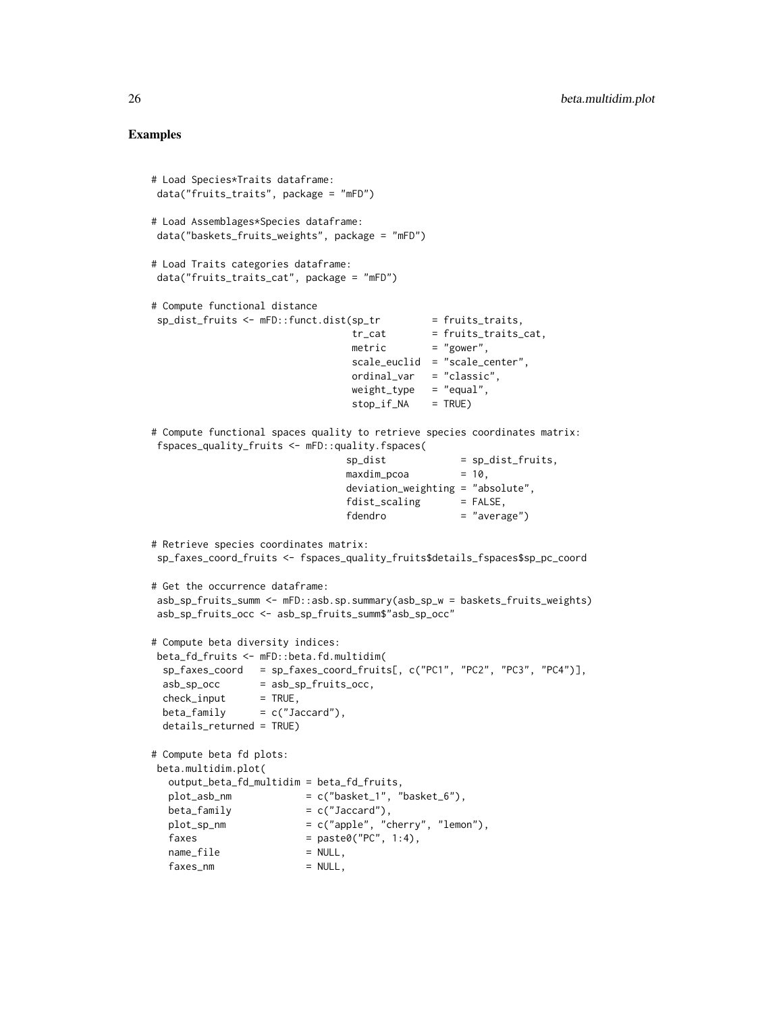```
# Load Species*Traits dataframe:
data("fruits_traits", package = "mFD")
# Load Assemblages*Species dataframe:
data("baskets_fruits_weights", package = "mFD")
# Load Traits categories dataframe:
data("fruits_traits_cat", package = "mFD")
# Compute functional distance
sp\_dist\_fruits \leftarrow mFD::funct.dist(sp\_tr = fruits\_traits,tr_{cat} = fruits_traits_cat,
                                 metric = "gower",
                                scale_euclid = "scale_center",
                                ordinal_var = "classic",
                                weight_type = "equal",stop_if_N = TRUE)# Compute functional spaces quality to retrieve species coordinates matrix:
fspaces_quality_fruits <- mFD::quality.fspaces(
                               sp\_dist = sp\_dist\_fruits,
                               maxdim_pcoa = 10,
                               deviation_weighting = "absolute",
                               fdist\_scaling = FALSE,
                               fdendro = "average")
# Retrieve species coordinates matrix:
sp_faxes_coord_fruits <- fspaces_quality_fruits$details_fspaces$sp_pc_coord
# Get the occurrence dataframe:
asb_sp_fruits_summ <- mFD::asb.sp.summary(asb_sp_w = baskets_fruits_weights)
asb_sp_fruits_occ <- asb_sp_fruits_summ$"asb_sp_occ"
# Compute beta diversity indices:
beta_fd_fruits <- mFD::beta.fd.multidim(
 sp_faxes_coord = sp_faxes_coord_fruits[, c("PC1", "PC2", "PC3", "PC4")],
 asb_sp_occ = asb_sp_fruits_occ,
 check\_input = TRUE,
 beta_{min} = c("Jaccard"),
 details_returned = TRUE)
# Compute beta fd plots:
beta.multidim.plot(
  output_beta_fd_multidim = beta_fd_fruits,
  plot\_asb\_nm = c("basket\_1", "basket\_6"),beta_{max} = c("Jaccard"),<br>plot_sp_nm = c("apple", "c
                       = c("apple", "cherry", "lemon"),faxes = paste0("PC", 1:4),name_file = NULL,
  faxes_nm = NULL,
```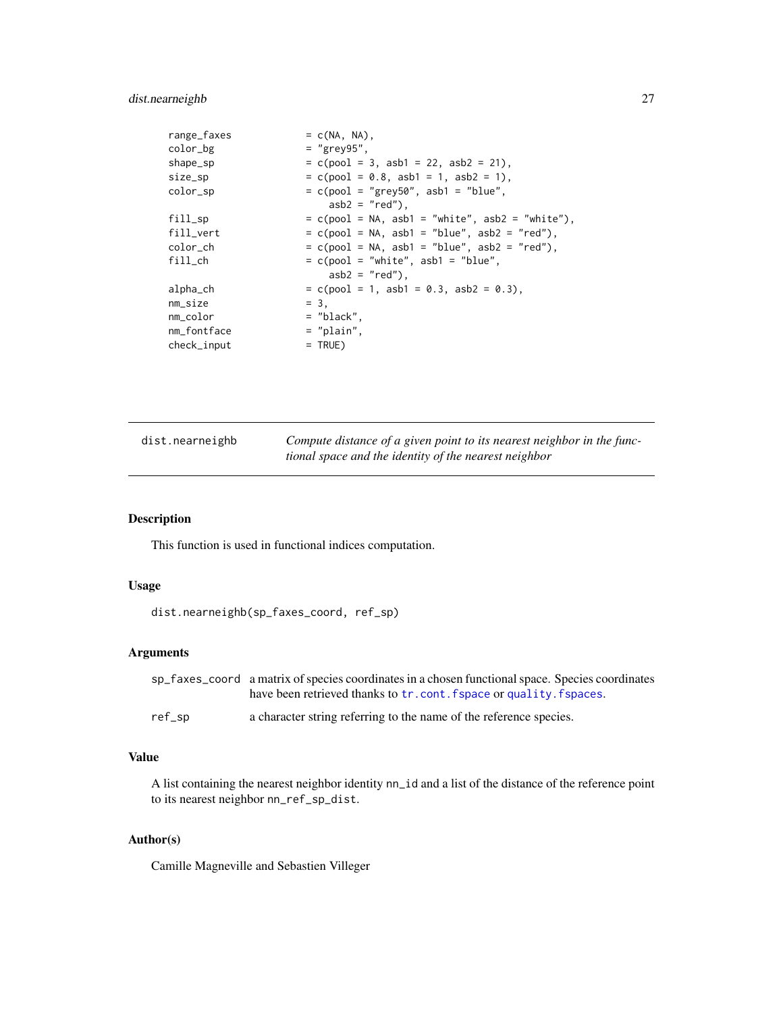#### <span id="page-26-0"></span>dist.nearneighb 27

| range_faxes | $= c(NA, NA)$ .                                    |
|-------------|----------------------------------------------------|
| color_bg    | $=$ "grey95".                                      |
| shape_sp    | $= c (pool = 3, asb1 = 22, asb2 = 21).$            |
| size_sp     | $= c (pool = 0.8, asb1 = 1, asb2 = 1).$            |
| color_sp    | $= c (pool = "grey50", asb1 = "blue",$             |
|             | $asb2 = "red")$ .                                  |
| fill_sp     | $= c (pool = NA, asb1 = "white", asb2 = "white"),$ |
| fill_vert   | $= c (pool = NA, asb1 = "blue", asb2 = "red"),$    |
| color_ch    | $= c (pool = NA, asb1 = "blue", asb2 = "red"),$    |
| $fill$ _ch  | $= c (pool = "white", asb1 = "blue",$              |
|             | $asb2 = "red")$ .                                  |
| alpha_ch    | $= c (pool = 1, asb1 = 0.3, asb2 = 0.3),$          |
| $nm\_size$  | $= 3.$                                             |
| nm color    | $=$ "black",                                       |
| nm_fontface | $=$ "plain".                                       |
| check_input | $=$ TRUE)                                          |

| dist.nearneighb | Compute distance of a given point to its nearest neighbor in the func- |
|-----------------|------------------------------------------------------------------------|
|                 | tional space and the identity of the nearest neighbor                  |

#### Description

This function is used in functional indices computation.

#### Usage

```
dist.nearneighb(sp_faxes_coord, ref_sp)
```
#### Arguments

| sp faxes coord a matrix of species coordinates in a chosen functional space. Species coordinates |
|--------------------------------------------------------------------------------------------------|
| have been retrieved thanks to tr.cont. fspace or quality, fspaces.                               |
|                                                                                                  |

ref\_sp a character string referring to the name of the reference species.

#### Value

A list containing the nearest neighbor identity nn\_id and a list of the distance of the reference point to its nearest neighbor nn\_ref\_sp\_dist.

### Author(s)

Camille Magneville and Sebastien Villeger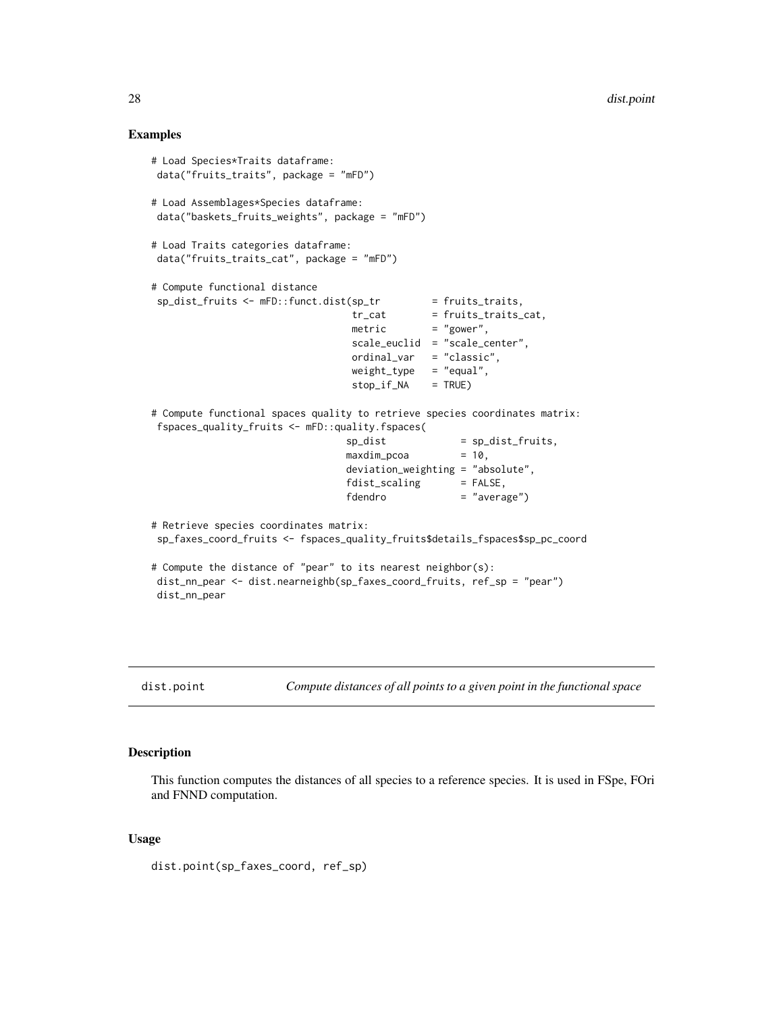#### Examples

```
# Load Species*Traits dataframe:
data("fruits_traits", package = "mFD")
# Load Assemblages*Species dataframe:
data("baskets_fruits_weights", package = "mFD")
# Load Traits categories dataframe:
data("fruits_traits_cat", package = "mFD")
# Compute functional distance
 sp_dist_fruits <- mFD::funct.dist(sp_tr
                                     \begin{aligned} \n\text{sp\_tr} &= \text{fruits\_traits}, \\ \n\text{tr\_cat} &= \text{fruits\_traits\_cat}, \n\end{aligned}\text{metric} = "gower",
                                     scale_euclid = "scale_center",
                                     ordinal_var = "classic",
                                     weight_type = "equal",
                                     stop_if_NA = TRUE)
# Compute functional spaces quality to retrieve species coordinates matrix:
fspaces_quality_fruits <- mFD::quality.fspaces(
                                   sp\_dist = sp\_dist\_fruits,
                                   maxdim_pcoa = 10,
                                   deviation_weighting = "absolute",
                                   fdist_scaling = FALSE,
                                   fdendro = "average")
# Retrieve species coordinates matrix:
 sp_faxes_coord_fruits <- fspaces_quality_fruits$details_fspaces$sp_pc_coord
# Compute the distance of "pear" to its nearest neighbor(s):
dist_nn_pear <- dist.nearneighb(sp_faxes_coord_fruits, ref_sp = "pear")
dist_nn_pear
```
dist.point *Compute distances of all points to a given point in the functional space*

#### Description

This function computes the distances of all species to a reference species. It is used in FSpe, FOri and FNND computation.

#### Usage

dist.point(sp\_faxes\_coord, ref\_sp)

<span id="page-27-0"></span>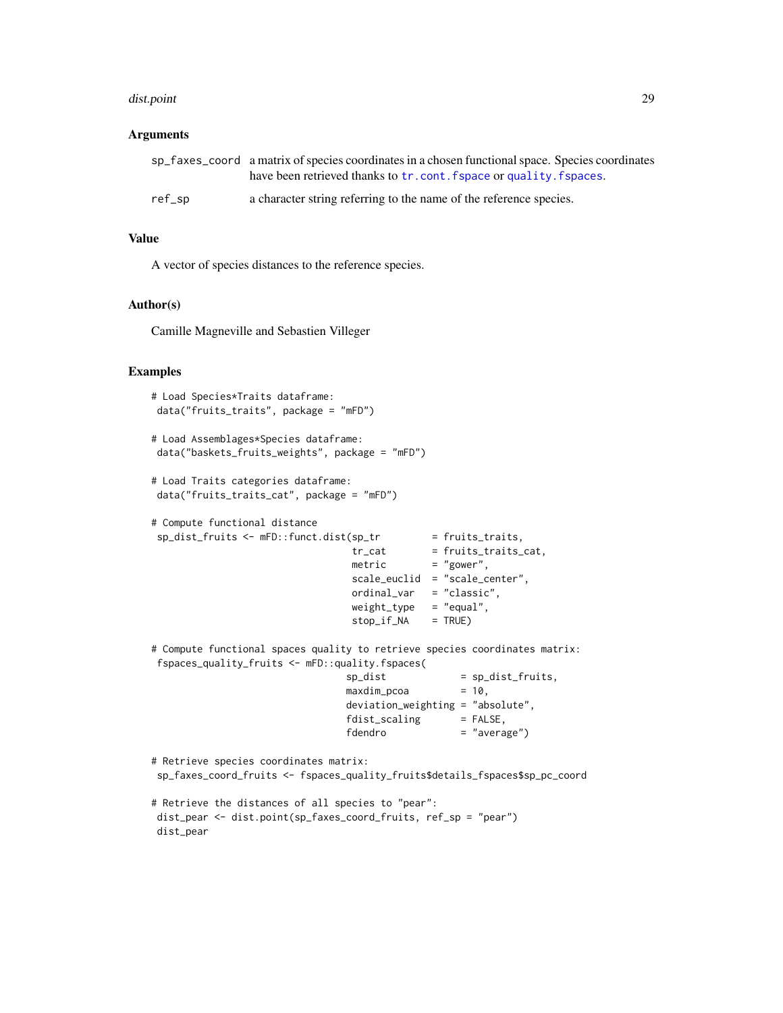#### dist.point 29

#### **Arguments**

|        | sp faxes coord a matrix of species coordinates in a chosen functional space. Species coordinates |
|--------|--------------------------------------------------------------------------------------------------|
|        | have been retrieved thanks to tr.cont. fspace or quality. fspaces.                               |
| ref_sp | a character string referring to the name of the reference species.                               |

#### Value

A vector of species distances to the reference species.

#### Author(s)

Camille Magneville and Sebastien Villeger

#### Examples

```
# Load Species*Traits dataframe:
data("fruits_traits", package = "mFD")
```

```
# Load Assemblages*Species dataframe:
data("baskets_fruits_weights", package = "mFD")
```

```
# Load Traits categories dataframe:
data("fruits_traits_cat", package = "mFD")
```

```
# Compute functional distance
sp\_dist\_fruits \leftarrow mFD::funct.dist(sp\_tr = fruits\_trails,tr\_cat = fruits_traits_cat,
                                 metric = "gower",
                                 scale_euclid = "scale_center",
                                 ordinal_var = "classic",
                                 weight_type = "equal",
                                 stop_if_NA = TRUE)
```
# Compute functional spaces quality to retrieve species coordinates matrix: fspaces\_quality\_fruits <- mFD::quality.fspaces(

```
sp\_dist = sp\_dist\_fruits,
maxdim_pcoa = 10,
deviation_weighting = "absolute",
fdist\_scaling = FALSE,
fdendro = "average")
```

```
# Retrieve species coordinates matrix:
sp_faxes_coord_fruits <- fspaces_quality_fruits$details_fspaces$sp_pc_coord
```

```
# Retrieve the distances of all species to "pear":
dist_pear <- dist.point(sp_faxes_coord_fruits, ref_sp = "pear")
dist_pear
```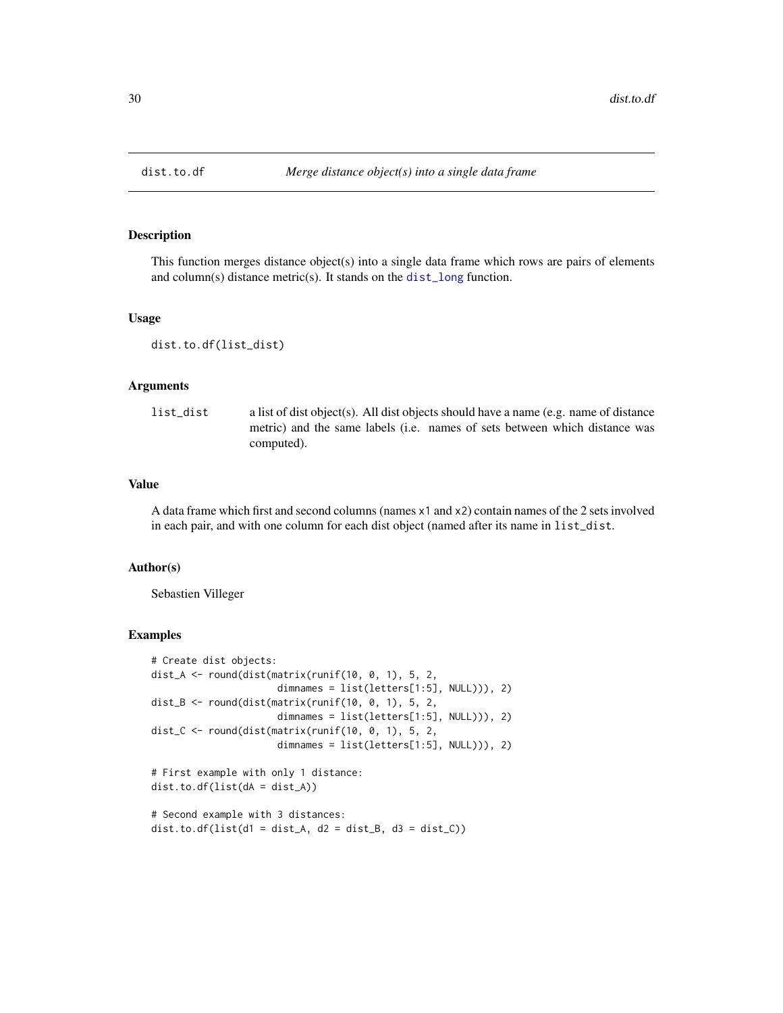#### Description

This function merges distance object(s) into a single data frame which rows are pairs of elements and column(s) distance metric(s). It stands on the [dist\\_long](#page-0-0) function.

#### Usage

```
dist.to.df(list_dist)
```
#### Arguments

list\_dist a list of dist object(s). All dist objects should have a name (e.g. name of distance metric) and the same labels (i.e. names of sets between which distance was computed).

#### Value

A data frame which first and second columns (names x1 and x2) contain names of the 2 sets involved in each pair, and with one column for each dist object (named after its name in list\_dist.

#### Author(s)

Sebastien Villeger

```
# Create dist objects:
dist_A <- round(dist(matrix(runif(10, 0, 1), 5, 2,
                      dimnames = list(letters[1:5], NULL))), 2)
dist_B <- round(dist(matrix(runif(10, 0, 1), 5, 2,
                      dimnames = list(letters[1:5], NULL))), 2)
dist_C <- round(dist(matrix(runif(10, 0, 1), 5, 2,
                      dimnames = list(letters[1:5], NULL))), 2)
```

```
# First example with only 1 distance:
dist.to.df(list(dA = dist_A))
```

```
# Second example with 3 distances:
dist.to.df(list(d1 = dist_A, d2 = dist_B, d3 = dist_C))
```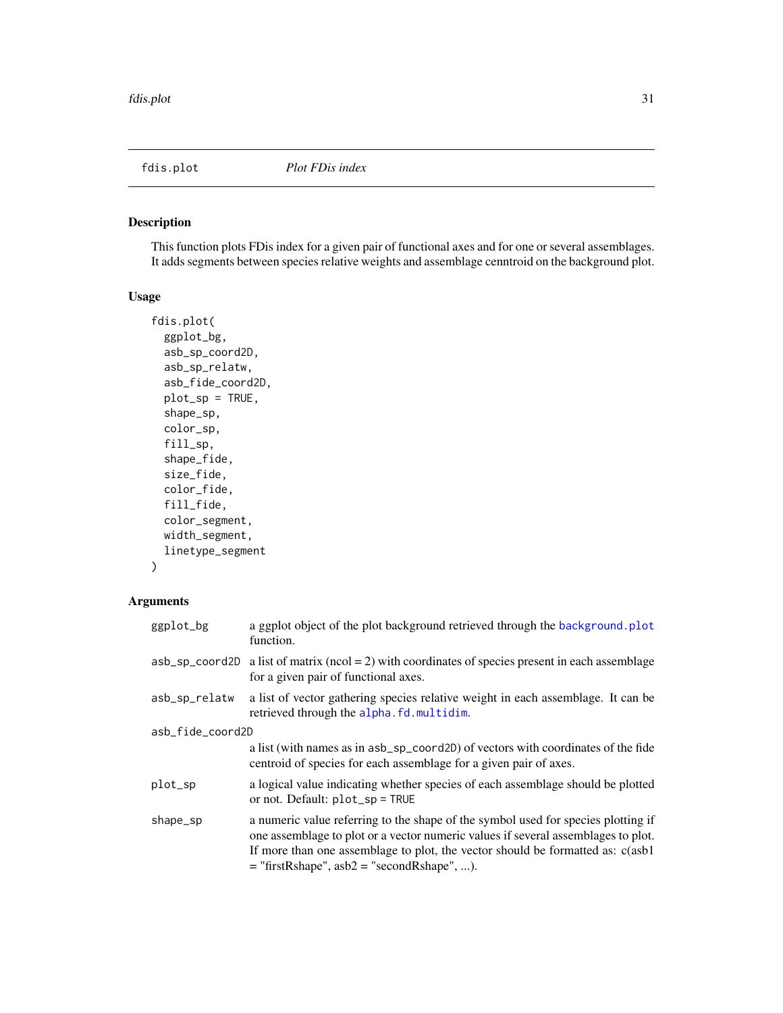<span id="page-30-0"></span>

#### Description

This function plots FDis index for a given pair of functional axes and for one or several assemblages. It adds segments between species relative weights and assemblage cenntroid on the background plot.

#### Usage

```
fdis.plot(
  ggplot_bg,
  asb_sp_coord2D,
  asb_sp_relatw,
  asb_fide_coord2D,
 plot_sp = TRUE,
  shape_sp,
  color_sp,
  fill_sp,
  shape_fide,
  size_fide,
  color_fide,
  fill_fide,
  color_segment,
 width_segment,
  linetype_segment
\mathcal{L}
```
#### Arguments

| ggplot_bg        | a ggplot object of the plot background retrieved through the background.plot<br>function.                                                                                                                                                                                                                 |  |
|------------------|-----------------------------------------------------------------------------------------------------------------------------------------------------------------------------------------------------------------------------------------------------------------------------------------------------------|--|
| asb_sp_coord2D   | a list of matrix ( $ncol = 2$ ) with coordinates of species present in each assemblage<br>for a given pair of functional axes.                                                                                                                                                                            |  |
| asb_sp_relatw    | a list of vector gathering species relative weight in each assemblage. It can be<br>retrieved through the alpha.fd.multidim.                                                                                                                                                                              |  |
| asb_fide_coord2D |                                                                                                                                                                                                                                                                                                           |  |
|                  | a list (with names as in asb_sp_coord2D) of vectors with coordinates of the fide<br>centroid of species for each assemblage for a given pair of axes.                                                                                                                                                     |  |
| plot_sp          | a logical value indicating whether species of each assemblage should be plotted<br>or not. Default: $plot_sp = TRUE$                                                                                                                                                                                      |  |
| shape_sp         | a numeric value referring to the shape of the symbol used for species plotting if<br>one assemblage to plot or a vector numeric values if several assemblages to plot.<br>If more than one assemblage to plot, the vector should be formatted as: c(asb1)<br>$=$ "firstRshape", asb2 = "secondRshape", ). |  |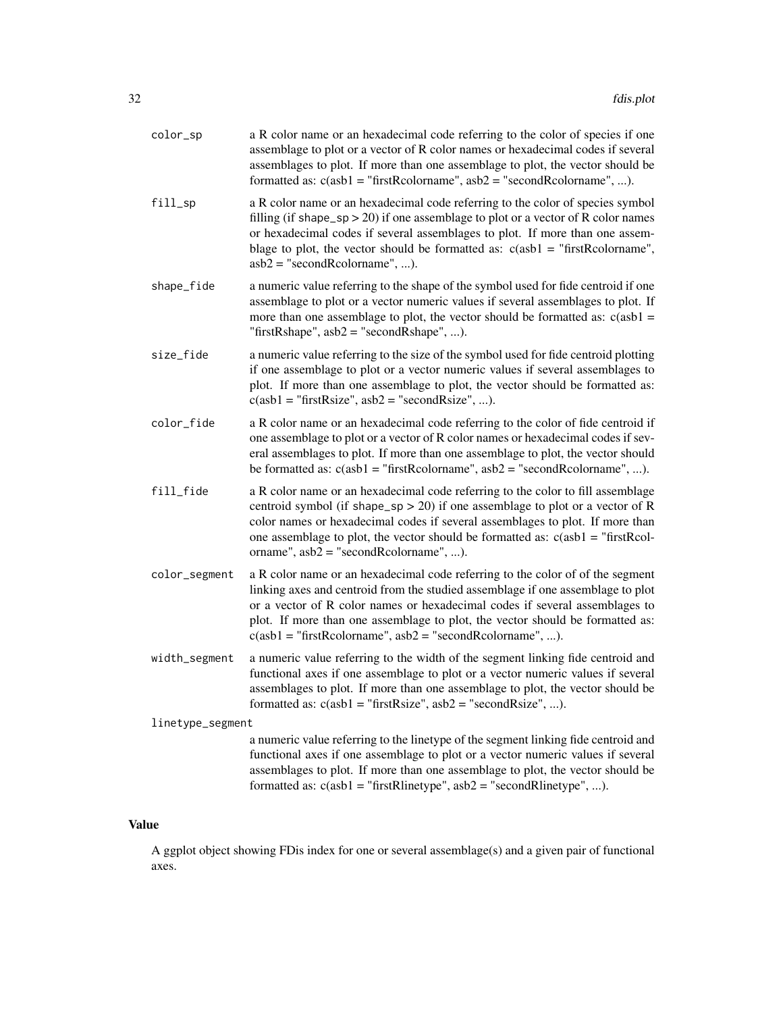| color_sp         | a R color name or an hexadecimal code referring to the color of species if one<br>assemblage to plot or a vector of R color names or hexadecimal codes if several<br>assemblages to plot. If more than one assemblage to plot, the vector should be<br>formatted as: $c(asb1 = "firstRcolormame", asb2 = "secondRcolormame", ).$                                                                 |  |
|------------------|--------------------------------------------------------------------------------------------------------------------------------------------------------------------------------------------------------------------------------------------------------------------------------------------------------------------------------------------------------------------------------------------------|--|
| fill_sp          | a R color name or an hexadecimal code referring to the color of species symbol<br>filling (if shape_sp > 20) if one assemblage to plot or a vector of R color names<br>or hexadecimal codes if several assemblages to plot. If more than one assem-<br>blage to plot, the vector should be formatted as: $c(asb1 = "firstRcolormame",$<br>$asb2 = "secondReolorname", ).$                        |  |
| shape_fide       | a numeric value referring to the shape of the symbol used for fide centroid if one<br>assemblage to plot or a vector numeric values if several assemblages to plot. If<br>more than one assemblage to plot, the vector should be formatted as: $c(a s b1$ =<br>"firstRshape", $asb2 =$ "secondRshape", ).                                                                                        |  |
| size_fide        | a numeric value referring to the size of the symbol used for fide centroid plotting<br>if one assemblage to plot or a vector numeric values if several assemblages to<br>plot. If more than one assemblage to plot, the vector should be formatted as:<br>$c(ab1 = "firstRsize", asb2 = "secondRsize", ).$                                                                                       |  |
| color_fide       | a R color name or an hexadecimal code referring to the color of fide centroid if<br>one assemblage to plot or a vector of R color names or hexadecimal codes if sev-<br>eral assemblages to plot. If more than one assemblage to plot, the vector should<br>be formatted as: $c(asb1 = "firstRcolormame", asb2 = "secondRcolormame", ).$                                                         |  |
| fill_fide        | a R color name or an hexadecimal code referring to the color to fill assemblage<br>centroid symbol (if shape_sp > 20) if one assemblage to plot or a vector of R<br>color names or hexadecimal codes if several assemblages to plot. If more than<br>one assemblage to plot, the vector should be formatted as: $c(asb1 = "firstRcol-$<br>orname", $asb2 = "secondReolorname", ).$               |  |
| color_segment    | a R color name or an hexadecimal code referring to the color of of the segment<br>linking axes and centroid from the studied assemblage if one assemblage to plot<br>or a vector of R color names or hexadecimal codes if several assemblages to<br>plot. If more than one assemblage to plot, the vector should be formatted as:<br>$c(asb1 = "firstRcolormame", asb2 = "secondRcolormame", ).$ |  |
| width_segment    | a numeric value referring to the width of the segment linking fide centroid and<br>functional axes if one assemblage to plot or a vector numeric values if several<br>assemblages to plot. If more than one assemblage to plot, the vector should be<br>formatted as: $c(asb1 = "firstRsize", asb2 = "secondRsize", ).$                                                                          |  |
| linetype_segment |                                                                                                                                                                                                                                                                                                                                                                                                  |  |
|                  | a numeric value referring to the linetype of the segment linking fide centroid and<br>functional axes if one assemblage to plot or a vector numeric values if several<br>assemblages to plot. If more than one assemblage to plot, the vector should be<br>formatted as: $c(asb1 = "firstRlinetype", asb2 = "secondRlinetype", ).$                                                               |  |

# Value

A ggplot object showing FDis index for one or several assemblage(s) and a given pair of functional axes.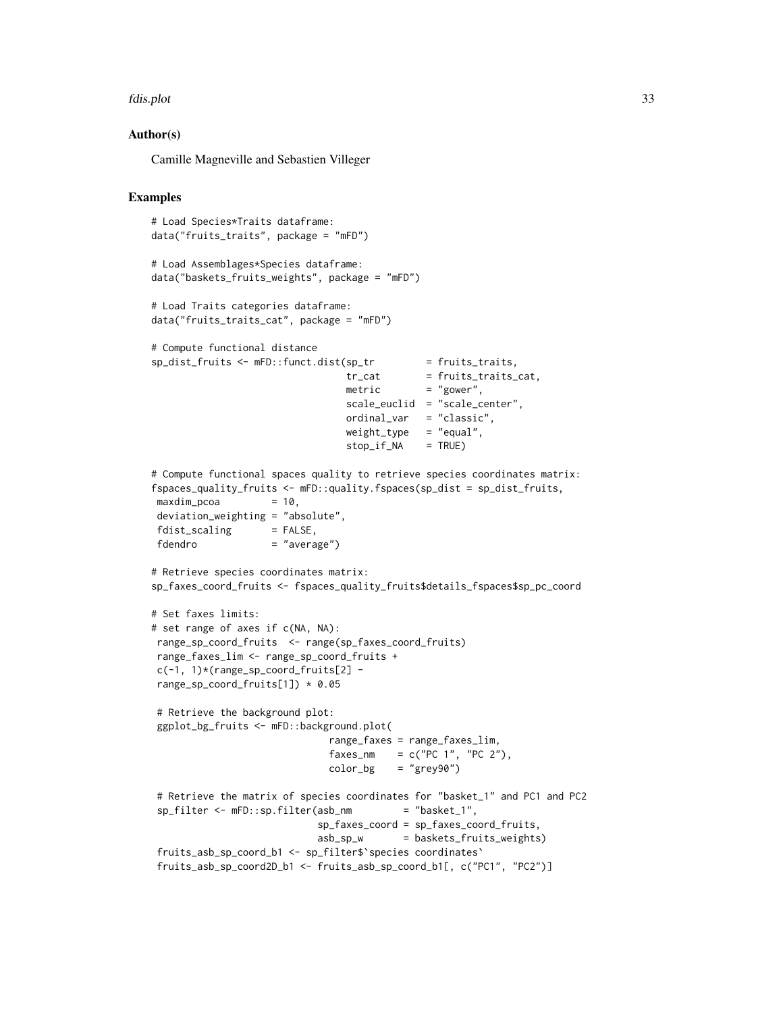#### fdis.plot 33

#### Author(s)

Camille Magneville and Sebastien Villeger

```
# Load Species*Traits dataframe:
data("fruits_traits", package = "mFD")
# Load Assemblages*Species dataframe:
data("baskets_fruits_weights", package = "mFD")
# Load Traits categories dataframe:
data("fruits_traits_cat", package = "mFD")
# Compute functional distance
sp\_dist\_fruits \leftarrow mFD::funct.dist(sp\_tr = fruits\_trails,tr_cat = fruits_traits_cat,
                                metric = "gower",
                                scale_euclid = "scale_center",
                                 ordinal_var = "classic",
                                 weight_type = "equal",
                                stop_if_NA = TRUE)
# Compute functional spaces quality to retrieve species coordinates matrix:
fspaces_quality_fruits <- mFD::quality.fspaces(sp_dist = sp_dist_fruits,
maxdim\_pcoa = 10,
deviation_weighting = "absolute",
fdist\_scaling = FALSE,
fdendro = "average")
# Retrieve species coordinates matrix:
sp_faxes_coord_fruits <- fspaces_quality_fruits$details_fspaces$sp_pc_coord
# Set faxes limits:
# set range of axes if c(NA, NA):
range_sp_coord_fruits <- range(sp_faxes_coord_fruits)
range_faxes_lim <- range_sp_coord_fruits +
c(-1, 1)*(range_sp\_coord\_fruits[2] -range_sp_coord_fruits[1]) * 0.05
# Retrieve the background plot:
ggplot_bg_fruits <- mFD::background.plot(
                             range_faxes = range_faxes_lim,
                              faxes_nm = c("PC 1", "PC 2"),color_bg = "grey90")# Retrieve the matrix of species coordinates for "basket_1" and PC1 and PC2
sp_filter <- mFD::sp.filter(asb_nm = "basket_1",
                            sp_faxes_coord = sp_faxes_coord_fruits,
                            asb_sp_w = baskets_fruits_weights)
fruits_asb_sp_coord_b1 <- sp_filter$`species coordinates`
fruits_asb_sp_coord2D_b1 <- fruits_asb_sp_coord_b1[, c("PC1", "PC2")]
```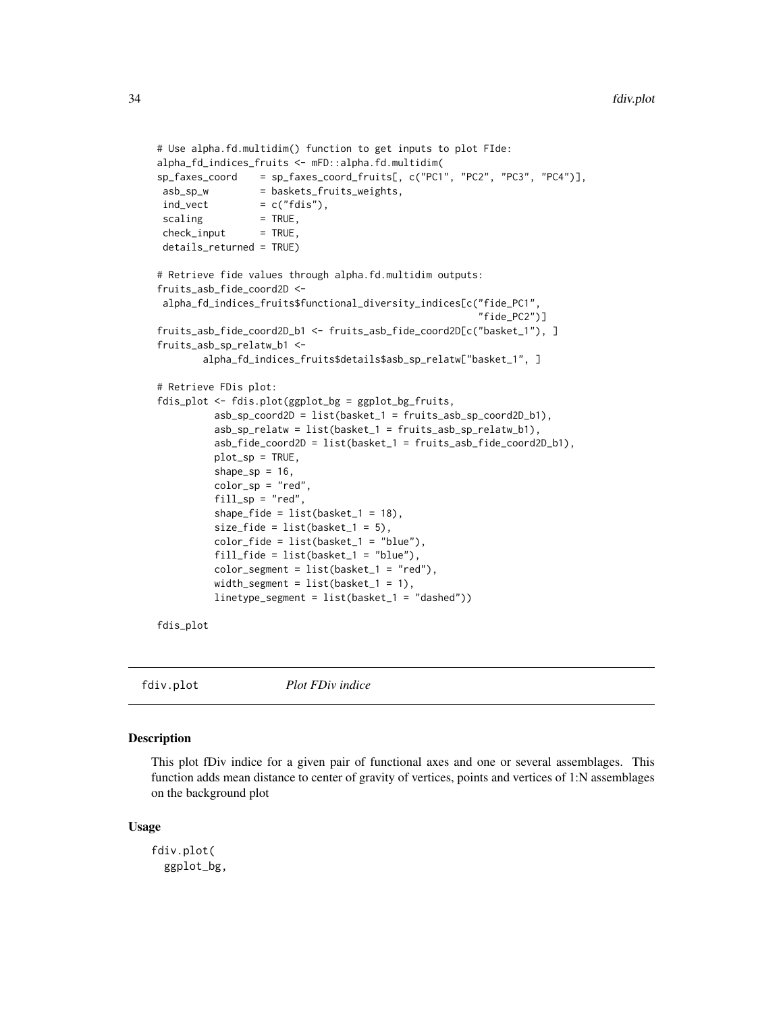```
# Use alpha.fd.multidim() function to get inputs to plot FIde:
alpha_fd_indices_fruits <- mFD::alpha.fd.multidim(
sp_faxes_coord = sp_faxes_coord_fruits[, c("PC1", "PC2", "PC3", "PC4")],
asb_sp_w = baskets_fruits_weights,
ind\_vect = c("fdis"),
scaling = TRUE,check\_input = TRUE,
details_returned = TRUE)
# Retrieve fide values through alpha.fd.multidim outputs:
fruits_asb_fide_coord2D <-
alpha_fd_indices_fruits$functional_diversity_indices[c("fide_PC1",
                                                       "fide_PC2")]
fruits_asb_fide_coord2D_b1 <- fruits_asb_fide_coord2D[c("basket_1"), ]
fruits_asb_sp_relatw_b1 <-
       alpha_fd_indices_fruits$details$asb_sp_relatw["basket_1", ]
# Retrieve FDis plot:
fdis_plot <- fdis.plot(ggplot_bg = ggplot_bg_fruits,
         asb_sp_coord2D = list(basket_1 = fruits_asb_sp_coord2D_b1),
         asb_sp_relatw = list(basket_1 = fruits_asb_sp_relatw_b1),
         asb_fide_coord2D = list(basket_1 = fruits_asb_fide_coord2D_b1),
         plot_sp = TRUE,
         shape_sp = 16,
         color_sp = "red",fill_sp = "red",shape_fide = list(basket_1 = 18),
         size_fide = list(basket_1 = 5),
         color_fide = list(basket_1 = "blue"),
         fill_fide = list(basket_1 = "blue"),
         color_segment = list(basket_1 = "red"),
         width_segment = list(basket_1 = 1),
         linetype_segment = list(basket_1 = "dashed"))
```
fdis\_plot

```
fdiv.plot Plot FDiv indice
```
#### **Description**

This plot fDiv indice for a given pair of functional axes and one or several assemblages. This function adds mean distance to center of gravity of vertices, points and vertices of 1:N assemblages on the background plot

#### Usage

```
fdiv.plot(
  ggplot_bg,
```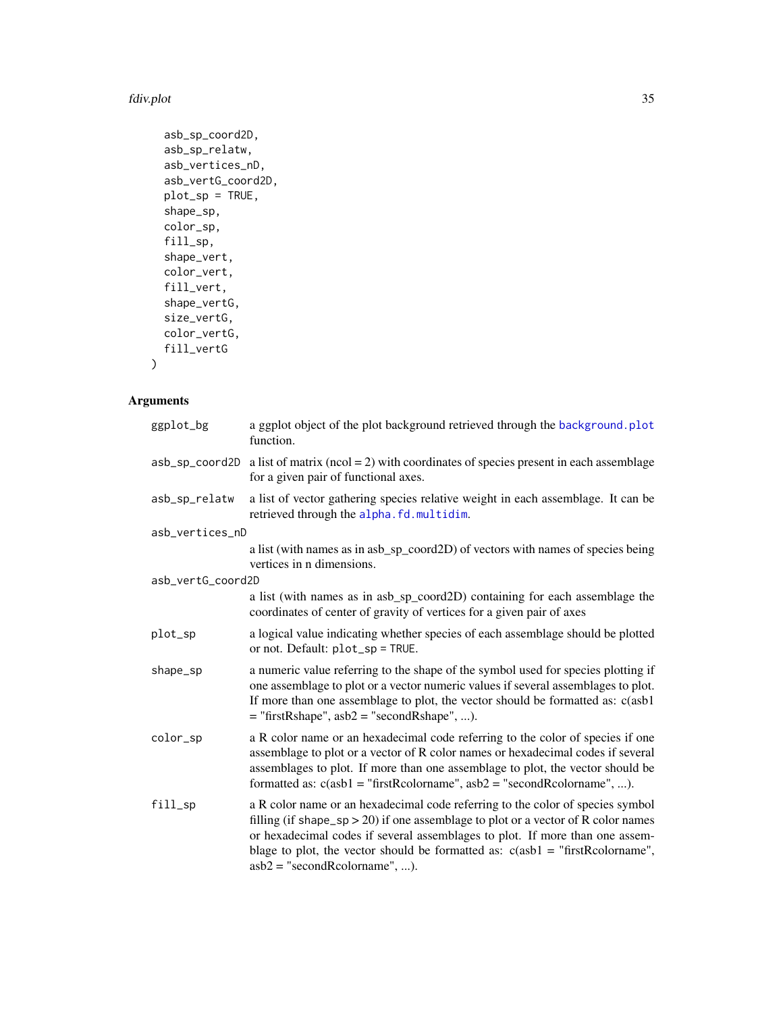#### fdiv.plot 35

```
asb_sp_coord2D,
asb_sp_relatw,
asb_vertices_nD,
asb_vertG_coord2D,
plot_sp = TRUE,
shape_sp,
color_sp,
fill_sp,
shape_vert,
color_vert,
fill_vert,
shape_vertG,
size_vertG,
color_vertG,
fill_vertG
```
# )

# Arguments

| ggplot_bg         | a ggplot object of the plot background retrieved through the background. plot<br>function.                                                                                                                                                                                                                                                                                |
|-------------------|---------------------------------------------------------------------------------------------------------------------------------------------------------------------------------------------------------------------------------------------------------------------------------------------------------------------------------------------------------------------------|
| asb_sp_coord2D    | a list of matrix ( $ncol = 2$ ) with coordinates of species present in each assemblage<br>for a given pair of functional axes.                                                                                                                                                                                                                                            |
| asb_sp_relatw     | a list of vector gathering species relative weight in each assemblage. It can be<br>retrieved through the alpha.fd.multidim.                                                                                                                                                                                                                                              |
| asb_vertices_nD   |                                                                                                                                                                                                                                                                                                                                                                           |
|                   | a list (with names as in asb_sp_coord2D) of vectors with names of species being<br>vertices in n dimensions.                                                                                                                                                                                                                                                              |
| asb_vertG_coord2D |                                                                                                                                                                                                                                                                                                                                                                           |
|                   | a list (with names as in asb_sp_coord2D) containing for each assemblage the<br>coordinates of center of gravity of vertices for a given pair of axes                                                                                                                                                                                                                      |
| plot_sp           | a logical value indicating whether species of each assemblage should be plotted<br>or not. Default: plot_sp = TRUE.                                                                                                                                                                                                                                                       |
| shape_sp          | a numeric value referring to the shape of the symbol used for species plotting if<br>one assemblage to plot or a vector numeric values if several assemblages to plot.<br>If more than one assemblage to plot, the vector should be formatted as: c(asb1<br>$=$ "firstRshape", asb2 = "secondRshape", ).                                                                  |
| color_sp          | a R color name or an hexadecimal code referring to the color of species if one<br>assemblage to plot or a vector of R color names or hexadecimal codes if several<br>assemblages to plot. If more than one assemblage to plot, the vector should be<br>formatted as: $c(asb1 = "firstReolormame", asb2 = "secondReolormame", ).$                                          |
| fill_sp           | a R color name or an hexadecimal code referring to the color of species symbol<br>filling (if shape_sp > 20) if one assemblage to plot or a vector of R color names<br>or hexadecimal codes if several assemblages to plot. If more than one assem-<br>blage to plot, the vector should be formatted as: $c(a b1 = "firstRcolormame",$<br>$asb2 = "secondReolorname", ).$ |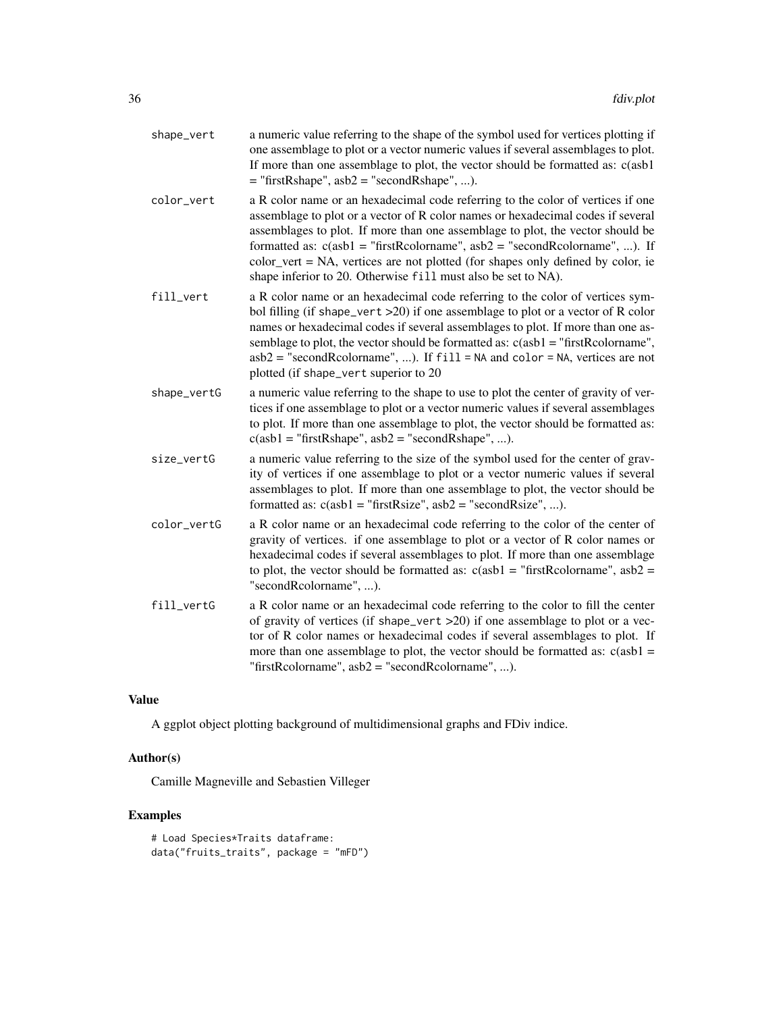| shape_vert  | a numeric value referring to the shape of the symbol used for vertices plotting if<br>one assemblage to plot or a vector numeric values if several assemblages to plot.<br>If more than one assemblage to plot, the vector should be formatted as: c(asb1<br>$=$ "firstRshape", asb2 = "secondRshape", ).                                                                                                                                                                                 |
|-------------|-------------------------------------------------------------------------------------------------------------------------------------------------------------------------------------------------------------------------------------------------------------------------------------------------------------------------------------------------------------------------------------------------------------------------------------------------------------------------------------------|
| color_vert  | a R color name or an hexadecimal code referring to the color of vertices if one<br>assemblage to plot or a vector of R color names or hexadecimal codes if several<br>assemblages to plot. If more than one assemblage to plot, the vector should be<br>formatted as: $c(asb1 = "firstRcolormame", asb2 = "secondRcolormame", )$ . If<br>color_vert = NA, vertices are not plotted (for shapes only defined by color, ie<br>shape inferior to 20. Otherwise fill must also be set to NA). |
| fill_vert   | a R color name or an hexadecimal code referring to the color of vertices sym-<br>bol filling (if shape_vert $>20$ ) if one assemblage to plot or a vector of R color<br>names or hexadecimal codes if several assemblages to plot. If more than one as-<br>semblage to plot, the vector should be formatted as: $c(a s b1 = "firstRcolormame",$<br>$asb2 = "secondRcolormame", $ ). If $fill = NA$ and $color = NA$ , vertices are not<br>plotted (if shape_vert superior to 20           |
| shape_vertG | a numeric value referring to the shape to use to plot the center of gravity of ver-<br>tices if one assemblage to plot or a vector numeric values if several assemblages<br>to plot. If more than one assemblage to plot, the vector should be formatted as:<br>$c(asb1 = "firstRshape", asb2 = "secondRshape", ).$                                                                                                                                                                       |
| size_vertG  | a numeric value referring to the size of the symbol used for the center of grav-<br>ity of vertices if one assemblage to plot or a vector numeric values if several<br>assemblages to plot. If more than one assemblage to plot, the vector should be<br>formatted as: $c(asb1 = "firstRsize", asb2 = "secondRsize", ).$                                                                                                                                                                  |
| color_vertG | a R color name or an hexadecimal code referring to the color of the center of<br>gravity of vertices. if one assemblage to plot or a vector of R color names or<br>hexadecimal codes if several assemblages to plot. If more than one assemblage<br>to plot, the vector should be formatted as: $c(asb1 = "firstRcolormame", abs2 =$<br>"secondRcolorname", ).                                                                                                                            |
| fill_vertG  | a R color name or an hexadecimal code referring to the color to fill the center<br>of gravity of vertices (if shape_vert >20) if one assemblage to plot or a vec-<br>tor of R color names or hexadecimal codes if several assemblages to plot. If<br>more than one assemblage to plot, the vector should be formatted as: $c(asb1 =$<br>"firstRcolorname", $asb2 =$ "secondRcolorname", ).                                                                                                |

# Value

A ggplot object plotting background of multidimensional graphs and FDiv indice.

### Author(s)

Camille Magneville and Sebastien Villeger

```
# Load Species*Traits dataframe:
data("fruits_traits", package = "mFD")
```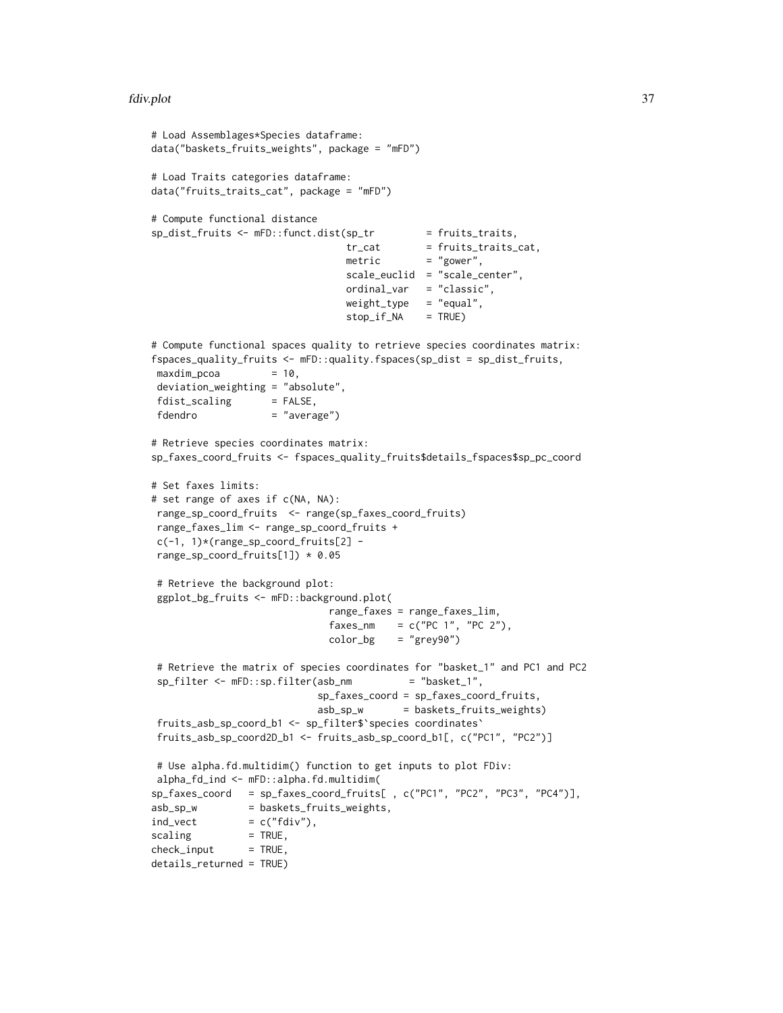#### fdiv.plot 37

```
# Load Assemblages*Species dataframe:
data("baskets_fruits_weights", package = "mFD")
# Load Traits categories dataframe:
data("fruits_traits_cat", package = "mFD")
# Compute functional distance
sp\_dist\_fruits \leftarrow mFD::funct.dist(sp\_tr \qquad = fruits\_trails,tr_{cat} = fruits_traits_cat,
                                metric = "gower",
                                scale_euclid = "scale_center",
                                ordinal_var = "classic",
                                weight_type = "equal",stop_if_NA = TRUE)
# Compute functional spaces quality to retrieve species coordinates matrix:
fspaces_quality_fruits <- mFD::quality.fspaces(sp_dist = sp_dist_fruits,
maxdim_pcoa = 10,
deviation_weighting = "absolute",
fdist\_scaling = FALSE,
fdendro = "average")
# Retrieve species coordinates matrix:
sp_faxes_coord_fruits <- fspaces_quality_fruits$details_fspaces$sp_pc_coord
# Set faxes limits:
# set range of axes if c(NA, NA):
range_sp_coord_fruits <- range(sp_faxes_coord_fruits)
range_faxes_lim <- range_sp_coord_fruits +
c(-1, 1)*(range_sp_coord_fruits[2] -
range_sp_coord_fruits[1]) * 0.05
# Retrieve the background plot:
ggplot_bg_fruits <- mFD::background.plot(
                             range_faxes = range_faxes_lim,
                             faxes_nm = c("PC 1", "PC 2"),color_bg = "grey90")# Retrieve the matrix of species coordinates for "basket_1" and PC1 and PC2
sp_filter <- mFD::sp.filter(asb_nm = "basket_1",
                           sp_faxes_coord = sp_faxes_coord_fruits,
                           asb_sp_w = baskets_fruits_weights)
fruits_asb_sp_coord_b1 <- sp_filter$`species coordinates`
fruits_asb_sp_coord2D_b1 <- fruits_asb_sp_coord_b1[, c("PC1", "PC2")]
# Use alpha.fd.multidim() function to get inputs to plot FDiv:
alpha_fd_ind <- mFD::alpha.fd.multidim(
sp_faxes_coord = sp_faxes_coord_fruits[ , c("PC1", "PC2", "PC3", "PC4")],
asb_sp_w = baskets_fruits_weights,
ind\_vect = c("fdiv"),
scaling = TRUE,check\_input = TRUE,
details_returned = TRUE)
```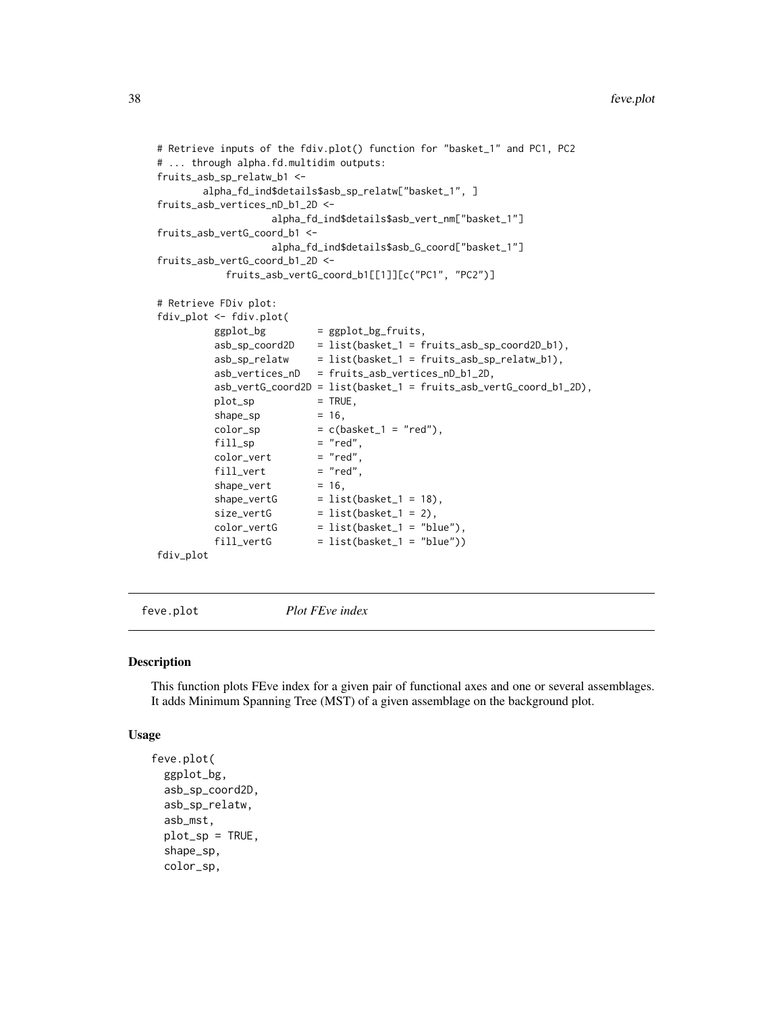```
# Retrieve inputs of the fdiv.plot() function for "basket_1" and PC1, PC2
# ... through alpha.fd.multidim outputs:
fruits_asb_sp_relatw_b1 <-
        alpha_fd_ind$details$asb_sp_relatw["basket_1", ]
fruits_asb_vertices_nD_b1_2D <-
                    alpha_fd_ind$details$asb_vert_nm["basket_1"]
fruits_asb_vertG_coord_b1 <-
                    alpha_fd_ind$details$asb_G_coord["basket_1"]
fruits_asb_vertG_coord_b1_2D <-
            fruits_asb_vertG_coord_b1[[1]][c("PC1", "PC2")]
# Retrieve FDiv plot:
fdiv_plot <- fdiv.plot(
         ggplot_bg = ggplot_bg-fruits,
         asb_sp_coord2D = list(basket_1 = fruits_asb_sp_coord2D_b1),
         asb_sp_relatw = list(basket_1 = fruits_asb_sp_relatw_b1),
         asb_vertices_nD = fruits_asb_vertices_nD_b1_2D,
         asb_vertG_coord2D = list(basket_1 = fruits_asb_vertG_coord_b1_2D),
         plot_sp = TRUE,
         shape_sp = 16,
         color_sp = c(basket_1 = "red"),
         fill\_sp = "red",<br>color_vert = "red",
         color\_vert = "red",<br>fill_vert = "red",
         fill\_vertshape\_vert = 16,
          shape\_vertG = list(basket_1 = 18),
          size\_vertG = list(basket_1 = 2),
         color\_vertex = list(base + 1 = "blue")<br>fill vertG = list(basket_1 = "blue"),
          fill\_vertG = list(basket_1 = "blue"))
```
fdiv\_plot

feve.plot *Plot FEve index*

# Description

This function plots FEve index for a given pair of functional axes and one or several assemblages. It adds Minimum Spanning Tree (MST) of a given assemblage on the background plot.

## Usage

```
feve.plot(
  ggplot_bg,
  asb_sp_coord2D,
  asb_sp_relatw,
  asb_mst,
  plot_sp = TRUE,
  shape_sp,
  color_sp,
```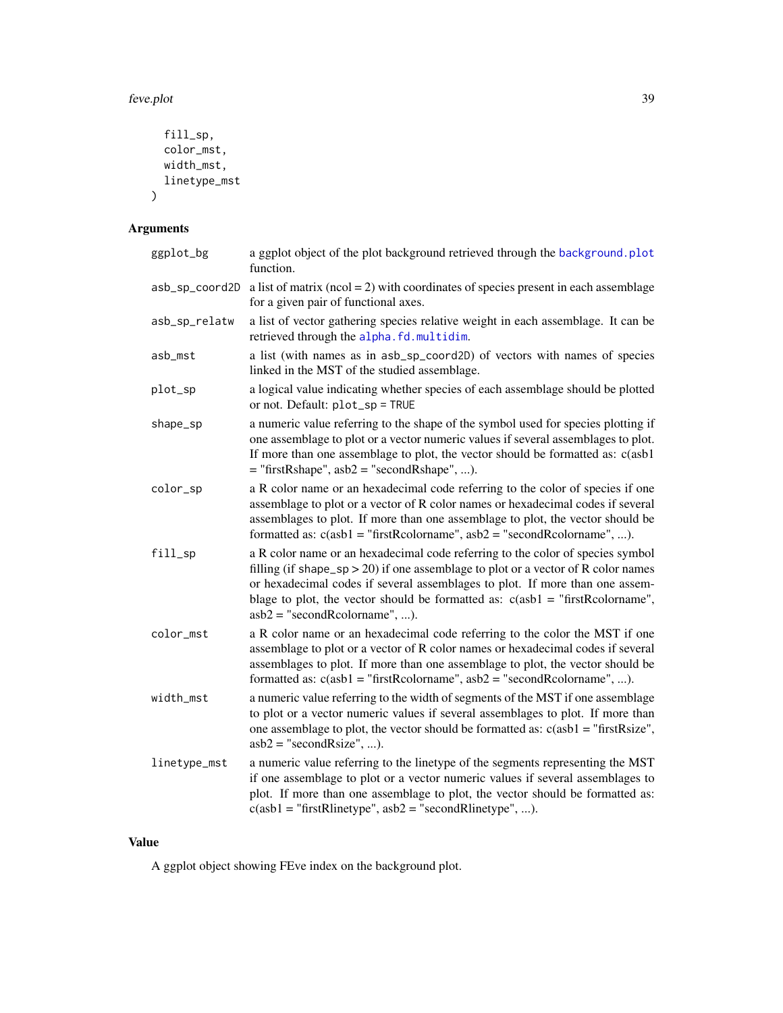#### feve.plot 39

```
fill_sp,
 color_mst,
 width_mst,
 linetype_mst
)
```
# Arguments

| ggplot_bg      | a ggplot object of the plot background retrieved through the background.plot<br>function.                                                                                                                                                                                                                                                                                 |
|----------------|---------------------------------------------------------------------------------------------------------------------------------------------------------------------------------------------------------------------------------------------------------------------------------------------------------------------------------------------------------------------------|
| asb_sp_coord2D | a list of matrix ( $ncol = 2$ ) with coordinates of species present in each assemblage<br>for a given pair of functional axes.                                                                                                                                                                                                                                            |
| asb_sp_relatw  | a list of vector gathering species relative weight in each assemblage. It can be<br>retrieved through the alpha.fd.multidim.                                                                                                                                                                                                                                              |
| asb_mst        | a list (with names as in asb_sp_coord2D) of vectors with names of species<br>linked in the MST of the studied assemblage.                                                                                                                                                                                                                                                 |
| plot_sp        | a logical value indicating whether species of each assemblage should be plotted<br>or not. Default: plot_sp = TRUE                                                                                                                                                                                                                                                        |
| shape_sp       | a numeric value referring to the shape of the symbol used for species plotting if<br>one assemblage to plot or a vector numeric values if several assemblages to plot.<br>If more than one assemblage to plot, the vector should be formatted as: c(asb1<br>$=$ "firstRshape", asb2 = "secondRshape", ).                                                                  |
| color_sp       | a R color name or an hexadecimal code referring to the color of species if one<br>assemblage to plot or a vector of R color names or hexadecimal codes if several<br>assemblages to plot. If more than one assemblage to plot, the vector should be<br>formatted as: $c(asb1 = "firstRcolormame", asb2 = "secondRcolormame", ).$                                          |
| fill_sp        | a R color name or an hexadecimal code referring to the color of species symbol<br>filling (if shape_sp > 20) if one assemblage to plot or a vector of R color names<br>or hexadecimal codes if several assemblages to plot. If more than one assem-<br>blage to plot, the vector should be formatted as: $c(a b1 = "firstRcolormame",$<br>$asb2 = "secondReolorname", ).$ |
| color_mst      | a R color name or an hexadecimal code referring to the color the MST if one<br>assemblage to plot or a vector of R color names or hexadecimal codes if several<br>assemblages to plot. If more than one assemblage to plot, the vector should be<br>formatted as: $c(asb1 = "firstRcolormame", asb2 = "secondRcolormame", ).$                                             |
| width_mst      | a numeric value referring to the width of segments of the MST if one assemblage<br>to plot or a vector numeric values if several assemblages to plot. If more than<br>one assemblage to plot, the vector should be formatted as: $c(asb1 = "firstRsize",$<br>$asb2 = "secondRsize", ).$                                                                                   |
| linetype_mst   | a numeric value referring to the linetype of the segments representing the MST<br>if one assemblage to plot or a vector numeric values if several assemblages to<br>plot. If more than one assemblage to plot, the vector should be formatted as:<br>$c(ab1 = "firstRlinetype", asb2 = "secondRlinetype", ).$                                                             |
|                |                                                                                                                                                                                                                                                                                                                                                                           |

# Value

A ggplot object showing FEve index on the background plot.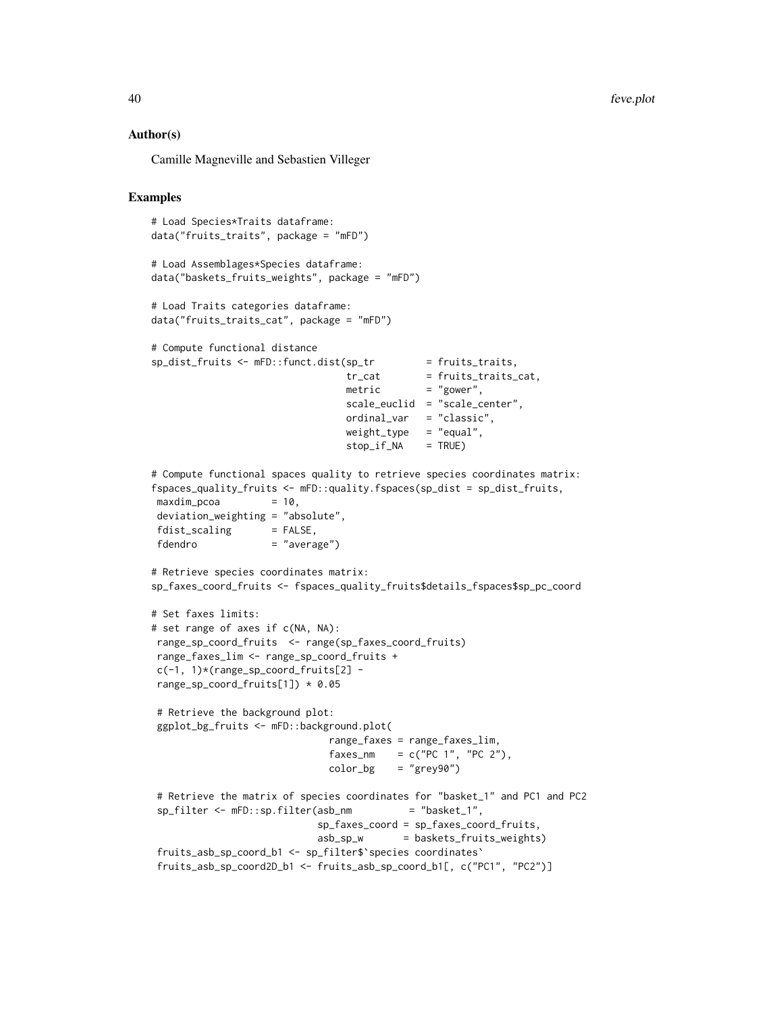## Author(s)

Camille Magneville and Sebastien Villeger

```
# Load Species*Traits dataframe:
data("fruits_traits", package = "mFD")
# Load Assemblages*Species dataframe:
data("baskets_fruits_weights", package = "mFD")
# Load Traits categories dataframe:
data("fruits_traits_cat", package = "mFD")
# Compute functional distance
sp\_dist\_fruits \leftarrow mFD::funct.dist(sp\_tr = fruits\_trails,tr\_cat = fruits_traits_cat,
                                metric = "gower",
                                scale_euclid = "scale_center",
                                 ordinal_var = "classic",
                                 weight_type = "equal",
                                stop_if_NA = TRUE)
# Compute functional spaces quality to retrieve species coordinates matrix:
fspaces_quality_fruits <- mFD::quality.fspaces(sp_dist = sp_dist_fruits,
maxdim\_pcoa = 10,
deviation_weighting = "absolute",
fdist\_scaling = FALSE,
fdendro = "average")
# Retrieve species coordinates matrix:
sp_faxes_coord_fruits <- fspaces_quality_fruits$details_fspaces$sp_pc_coord
# Set faxes limits:
# set range of axes if c(NA, NA):
range_sp_coord_fruits <- range(sp_faxes_coord_fruits)
range_faxes_lim <- range_sp_coord_fruits +
c(-1, 1)*(range_sp\_coord\_fruits[2] -range_sp_coord_fruits[1]) * 0.05
# Retrieve the background plot:
ggplot_bg_fruits <- mFD::background.plot(
                             range_faxes = range_faxes_lim,
                              faxes_nm = c("PC 1", "PC 2"),color_bg = "grey90")# Retrieve the matrix of species coordinates for "basket_1" and PC1 and PC2
sp_filter <- mFD::sp.filter(asb_nm = "basket_1",
                            sp_faxes_coord = sp_faxes_coord_fruits,
                            asb_sp_w = baskets_fruits_weights)
fruits_asb_sp_coord_b1 <- sp_filter$`species coordinates`
fruits_asb_sp_coord2D_b1 <- fruits_asb_sp_coord_b1[, c("PC1", "PC2")]
```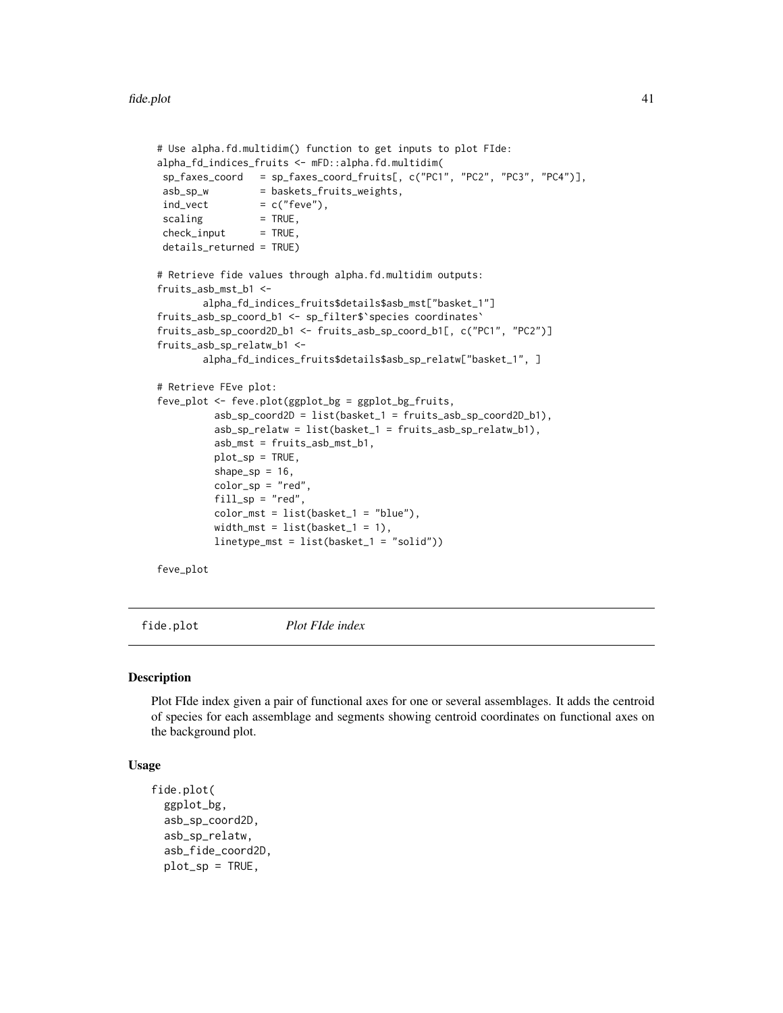```
# Use alpha.fd.multidim() function to get inputs to plot FIde:
alpha_fd_indices_fruits <- mFD::alpha.fd.multidim(
sp_faxes_coord = sp_faxes_coord_fruits[, c("PC1", "PC2", "PC3", "PC4")],
asb_sp_w = baskets_fruits_weights,
ind\_vect = c("fewe"),
scaling = TRUE,check\_input = TRUE,
details_returned = TRUE)
# Retrieve fide values through alpha.fd.multidim outputs:
fruits_asb_mst_b1 <-
        alpha_fd_indices_fruits$details$asb_mst["basket_1"]
fruits_asb_sp_coord_b1 <- sp_filter$`species coordinates`
fruits_asb_sp_coord2D_b1 <- fruits_asb_sp_coord_b1[, c("PC1", "PC2")]
fruits_asb_sp_relatw_b1 <-
       alpha_fd_indices_fruits$details$asb_sp_relatw["basket_1", ]
# Retrieve FEve plot:
feve_plot <- feve.plot(ggplot_bg = ggplot_bg_fruits,
         asb_sp_coord2D = list(basket_1 = fruits_asb_sp_coord2D_b1),
         asb_sp_relatw = list(basket_1 = fruits_asb_sp_relatw_b1),
         asb_mst = fruits_asb_mst_b1,
         plot_sp = TRUE,
         shape_sp = 16,
         color_sp = "red",fill_sp = "red",color_mst = list(basket_1 = "blue"),width_mst = list(basket_1 = 1),
         linetype_mst = list(basket_1 = "solid"))
```
feve\_plot

fide.plot *Plot FIde index*

#### Description

Plot FIde index given a pair of functional axes for one or several assemblages. It adds the centroid of species for each assemblage and segments showing centroid coordinates on functional axes on the background plot.

## Usage

```
fide.plot(
  ggplot_bg,
  asb_sp_coord2D,
  asb_sp_relatw,
  asb_fide_coord2D,
  plot_sp = TRUE,
```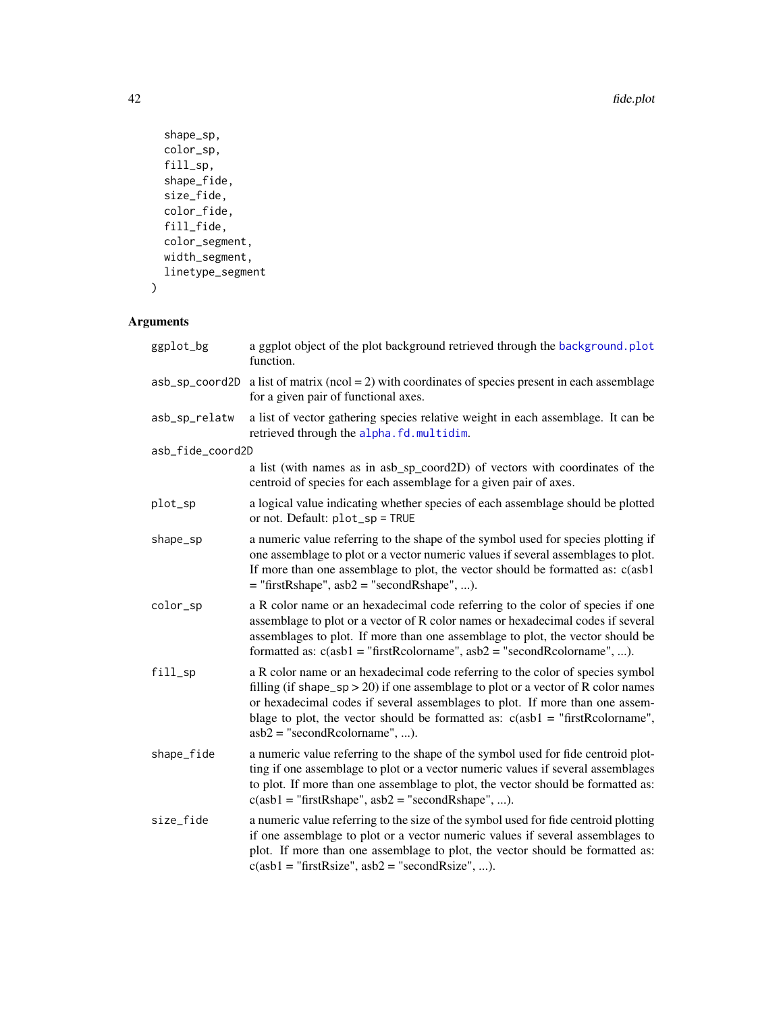```
shape_sp,
 color_sp,
 fill_sp,
 shape_fide,
 size_fide,
 color_fide,
 fill_fide,
 color_segment,
 width_segment,
 linetype_segment
\mathcal{L}
```

| ggplot_bg        | a ggplot object of the plot background retrieved through the background.plot<br>function.                                                                                                                                                                                                                                                                                 |
|------------------|---------------------------------------------------------------------------------------------------------------------------------------------------------------------------------------------------------------------------------------------------------------------------------------------------------------------------------------------------------------------------|
| asb_sp_coord2D   | a list of matrix ( $ncol = 2$ ) with coordinates of species present in each assemblage<br>for a given pair of functional axes.                                                                                                                                                                                                                                            |
| asb_sp_relatw    | a list of vector gathering species relative weight in each assemblage. It can be<br>retrieved through the alpha.fd.multidim.                                                                                                                                                                                                                                              |
| asb_fide_coord2D |                                                                                                                                                                                                                                                                                                                                                                           |
|                  | a list (with names as in asb_sp_coord2D) of vectors with coordinates of the<br>centroid of species for each assemblage for a given pair of axes.                                                                                                                                                                                                                          |
| plot_sp          | a logical value indicating whether species of each assemblage should be plotted<br>or not. Default: plot_sp = TRUE                                                                                                                                                                                                                                                        |
| shape_sp         | a numeric value referring to the shape of the symbol used for species plotting if<br>one assemblage to plot or a vector numeric values if several assemblages to plot.<br>If more than one assemblage to plot, the vector should be formatted as: c(asb1<br>$=$ "firstRshape", asb2 = "secondRshape", ).                                                                  |
| color_sp         | a R color name or an hexadecimal code referring to the color of species if one<br>assemblage to plot or a vector of R color names or hexadecimal codes if several<br>assemblages to plot. If more than one assemblage to plot, the vector should be<br>formatted as: $c(asb1 = "firstRcolormame", asb2 = "secondRcolormame", ).$                                          |
| fill_sp          | a R color name or an hexadecimal code referring to the color of species symbol<br>filling (if shape_sp > 20) if one assemblage to plot or a vector of R color names<br>or hexadecimal codes if several assemblages to plot. If more than one assem-<br>blage to plot, the vector should be formatted as: $c(asb1 = "firstRcolormame",$<br>$asb2 = "secondReolormame", ).$ |
| shape_fide       | a numeric value referring to the shape of the symbol used for fide centroid plot-<br>ting if one assemblage to plot or a vector numeric values if several assemblages<br>to plot. If more than one assemblage to plot, the vector should be formatted as:<br>$c(asb1 = "firstRshape", asb2 = "secondRshape", ).$                                                          |
| size_fide        | a numeric value referring to the size of the symbol used for fide centroid plotting<br>if one assemblage to plot or a vector numeric values if several assemblages to<br>plot. If more than one assemblage to plot, the vector should be formatted as:<br>$c(ab1 = "firstRsize", asb2 = "secondRsize", ).$                                                                |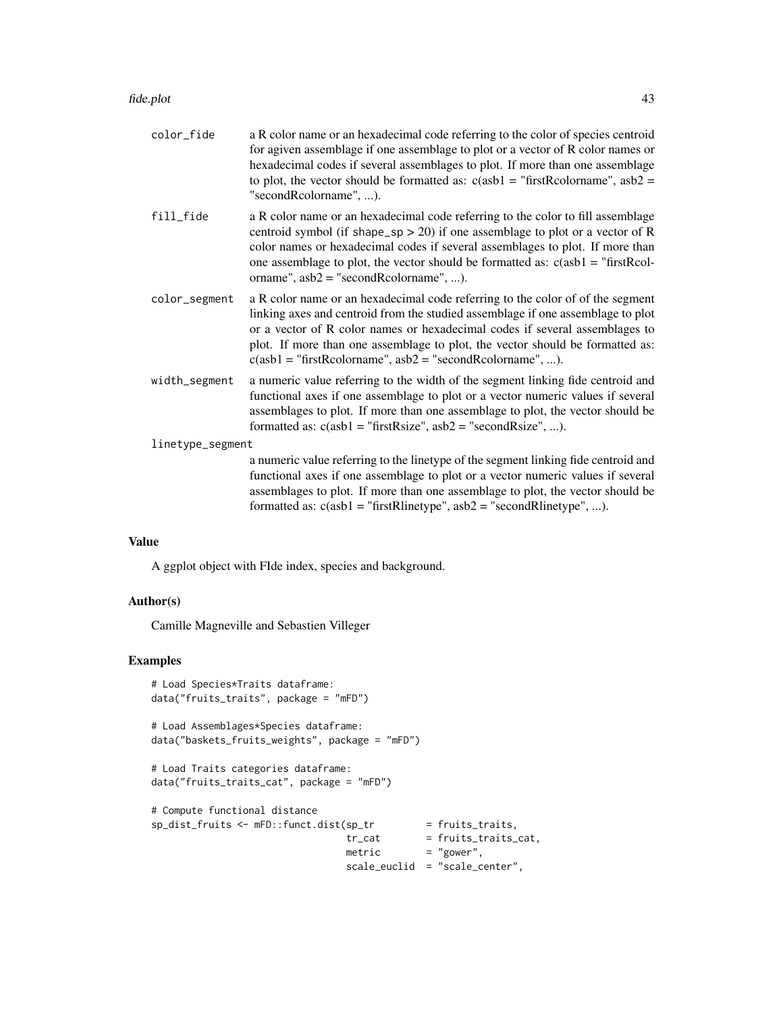| color_fide       | a R color name or an hexadecimal code referring to the color of species centroid<br>for agiven assemblage if one assemblage to plot or a vector of R color names or<br>hexadecimal codes if several assemblages to plot. If more than one assemblage<br>to plot, the vector should be formatted as: $c(asb1 = "firstRcolormame", asb2 =$<br>"secondRcolorname", ).                              |  |
|------------------|-------------------------------------------------------------------------------------------------------------------------------------------------------------------------------------------------------------------------------------------------------------------------------------------------------------------------------------------------------------------------------------------------|--|
| fill_fide        | a R color name or an hexadecimal code referring to the color to fill assemblage<br>centroid symbol (if shape_sp > 20) if one assemblage to plot or a vector of R<br>color names or hexadecimal codes if several assemblages to plot. If more than<br>one assemblage to plot, the vector should be formatted as: $c(a b1 = "firstRcol-$<br>orname", $asb2 = "secondReolorname", $                |  |
| color_segment    | a R color name or an hexadecimal code referring to the color of of the segment<br>linking axes and centroid from the studied assemblage if one assemblage to plot<br>or a vector of R color names or hexadecimal codes if several assemblages to<br>plot. If more than one assemblage to plot, the vector should be formatted as:<br>$c(ab1 = "firstRcolormame", asb2 = "secondRcolormame", ).$ |  |
| width_segment    | a numeric value referring to the width of the segment linking fide centroid and<br>functional axes if one assemblage to plot or a vector numeric values if several<br>assemblages to plot. If more than one assemblage to plot, the vector should be<br>formatted as: $c(asb1 = "firstRsize", asb2 = "secondRsize", ).$                                                                         |  |
| linetype_segment |                                                                                                                                                                                                                                                                                                                                                                                                 |  |
|                  | a numeric value referring to the linetype of the segment linking fide centroid and<br>functional axes if one assemblage to plot or a vector numeric values if several<br>assemblages to plot. If more than one assemblage to plot, the vector should be<br>formatted as: $c(asb1 = "firstRlinetype", asb2 = "secondRlinetype", ).$                                                              |  |
|                  |                                                                                                                                                                                                                                                                                                                                                                                                 |  |

# Value

A ggplot object with FIde index, species and background.

## Author(s)

Camille Magneville and Sebastien Villeger

```
# Load Species*Traits dataframe:
data("fruits_traits", package = "mFD")
# Load Assemblages*Species dataframe:
data("baskets_fruits_weights", package = "mFD")
# Load Traits categories dataframe:
data("fruits_traits_cat", package = "mFD")
# Compute functional distance
sp_dist_fruits <- mFD::funct.dist(sp_tr = fruits_traits,
                                 tr_{cat} = fruits_traits_cat,
                                 metric = "gower",
                                scale_euclid = "scale_center",
```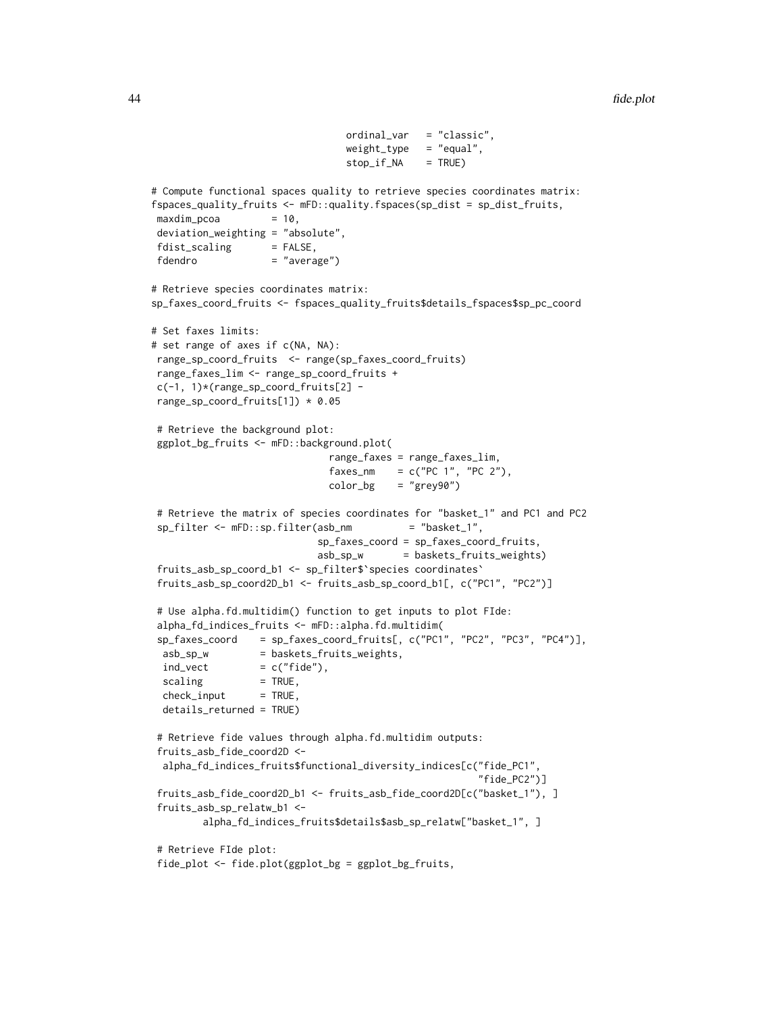```
ordinal_var = "classic",
                                weight_type = "equal",stop_if_NA = TRUE)
# Compute functional spaces quality to retrieve species coordinates matrix:
fspaces_quality_fruits <- mFD::quality.fspaces(sp_dist = sp_dist_fruits,
maxdim_pcoa = 10,
deviation_weighting = "absolute",
fdist\_scaling = FALSE,
fdendro = "average")
# Retrieve species coordinates matrix:
sp_faxes_coord_fruits <- fspaces_quality_fruits$details_fspaces$sp_pc_coord
# Set faxes limits:
# set range of axes if c(NA, NA):
range_sp_coord_fruits <- range(sp_faxes_coord_fruits)
range_faxes_lim <- range_sp_coord_fruits +
c(-1, 1)*(range_sp_coord_fruits[2] -
range_sp_coord_fruits[1]) * 0.05
# Retrieve the background plot:
ggplot_bg_fruits <- mFD::background.plot(
                             range_faxes = range_faxes_lim,
                             faxes_nm = c("PC 1", "PC 2"),color_bg = "grey90")# Retrieve the matrix of species coordinates for "basket_1" and PC1 and PC2
sp_filter <- mFD::sp.filter(asb_nm = "basket_1",
                           sp_faxes_coord = sp_faxes_coord_fruits,
                           asb_sp_w = baskets_fruits_weights)
fruits_asb_sp_coord_b1 <- sp_filter$`species coordinates`
fruits_asb_sp_coord2D_b1 <- fruits_asb_sp_coord_b1[, c("PC1", "PC2")]
# Use alpha.fd.multidim() function to get inputs to plot FIde:
alpha_fd_indices_fruits <- mFD::alpha.fd.multidim(
sp_faxes_coord = sp_faxes_coord_fruits[, c("PC1", "PC2", "PC3", "PC4")],
 asb_sp_w = baskets_fruits_weights,
 ind\_vect = c("file"),scaling = TRUE,check\_input = TRUE,
 details_returned = TRUE)
# Retrieve fide values through alpha.fd.multidim outputs:
fruits_asb_fide_coord2D <-
 alpha_fd_indices_fruits$functional_diversity_indices[c("fide_PC1",
                                                       "fide_PC2")]
fruits_asb_fide_coord2D_b1 <- fruits_asb_fide_coord2D[c("basket_1"), ]
fruits_asb_sp_relatw_b1 <-
        alpha_fd_indices_fruits$details$asb_sp_relatw["basket_1", ]
# Retrieve FIde plot:
fide_plot <- fide.plot(ggplot_bg = ggplot_bg_fruits,
```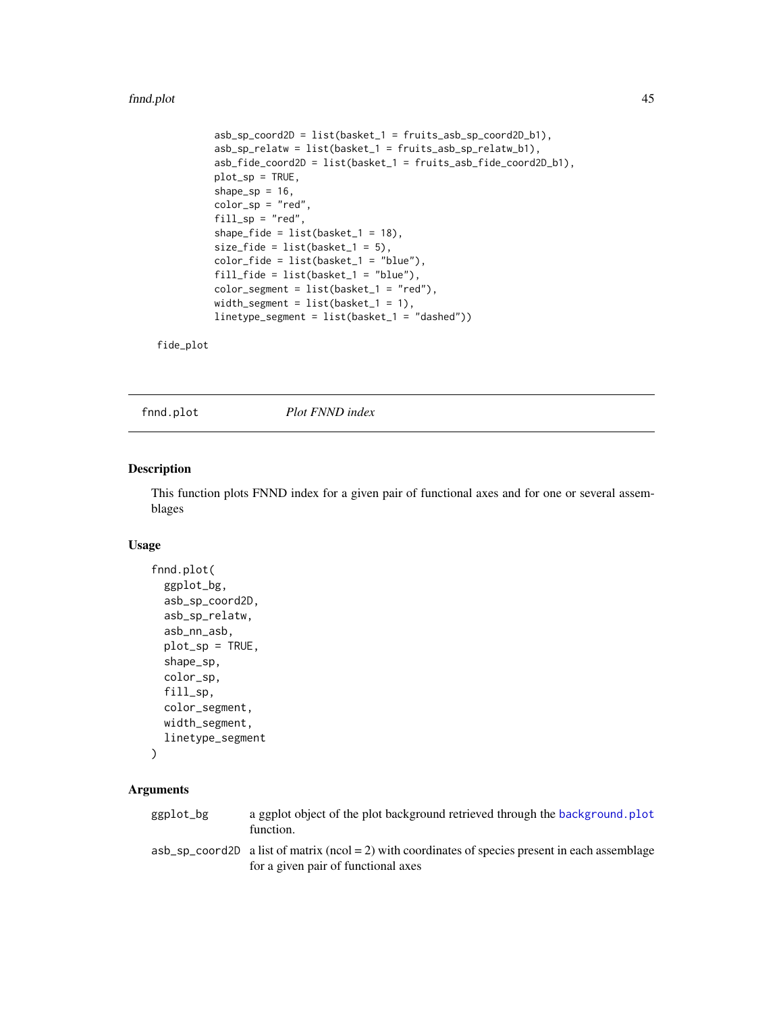#### fnnd.plot 45

```
asb_sp_coord2D = list(basket_1 = fruits_asb_sp_coord2D_b1),
asb_sp_relatw = list(basket_1 = fruits_asb_sp_relatw_b1),
asb_fide_coord2D = list(basket_1 = fruits_asb_fide_coord2D_b1),
plot_sp = TRUE,
shape_sp = 16,
color_sp = "red",fill_sp = "red",shape_fide = list(basket_1 = 18),
size_fide = list(basket_1 = 5),
color_fide = list(basket_1 = "blue"),fill_fide = list(basket_1 = "blue"),
color_segment = list(basket_1 = "red"),
width_segment = list(basket_1 = 1),
linetype_segment = list(basket_1 = "dashed"))
```
fide\_plot

fnnd.plot *Plot FNND index*

### Description

This function plots FNND index for a given pair of functional axes and for one or several assemblages

#### Usage

```
fnnd.plot(
  ggplot_bg,
  asb_sp_coord2D,
  asb_sp_relatw,
  asb_nn_asb,
 plot_sp = TRUE,
  shape_sp,
  color_sp,
  fill_sp,
  color_segment,
 width_segment,
  linetype_segment
)
```

| ggplot_bg | a ggplot object of the plot background retrieved through the background. plot<br>function.                                                |
|-----------|-------------------------------------------------------------------------------------------------------------------------------------------|
|           | $\alpha$ as a set of matrix ( $\alpha$ = 2) with coordinates of species present in each assemblage<br>for a given pair of functional axes |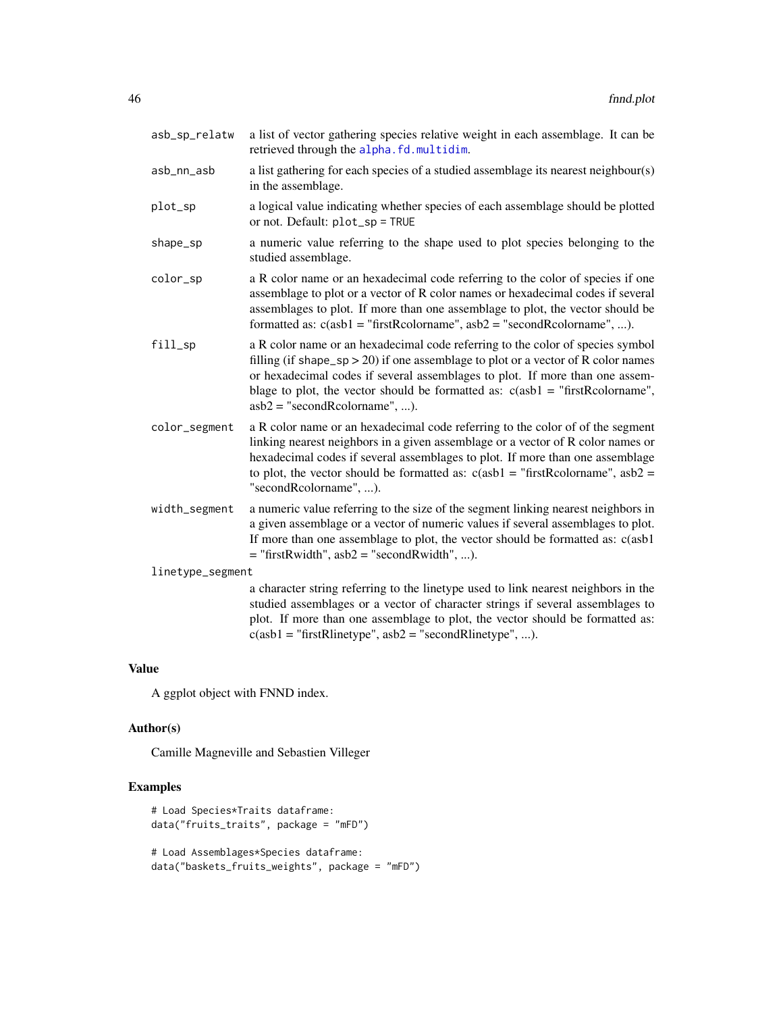| asb_sp_relatw    | a list of vector gathering species relative weight in each assemblage. It can be<br>retrieved through the alpha.fd.multidim.                                                                                                                                                                                                                                              |
|------------------|---------------------------------------------------------------------------------------------------------------------------------------------------------------------------------------------------------------------------------------------------------------------------------------------------------------------------------------------------------------------------|
| asb_nn_asb       | a list gathering for each species of a studied assemblage its nearest neighbour(s)<br>in the assemblage.                                                                                                                                                                                                                                                                  |
| plot_sp          | a logical value indicating whether species of each assemblage should be plotted<br>or not. Default: plot_sp = TRUE                                                                                                                                                                                                                                                        |
| shape_sp         | a numeric value referring to the shape used to plot species belonging to the<br>studied assemblage.                                                                                                                                                                                                                                                                       |
| color_sp         | a R color name or an hexadecimal code referring to the color of species if one<br>assemblage to plot or a vector of R color names or hexadecimal codes if several<br>assemblages to plot. If more than one assemblage to plot, the vector should be<br>formatted as: $c(asb1 = "firstReolormame", asb2 = "secondReolormame", )$ .                                         |
| fill_sp          | a R color name or an hexadecimal code referring to the color of species symbol<br>filling (if shape_sp > 20) if one assemblage to plot or a vector of R color names<br>or hexadecimal codes if several assemblages to plot. If more than one assem-<br>blage to plot, the vector should be formatted as: $c(asb1 = "firstRoolormame",$<br>$asb2 = "secondReolorname", ).$ |
| color_segment    | a R color name or an hexadecimal code referring to the color of of the segment<br>linking nearest neighbors in a given assemblage or a vector of R color names or<br>hexadecimal codes if several assemblages to plot. If more than one assemblage<br>to plot, the vector should be formatted as: $c(asb1 = "firstRcolormame", asb2 =$<br>"secondRcolorname", ).          |
| width_segment    | a numeric value referring to the size of the segment linking nearest neighbors in<br>a given assemblage or a vector of numeric values if several assemblages to plot.<br>If more than one assemblage to plot, the vector should be formatted as: c(asb1)<br>$=$ "firstRwidth", asb2 = "secondRwidth", ).                                                                  |
| linetype_segment |                                                                                                                                                                                                                                                                                                                                                                           |
|                  | a character string referring to the linetype used to link nearest neighbors in the<br>studied assemblages or a vector of character strings if several assemblages to<br>plot. If more than one assemblage to plot, the vector should be formatted as:                                                                                                                     |

 $c(asb1 = "firstRlinetype", asb2 = "secondRlinetype", ...).$ 

## Value

A ggplot object with FNND index.

## Author(s)

Camille Magneville and Sebastien Villeger

```
# Load Species*Traits dataframe:
data("fruits_traits", package = "mFD")
# Load Assemblages*Species dataframe:
data("baskets_fruits_weights", package = "mFD")
```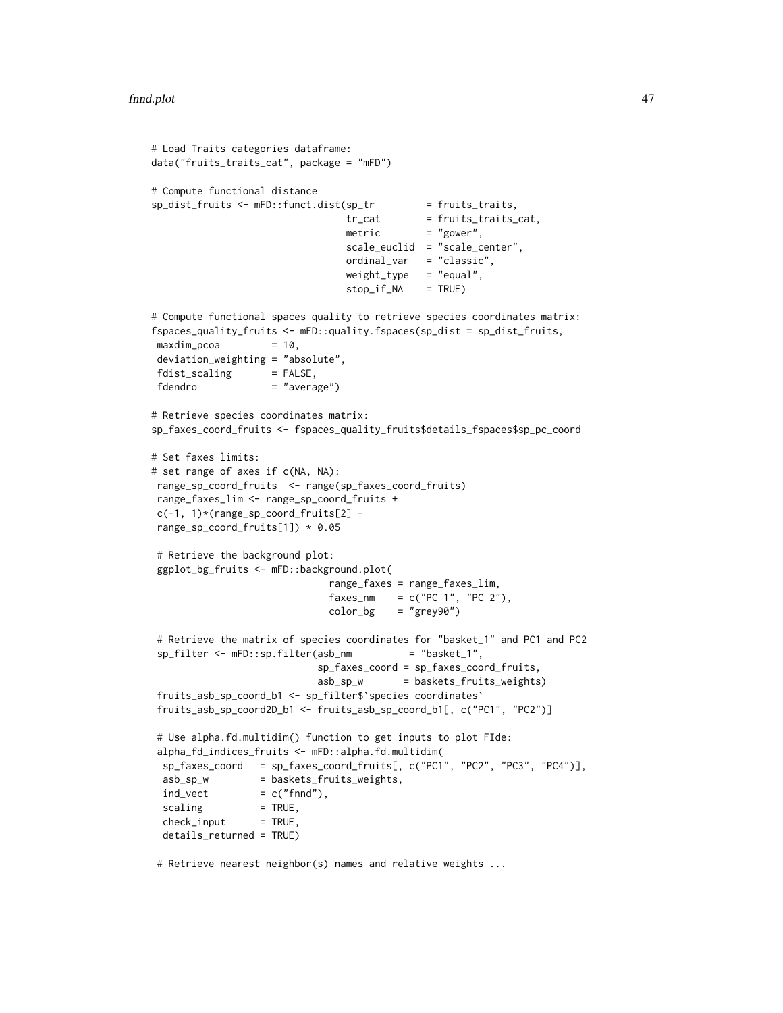```
# Load Traits categories dataframe:
data("fruits_traits_cat", package = "mFD")
# Compute functional distance
sp\_dist\_fruits \leftarrow mFD::funct.dist(sp\_tr = fruits\_trails,tr_{cat} = fruits_traits_cat,
                                metric = "gower",
                                 scale_euclid = "scale_center",
                                ordinal_var = "classic",
                                weight_type = "equal",
                                stop_if_NA = TRUE)
# Compute functional spaces quality to retrieve species coordinates matrix:
fspaces_quality_fruits <- mFD::quality.fspaces(sp_dist = sp_dist_fruits,
maxdim_pcoa = 10,
deviation_weighting = "absolute",
fdist_scaling = FALSE,<br>fdendro = "avera
                    = "average")
# Retrieve species coordinates matrix:
sp_faxes_coord_fruits <- fspaces_quality_fruits$details_fspaces$sp_pc_coord
# Set faxes limits:
# set range of axes if c(NA, NA):
range_sp_coord_fruits <- range(sp_faxes_coord_fruits)
range_faxes_lim <- range_sp_coord_fruits +
c(-1, 1)*(range_sp_coord_fruits[2] -
range_sp_coord_fruits[1]) * 0.05
# Retrieve the background plot:
ggplot_bg_fruits <- mFD::background.plot(
                              range_faxes = range_faxes_lim,
                              faxes_nm = c("PC 1", "PC 2"),color_bg = "grey90")# Retrieve the matrix of species coordinates for "basket_1" and PC1 and PC2
sp_filter <- mFD::sp.filter(asb_nm = "basket_1",
                            sp_faxes_coord = sp_faxes_coord_fruits,
                            asb_sp_w = baskets_fruits_weights)
fruits_asb_sp_coord_b1 <- sp_filter$`species coordinates`
fruits_asb_sp_coord2D_b1 <- fruits_asb_sp_coord_b1[, c("PC1", "PC2")]
# Use alpha.fd.multidim() function to get inputs to plot FIde:
alpha_fd_indices_fruits <- mFD::alpha.fd.multidim(
 sp_faxes_coord = sp_faxes_coord_fruits[, c("PC1", "PC2", "PC3", "PC4")],
 asb_sp_w = baskets_fruits_weights,
 ind\_vect = c("find"),
 scaling = TRUE,check\_input = TRUE,
 details_returned = TRUE)
```
# Retrieve nearest neighbor(s) names and relative weights ...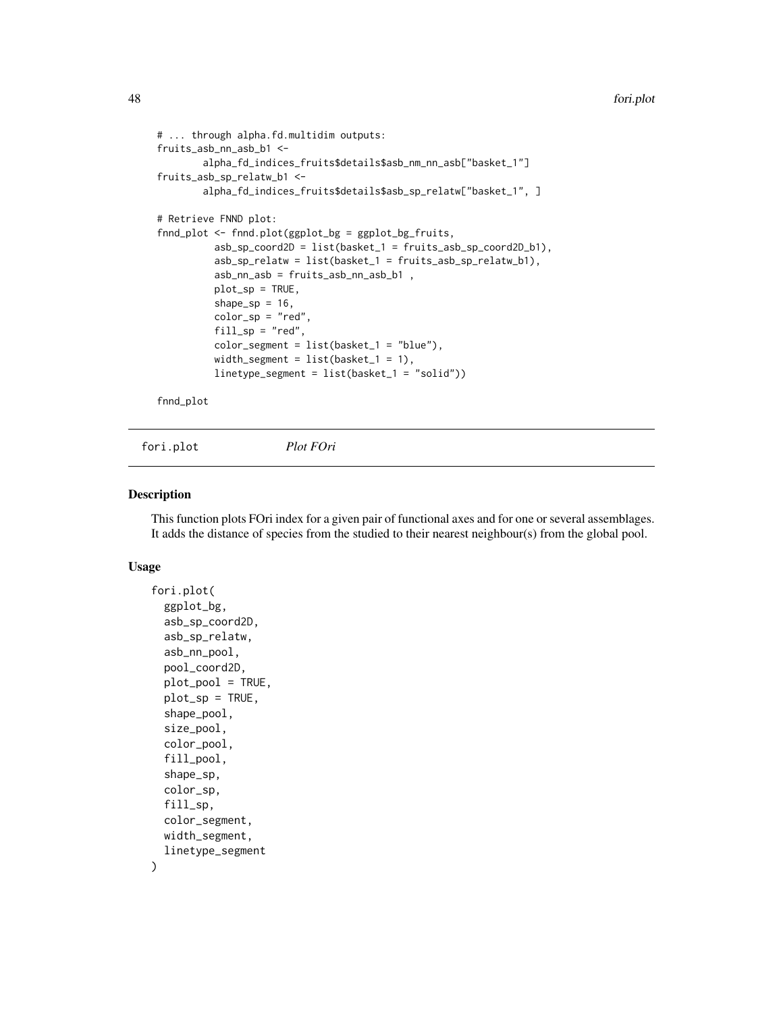```
# ... through alpha.fd.multidim outputs:
fruits_asb_nn_asb_b1 <-
        alpha_fd_indices_fruits$details$asb_nm_nn_asb["basket_1"]
fruits_asb_sp_relatw_b1 <-
       alpha_fd_indices_fruits$details$asb_sp_relatw["basket_1", ]
# Retrieve FNND plot:
fnnd_plot <- fnnd.plot(ggplot_bg = ggplot_bg_fruits,
          asb_sp_coord2D = list(basket_1 = fruits_asb_sp_coord2D_b1),
          asb_sp_relatw = list(basket_1 = fruits_asb_sp_relatw_b1),
          asb_nn_asb = fruits_asb_nn_asb_b1 ,
          plot_sp = TRUE,
          shape_sp = 16,
          color_sp = "red",fill_sp = "red",color_segment = list(basket_1 = "blue"),
          width_segment = list(basket_1 = 1),
          linetype_segment = list(basket_1 = "solid"))
```
fnnd\_plot

fori.plot *Plot FOri*

# Description

This function plots FOri index for a given pair of functional axes and for one or several assemblages. It adds the distance of species from the studied to their nearest neighbour(s) from the global pool.

### Usage

```
fori.plot(
  ggplot_bg,
  asb_sp_coord2D,
  asb_sp_relatw,
  asb_nn_pool,
  pool_coord2D,
  plot_pool = TRUE,
  plot_sp = TRUE,
  shape_pool,
  size_pool,
  color_pool,
  fill_pool,
  shape_sp,
  color_sp,
  fill_sp,
  color_segment,
 width_segment,
  linetype_segment
)
```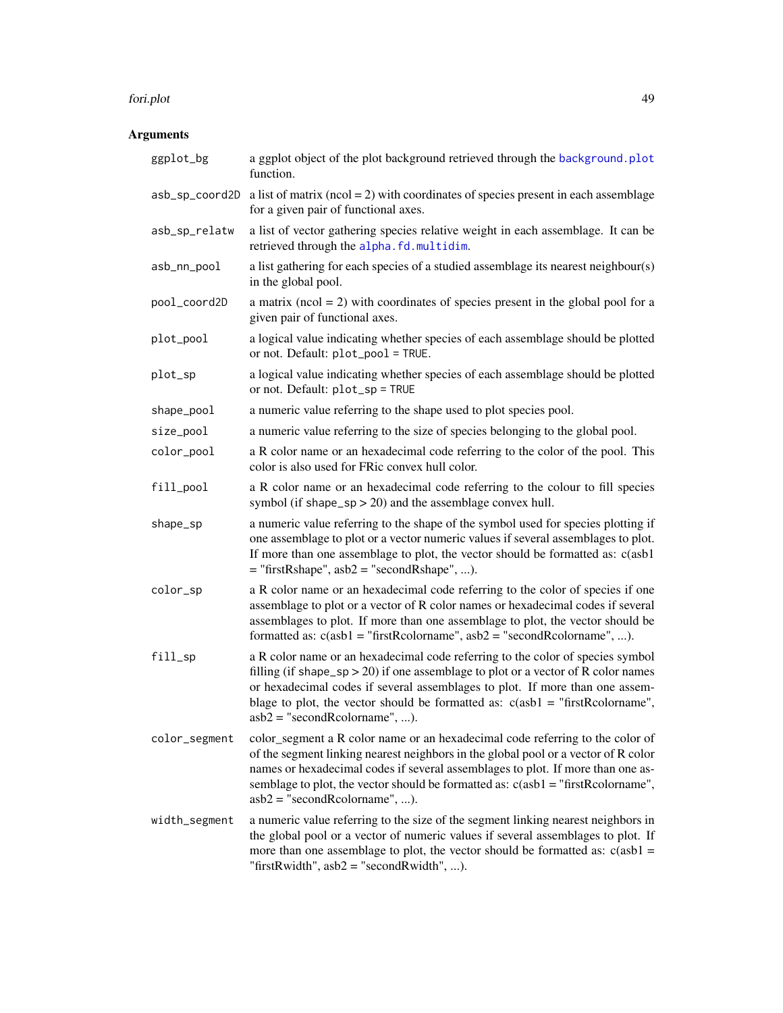#### fori.plot 49

| ggplot_bg      | a ggplot object of the plot background retrieved through the background.plot<br>function.                                                                                                                                                                                                                                                                                     |
|----------------|-------------------------------------------------------------------------------------------------------------------------------------------------------------------------------------------------------------------------------------------------------------------------------------------------------------------------------------------------------------------------------|
| asb_sp_coord2D | a list of matrix ( $ncol = 2$ ) with coordinates of species present in each assemblage<br>for a given pair of functional axes.                                                                                                                                                                                                                                                |
| asb_sp_relatw  | a list of vector gathering species relative weight in each assemblage. It can be<br>retrieved through the alpha.fd.multidim.                                                                                                                                                                                                                                                  |
| asb_nn_pool    | a list gathering for each species of a studied assemblage its nearest neighbour(s)<br>in the global pool.                                                                                                                                                                                                                                                                     |
| pool_coord2D   | a matrix ( $ncol = 2$ ) with coordinates of species present in the global pool for a<br>given pair of functional axes.                                                                                                                                                                                                                                                        |
| plot_pool      | a logical value indicating whether species of each assemblage should be plotted<br>or not. Default: plot_pool = TRUE.                                                                                                                                                                                                                                                         |
| plot_sp        | a logical value indicating whether species of each assemblage should be plotted<br>or not. Default: plot_sp = TRUE                                                                                                                                                                                                                                                            |
| shape_pool     | a numeric value referring to the shape used to plot species pool.                                                                                                                                                                                                                                                                                                             |
| size_pool      | a numeric value referring to the size of species belonging to the global pool.                                                                                                                                                                                                                                                                                                |
| color_pool     | a R color name or an hexadecimal code referring to the color of the pool. This<br>color is also used for FRic convex hull color.                                                                                                                                                                                                                                              |
| fill_pool      | a R color name or an hexadecimal code referring to the colour to fill species<br>symbol (if shape_sp $>$ 20) and the assemblage convex hull.                                                                                                                                                                                                                                  |
| shape_sp       | a numeric value referring to the shape of the symbol used for species plotting if<br>one assemblage to plot or a vector numeric values if several assemblages to plot.<br>If more than one assemblage to plot, the vector should be formatted as: c(asb1<br>$=$ "firstRshape", asb2 = "secondRshape", ).                                                                      |
| color_sp       | a R color name or an hexadecimal code referring to the color of species if one<br>assemblage to plot or a vector of R color names or hexadecimal codes if several<br>assemblages to plot. If more than one assemblage to plot, the vector should be<br>formatted as: $c(asb1 = "firstRcolormame", asb2 = "secondRcolormame", ).$                                              |
| fill_sp        | a R color name or an hexadecimal code referring to the color of species symbol<br>filling (if shape_sp > 20) if one assemblage to plot or a vector of R color names<br>or hexadecimal codes if several assemblages to plot. If more than one assem-<br>blage to plot, the vector should be formatted as: $c(asb1 = "firstRcolormame",$<br>$asb2 = "secondReolorname", ).$     |
| color_segment  | color_segment a R color name or an hexadecimal code referring to the color of<br>of the segment linking nearest neighbors in the global pool or a vector of R color<br>names or hexadecimal codes if several assemblages to plot. If more than one as-<br>semblage to plot, the vector should be formatted as: c(asb1 = "firstRcolorname",<br>$asb2 = "secondReolorname", ).$ |
| width_segment  | a numeric value referring to the size of the segment linking nearest neighbors in<br>the global pool or a vector of numeric values if several assemblages to plot. If<br>more than one assemblage to plot, the vector should be formatted as: $c(asb1 =$<br>"firstRwidth", $asb2 =$ "secondRwidth", ).                                                                        |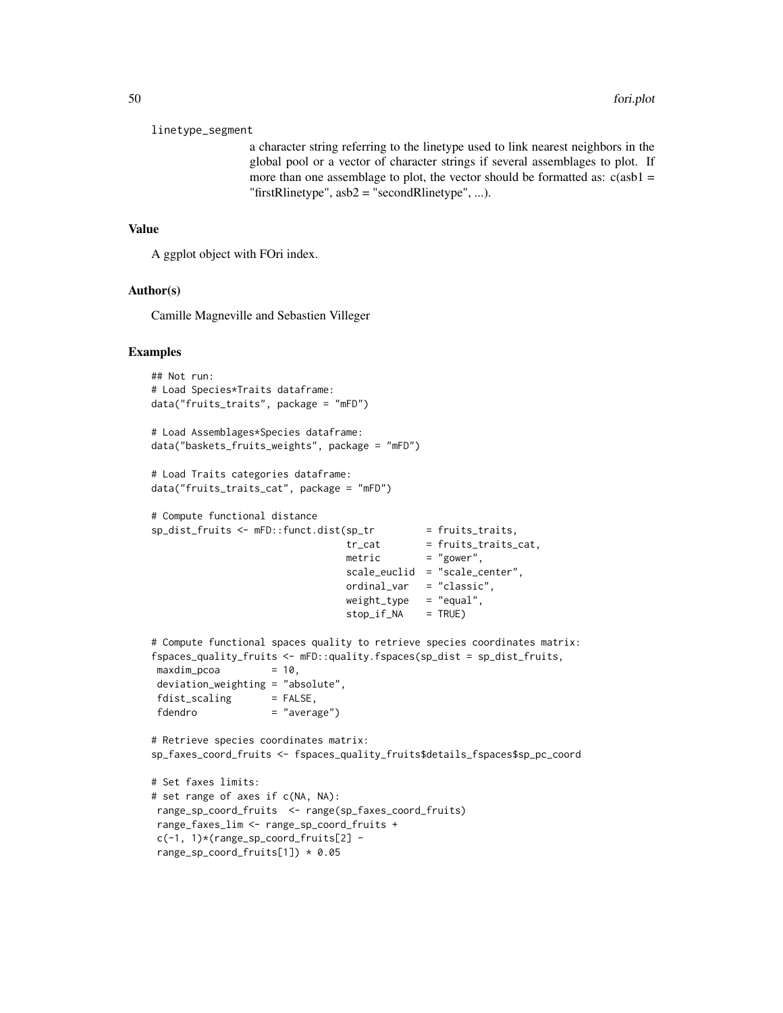#### linetype\_segment

a character string referring to the linetype used to link nearest neighbors in the global pool or a vector of character strings if several assemblages to plot. If more than one assemblage to plot, the vector should be formatted as:  $c(asb1 =$ "firstRlinetype",  $asb2 = "secondRlinetype", ...$ ).

#### Value

A ggplot object with FOri index.

#### Author(s)

Camille Magneville and Sebastien Villeger

```
## Not run:
# Load Species*Traits dataframe:
data("fruits_traits", package = "mFD")
# Load Assemblages*Species dataframe:
data("baskets_fruits_weights", package = "mFD")
# Load Traits categories dataframe:
data("fruits_traits_cat", package = "mFD")
# Compute functional distance
sp\_dist\_fruits \leftarrow mFD::funct.dist(sp\_tr = fruits\_trails,tr_cat = fruits_traits_cat,<br>metric = "gower",
                                             = "gower",
                                 scale_euclid = "scale_center",
                                 ordinal_var = "classic",
                                 weight_type = "equal",stop_if_M = TRUE)# Compute functional spaces quality to retrieve species coordinates matrix:
fspaces_quality_fruits <- mFD::quality.fspaces(sp_dist = sp_dist_fruits,
maxdim\_pcoa = 10,
deviation_weighting = "absolute",
fdist\_scaling = FALSE,
fdendro = "average")
# Retrieve species coordinates matrix:
sp_faxes_coord_fruits <- fspaces_quality_fruits$details_fspaces$sp_pc_coord
# Set faxes limits:
# set range of axes if c(NA, NA):
range_sp_coord_fruits <- range(sp_faxes_coord_fruits)
range_faxes_lim <- range_sp_coord_fruits +
c(-1, 1)*(range_sp_coord_fruits[2] -
range_sp_coord_fruits[1]) * 0.05
```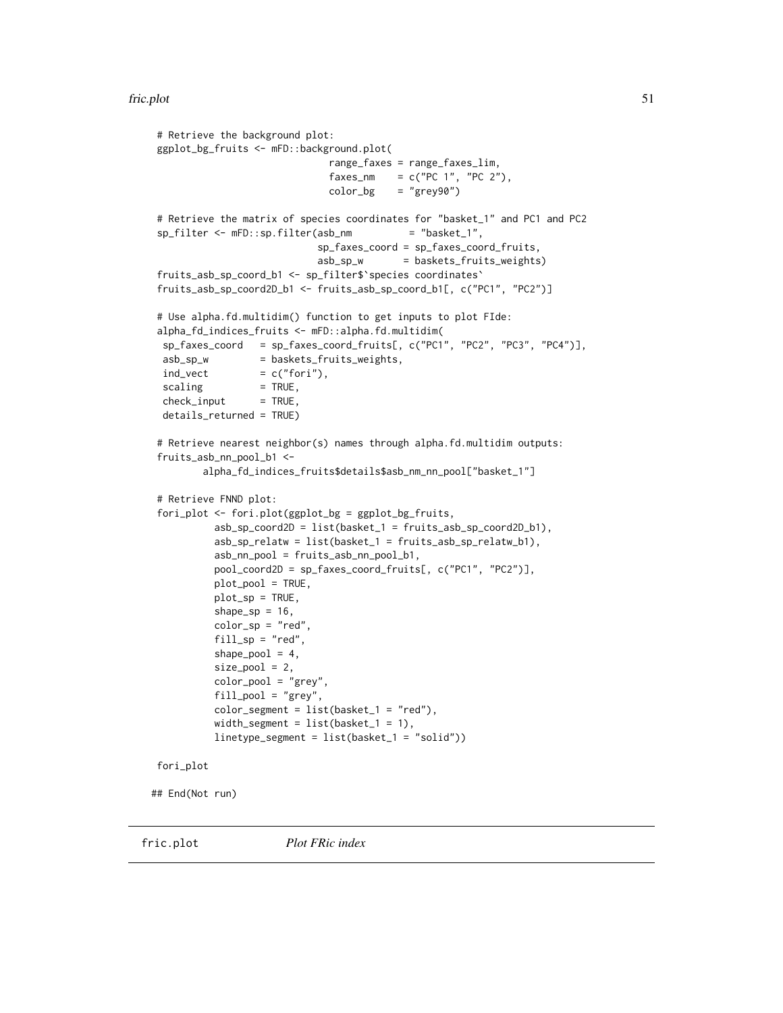#### fric.plot 51

```
# Retrieve the background plot:
ggplot_bg_fruits <- mFD::background.plot(
                             range_faxes = range_faxes_lim,
                             faxes_nm = c("PC 1", "PC 2"),color_bg = "grey90")# Retrieve the matrix of species coordinates for "basket_1" and PC1 and PC2
sp_filter <- mFD::sp.filter(asb_nm = "basket_1",
                           sp_faxes_coord = sp_faxes_coord_fruits,
                           asb_sp_w = baskets_fruits_weights)
fruits_asb_sp_coord_b1 <- sp_filter$`species coordinates`
fruits_asb_sp_coord2D_b1 <- fruits_asb_sp_coord_b1[, c("PC1", "PC2")]
# Use alpha.fd.multidim() function to get inputs to plot FIde:
alpha_fd_indices_fruits <- mFD::alpha.fd.multidim(
sp_faxes_coord = sp_faxes_coord_fruits[, c("PC1", "PC2", "PC3", "PC4")],
asb_sp_w = baskets_fruits_weights,
ind\_vect = c("fori"),scaling = TRUE,check\_input = TRUE,
details_returned = TRUE)
# Retrieve nearest neighbor(s) names through alpha.fd.multidim outputs:
fruits_asb_nn_pool_b1 <-
       alpha_fd_indices_fruits$details$asb_nm_nn_pool["basket_1"]
# Retrieve FNND plot:
fori_plot <- fori.plot(ggplot_bg = ggplot_bg_fruits,
         asb_sp_coord2D = list(basket_1 = fruits_asb_sp_coord2D_b1),
         asb_sp_relatw = list(basket_1 = fruits_asb_sp_relatw_b1),
         asb_nn_pool = fruits_asb_nn_pool_b1,
         pool_coord2D = sp_faxes_coord_fruits[, c("PC1", "PC2")],
         plot_pool = TRUE,
         plot_sp = TRUE,
         shape_sp = 16,
         color_sp = "red",fill\_sp = "red",shape_pool = 4,
         size\_pool = 2,
         color_pool = "grey",
         fill_pool = "grey",
         color_segment = list(basket_1 = "red"),
         width_segment = list(basket_1 = 1),
         linetype_segment = list(basket_1 = "solid"))
fori_plot
```
## End(Not run)

fric.plot *Plot FRic index*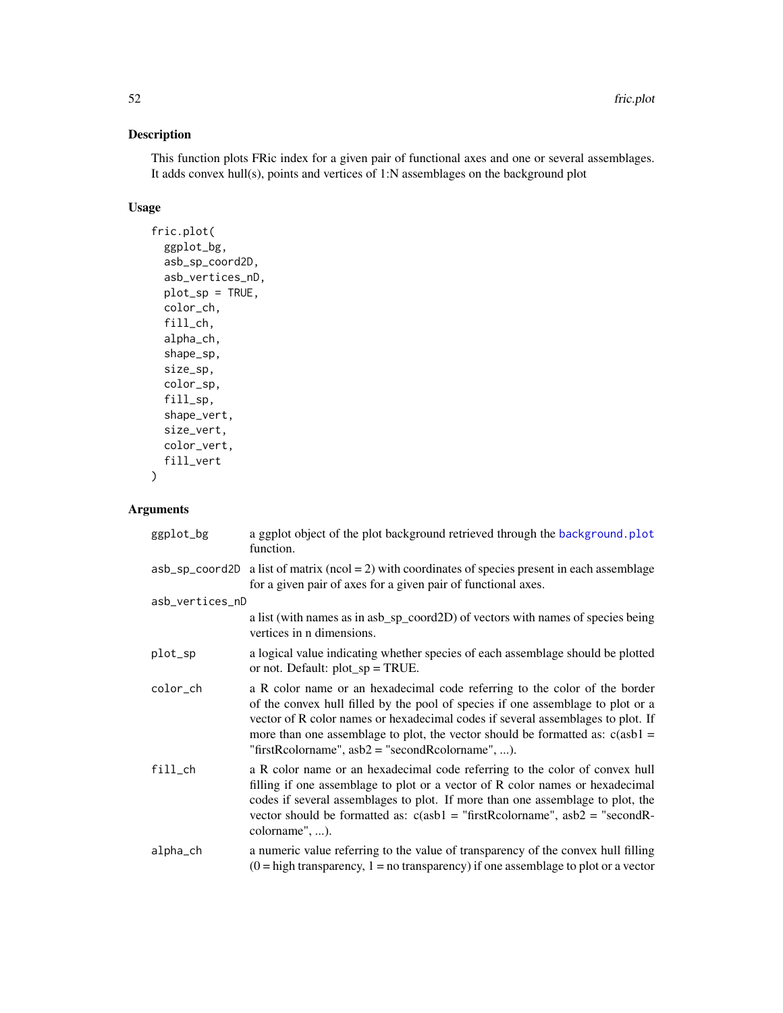# Description

This function plots FRic index for a given pair of functional axes and one or several assemblages. It adds convex hull(s), points and vertices of 1:N assemblages on the background plot

# Usage

```
fric.plot(
  ggplot_bg,
  asb_sp_coord2D,
  asb_vertices_nD,
  plot_sp = TRUE,
  color_ch,
  fill_ch,
  alpha_ch,
  shape_sp,
  size_sp,
  color_sp,
  fill_sp,
  shape_vert,
  size_vert,
  color_vert,
  fill_vert
)
```

| ggplot_bg       | a ggplot object of the plot background retrieved through the background.plot<br>function.                                                                                                                                                                                                                                                                                                 |
|-----------------|-------------------------------------------------------------------------------------------------------------------------------------------------------------------------------------------------------------------------------------------------------------------------------------------------------------------------------------------------------------------------------------------|
| asb_sp_coord2D  | a list of matrix ( $ncol = 2$ ) with coordinates of species present in each assemblage<br>for a given pair of axes for a given pair of functional axes.                                                                                                                                                                                                                                   |
| asb_vertices_nD |                                                                                                                                                                                                                                                                                                                                                                                           |
|                 | a list (with names as in asb_sp_coord2D) of vectors with names of species being<br>vertices in n dimensions.                                                                                                                                                                                                                                                                              |
| plot_sp         | a logical value indicating whether species of each assemblage should be plotted<br>or not. Default: $plot_sp = TRUE$ .                                                                                                                                                                                                                                                                    |
| color_ch        | a R color name or an hexadecimal code referring to the color of the border<br>of the convex hull filled by the pool of species if one assemblage to plot or a<br>vector of R color names or hexadecimal codes if several assemblages to plot. If<br>more than one assemblage to plot, the vector should be formatted as: $c(asb1 =$<br>"firstRcolorname", $asb2 =$ "secondRcolorname", ). |
| fill_ch         | a R color name or an hexadecimal code referring to the color of convex hull<br>filling if one assemblage to plot or a vector of R color names or hexadecimal<br>codes if several assemblages to plot. If more than one assemblage to plot, the<br>vector should be formatted as: $c(asb1 = "firstRcolormame", asb2 = "secondR-$<br>colorname", ).                                         |
| alpha_ch        | a numeric value referring to the value of transparency of the convex hull filling<br>$(0 = high transparency, 1 = no transparency)$ if one assemblage to plot or a vector                                                                                                                                                                                                                 |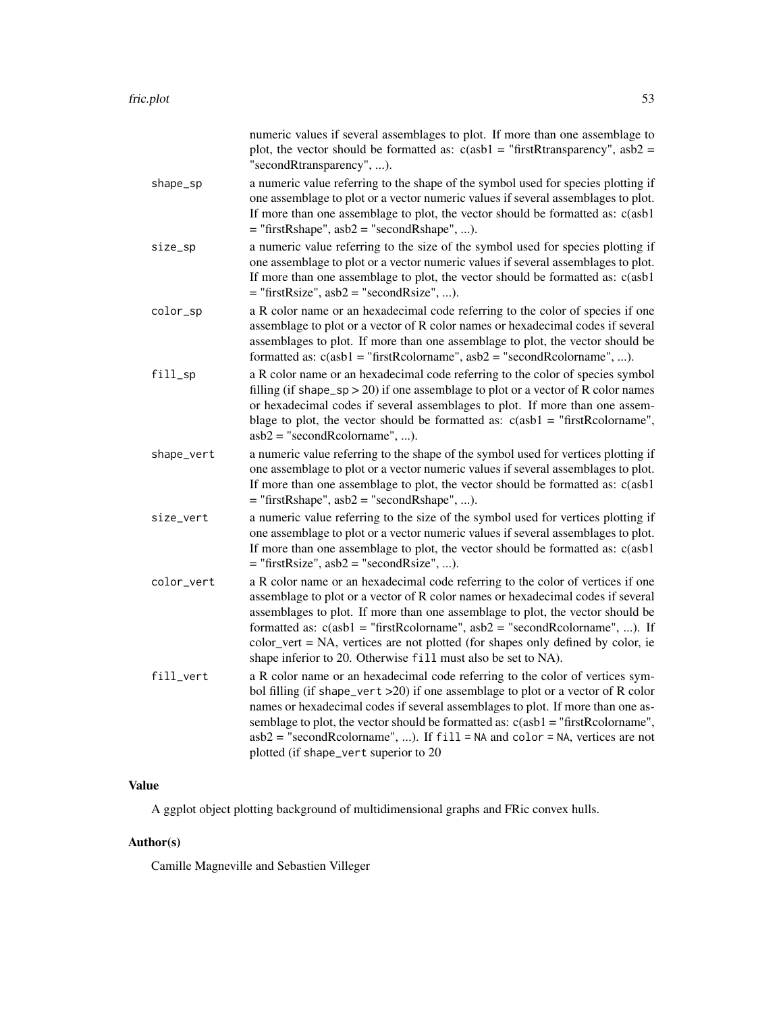|            | numeric values if several assemblages to plot. If more than one assemblage to<br>plot, the vector should be formatted as: $c(asb1 = "firstR transparency", asb2 =$<br>"secondRtransparency", ).                                                                                                                                                                                                                                                                                           |
|------------|-------------------------------------------------------------------------------------------------------------------------------------------------------------------------------------------------------------------------------------------------------------------------------------------------------------------------------------------------------------------------------------------------------------------------------------------------------------------------------------------|
| shape_sp   | a numeric value referring to the shape of the symbol used for species plotting if<br>one assemblage to plot or a vector numeric values if several assemblages to plot.<br>If more than one assemblage to plot, the vector should be formatted as: c(asb1<br>$=$ "firstRshape", asb2 = "secondRshape", ).                                                                                                                                                                                  |
| size_sp    | a numeric value referring to the size of the symbol used for species plotting if<br>one assemblage to plot or a vector numeric values if several assemblages to plot.<br>If more than one assemblage to plot, the vector should be formatted as: c(asb1)<br>$=$ "firstRsize", asb2 = "secondRsize", ).                                                                                                                                                                                    |
| color_sp   | a R color name or an hexadecimal code referring to the color of species if one<br>assemblage to plot or a vector of R color names or hexadecimal codes if several<br>assemblages to plot. If more than one assemblage to plot, the vector should be<br>formatted as: $c(asb1 = "firstRcolormame", asb2 = "secondRcolormame", ).$                                                                                                                                                          |
| fill_sp    | a R color name or an hexadecimal code referring to the color of species symbol<br>filling (if shape_sp > 20) if one assemblage to plot or a vector of R color names<br>or hexadecimal codes if several assemblages to plot. If more than one assem-<br>blage to plot, the vector should be formatted as: $c(asb1 = "firstRcolormame",$<br>$asb2 = "secondReolorname", ).$                                                                                                                 |
| shape_vert | a numeric value referring to the shape of the symbol used for vertices plotting if<br>one assemblage to plot or a vector numeric values if several assemblages to plot.<br>If more than one assemblage to plot, the vector should be formatted as: c(asb1<br>$=$ "firstRshape", asb2 = "secondRshape", ).                                                                                                                                                                                 |
| size_vert  | a numeric value referring to the size of the symbol used for vertices plotting if<br>one assemblage to plot or a vector numeric values if several assemblages to plot.<br>If more than one assemblage to plot, the vector should be formatted as: c(asb1)<br>$=$ "firstRsize", asb2 = "secondRsize", ).                                                                                                                                                                                   |
| color_vert | a R color name or an hexadecimal code referring to the color of vertices if one<br>assemblage to plot or a vector of R color names or hexadecimal codes if several<br>assemblages to plot. If more than one assemblage to plot, the vector should be<br>formatted as: $c(asb1 = "firstRcolormame", asb2 = "secondRcolormame", )$ . If<br>color_vert = NA, vertices are not plotted (for shapes only defined by color, ie<br>shape inferior to 20. Otherwise fill must also be set to NA). |
| fill_vert  | a R color name or an hexadecimal code referring to the color of vertices sym-<br>bol filling (if shape_vert >20) if one assemblage to plot or a vector of R color<br>names or hexadecimal codes if several assemblages to plot. If more than one as-<br>semblage to plot, the vector should be formatted as: $c(a s b1 = "firstRcolormame",$<br>$asb2 = "secondRcolormame", $ ). If $fi11 = NA$ and $color = NA$ , vertices are not<br>plotted (if shape_vert superior to 20              |

# Value

A ggplot object plotting background of multidimensional graphs and FRic convex hulls.

# Author(s)

Camille Magneville and Sebastien Villeger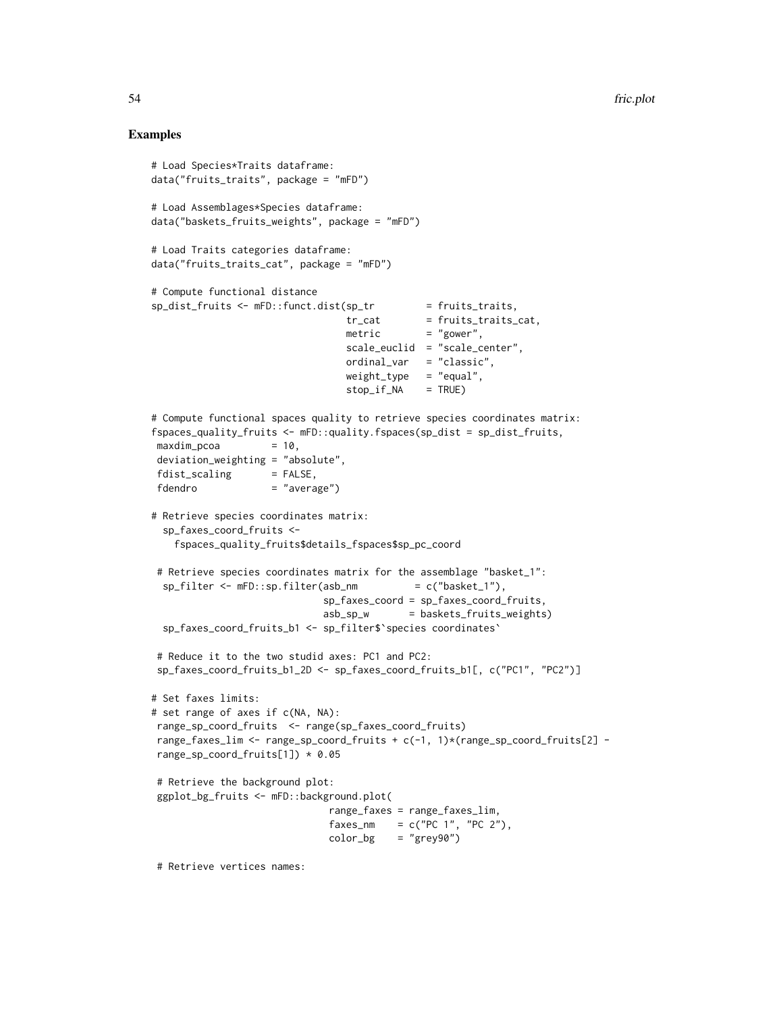## Examples

```
# Load Species*Traits dataframe:
data("fruits_traits", package = "mFD")
# Load Assemblages*Species dataframe:
data("baskets_fruits_weights", package = "mFD")
# Load Traits categories dataframe:
data("fruits_traits_cat", package = "mFD")
# Compute functional distance
sp\_dist\_fruits \leftarrow mFD::funct.dist(sp\_tr = fruits\_traits,tr_{cat} = fruits_traits_cat,
                                 metric = "gower",
                                 scale_euclid = "scale_center",
                                 ordinal_var = "classic",
                                 weight_type = "equal",
                                 stop_if_NA = TRUE)
# Compute functional spaces quality to retrieve species coordinates matrix:
fspaces_quality_fruits <- mFD::quality.fspaces(sp_dist = sp_dist_fruits,
maxdim_{1}pcoa = 10,
deviation_weighting = "absolute",
fdist\_scaling = FALSE,
fdendro = "average")
# Retrieve species coordinates matrix:
 sp_faxes_coord_fruits <-
   fspaces_quality_fruits$details_fspaces$sp_pc_coord
# Retrieve species coordinates matrix for the assemblage "basket_1":
 sp_filter \leq mFD: sp.filter(asb_nm = c("basket_1"),
                             sp_faxes_coord = sp_faxes_coord_fruits,
                             asb_sp_w = baskets_fruits_weights)
 sp_faxes_coord_fruits_b1 <- sp_filter$`species coordinates`
# Reduce it to the two studid axes: PC1 and PC2:
sp_faxes_coord_fruits_b1_2D <- sp_faxes_coord_fruits_b1[, c("PC1", "PC2")]
# Set faxes limits:
# set range of axes if c(NA, NA):
range_sp_coord_fruits <- range(sp_faxes_coord_fruits)
range_faxes_lim <- range_sp_coord_fruits + c(-1, 1)*(range_sp_coord_fruits[2] -
range_sp_coord_fruits[1]) * 0.05
# Retrieve the background plot:
ggplot_bg_fruits <- mFD::background.plot(
                              range_faxes = range_faxes_lim,
                              faxes_nm = c("PC 1", "PC 2"),color_bg = "grey90")
```
# Retrieve vertices names: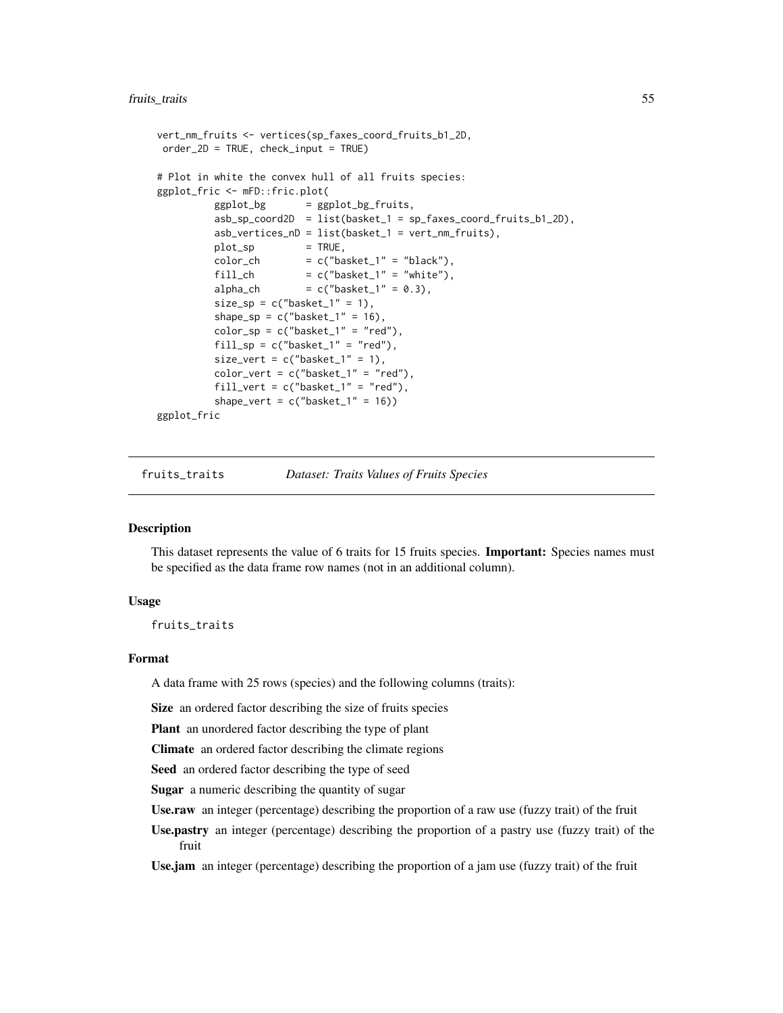### fruits\_traits 55

```
vert_nm_fruits <- vertices(sp_faxes_coord_fruits_b1_2D,
order_2D = TRUE, check_input = TRUE)
# Plot in white the convex hull of all fruits species:
ggplot_fric <- mFD::fric.plot(
         ggplot_bg = ggplot_bg-fruits,
         asb_sp_coord2D = list(basket_1 = sp_faxes_coord_fruits_b1_2D),
         asb_vertices_nD = list(basket_1 = vert_nm_fruits),
         plot_sp = TRUE,
         color\_ch = c("basket_1" = "black"),
         fill_ch = c("basket_1" = "white"),
         alpha_ch = c("basket_1" = 0.3),
         size_sp = c("basket_1" = 1),shape_sp = c("basket_1" = 16),
         color_sp = c("basket_1" = "red"),
         fill_sp = c("basket_1" = "red"),
         size\_vert = c("baseline\_1" = 1),color_vert = c("basket_1" = "red"),
         fill_vert = c("basket_1" = "red"),
         shape_vert = c("basket_1" = 16))
ggplot_fric
```
fruits\_traits *Dataset: Traits Values of Fruits Species*

# **Description**

This dataset represents the value of 6 traits for 15 fruits species. Important: Species names must be specified as the data frame row names (not in an additional column).

## Usage

fruits\_traits

## Format

A data frame with 25 rows (species) and the following columns (traits):

Size an ordered factor describing the size of fruits species

Plant an unordered factor describing the type of plant

Climate an ordered factor describing the climate regions

Seed an ordered factor describing the type of seed

Sugar a numeric describing the quantity of sugar

Use.raw an integer (percentage) describing the proportion of a raw use (fuzzy trait) of the fruit

Use.pastry an integer (percentage) describing the proportion of a pastry use (fuzzy trait) of the fruit

Use.jam an integer (percentage) describing the proportion of a jam use (fuzzy trait) of the fruit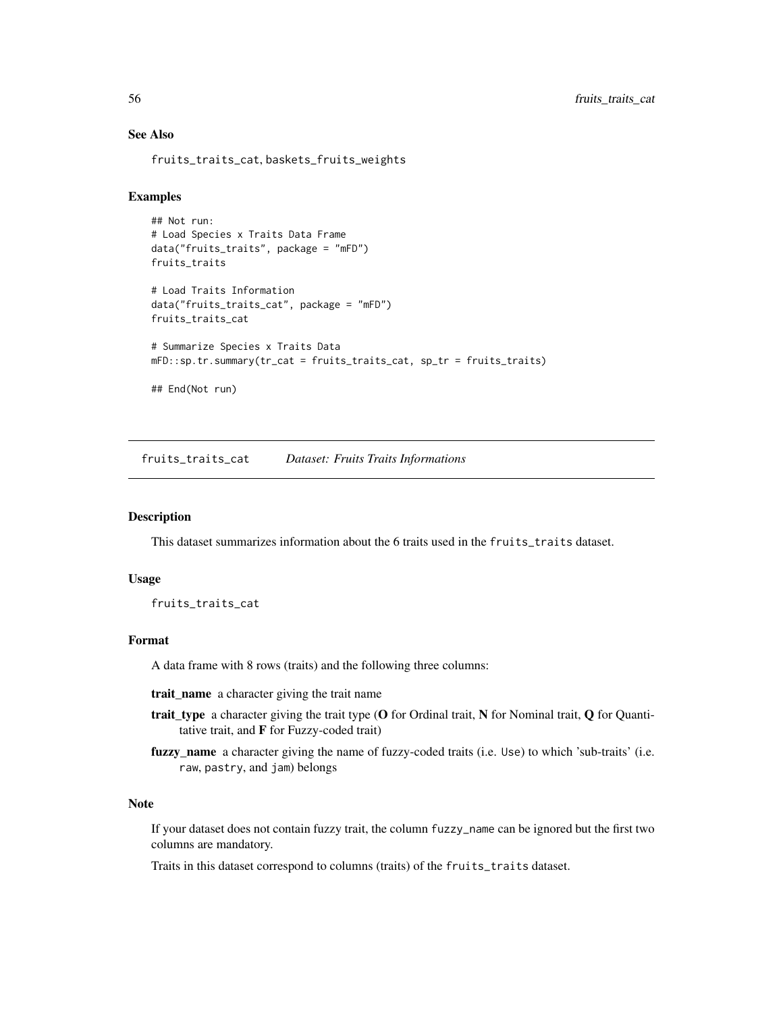# See Also

fruits\_traits\_cat, baskets\_fruits\_weights

# Examples

```
## Not run:
# Load Species x Traits Data Frame
data("fruits_traits", package = "mFD")
fruits_traits
# Load Traits Information
data("fruits_traits_cat", package = "mFD")
fruits_traits_cat
# Summarize Species x Traits Data
mFD::sp.tr.summary(tr_cat = fruits_traits_cat, sp_tr = fruits_traits)
## End(Not run)
```
fruits\_traits\_cat *Dataset: Fruits Traits Informations*

### Description

This dataset summarizes information about the 6 traits used in the fruits\_traits dataset.

#### Usage

fruits\_traits\_cat

#### Format

A data frame with 8 rows (traits) and the following three columns:

trait\_name a character giving the trait name

- trait\_type a character giving the trait type (O for Ordinal trait, N for Nominal trait, Q for Quantitative trait, and F for Fuzzy-coded trait)
- fuzzy\_name a character giving the name of fuzzy-coded traits (i.e. Use) to which 'sub-traits' (i.e. raw, pastry, and jam) belongs

### Note

If your dataset does not contain fuzzy trait, the column fuzzy\_name can be ignored but the first two columns are mandatory.

Traits in this dataset correspond to columns (traits) of the fruits\_traits dataset.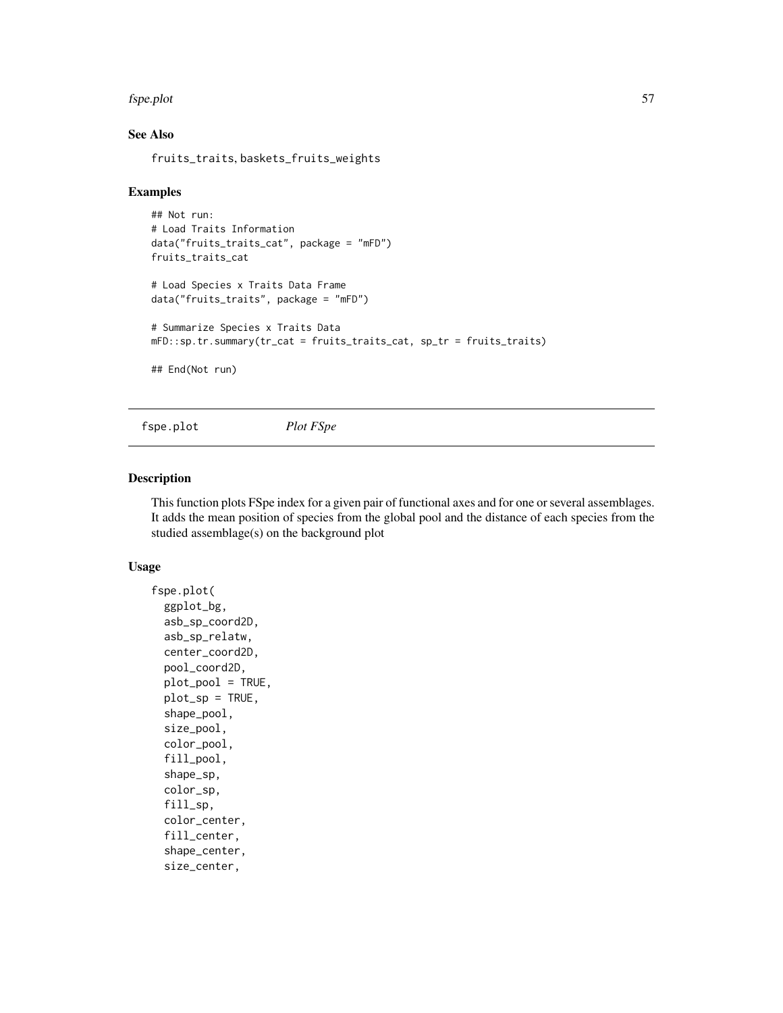#### fspe.plot 57

# See Also

fruits\_traits, baskets\_fruits\_weights

### Examples

```
## Not run:
# Load Traits Information
data("fruits_traits_cat", package = "mFD")
fruits_traits_cat
# Load Species x Traits Data Frame
data("fruits_traits", package = "mFD")
# Summarize Species x Traits Data
mFD::sp.tr.summary(tr_cat = fruits_traits_cat, sp_tr = fruits_traits)
## End(Not run)
```
fspe.plot *Plot FSpe*

## Description

This function plots FSpe index for a given pair of functional axes and for one or several assemblages. It adds the mean position of species from the global pool and the distance of each species from the studied assemblage(s) on the background plot

## Usage

```
fspe.plot(
  ggplot_bg,
  asb_sp_coord2D,
  asb_sp_relatw,
  center_coord2D,
  pool_coord2D,
 plot_pool = TRUE,
 plot_sp = TRUE,
  shape_pool,
  size_pool,
  color_pool,
  fill_pool,
  shape_sp,
  color_sp,
  fill_sp,
  color_center,
  fill_center,
  shape_center,
  size_center,
```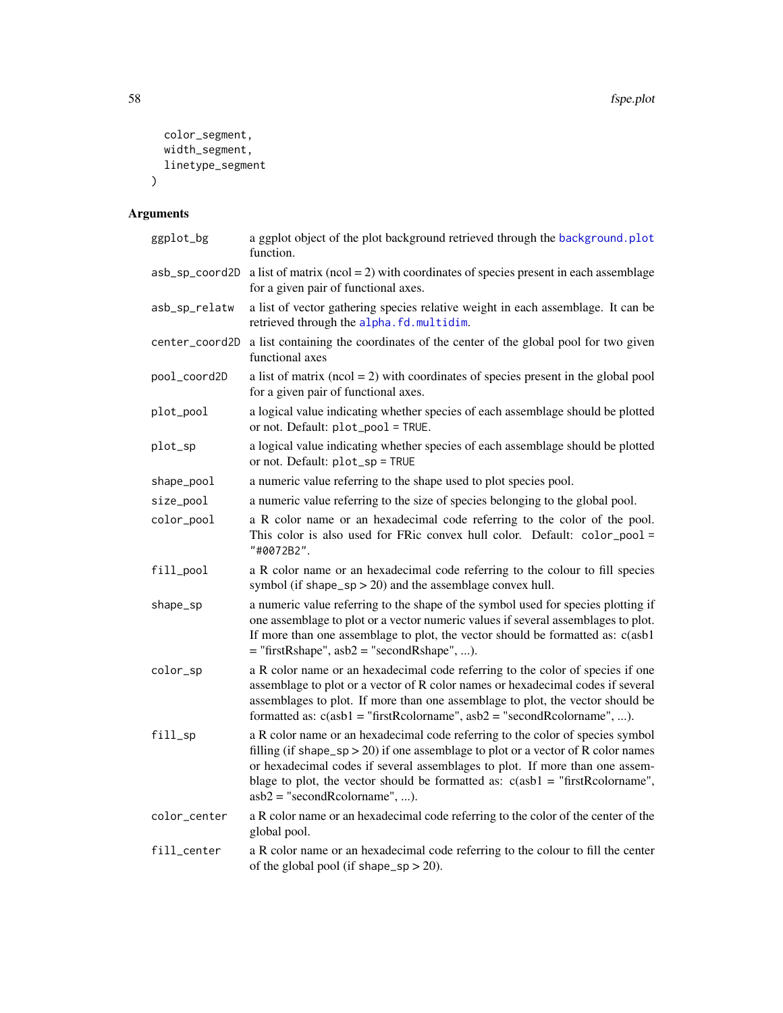```
color_segment,
  width_segment,
  linetype_segment
\mathcal{L}
```

| ggplot_bg      | a ggplot object of the plot background retrieved through the background.plot<br>function.                                                                                                                                                                                                                                                                                 |
|----------------|---------------------------------------------------------------------------------------------------------------------------------------------------------------------------------------------------------------------------------------------------------------------------------------------------------------------------------------------------------------------------|
|                | $\text{asb\_sp\_coord2D}$ a list of matrix ( $\text{ncol} = 2$ ) with coordinates of species present in each assemblage<br>for a given pair of functional axes.                                                                                                                                                                                                           |
| asb_sp_relatw  | a list of vector gathering species relative weight in each assemblage. It can be<br>retrieved through the alpha.fd.multidim.                                                                                                                                                                                                                                              |
| center_coord2D | a list containing the coordinates of the center of the global pool for two given<br>functional axes                                                                                                                                                                                                                                                                       |
| pool_coord2D   | a list of matrix ( $ncol = 2$ ) with coordinates of species present in the global pool<br>for a given pair of functional axes.                                                                                                                                                                                                                                            |
| plot_pool      | a logical value indicating whether species of each assemblage should be plotted<br>or not. Default: plot_pool = TRUE.                                                                                                                                                                                                                                                     |
| plot_sp        | a logical value indicating whether species of each assemblage should be plotted<br>or not. Default: plot_sp = TRUE                                                                                                                                                                                                                                                        |
| shape_pool     | a numeric value referring to the shape used to plot species pool.                                                                                                                                                                                                                                                                                                         |
| size_pool      | a numeric value referring to the size of species belonging to the global pool.                                                                                                                                                                                                                                                                                            |
| color_pool     | a R color name or an hexadecimal code referring to the color of the pool.<br>This color is also used for FRic convex hull color. Default: color_pool =<br>"#0072B2".                                                                                                                                                                                                      |
| fill_pool      | a R color name or an hexadecimal code referring to the colour to fill species<br>symbol (if shape_sp $>$ 20) and the assemblage convex hull.                                                                                                                                                                                                                              |
| shape_sp       | a numeric value referring to the shape of the symbol used for species plotting if<br>one assemblage to plot or a vector numeric values if several assemblages to plot.<br>If more than one assemblage to plot, the vector should be formatted as: c(asb1<br>$=$ "firstRshape", asb2 = "secondRshape", ).                                                                  |
| color_sp       | a R color name or an hexadecimal code referring to the color of species if one<br>assemblage to plot or a vector of R color names or hexadecimal codes if several<br>assemblages to plot. If more than one assemblage to plot, the vector should be<br>formatted as: $c(asb1 = "firstRcolormame", asb2 = "secondRcolormame", ).$                                          |
| fill_sp        | a R color name or an hexadecimal code referring to the color of species symbol<br>filling (if shape_sp > 20) if one assemblage to plot or a vector of R color names<br>or hexadecimal codes if several assemblages to plot. If more than one assem-<br>blage to plot, the vector should be formatted as: $c(asb1 = "firstRcolormame",$<br>$asb2 = "secondReolorname", ).$ |
| color_center   | a R color name or an hexadecimal code referring to the color of the center of the<br>global pool.                                                                                                                                                                                                                                                                         |
| fill_center    | a R color name or an hexadecimal code referring to the colour to fill the center<br>of the global pool (if shape_sp $>$ 20).                                                                                                                                                                                                                                              |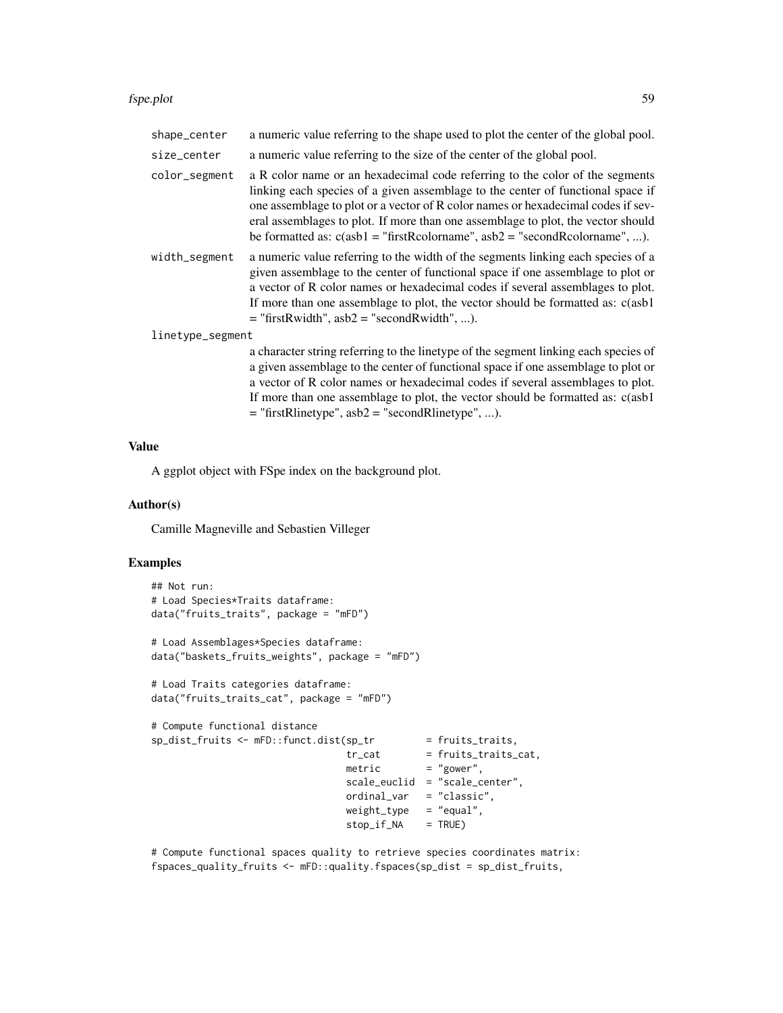#### fspe.plot 59

| shape_center     | a numeric value referring to the shape used to plot the center of the global pool.                                                                                                                                                                                                                                                                                                                                       |
|------------------|--------------------------------------------------------------------------------------------------------------------------------------------------------------------------------------------------------------------------------------------------------------------------------------------------------------------------------------------------------------------------------------------------------------------------|
| size_center      | a numeric value referring to the size of the center of the global pool.                                                                                                                                                                                                                                                                                                                                                  |
| color_segment    | a R color name or an hexadecimal code referring to the color of the segments<br>linking each species of a given assemblage to the center of functional space if<br>one assemblage to plot or a vector of R color names or hexadecimal codes if sev-<br>eral assemblages to plot. If more than one assemblage to plot, the vector should<br>be formatted as: $c(asb1 = "firstRcolormame", asb2 = "secondRcolormame", )$ . |
| width_segment    | a numeric value referring to the width of the segments linking each species of a<br>given assemblage to the center of functional space if one assemblage to plot or<br>a vector of R color names or hexadecimal codes if several assemblages to plot.<br>If more than one assemblage to plot, the vector should be formatted as: c(asb1)<br>$=$ "firstRwidth", asb2 = "secondRwidth", ).                                 |
| linetype_segment |                                                                                                                                                                                                                                                                                                                                                                                                                          |
|                  | a character string referring to the linetype of the segment linking each species of<br>a given assemblage to the center of functional space if one assemblage to plot or<br>a vector of R color names or hexadecimal codes if several assemblages to plot.<br>If more than one assemblage to plot, the vector should be formatted as: c(asb1)<br>$=$ "firstRlinetype", asb2 = "secondRlinetype", ).                      |

Value

A ggplot object with FSpe index on the background plot.

#### Author(s)

Camille Magneville and Sebastien Villeger

# Examples

```
## Not run:
# Load Species*Traits dataframe:
data("fruits_traits", package = "mFD")
# Load Assemblages*Species dataframe:
data("baskets_fruits_weights", package = "mFD")
# Load Traits categories dataframe:
data("fruits_traits_cat", package = "mFD")
# Compute functional distance
sp_dist_fruits <- mFD::funct.dist(sp_tr = fruits_traits,
                                tr_cat = fruits_traits_cat,
                                metric = "gower",
                                scale_euclid = "scale_center",
                                ordinal_var = "classic",
                                weight_type = "equal",
                                stop_if_NA = TRUE)
```
# Compute functional spaces quality to retrieve species coordinates matrix: fspaces\_quality\_fruits <- mFD::quality.fspaces(sp\_dist = sp\_dist\_fruits,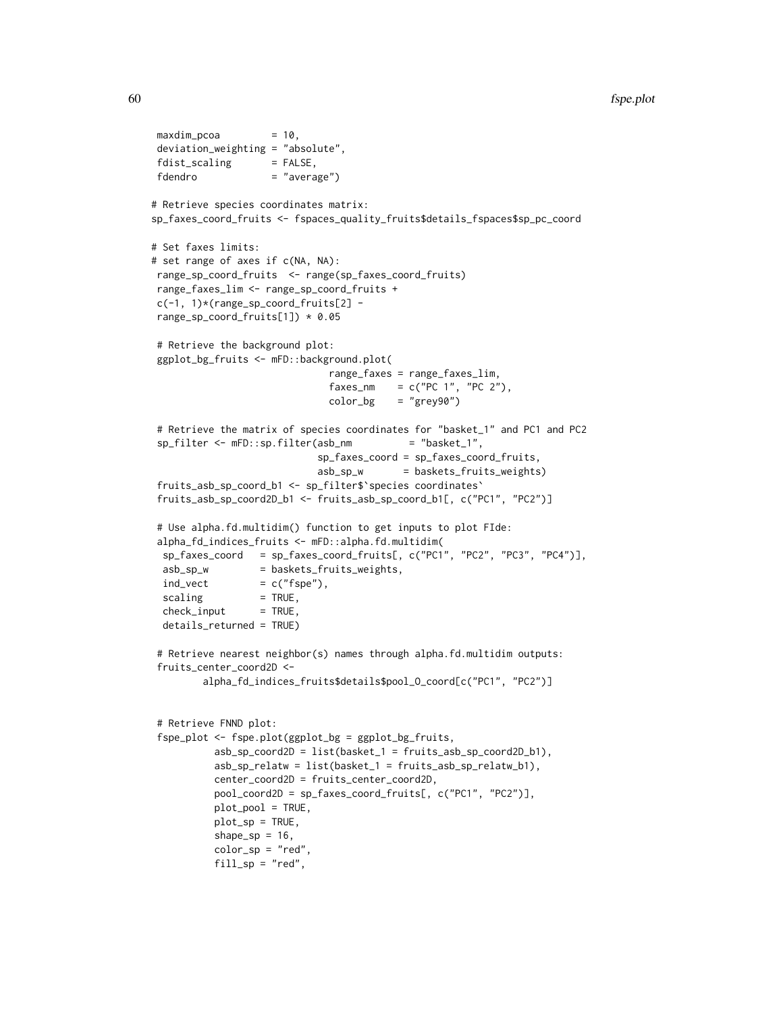```
60 fspe.plot
```

```
maxdim_pcoa = 10,
deviation_weighting = "absolute",
fdist_scaling = FALSE,
fdendro = "average")
# Retrieve species coordinates matrix:
sp_faxes_coord_fruits <- fspaces_quality_fruits$details_fspaces$sp_pc_coord
# Set faxes limits:
# set range of axes if c(NA, NA):
range_sp_coord_fruits <- range(sp_faxes_coord_fruits)
range_faxes_lim <- range_sp_coord_fruits +
c(-1, 1)*(range_sp_coord_fruits[2] -
range_sp_coord_fruits[1]) * 0.05
# Retrieve the background plot:
ggplot_bg_fruits <- mFD::background.plot(
                             range_faxes = range_faxes_lim,
                             faxes_nm = c("PC 1", "PC 2"),color_bg = "grey90")# Retrieve the matrix of species coordinates for "basket_1" and PC1 and PC2
sp_filter <- mFD::sp.filter(asb_nm = "basket_1",
                           sp_faxes_coord = sp_faxes_coord_fruits,
                           asb_sp_w = baskets_fruits_weights)
fruits_asb_sp_coord_b1 <- sp_filter$`species coordinates`
fruits_asb_sp_coord2D_b1 <- fruits_asb_sp_coord_b1[, c("PC1", "PC2")]
# Use alpha.fd.multidim() function to get inputs to plot FIde:
alpha_fd_indices_fruits <- mFD::alpha.fd.multidim(
 sp_faxes_coord = sp_faxes_coord_fruits[, c("PC1", "PC2", "PC3", "PC4")],
 asb_sp_w = baskets_fruits_weights,
 ind\_vect = c("fspe"),scaling = TRUE,check\_input = TRUE,
 details_returned = TRUE)
# Retrieve nearest neighbor(s) names through alpha.fd.multidim outputs:
fruits_center_coord2D <-
        alpha_fd_indices_fruits$details$pool_O_coord[c("PC1", "PC2")]
# Retrieve FNND plot:
fspe_plot <- fspe.plot(ggplot_bg = ggplot_bg_fruits,
          asb_sp_coord2D = list(basket_1 = fruits_asb_sp_coord2D_b1),
          asb_sp_relatw = list(basket_1 = fruits_asb_sp_relatw_b1),
          center_coord2D = fruits_center_coord2D,
          pool_coord2D = sp_faxes_coord_fruits[, c("PC1", "PC2")],
          plot_pool = TRUE,
          plot_sp = TRUE,
          shape_sp = 16,
          color_sp = "red",fill_sp = "red",
```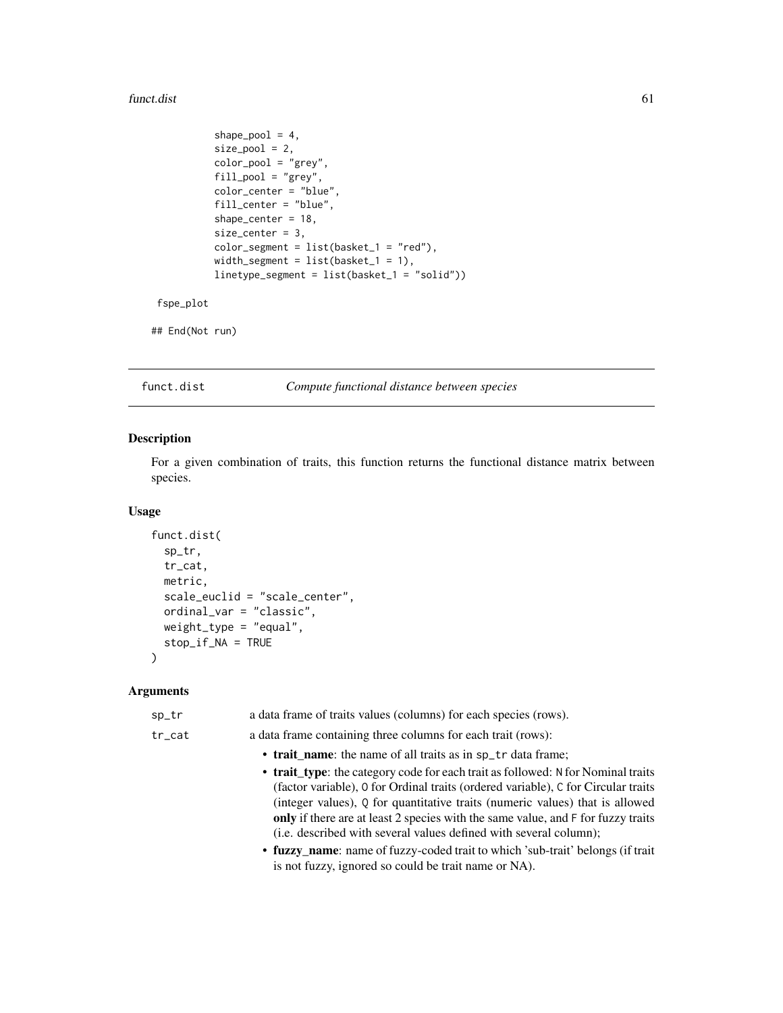#### funct.dist 61

```
shape_pool = 4,
size\_pool = 2,
color_pool = "grey",
fill_pool = "grey",
color_center = "blue",
fill_center = "blue",
shape_center = 18,
size_center = 3,
color\_segment = list(basket_1 = "red"),width_segment = list(basket_1 = 1),
linetype_segment = list(basket_1 = "solid"))
```

```
fspe_plot
```

```
## End(Not run)
```
<span id="page-60-0"></span>funct.dist *Compute functional distance between species*

## Description

For a given combination of traits, this function returns the functional distance matrix between species.

## Usage

```
funct.dist(
  sp_tr,
  tr_cat,
 metric,
  scale_euclid = "scale_center",
 ordinal_var = "classic",
 weight_type = "equal",
  stop_if_NA = TRUE
)
```

| sp_tr     | a data frame of traits values (columns) for each species (rows).                                                                                                                                                                                                                                                                                                                                               |
|-----------|----------------------------------------------------------------------------------------------------------------------------------------------------------------------------------------------------------------------------------------------------------------------------------------------------------------------------------------------------------------------------------------------------------------|
| $tr\_cat$ | a data frame containing three columns for each trait (rows):                                                                                                                                                                                                                                                                                                                                                   |
|           | • trait name: the name of all traits as in sp_tr data frame;                                                                                                                                                                                                                                                                                                                                                   |
|           | • trait_type: the category code for each trait as followed: N for Nominal traits<br>(factor variable), 0 for Ordinal traits (ordered variable), C for Circular traits<br>(integer values), Q for quantitative traits (numeric values) that is allowed<br>only if there are at least 2 species with the same value, and F for fuzzy traits<br>(i.e. described with several values defined with several column); |
|           | • fuzzy_name: name of fuzzy-coded trait to which 'sub-trait' belongs (if trait<br>is not fuzzy, ignored so could be trait name or NA).                                                                                                                                                                                                                                                                         |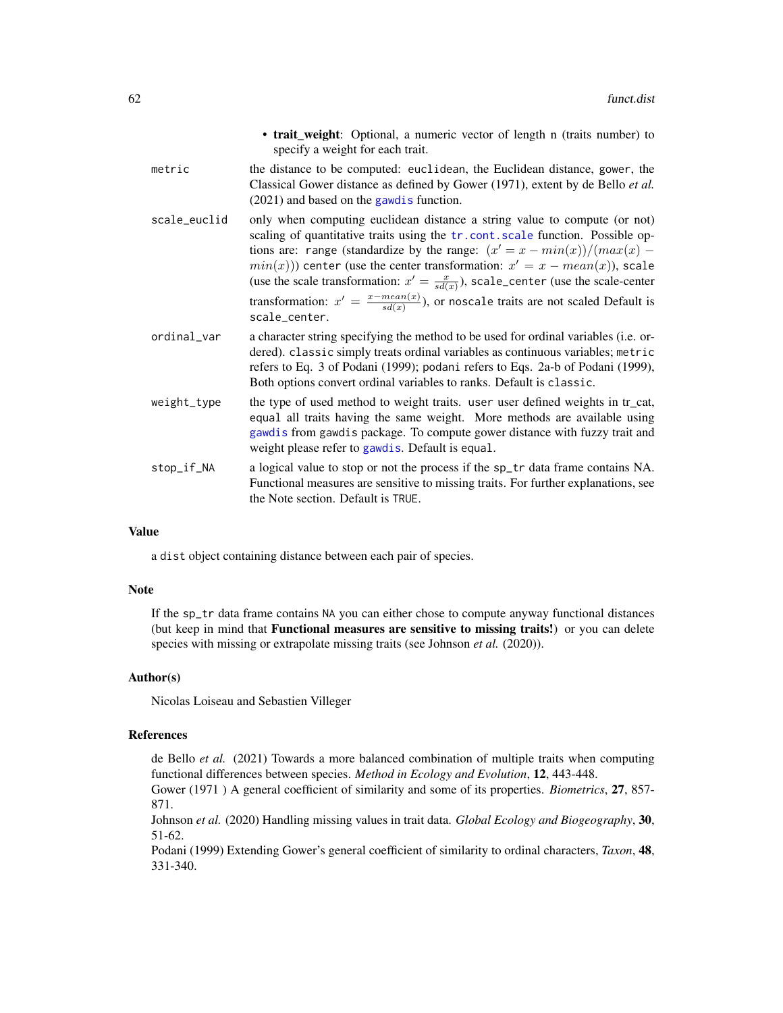|              | • trait_weight: Optional, a numeric vector of length n (traits number) to<br>specify a weight for each trait.                                                                                                                                                                                                                                                                                                                                                                                                                             |
|--------------|-------------------------------------------------------------------------------------------------------------------------------------------------------------------------------------------------------------------------------------------------------------------------------------------------------------------------------------------------------------------------------------------------------------------------------------------------------------------------------------------------------------------------------------------|
| metric       | the distance to be computed: euclidean, the Euclidean distance, gower, the<br>Classical Gower distance as defined by Gower (1971), extent by de Bello et al.<br>$(2021)$ and based on the gawd is function.                                                                                                                                                                                                                                                                                                                               |
| scale_euclid | only when computing euclidean distance a string value to compute (or not)<br>scaling of quantitative traits using the tr.cont.scale function. Possible op-<br>tions are: range (standardize by the range: $(x' = x - min(x))/(max(x) -$<br>$min(x))$ center (use the center transformation: $x' = x - mean(x)$ ), scale<br>(use the scale transformation: $x' = \frac{x}{sd(x)}$ ), scale_center (use the scale-center<br>transformation: $x' = \frac{x - mean(x)}{sd(x)}$ , or noscale traits are not scaled Default is<br>scale_center. |
| ordinal_var  | a character string specifying the method to be used for ordinal variables (i.e. or-<br>dered). classic simply treats ordinal variables as continuous variables; metric<br>refers to Eq. 3 of Podani (1999); podani refers to Eqs. 2a-b of Podani (1999),<br>Both options convert ordinal variables to ranks. Default is classic.                                                                                                                                                                                                          |
| weight_type  | the type of used method to weight traits. user user defined weights in tr_cat,<br>equal all traits having the same weight. More methods are available using<br>gawdis from gawdis package. To compute gower distance with fuzzy trait and<br>weight please refer to gawdis. Default is equal.                                                                                                                                                                                                                                             |
| stop_if_NA   | a logical value to stop or not the process if the sp_tr data frame contains NA.<br>Functional measures are sensitive to missing traits. For further explanations, see<br>the Note section. Default is TRUE.                                                                                                                                                                                                                                                                                                                               |

## Value

a dist object containing distance between each pair of species.

## Note

If the sp\_tr data frame contains NA you can either chose to compute anyway functional distances (but keep in mind that Functional measures are sensitive to missing traits!) or you can delete species with missing or extrapolate missing traits (see Johnson *et al.* (2020)).

### Author(s)

Nicolas Loiseau and Sebastien Villeger

## References

de Bello *et al.* (2021) Towards a more balanced combination of multiple traits when computing functional differences between species. *Method in Ecology and Evolution*, 12, 443-448.

Gower (1971 ) A general coefficient of similarity and some of its properties. *Biometrics*, 27, 857- 871.

Johnson *et al.* (2020) Handling missing values in trait data. *Global Ecology and Biogeography*, 30, 51-62.

Podani (1999) Extending Gower's general coefficient of similarity to ordinal characters, *Taxon*, 48, 331-340.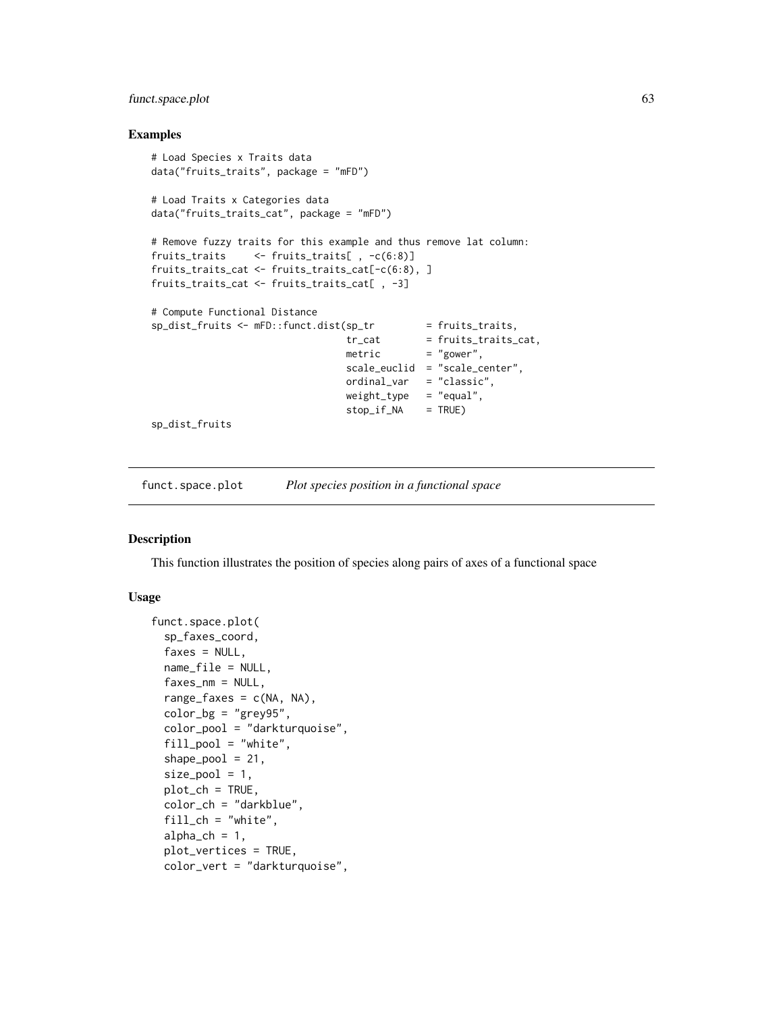# funct.space.plot 63

## Examples

```
# Load Species x Traits data
data("fruits_traits", package = "mFD")
# Load Traits x Categories data
data("fruits_traits_cat", package = "mFD")
# Remove fuzzy traits for this example and thus remove lat column:
fruits_traits <- fruits_traits[ , -c(6:8)]
fruits_traits_cat <- fruits_traits_cat[-c(6:8), ]
fruits_traits_cat <- fruits_traits_cat[ , -3]
# Compute Functional Distance
sp\_dist\_fruits \leftarrow mFD::funct.dist(sp\_tr \qquad = fruits\_traits,tr_{cat} = fruits_traits_cat,
                                 metric = "gower",
                                 scale_euclid = "scale_center",
                                 ordinal_var = "classic",
                                 weight_type = "equal",
                                 stop_if_NA = TRUE)
sp_dist_fruits
```
funct.space.plot *Plot species position in a functional space*

#### Description

This function illustrates the position of species along pairs of axes of a functional space

## Usage

```
funct.space.plot(
  sp_faxes_coord,
  faxes = NULL,
  name_file = NULL,
  faxes_nm = NULL,
  range_faxes = c(NA, NA),
  color_bg = "grey95",color_pool = "darkturquoise",
  fill_pool = "white",
  shape\_pool = 21,
  size\_pool = 1,
 plot_ch = TRUE,
  color_ch = "darkblue",
  fill_{ch} = "white",
  alpha_ch = 1,
  plot_vertices = TRUE,
  color_vert = "darkturquoise",
```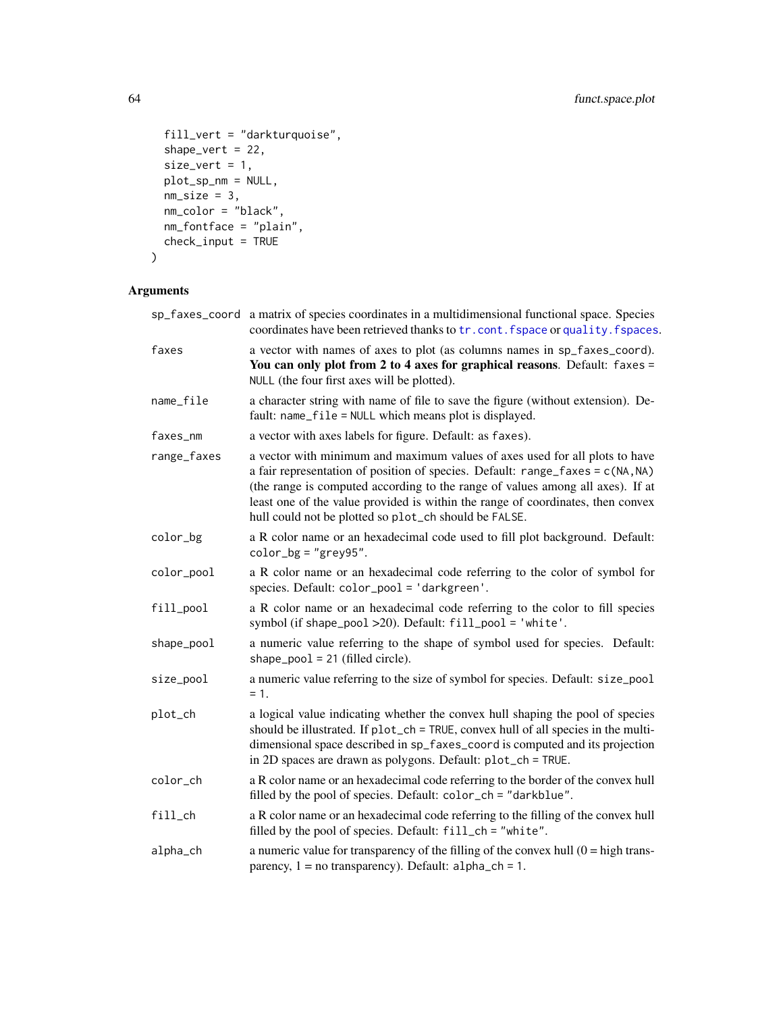```
fill_vert = "darkturquoise",
 shape_vert = 22,
 size\_vert = 1,
 plot_sp_nm = NULL,
 nm\_size = 3,nm_color = "black",
 nm_fontface = "plain",
 check\_input = TRUE\mathcal{L}
```

|             | sp_faxes_coord a matrix of species coordinates in a multidimensional functional space. Species<br>coordinates have been retrieved thanks to tr. cont. fspace or quality. fspaces.                                                                                                                                                                                                             |
|-------------|-----------------------------------------------------------------------------------------------------------------------------------------------------------------------------------------------------------------------------------------------------------------------------------------------------------------------------------------------------------------------------------------------|
| faxes       | a vector with names of axes to plot (as columns names in sp_faxes_coord).<br>You can only plot from 2 to 4 axes for graphical reasons. Default: faxes =<br>NULL (the four first axes will be plotted).                                                                                                                                                                                        |
| name_file   | a character string with name of file to save the figure (without extension). De-<br>fault: name_file = NULL which means plot is displayed.                                                                                                                                                                                                                                                    |
| faxes_nm    | a vector with axes labels for figure. Default: as faxes).                                                                                                                                                                                                                                                                                                                                     |
| range_faxes | a vector with minimum and maximum values of axes used for all plots to have<br>a fair representation of position of species. Default: $range_faxes = c(NA, NA)$<br>(the range is computed according to the range of values among all axes). If at<br>least one of the value provided is within the range of coordinates, then convex<br>hull could not be plotted so plot_ch should be FALSE. |
| color_bg    | a R color name or an hexadecimal code used to fill plot background. Default:<br>$color_bg = "grey95".$                                                                                                                                                                                                                                                                                        |
| color_pool  | a R color name or an hexadecimal code referring to the color of symbol for<br>species. Default: color_pool = 'darkgreen'.                                                                                                                                                                                                                                                                     |
| fill_pool   | a R color name or an hexadecimal code referring to the color to fill species<br>symbol (if shape_pool >20). Default: fill_pool = 'white'.                                                                                                                                                                                                                                                     |
| shape_pool  | a numeric value referring to the shape of symbol used for species. Default:<br>shape_pool = $21$ (filled circle).                                                                                                                                                                                                                                                                             |
| size_pool   | a numeric value referring to the size of symbol for species. Default: size_pool<br>$= 1.$                                                                                                                                                                                                                                                                                                     |
| plot_ch     | a logical value indicating whether the convex hull shaping the pool of species<br>should be illustrated. If plot_ch = TRUE, convex hull of all species in the multi-<br>dimensional space described in sp_faxes_coord is computed and its projection<br>in 2D spaces are drawn as polygons. Default: plot_ch = TRUE.                                                                          |
| color_ch    | a R color name or an hexadecimal code referring to the border of the convex hull<br>filled by the pool of species. Default: color_ch = "darkblue".                                                                                                                                                                                                                                            |
| $fill$ _ch  | a R color name or an hexadecimal code referring to the filling of the convex hull<br>filled by the pool of species. Default: fill_ch = "white".                                                                                                                                                                                                                                               |
| alpha_ch    | a numeric value for transparency of the filling of the convex hull $(0 = high trans-$<br>parency, $1 = no$ transparency). Default: $alpha_c$ h = 1.                                                                                                                                                                                                                                           |
|             |                                                                                                                                                                                                                                                                                                                                                                                               |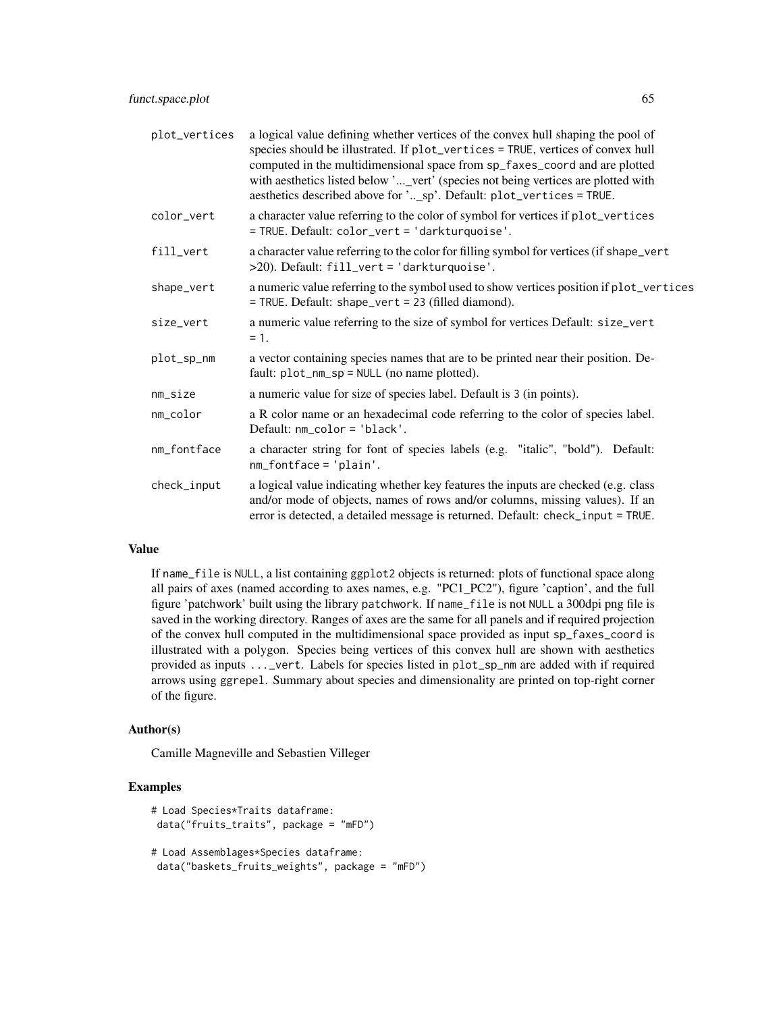| plot_vertices | a logical value defining whether vertices of the convex hull shaping the pool of<br>species should be illustrated. If plot_vertices = TRUE, vertices of convex hull<br>computed in the multidimensional space from sp_faxes_coord and are plotted<br>with aesthetics listed below '_vert' (species not being vertices are plotted with<br>aesthetics described above for '_sp'. Default: plot_vertices = TRUE. |
|---------------|----------------------------------------------------------------------------------------------------------------------------------------------------------------------------------------------------------------------------------------------------------------------------------------------------------------------------------------------------------------------------------------------------------------|
| color_vert    | a character value referring to the color of symbol for vertices if plot_vertices<br>= TRUE. Default: color_vert = 'darkturquoise'.                                                                                                                                                                                                                                                                             |
| fill_vert     | a character value referring to the color for filling symbol for vertices (if shape_vert<br>>20). Default: fill_vert = 'darkturquoise'.                                                                                                                                                                                                                                                                         |
| shape_vert    | a numeric value referring to the symbol used to show vertices position if plot_vertices<br>= TRUE. Default: shape_vert = 23 (filled diamond).                                                                                                                                                                                                                                                                  |
| size_vert     | a numeric value referring to the size of symbol for vertices Default: size_vert<br>$= 1.$                                                                                                                                                                                                                                                                                                                      |
| plot_sp_nm    | a vector containing species names that are to be printed near their position. De-<br>fault: $plot_{mm_sp} = NULL$ (no name plotted).                                                                                                                                                                                                                                                                           |
| $nm\_size$    | a numeric value for size of species label. Default is 3 (in points).                                                                                                                                                                                                                                                                                                                                           |
| nm_color      | a R color name or an hexadecimal code referring to the color of species label.<br>Default: $nm\_color = 'black'$ .                                                                                                                                                                                                                                                                                             |
| nm_fontface   | a character string for font of species labels (e.g. "italic", "bold"). Default:<br>$nm_fontface = 'plain'.$                                                                                                                                                                                                                                                                                                    |
| check_input   | a logical value indicating whether key features the inputs are checked (e.g. class<br>and/or mode of objects, names of rows and/or columns, missing values). If an<br>error is detected, a detailed message is returned. Default: check_input = TRUE.                                                                                                                                                          |

# Value

If name\_file is NULL, a list containing ggplot2 objects is returned: plots of functional space along all pairs of axes (named according to axes names, e.g. "PC1\_PC2"), figure 'caption', and the full figure 'patchwork' built using the library patchwork. If name\_file is not NULL a 300dpi png file is saved in the working directory. Ranges of axes are the same for all panels and if required projection of the convex hull computed in the multidimensional space provided as input sp\_faxes\_coord is illustrated with a polygon. Species being vertices of this convex hull are shown with aesthetics provided as inputs ...\_vert. Labels for species listed in plot\_sp\_nm are added with if required arrows using ggrepel. Summary about species and dimensionality are printed on top-right corner of the figure.

### Author(s)

Camille Magneville and Sebastien Villeger

```
# Load Species*Traits dataframe:
data("fruits_traits", package = "mFD")
# Load Assemblages*Species dataframe:
data("baskets_fruits_weights", package = "mFD")
```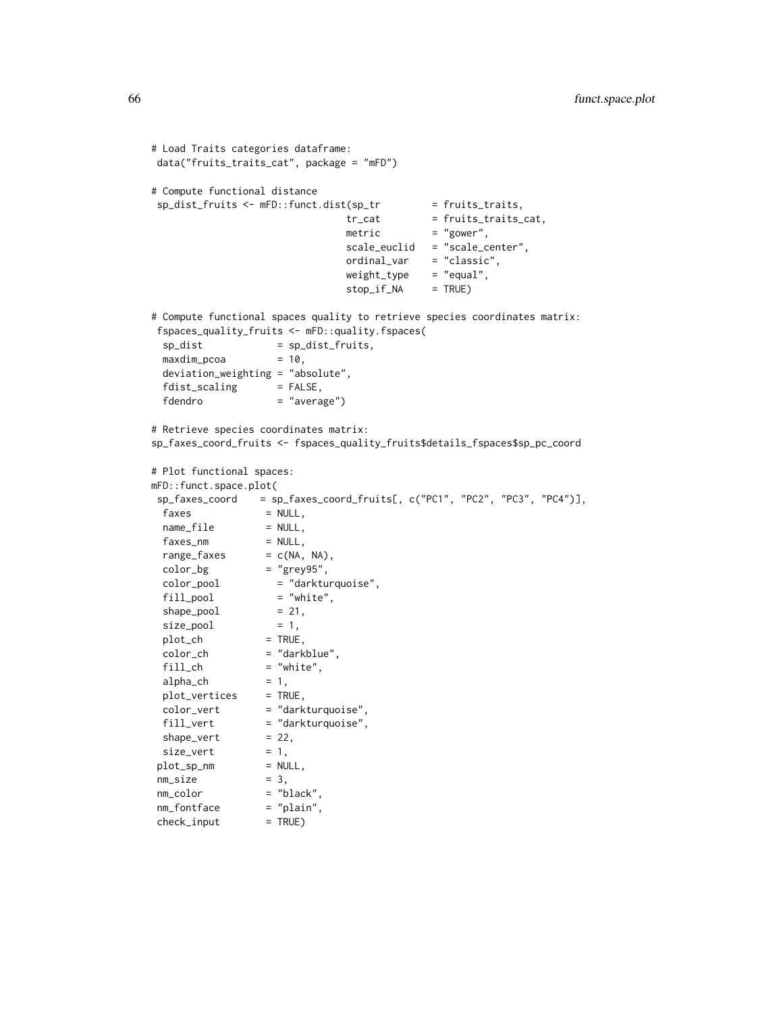```
# Load Traits categories dataframe:
data("fruits_traits_cat", package = "mFD")
# Compute functional distance
sp\_dist\_fruits \leftarrow mFD::funct.dist(sp\_tr = fruits\_trails,tr\_cat = fruits_traits_cat,
                             metric = "gower",
                             scale_euclid = "scale_center",
                             ordinal_var = "classic",
                             weight_type = "equal",
                             stop_if_NA = TRUE)
# Compute functional spaces quality to retrieve species coordinates matrix:
fspaces_quality_fruits <- mFD::quality.fspaces(
 sp\_dist = sp\_dist\_fruits,
 maxdim\_pcoa = 10,
 deviation_weighting = "absolute",
 fdist\_scaling = FALSE,
 fdendro = "average")
# Retrieve species coordinates matrix:
sp_faxes_coord_fruits <- fspaces_quality_fruits$details_fspaces$sp_pc_coord
# Plot functional spaces:
mFD::funct.space.plot(
sp_faxes_coord = sp_faxes_coord_fruits[, c("PC1", "PC2", "PC3", "PC4")],
 faxes = NULL,name_file = NULL,
 faxes_m = NULL,range_faxes = c(NA, NA),color_bg = "grey95",color_pool = "darkturquoise",
 fill_pool = "white",
 shape\_pool = 21,
 size\_pool = 1,
 plot_{ch} = TRUE,
 color_ch = "darkblue",
 fill\_ch = "white",<br>alpha_ch = 1,
 alpha_ch = 1,
 plot_vertices = TRUE,
 color_vert = "darkturquoise",
 fill_vert = "darkturquoise",
 shape\_vert = 22,
 size\_vert = 1,
plot_sp_m = NULL,nm\_size = 3,
nm_color = "black",
nm_fontface = "plain",
check\_input = TRUE)
```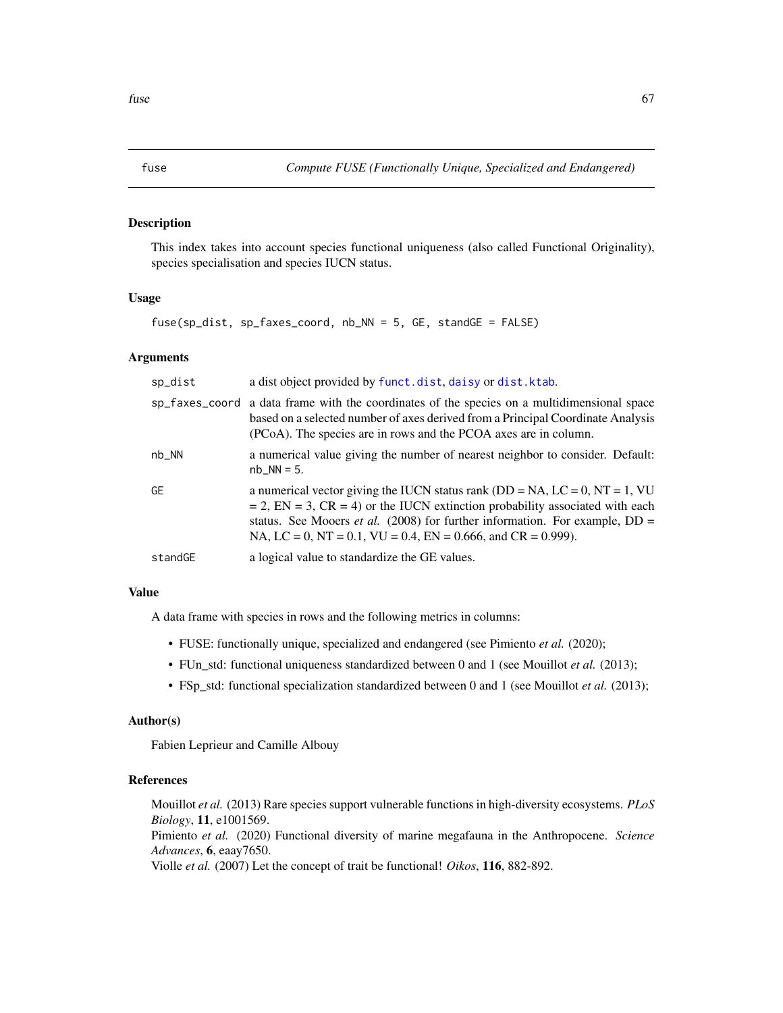# Description

This index takes into account species functional uniqueness (also called Functional Originality), species specialisation and species IUCN status.

## Usage

fuse(sp\_dist, sp\_faxes\_coord, nb\_NN = 5, GE, standGE = FALSE)

## Arguments

| sp_dist   | a dist object provided by funct.dist, daisy or dist.ktab.                                                                                                                                                                                                                                                                          |
|-----------|------------------------------------------------------------------------------------------------------------------------------------------------------------------------------------------------------------------------------------------------------------------------------------------------------------------------------------|
|           | sp_faxes_coord a data frame with the coordinates of the species on a multidimensional space<br>based on a selected number of axes derived from a Principal Coordinate Analysis<br>(PCoA). The species are in rows and the PCOA axes are in column.                                                                                 |
| $nb_N$    | a numerical value giving the number of nearest neighbor to consider. Default:<br>$nb_NN = 5.$                                                                                                                                                                                                                                      |
| <b>GE</b> | a numerical vector giving the IUCN status rank ( $DD = NA$ , $LC = 0$ , $NT = 1$ , $VU$<br>$= 2$ , EN = 3, CR = 4) or the IUCN extinction probability associated with each<br>status. See Mooers <i>et al.</i> (2008) for further information. For example, $DD =$<br>NA, LC = 0, NT = 0.1, VU = 0.4, EN = 0.666, and CR = 0.999). |
| standGE   | a logical value to standardize the GE values.                                                                                                                                                                                                                                                                                      |

# Value

A data frame with species in rows and the following metrics in columns:

- FUSE: functionally unique, specialized and endangered (see Pimiento *et al.* (2020);
- FUn\_std: functional uniqueness standardized between 0 and 1 (see Mouillot *et al.* (2013);
- FSp\_std: functional specialization standardized between 0 and 1 (see Mouillot *et al.* (2013);

## Author(s)

Fabien Leprieur and Camille Albouy

# References

Mouillot *et al.* (2013) Rare species support vulnerable functions in high-diversity ecosystems. *PLoS Biology*, 11, e1001569.

Pimiento *et al.* (2020) Functional diversity of marine megafauna in the Anthropocene. *Science Advances*, 6, eaay7650.

Violle *et al.* (2007) Let the concept of trait be functional! *Oikos*, 116, 882-892.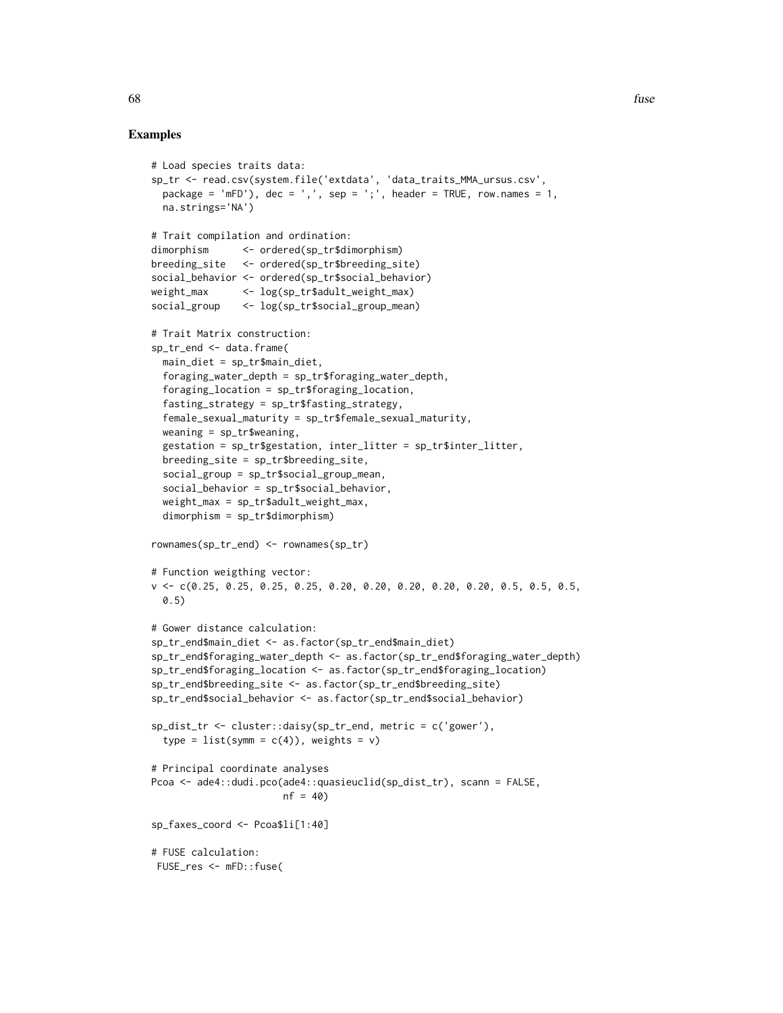```
# Load species traits data:
sp_tr <- read.csv(system.file('extdata', 'data_traits_MMA_ursus.csv',
 package = 'mFD'), dec = ',', sep = ';', header = TRUE, row.names = 1,
 na.strings='NA')
# Trait compilation and ordination:
dimorphism <- ordered(sp_tr$dimorphism)
breeding_site <- ordered(sp_tr$breeding_site)
social_behavior <- ordered(sp_tr$social_behavior)
weight_max <- log(sp_tr$adult_weight_max)
social_group <- log(sp_tr$social_group_mean)
# Trait Matrix construction:
sp_tr_end <- data.frame(
 main_diet = sp_tr$main_diet,
 foraging_water_depth = sp_tr$foraging_water_depth,
 foraging_location = sp_tr$foraging_location,
 fasting_strategy = sp_tr$fasting_strategy,
 female_sexual_maturity = sp_tr$female_sexual_maturity,
 weaning = sp_tr$weaning,
 gestation = sp_tr$gestation, inter_litter = sp_tr$inter_litter,
 breeding_site = sp_tr$breeding_site,
 social_group = sp_tr$social_group_mean,
 social_behavior = sp_tr$social_behavior,
 weight_max = sp_tr$adult_weight_max,
 dimorphism = sp_tr$dimorphism)
rownames(sp_tr_end) <- rownames(sp_tr)
# Function weigthing vector:
v \leq -c(0.25, 0.25, 0.25, 0.25, 0.20, 0.20, 0.20, 0.20, 0.20, 0.5, 0.5, 0.5, 0.5)0.5)
# Gower distance calculation:
sp_tr_end$main_diet <- as.factor(sp_tr_end$main_diet)
sp_tr_end$foraging_water_depth <- as.factor(sp_tr_end$foraging_water_depth)
sp_tr_end$foraging_location <- as.factor(sp_tr_end$foraging_location)
sp_tr_end$breeding_site <- as.factor(sp_tr_end$breeding_site)
sp_tr_end$social_behavior <- as.factor(sp_tr_end$social_behavior)
sp_dist_tr <- cluster::daisy(sp_tr_end, metric = c('gower'),
 type = list(symm = c(4)), weights = v)
# Principal coordinate analyses
Pcoa <- ade4::dudi.pco(ade4::quasieuclid(sp_dist_tr), scann = FALSE,
                      nf = 40sp_faxes_coord <- Pcoa$li[1:40]
# FUSE calculation:
FUSE_res <- mFD::fuse(
```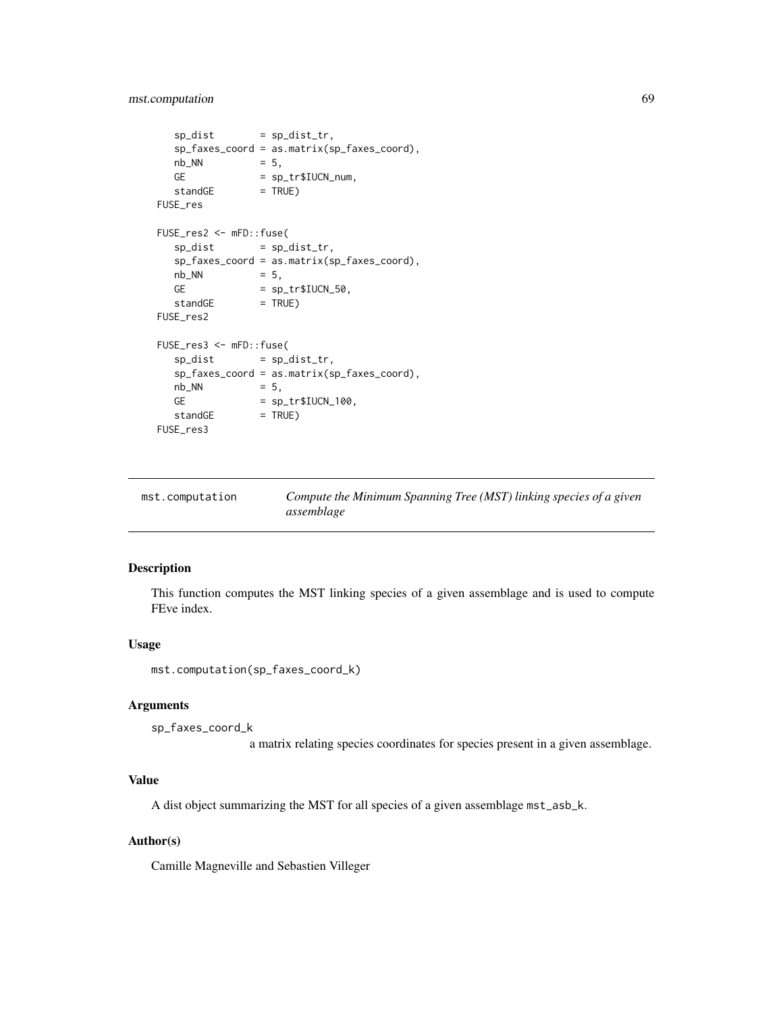# mst.computation 69

```
sp\_dist = sp\_dist\_tr,
   sp_faxes_coord = as.matrix(sp_faxes_coord),
   nb_NN = 5,
   GE = sp_tr$IUCN_number\begin{array}{rcl} \n\text{standard} & = & \text{Sp\_c1} \\ \n\text{standard} & = & \text{TRUE} \n\end{array}FUSE_res
FUSE_res2 <- mFD::fuse(
   sp\_dist = sp\_dist\_tr,
   sp_faxes_coord = as.matrix(sp_faxes_coord),
   nb_NN = 5,GE = sp\_tr$IUCN_50,
   standGE = TRUE)FUSE_res2
FUSE_res3 <- mFD::fuse(
   sp\_dist = sp\_dist\_tr,
   sp_faxes_coord = as.matrix(sp_faxes_coord),
   nb_NN = 5,
   GE = sp\_tr$IUCN_100,\begin{array}{rcl} \n\text{st} & = & \text{sp\_et} \\ \n\text{standGE} & = & \text{TRUE} \n\end{array}FUSE_res3
```

| mst.computation | Compute the Minimum Spanning Tree (MST) linking species of a given |
|-----------------|--------------------------------------------------------------------|
|                 | assemblage                                                         |

# Description

This function computes the MST linking species of a given assemblage and is used to compute FEve index.

### Usage

mst.computation(sp\_faxes\_coord\_k)

# Arguments

```
sp_faxes_coord_k
```
a matrix relating species coordinates for species present in a given assemblage.

## Value

A dist object summarizing the MST for all species of a given assemblage mst\_asb\_k.

## Author(s)

Camille Magneville and Sebastien Villeger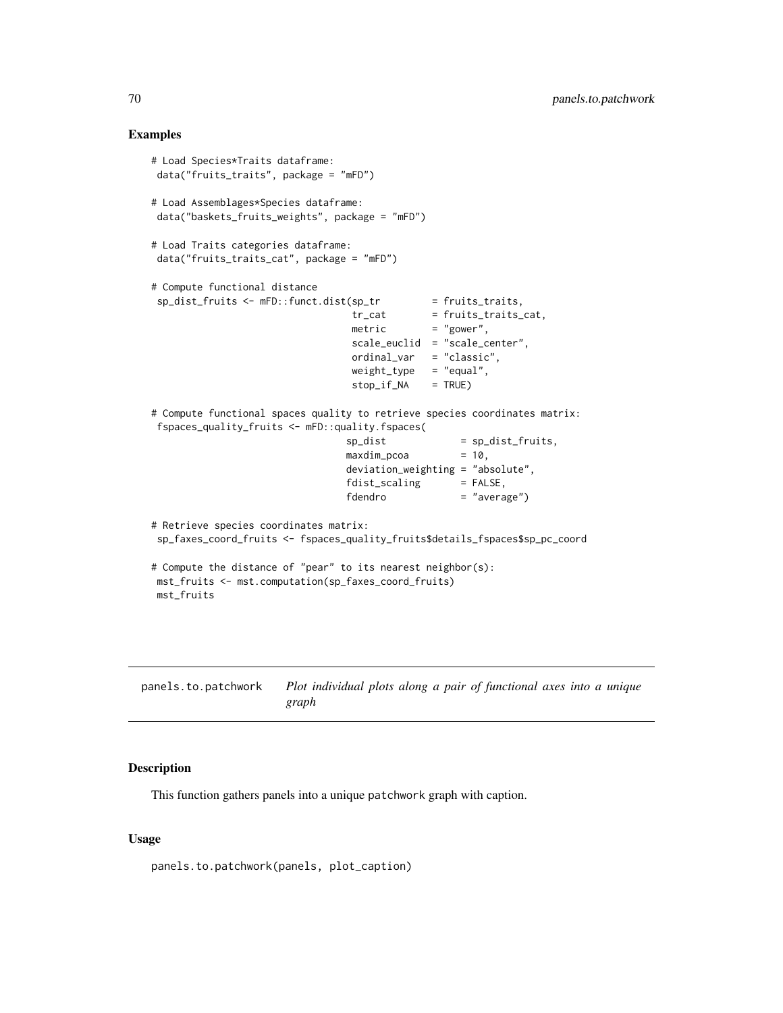## Examples

```
# Load Species*Traits dataframe:
data("fruits_traits", package = "mFD")
# Load Assemblages*Species dataframe:
data("baskets_fruits_weights", package = "mFD")
# Load Traits categories dataframe:
data("fruits_traits_cat", package = "mFD")
# Compute functional distance
 sp_dist_fruits <- mFD::funct.dist(sp_tr = fruits_traits,
                                 tr\_cat = fruits_traits_cat,
                                 metric = "gower",
                                 scale_euclid = "scale_center",
                                 ordinal_var = "classic",
                                 weight_type = "equal",
                                 stop_if_NA = TRUE)
# Compute functional spaces quality to retrieve species coordinates matrix:
fspaces_quality_fruits <- mFD::quality.fspaces(
                                sp\_dist = sp\_dist\_fruits,
                                maxdim_pcoa = 10,
                                deviation_weighting = "absolute",
                                fdist_scaling = FALSE,
                                fdendro = "average")
# Retrieve species coordinates matrix:
sp_faxes_coord_fruits <- fspaces_quality_fruits$details_fspaces$sp_pc_coord
# Compute the distance of "pear" to its nearest neighbor(s):
mst_fruits <- mst.computation(sp_faxes_coord_fruits)
mst_fruits
```

| panels.to.patchwork | Plot individual plots along a pair of functional axes into a unique |  |  |  |
|---------------------|---------------------------------------------------------------------|--|--|--|
|                     | graph                                                               |  |  |  |

# Description

This function gathers panels into a unique patchwork graph with caption.

### Usage

panels.to.patchwork(panels, plot\_caption)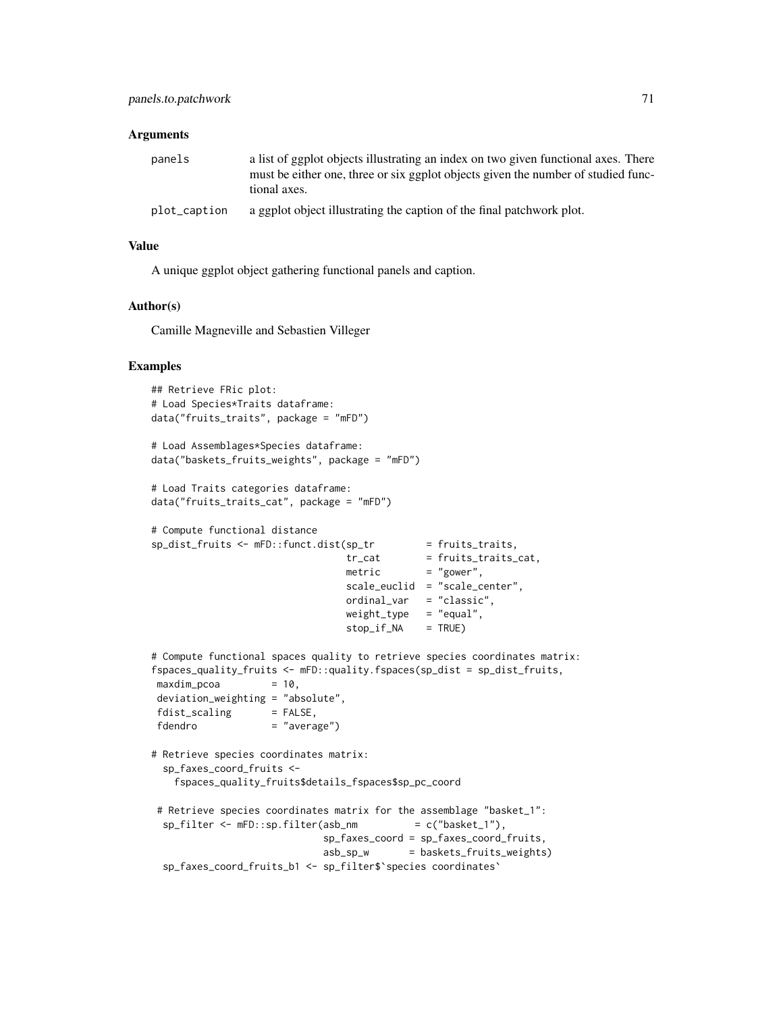### Arguments

| panels       | a list of ggplot objects illustrating an index on two given functional axes. There<br>must be either one, three or six ggplot objects given the number of studied func-<br>tional axes. |
|--------------|-----------------------------------------------------------------------------------------------------------------------------------------------------------------------------------------|
| plot_caption | a ggplot object illustrating the caption of the final patchwork plot.                                                                                                                   |

#### Value

A unique ggplot object gathering functional panels and caption.

#### Author(s)

Camille Magneville and Sebastien Villeger

```
## Retrieve FRic plot:
# Load Species*Traits dataframe:
data("fruits_traits", package = "mFD")
# Load Assemblages*Species dataframe:
data("baskets_fruits_weights", package = "mFD")
# Load Traits categories dataframe:
data("fruits_traits_cat", package = "mFD")
# Compute functional distance
sp_dist_fruits <- mFD::funct.dist(sp_tr = fruits_traits,
                                tr_cat = fruits_traits_cat,
                                \text{metric} = "gower",
                                scale_euclid = "scale_center",
                                ordinal_var = "classic",
                                weight_type = "equal",stop_if_NA = TRUE)
# Compute functional spaces quality to retrieve species coordinates matrix:
fspaces_quality_fruits <- mFD::quality.fspaces(sp_dist = sp_dist_fruits,
maxdim\_pcoa = 10,
deviation_weighting = "absolute",
fdist\_scaling = FALSE,
fdendro = "average")
# Retrieve species coordinates matrix:
 sp_faxes_coord_fruits <-
   fspaces_quality_fruits$details_fspaces$sp_pc_coord
# Retrieve species coordinates matrix for the assemblage "basket_1":
 sp_f\ilter <- mFD::sp.filter(asb_nm = c("basket_1"),
                            sp_faxes_coord = sp_faxes_coord_fruits,
                            asb_sp_w = baskets_fruits_weights)
 sp_faxes_coord_fruits_b1 <- sp_filter$`species coordinates`
```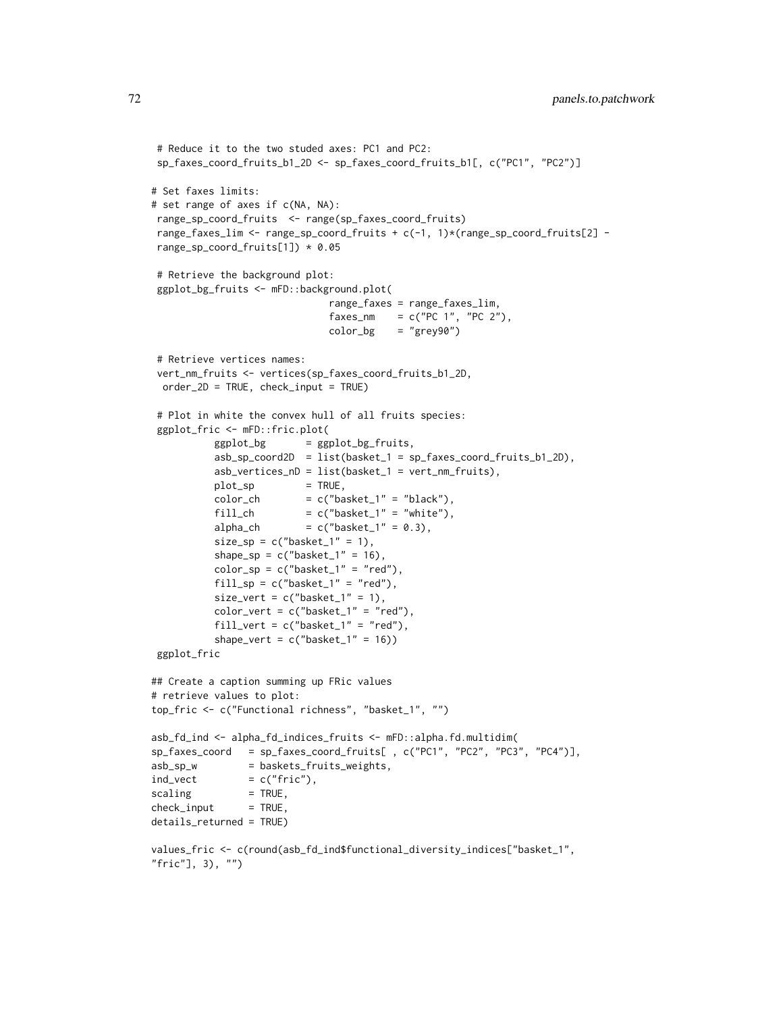```
# Reduce it to the two studed axes: PC1 and PC2:
sp_faxes_coord_fruits_b1_2D <- sp_faxes_coord_fruits_b1[, c("PC1", "PC2")]
# Set faxes limits:
# set range of axes if c(NA, NA):
range_sp_coord_fruits <- range(sp_faxes_coord_fruits)
range_faxes_lim <- range_sp_coord_fruits + c(-1, 1)*(range_sp_coord_fruits[2] -
range_sp_coord_fruits[1]) * 0.05
# Retrieve the background plot:
ggplot_bg_fruits <- mFD::background.plot(
                              range_faxes = range_faxes_lim,
                              faxes_nm = c("PC 1", "PC 2"),color_bg = "grey90")# Retrieve vertices names:
vert_nm_fruits <- vertices(sp_faxes_coord_fruits_b1_2D,
 order_2D = TRUE, check_input = TRUE)
# Plot in white the convex hull of all fruits species:
ggplot_fric <- mFD::fric.plot(
          ggplot_bg = ggplot_bg_fruits,
          asb_sp_coord2D = list(basket_1 = sp_faxes_coord_fruits_b1_2D),
          asb_vertices_nD = list(basket_1 = vert_nm_fruits),
          plot_sp = TRUE,
          color\_ch = c("basket_1" = "black"),
          fill_ch = c("basket_1" = "white"),
          alpha_ch = c("basket_1" = 0.3),
          size_sp = c("basket_1" = 1),shape_sp = c("basket_1" = 16),
          color_sp = c("basket_1" = "red"),
          fill_sp = c("basket_1" = "red"),
          size_vert = c("basket_1" = 1),
          color_vert = c("basket_1" = "red"),
          fill_vert = c("basket_1" = "red"),
          shape_vert = c("basket_1" = 16))
ggplot_fric
## Create a caption summing up FRic values
# retrieve values to plot:
top_fric <- c("Functional richness", "basket_1", "")
asb_fd_ind <- alpha_fd_indices_fruits <- mFD::alpha.fd.multidim(
sp_faxes_coord = sp_faxes_coord_fruits[ , c("PC1", "PC2", "PC3", "PC4")],
asb_sp_w = baskets_fruits_weights,
ind\_vect = c("fric"),scaling = TRUE,check\_input = TRUE,
details_returned = TRUE)
values_fric <- c(round(asb_fd_ind$functional_diversity_indices["basket_1",
"fric"], 3), "")
```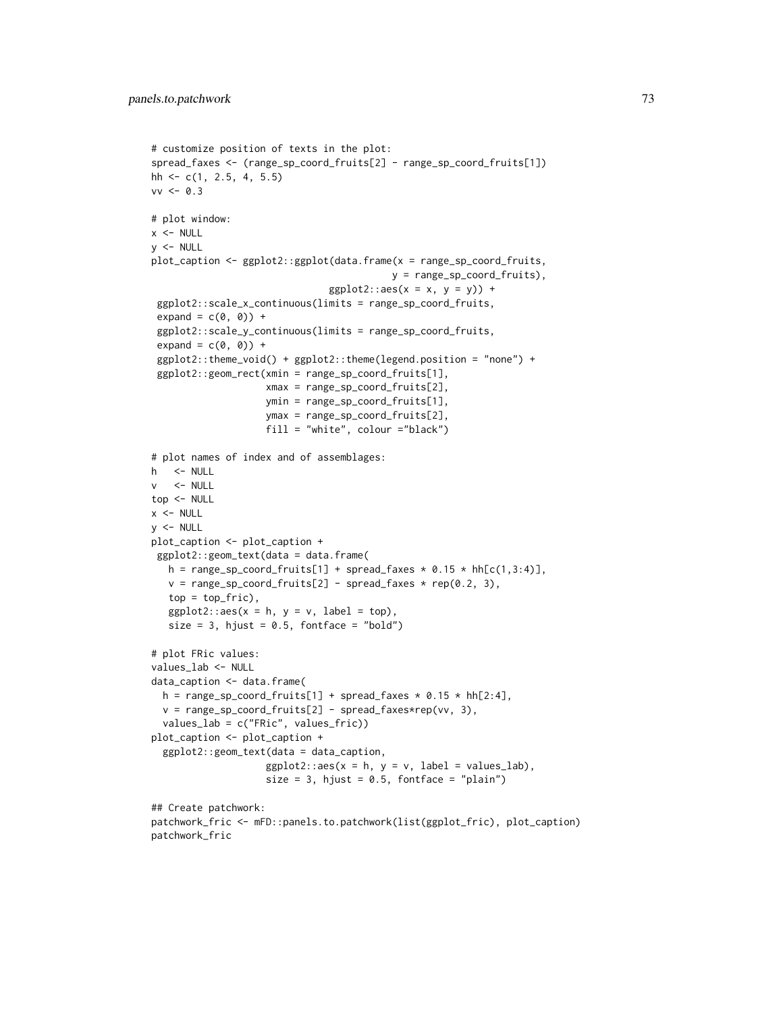```
# customize position of texts in the plot:
spread_faxes <- (range_sp_coord_fruits[2] - range_sp_coord_fruits[1])
hh \leq c(1, 2.5, 4, 5.5)
vv < -0.3# plot window:
x < - NULL
y < - NULL
plot_caption <- ggplot2::ggplot(data.frame(x = range_sp_coord_fruits,
                                           y = range_sp_coord_fruits),
                                ggplot2::aes(x = x, y = y)) +ggplot2::scale_x_continuous(limits = range_sp_coord_fruits,
 expand = c(\emptyset, \emptyset) +
 ggplot2::scale_y_continuous(limits = range_sp_coord_fruits,
 expand = c(\emptyset, \emptyset) +
 ggplot2::theme_void() + ggplot2::theme(legend.position = "none") +
 ggplot2::geom_rect(xmin = range_sp_coord_fruits[1],
                    xmax = range_sp_coord_fruits[2],
                    ymin = range_sp_coord_fruits[1],
                    ymax = range_sp_coord_fruits[2],
                    fill = "white", colour ="black")
# plot names of index and of assemblages:
h <- NULL
v <- NULL
top <- NULL
x < - NULL
y <- NULL
plot_caption <- plot_caption +
 ggplot2::geom_text(data = data.frame(
  h = range_sp\_coord\_fruits[1] + spread\_faxes * 0.15 * hh[c(1,3:4)],v = range_sp\_coord\_fruits[2] - spread\_faxes * rep(0.2, 3),top = top\_fric),
   ggplot2::aes(x = h, y = v, label = top),size = 3, hjust = 0.5, fontface = "bold")
# plot FRic values:
values_lab <- NULL
data_caption <- data.frame(
  h = range_sp\_coord\_fruits[1] + spread\_faxes * 0.15 * hh[2:4],v = range_sp_coord_fruits[2] - spread_faxes*rep(vv, 3),
  values_lab = c("FRic", values_fric))
plot_caption <- plot_caption +
  ggplot2::geom_text(data = data_caption,
                    ggplot2::aes(x = h, y = v, label = values\_lab),size = 3, hjust = 0.5, fontface = "plain")
## Create patchwork:
patchwork_fric <- mFD::panels.to.patchwork(list(ggplot_fric), plot_caption)
patchwork_fric
```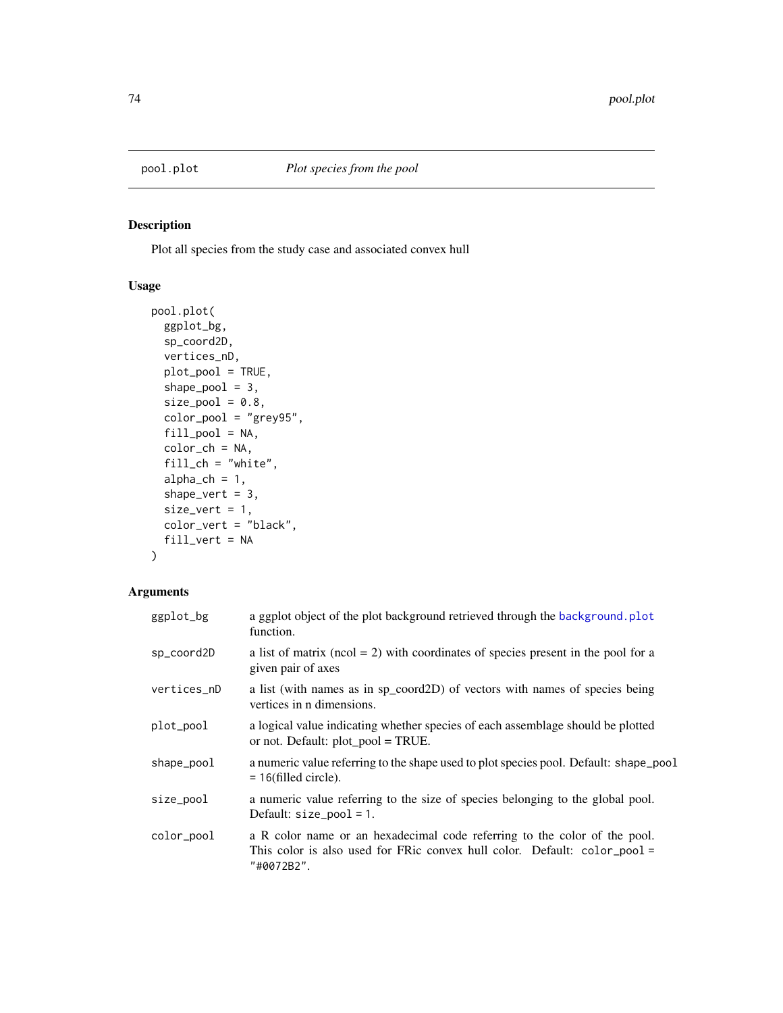<span id="page-73-0"></span>

# Description

Plot all species from the study case and associated convex hull

## Usage

```
pool.plot(
  ggplot_bg,
  sp_coord2D,
  vertices_nD,
 plot_pool = TRUE,
  shape_pool = 3,
  size\_pool = 0.8,
  color_pool = "grey95",
 fill_pool = NA,
  color_ch = NA,
  fill\_ch = "white",alpha_ch = 1,shape_vert = 3,
  size\_vert = 1,
 color_vert = "black",
  fill_vert = NA
)
```
# Arguments

| ggplot_bg   | a ggplot object of the plot background retrieved through the background. plot<br>function.                                                                           |
|-------------|----------------------------------------------------------------------------------------------------------------------------------------------------------------------|
| sp_coord2D  | a list of matrix ( $ncol = 2$ ) with coordinates of species present in the pool for a<br>given pair of axes                                                          |
| vertices_nD | a list (with names as in sp_coord2D) of vectors with names of species being<br>vertices in n dimensions.                                                             |
| plot_pool   | a logical value indicating whether species of each assemblage should be plotted<br>or not. Default: $plot\_pool = TRUE$ .                                            |
| shape_pool  | a numeric value referring to the shape used to plot species pool. Default: shape_pool<br>$= 16$ (filled circle).                                                     |
| size_pool   | a numeric value referring to the size of species belonging to the global pool.<br>Default: $size\_pool = 1$ .                                                        |
| color_pool  | a R color name or an hexadecimal code referring to the color of the pool.<br>This color is also used for FRic convex hull color. Default: color_pool =<br>"#0072B2". |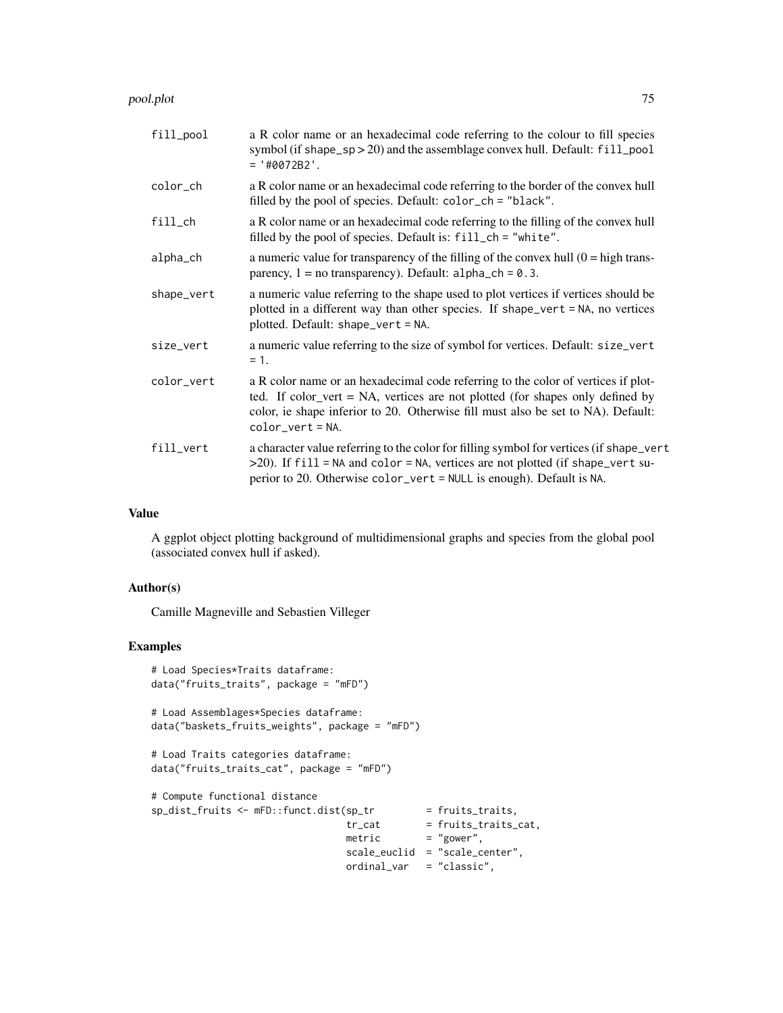#### pool.plot 75

| fill_pool  | a R color name or an hexadecimal code referring to the colour to fill species<br>symbol (if shape_sp > 20) and the assemblage convex hull. Default: fill_pool<br>$= '#0072B2'.$                                                                                               |
|------------|-------------------------------------------------------------------------------------------------------------------------------------------------------------------------------------------------------------------------------------------------------------------------------|
| color_ch   | a R color name or an hexadecimal code referring to the border of the convex hull<br>filled by the pool of species. Default: color_ch = "black".                                                                                                                               |
| $fill$ _ch | a R color name or an hexadecimal code referring to the filling of the convex hull<br>filled by the pool of species. Default is: fill_ch = "white".                                                                                                                            |
| alpha_ch   | a numeric value for transparency of the filling of the convex hull $(0 = high trans-$<br>parency, $1 = no$ transparency). Default: $alpha_c$ ch = 0.3.                                                                                                                        |
| shape_vert | a numeric value referring to the shape used to plot vertices if vertices should be<br>plotted in a different way than other species. If shape_vert = NA, no vertices<br>plotted. Default: shape_vert = NA.                                                                    |
| size_vert  | a numeric value referring to the size of symbol for vertices. Default: size_vert<br>$= 1.$                                                                                                                                                                                    |
| color_vert | a R color name or an hexadecimal code referring to the color of vertices if plot-<br>ted. If color_vert = NA, vertices are not plotted (for shapes only defined by<br>color, ie shape inferior to 20. Otherwise fill must also be set to NA). Default:<br>$color\_vert = NA.$ |
| fill_vert  | a character value referring to the color for filling symbol for vertices (if shape_vert<br>>20). If fill = NA and color = NA, vertices are not plotted (if shape_vert su-<br>perior to 20. Otherwise color_vert = NULL is enough). Default is NA.                             |

# Value

A ggplot object plotting background of multidimensional graphs and species from the global pool (associated convex hull if asked).

## Author(s)

Camille Magneville and Sebastien Villeger

```
# Load Species*Traits dataframe:
data("fruits_traits", package = "mFD")
# Load Assemblages*Species dataframe:
data("baskets_fruits_weights", package = "mFD")
# Load Traits categories dataframe:
data("fruits_traits_cat", package = "mFD")
# Compute functional distance
sp_dist_fruits <- mFD::funct.dist(sp_tr
                                 tr_{cat} = fruits_traits_cat,
                                 metric = "gower",
                                scale_euclid = "scale_center",
                                ordinal_var = "classic",
```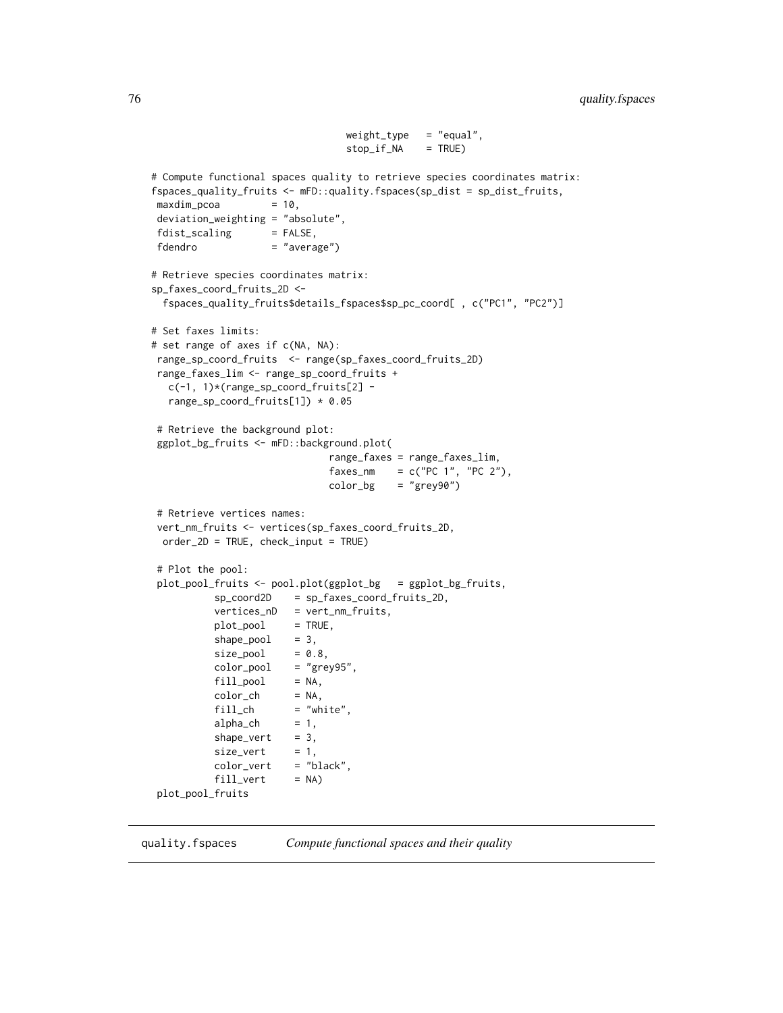```
weight_type = "equal",stop_if_NA = TRUE)
# Compute functional spaces quality to retrieve species coordinates matrix:
fspaces_quality_fruits <- mFD::quality.fspaces(sp_dist = sp_dist_fruits,
maxdim_pcoa = 10,
deviation_weighting = "absolute",
fdist_scaling = FALSE,
fdendro = "average")
# Retrieve species coordinates matrix:
sp_faxes_coord_fruits_2D <-
 fspaces_quality_fruits$details_fspaces$sp_pc_coord[ , c("PC1", "PC2")]
# Set faxes limits:
# set range of axes if c(NA, NA):
range_sp_coord_fruits <- range(sp_faxes_coord_fruits_2D)
range_faxes_lim <- range_sp_coord_fruits +
  c(-1, 1)*(range_sp_coord_fruits[2] -
  range_sp_coord_fruits[1]) * 0.05
# Retrieve the background plot:
ggplot_bg_fruits <- mFD::background.plot(
                              range_faxes = range_faxes_lim,
                              faxes_nm = c("PC 1", "PC 2"),color_bg = "grey90")# Retrieve vertices names:
vert_nm_fruits <- vertices(sp_faxes_coord_fruits_2D,
 order_2D = TRUE, check_input = TRUE)
# Plot the pool:
plot_pool_fruits <- pool.plot(ggplot_bg = ggplot_bg_fruits,
          sp_coord2D = sp_faxes_coord_fruits_2D,
          vertices_nD = vert_nm_fruits,
          plot_pool = TRUE,
          shape\_pool = 3,
          size\_pool = 0.8,
          color\_pool = "grey95",
          fill\_pool = NA,
          color\_ch = NA,
          fill\_ch = "white",<br>alpha_ch = 1,
          alpha_ch
          shape_vert = 3,
          size\_vert = 1,
          color_vert = "black",
          fill\_vert = NA)
plot_pool_fruits
```
<span id="page-75-0"></span>quality.fspaces *Compute functional spaces and their quality*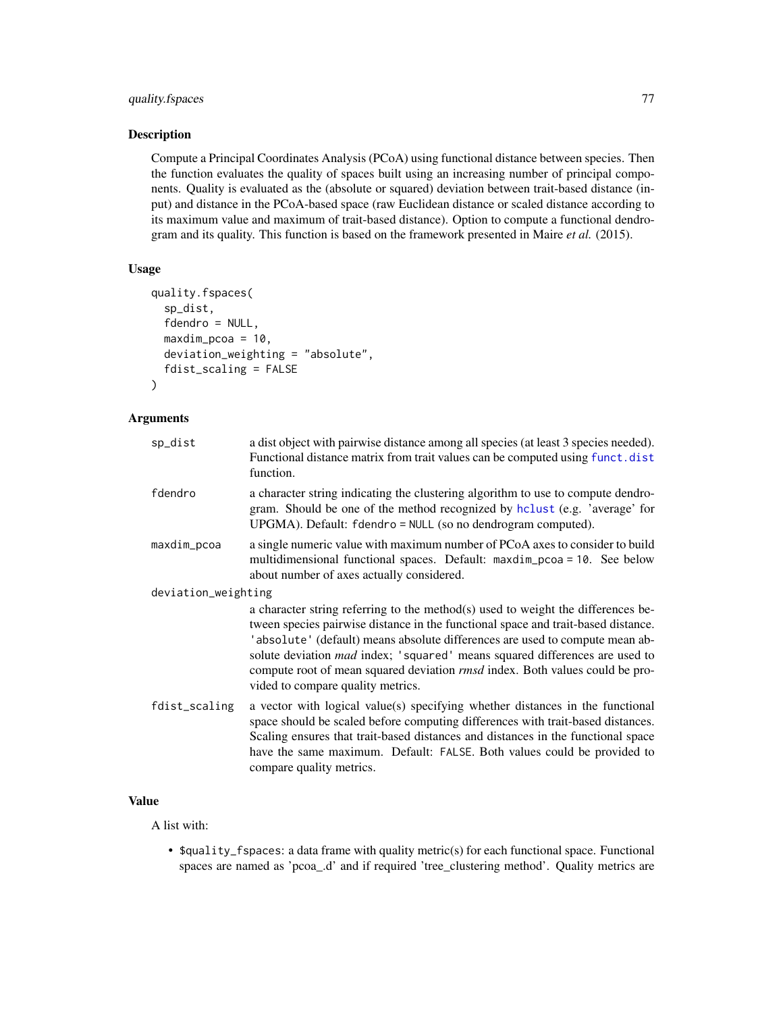# <span id="page-76-0"></span>quality.fspaces 77

# Description

Compute a Principal Coordinates Analysis (PCoA) using functional distance between species. Then the function evaluates the quality of spaces built using an increasing number of principal components. Quality is evaluated as the (absolute or squared) deviation between trait-based distance (input) and distance in the PCoA-based space (raw Euclidean distance or scaled distance according to its maximum value and maximum of trait-based distance). Option to compute a functional dendrogram and its quality. This function is based on the framework presented in Maire *et al.* (2015).

## Usage

```
quality.fspaces(
  sp_dist,
  fdendro = NULL,
 maxdim_pcoa = 10,
 deviation_weighting = "absolute",
  fdist_scaling = FALSE
)
```
# Arguments

| a dist object with pairwise distance among all species (at least 3 species needed).<br>Functional distance matrix from trait values can be computed using funct.dist<br>function.                                                                                                                                                                                                                                                                                       |
|-------------------------------------------------------------------------------------------------------------------------------------------------------------------------------------------------------------------------------------------------------------------------------------------------------------------------------------------------------------------------------------------------------------------------------------------------------------------------|
| a character string indicating the clustering algorithm to use to compute dendro-<br>gram. Should be one of the method recognized by hclust (e.g. 'average' for<br>UPGMA). Default: fdendro = NULL (so no dendrogram computed).                                                                                                                                                                                                                                          |
| a single numeric value with maximum number of PCoA axes to consider to build<br>multidimensional functional spaces. Default: maxdim_pcoa = 10. See below<br>about number of axes actually considered.                                                                                                                                                                                                                                                                   |
| deviation_weighting                                                                                                                                                                                                                                                                                                                                                                                                                                                     |
| a character string referring to the method(s) used to weight the differences be-<br>tween species pairwise distance in the functional space and trait-based distance.<br>'absolute' (default) means absolute differences are used to compute mean ab-<br>solute deviation <i>mad</i> index; 'squared' means squared differences are used to<br>compute root of mean squared deviation <i>rmsd</i> index. Both values could be pro-<br>vided to compare quality metrics. |
| a vector with logical value(s) specifying whether distances in the functional<br>space should be scaled before computing differences with trait-based distances.<br>Scaling ensures that trait-based distances and distances in the functional space<br>have the same maximum. Default: FALSE. Both values could be provided to<br>compare quality metrics.                                                                                                             |
|                                                                                                                                                                                                                                                                                                                                                                                                                                                                         |

# Value

A list with:

• \$quality\_fspaces: a data frame with quality metric(s) for each functional space. Functional spaces are named as 'pcoa\_.d' and if required 'tree\_clustering method'. Quality metrics are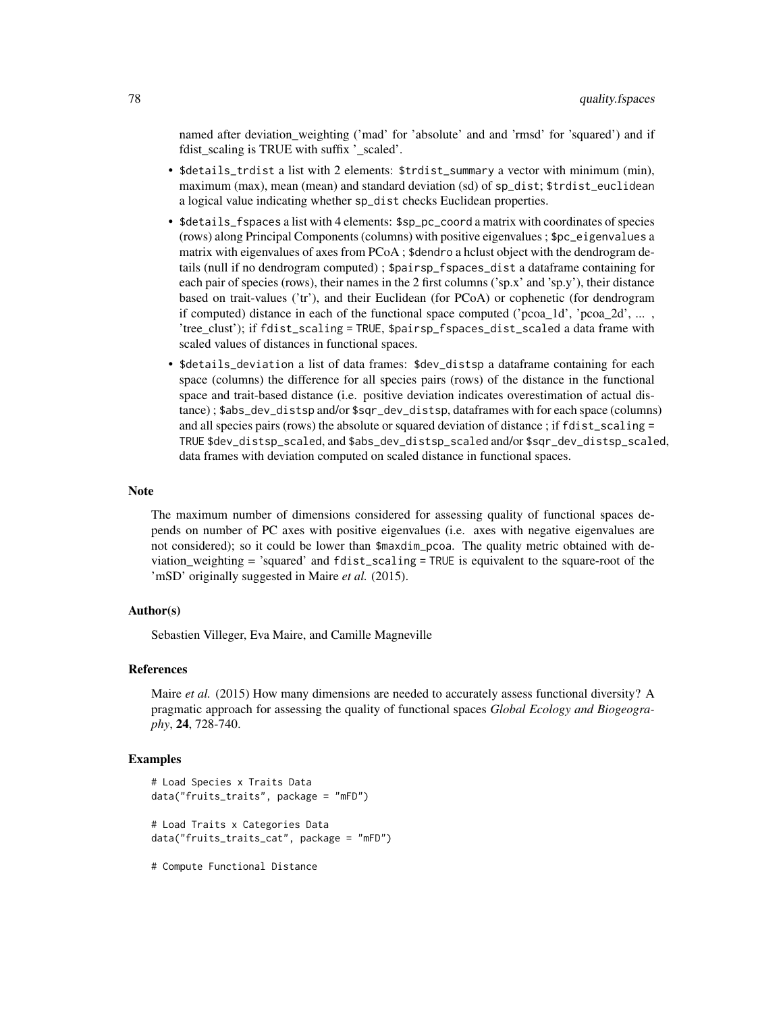named after deviation\_weighting ('mad' for 'absolute' and and 'rmsd' for 'squared') and if fdist scaling is TRUE with suffix 'scaled'.

- \$details\_trdist a list with 2 elements: \$trdist\_summary a vector with minimum (min), maximum (max), mean (mean) and standard deviation (sd) of sp\_dist; \$trdist\_euclidean a logical value indicating whether sp\_dist checks Euclidean properties.
- \$details\_fspaces a list with 4 elements: \$sp\_pc\_coord a matrix with coordinates of species (rows) along Principal Components (columns) with positive eigenvalues ; \$pc\_eigenvalues a matrix with eigenvalues of axes from PCoA ; \$dendro a hclust object with the dendrogram details (null if no dendrogram computed) ; \$pairsp\_fspaces\_dist a dataframe containing for each pair of species (rows), their names in the 2 first columns ('sp.x' and 'sp.y'), their distance based on trait-values ('tr'), and their Euclidean (for PCoA) or cophenetic (for dendrogram if computed) distance in each of the functional space computed ('pcoa  $1d'$ , 'pcoa  $2d'$ , ... , 'tree\_clust'); if fdist\_scaling = TRUE, \$pairsp\_fspaces\_dist\_scaled a data frame with scaled values of distances in functional spaces.
- \$details\_deviation a list of data frames: \$dev\_distsp a dataframe containing for each space (columns) the difference for all species pairs (rows) of the distance in the functional space and trait-based distance (i.e. positive deviation indicates overestimation of actual distance) ; \$abs\_dev\_distsp and/or \$sqr\_dev\_distsp, dataframes with for each space (columns) and all species pairs (rows) the absolute or squared deviation of distance; if fdist\_scaling = TRUE \$dev\_distsp\_scaled, and \$abs\_dev\_distsp\_scaled and/or \$sqr\_dev\_distsp\_scaled, data frames with deviation computed on scaled distance in functional spaces.

#### **Note**

The maximum number of dimensions considered for assessing quality of functional spaces depends on number of PC axes with positive eigenvalues (i.e. axes with negative eigenvalues are not considered); so it could be lower than \$maxdim\_pcoa. The quality metric obtained with deviation\_weighting = 'squared' and fdist\_scaling = TRUE is equivalent to the square-root of the 'mSD' originally suggested in Maire *et al.* (2015).

## Author(s)

Sebastien Villeger, Eva Maire, and Camille Magneville

#### References

Maire *et al.* (2015) How many dimensions are needed to accurately assess functional diversity? A pragmatic approach for assessing the quality of functional spaces *Global Ecology and Biogeography*, 24, 728-740.

#### Examples

```
# Load Species x Traits Data
data("fruits_traits", package = "mFD")
# Load Traits x Categories Data
data("fruits_traits_cat", package = "mFD")
```
# Compute Functional Distance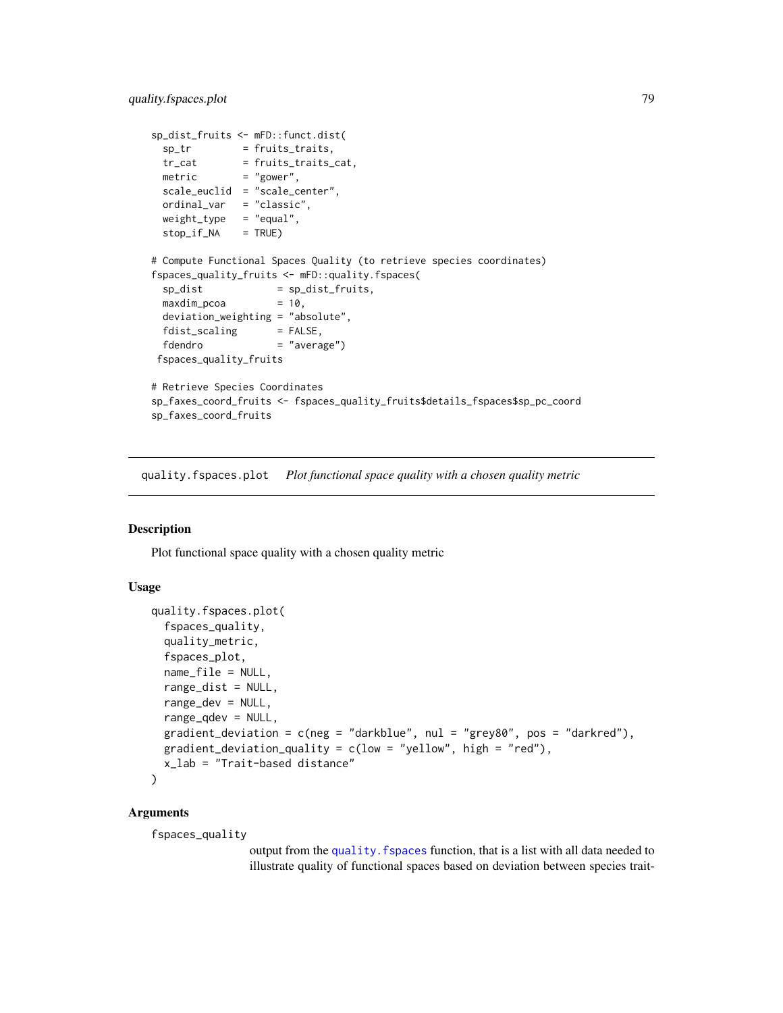```
sp_dist_fruits <- mFD::funct.dist(
  sp_tr = fruits_traits,
  tr_cat = fruits_traits_cat,
  metric = "gower",
 scale_euclid = "scale_center",
 ordinal_var = "classic",
 weight_type = "equal",stop_if_NA = TRUE)
# Compute Functional Spaces Quality (to retrieve species coordinates)
fspaces_quality_fruits <- mFD::quality.fspaces(
 sp\_dist = sp\_dist\_fruits,
 maxdim\_pcoa = 10,
 deviation_weighting = "absolute",
 fdist_scaling = FALSE,
 fdendro = "average")
fspaces_quality_fruits
# Retrieve Species Coordinates
sp_faxes_coord_fruits <- fspaces_quality_fruits$details_fspaces$sp_pc_coord
sp_faxes_coord_fruits
```
quality.fspaces.plot *Plot functional space quality with a chosen quality metric*

## Description

Plot functional space quality with a chosen quality metric

#### Usage

```
quality.fspaces.plot(
  fspaces_quality,
  quality_metric,
  fspaces_plot,
  name_file = NULL,
  range_dist = NULL,
  range_dev = NULL,
  range_qdev = NULL,
 gradient_deviation = c(neg = "darkblue", nul = "grey80", pos = "darkred"),
 gradient_deviation_quality = c(low = "yellow", high = "red"),x_lab = "Trait-based distance"
\lambda
```
#### Arguments

fspaces\_quality

output from the quality. fspaces function, that is a list with all data needed to illustrate quality of functional spaces based on deviation between species trait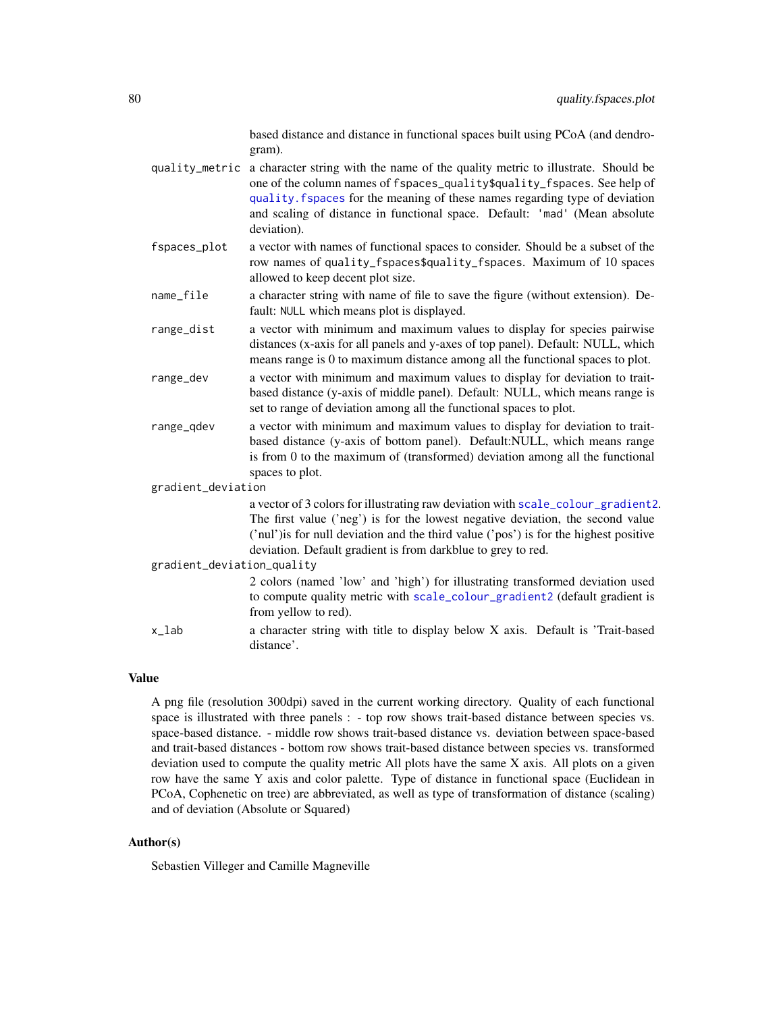based distance and distance in functional spaces built using PCoA (and dendrogram).

- <span id="page-79-0"></span>quality\_metric a character string with the name of the quality metric to illustrate. Should be one of the column names of fspaces\_quality\$quality\_fspaces. See help of [quality.fspaces](#page-75-0) for the meaning of these names regarding type of deviation and scaling of distance in functional space. Default: 'mad' (Mean absolute deviation).
- fspaces\_plot a vector with names of functional spaces to consider. Should be a subset of the row names of quality\_fspaces\$quality\_fspaces. Maximum of 10 spaces allowed to keep decent plot size.
- name\_file a character string with name of file to save the figure (without extension). Default: NULL which means plot is displayed.
- range\_dist a vector with minimum and maximum values to display for species pairwise distances (x-axis for all panels and y-axes of top panel). Default: NULL, which means range is 0 to maximum distance among all the functional spaces to plot.
- range\_dev a vector with minimum and maximum values to display for deviation to traitbased distance (y-axis of middle panel). Default: NULL, which means range is set to range of deviation among all the functional spaces to plot.
- range\_qdev a vector with minimum and maximum values to display for deviation to traitbased distance (y-axis of bottom panel). Default:NULL, which means range is from 0 to the maximum of (transformed) deviation among all the functional spaces to plot.

gradient\_deviation

a vector of 3 colors for illustrating raw deviation with [scale\\_colour\\_gradient2](#page-0-0). The first value ('neg') is for the lowest negative deviation, the second value ('nul')is for null deviation and the third value ('pos') is for the highest positive deviation. Default gradient is from darkblue to grey to red.

gradient\_deviation\_quality

2 colors (named 'low' and 'high') for illustrating transformed deviation used to compute quality metric with [scale\\_colour\\_gradient2](#page-0-0) (default gradient is from yellow to red).

x\_lab a character string with title to display below X axis. Default is 'Trait-based distance'.

#### Value

A png file (resolution 300dpi) saved in the current working directory. Quality of each functional space is illustrated with three panels : - top row shows trait-based distance between species vs. space-based distance. - middle row shows trait-based distance vs. deviation between space-based and trait-based distances - bottom row shows trait-based distance between species vs. transformed deviation used to compute the quality metric All plots have the same  $X$  axis. All plots on a given row have the same Y axis and color palette. Type of distance in functional space (Euclidean in PCoA, Cophenetic on tree) are abbreviated, as well as type of transformation of distance (scaling) and of deviation (Absolute or Squared)

## Author(s)

Sebastien Villeger and Camille Magneville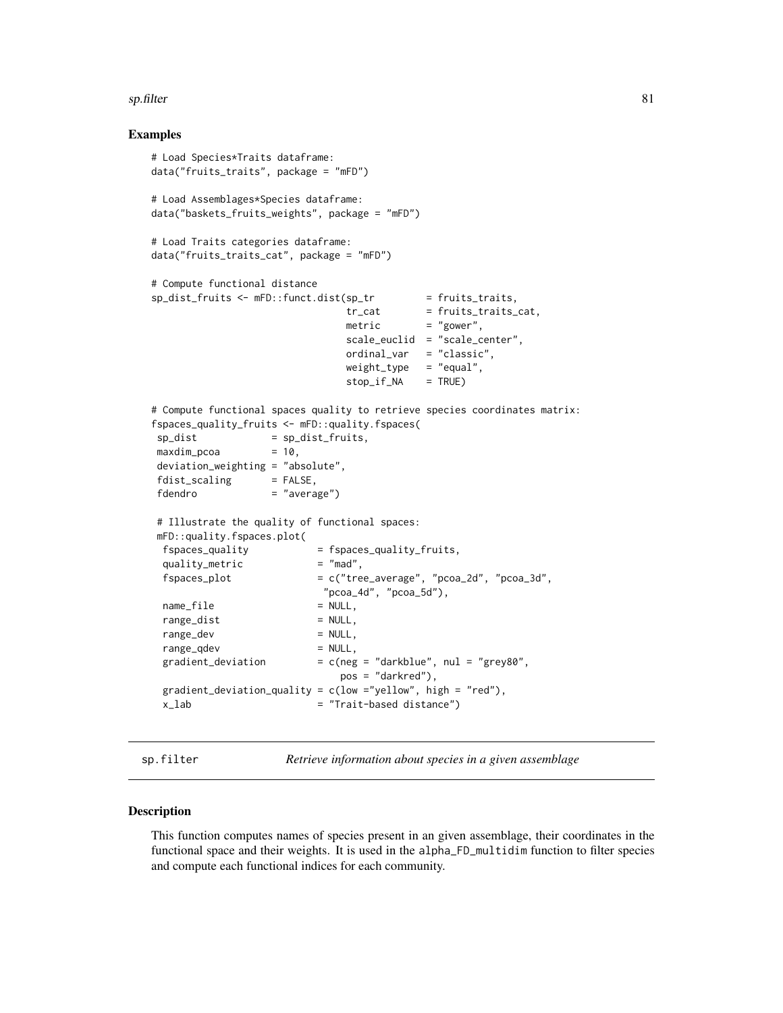#### <span id="page-80-0"></span>sp.filter 81

## Examples

```
# Load Species*Traits dataframe:
data("fruits_traits", package = "mFD")
# Load Assemblages*Species dataframe:
data("baskets_fruits_weights", package = "mFD")
# Load Traits categories dataframe:
data("fruits_traits_cat", package = "mFD")
# Compute functional distance
sp\_dist\_fruits \leftarrow mFD::funct.dist(sp\_tr \qquad = fruits\_trails,tr_{cat} = fruits_traits_cat,
                              metric = "gower",
                              scale_euclid = "scale_center",
                              ordinal_var = "classic",
                              weight_type = "equal",stop_if_N = TRUE)# Compute functional spaces quality to retrieve species coordinates matrix:
fspaces_quality_fruits <- mFD::quality.fspaces(
sp\_dist = sp\_dist\_fruits,
maxdim_pcoa = 10,
deviation_weighting = "absolute",
fdist_scaling = FALSE,
fdendro = "average")
# Illustrate the quality of functional spaces:
mFD::quality.fspaces.plot(
 fspaces_quality = fspaces_quality_fruits,
 quality_metric = "mad",
 f_{\text{spaces\_plot}} = c("tree_{average", "pcoa_2d", "pcoa_3d","pcoa_4d", "pcoa_5d"),
 name_file = NULL,
 range_dist = NULL,
 range_dev = NULL,
 range_qdev = NULL,
 gradient_deviation = c(neg = "darkblue", nul = "grey80",pos = "darkred"),
 gradient_deviation_quality = c(low ="yellow", high = "red"),
 x_lab = "Trait-based distance")
```
sp.filter *Retrieve information about species in a given assemblage*

#### Description

This function computes names of species present in an given assemblage, their coordinates in the functional space and their weights. It is used in the alpha\_FD\_multidim function to filter species and compute each functional indices for each community.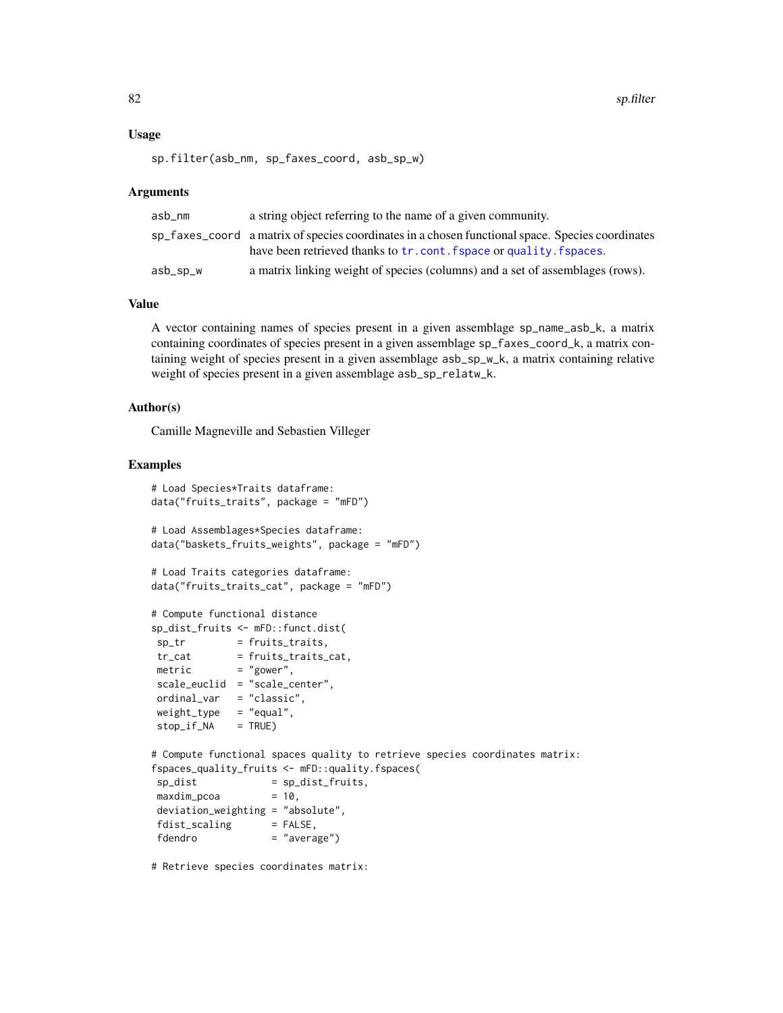## <span id="page-81-0"></span>Usage

sp.filter(asb\_nm, sp\_faxes\_coord, asb\_sp\_w)

## **Arguments**

| asb_nm   | a string object referring to the name of a given community.                                                                                                             |
|----------|-------------------------------------------------------------------------------------------------------------------------------------------------------------------------|
|          | sp_faxes_coord a matrix of species coordinates in a chosen functional space. Species coordinates<br>have been retrieved thanks to tr. cont. fspace or quality. fspaces. |
| asb_sp_w | a matrix linking weight of species (columns) and a set of assemblages (rows).                                                                                           |

## Value

A vector containing names of species present in a given assemblage sp\_name\_asb\_k, a matrix containing coordinates of species present in a given assemblage sp\_faxes\_coord\_k, a matrix containing weight of species present in a given assemblage asb\_sp\_w\_k, a matrix containing relative weight of species present in a given assemblage asb\_sp\_relatw\_k.

## Author(s)

Camille Magneville and Sebastien Villeger

#### Examples

```
# Load Species*Traits dataframe:
data("fruits_traits", package = "mFD")
# Load Assemblages*Species dataframe:
data("baskets_fruits_weights", package = "mFD")
# Load Traits categories dataframe:
data("fruits_traits_cat", package = "mFD")
# Compute functional distance
sp_dist_fruits <- mFD::funct.dist(
sp_{t}r = fruits_traits,
 tr_{cat} = fruits_traits_cat,
 metric = "gower",
scale_euclid = "scale_center",
ordinal_var = "classic",
weight_type = "equal",stop_if_N = TRUE)# Compute functional spaces quality to retrieve species coordinates matrix:
fspaces_quality_fruits <- mFD::quality.fspaces(
sp\_dist = sp\_dist\_fruits,
maxdim_pcoa = 10,
deviation_weighting = "absolute",
fdist\_scaling = FALSE,
fdendro = "average")
```
# Retrieve species coordinates matrix: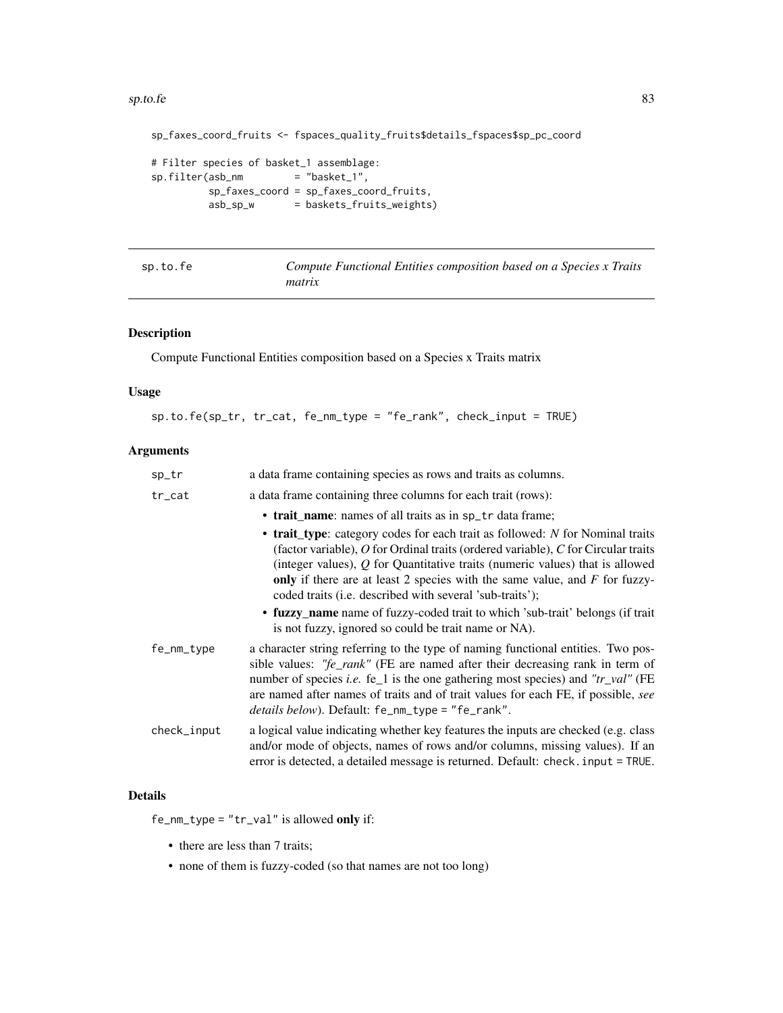#### <span id="page-82-0"></span> $\epsilon$ sp.to.fe 83

```
sp_faxes_coord_fruits <- fspaces_quality_fruits$details_fspaces$sp_pc_coord
# Filter species of basket_1 assemblage:
sp.filter(abs\_nm = "basket_1",
         sp_faxes_coord = sp_faxes_coord_fruits,
         asb_sp_w = baskets_fruits_weights)
```
sp.to.fe *Compute Functional Entities composition based on a Species x Traits matrix*

# Description

Compute Functional Entities composition based on a Species x Traits matrix

## Usage

sp.to.fe(sp\_tr, tr\_cat, fe\_nm\_type = "fe\_rank", check\_input = TRUE)

# Arguments

| a data frame containing species as rows and traits as columns.                                                                                                                                                                                                                                                                                                                                      |
|-----------------------------------------------------------------------------------------------------------------------------------------------------------------------------------------------------------------------------------------------------------------------------------------------------------------------------------------------------------------------------------------------------|
| a data frame containing three columns for each trait (rows):                                                                                                                                                                                                                                                                                                                                        |
| • trait name: names of all traits as in sp_tr data frame;                                                                                                                                                                                                                                                                                                                                           |
| • trait_type: category codes for each trait as followed: N for Nominal traits<br>(factor variable), O for Ordinal traits (ordered variable), C for Circular traits<br>(integer values), $Q$ for Quantitative traits (numeric values) that is allowed<br>only if there are at least 2 species with the same value, and $F$ for fuzzy-<br>coded traits (i.e. described with several 'sub-traits');    |
| • fuzzy_name name of fuzzy-coded trait to which 'sub-trait' belongs (if trait<br>is not fuzzy, ignored so could be trait name or NA).                                                                                                                                                                                                                                                               |
| a character string referring to the type of naming functional entities. Two pos-<br>sible values: "fe_rank" (FE are named after their decreasing rank in term of<br>number of species <i>i.e.</i> fe_1 is the one gathering most species) and "tr_val" (FE<br>are named after names of traits and of trait values for each FE, if possible, see<br>details below). Default: fe_nm_type = "fe_rank". |
| a logical value indicating whether key features the inputs are checked (e.g. class<br>and/or mode of objects, names of rows and/or columns, missing values). If an<br>error is detected, a detailed message is returned. Default: check. input = TRUE.                                                                                                                                              |
|                                                                                                                                                                                                                                                                                                                                                                                                     |

# Details

fe\_nm\_type = "tr\_val" is allowed only if:

- there are less than 7 traits;
- none of them is fuzzy-coded (so that names are not too long)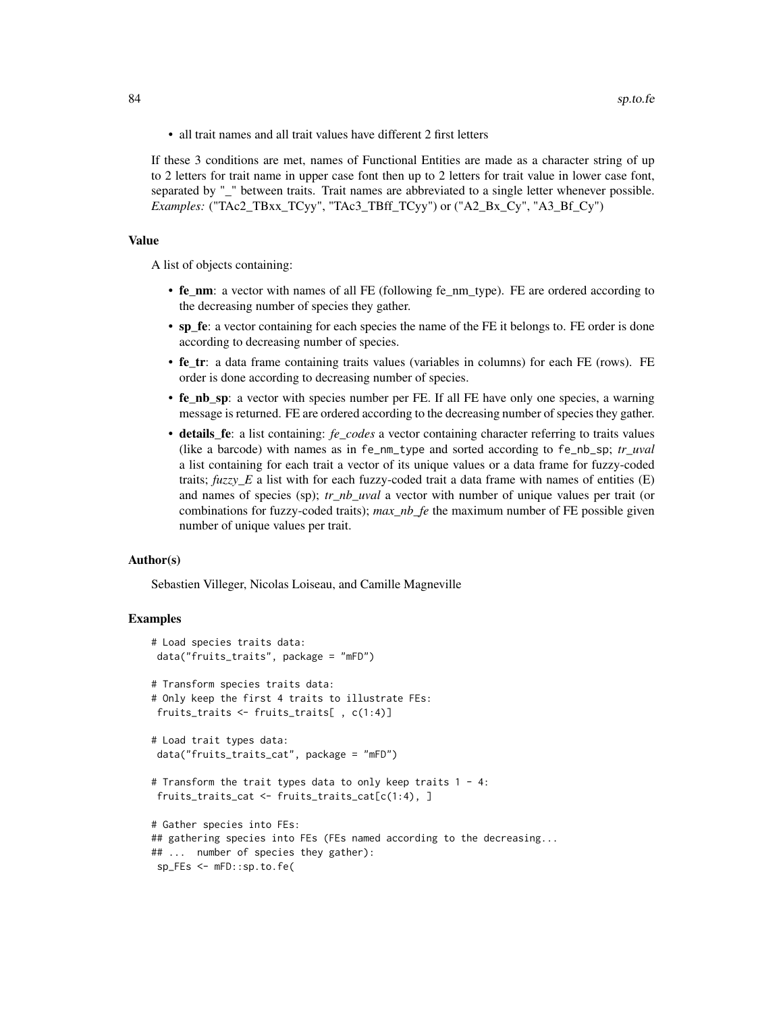• all trait names and all trait values have different 2 first letters

If these 3 conditions are met, names of Functional Entities are made as a character string of up to 2 letters for trait name in upper case font then up to 2 letters for trait value in lower case font, separated by "\_" between traits. Trait names are abbreviated to a single letter whenever possible. *Examples:* ("TAc2\_TBxx\_TCyy", "TAc3\_TBff\_TCyy") or ("A2\_Bx\_Cy", "A3\_Bf\_Cy")

## Value

A list of objects containing:

- fe\_nm: a vector with names of all FE (following fe\_nm\_type). FE are ordered according to the decreasing number of species they gather.
- sp\_fe: a vector containing for each species the name of the FE it belongs to. FE order is done according to decreasing number of species.
- fe\_tr: a data frame containing traits values (variables in columns) for each FE (rows). FE order is done according to decreasing number of species.
- fe\_nb\_sp: a vector with species number per FE. If all FE have only one species, a warning message is returned. FE are ordered according to the decreasing number of species they gather.
- details\_fe: a list containing: *fe\_codes* a vector containing character referring to traits values (like a barcode) with names as in fe\_nm\_type and sorted according to fe\_nb\_sp; *tr\_uval* a list containing for each trait a vector of its unique values or a data frame for fuzzy-coded traits; *fuzzy\_E* a list with for each fuzzy-coded trait a data frame with names of entities (E) and names of species (sp); *tr\_nb\_uval* a vector with number of unique values per trait (or combinations for fuzzy-coded traits); *max\_nb\_fe* the maximum number of FE possible given number of unique values per trait.

#### Author(s)

Sebastien Villeger, Nicolas Loiseau, and Camille Magneville

```
# Load species traits data:
data("fruits_traits", package = "mFD")
# Transform species traits data:
# Only keep the first 4 traits to illustrate FEs:
fruits_traits <- fruits_traits[ , c(1:4)]
# Load trait types data:
data("fruits_traits_cat", package = "mFD")
# Transform the trait types data to only keep traits 1 - 4:
fruits_traits_cat <- fruits_traits_cat[c(1:4), ]
# Gather species into FEs:
## gathering species into FEs (FEs named according to the decreasing...
## ... number of species they gather):
sp_FEs <- mFD::sp.to.fe(
```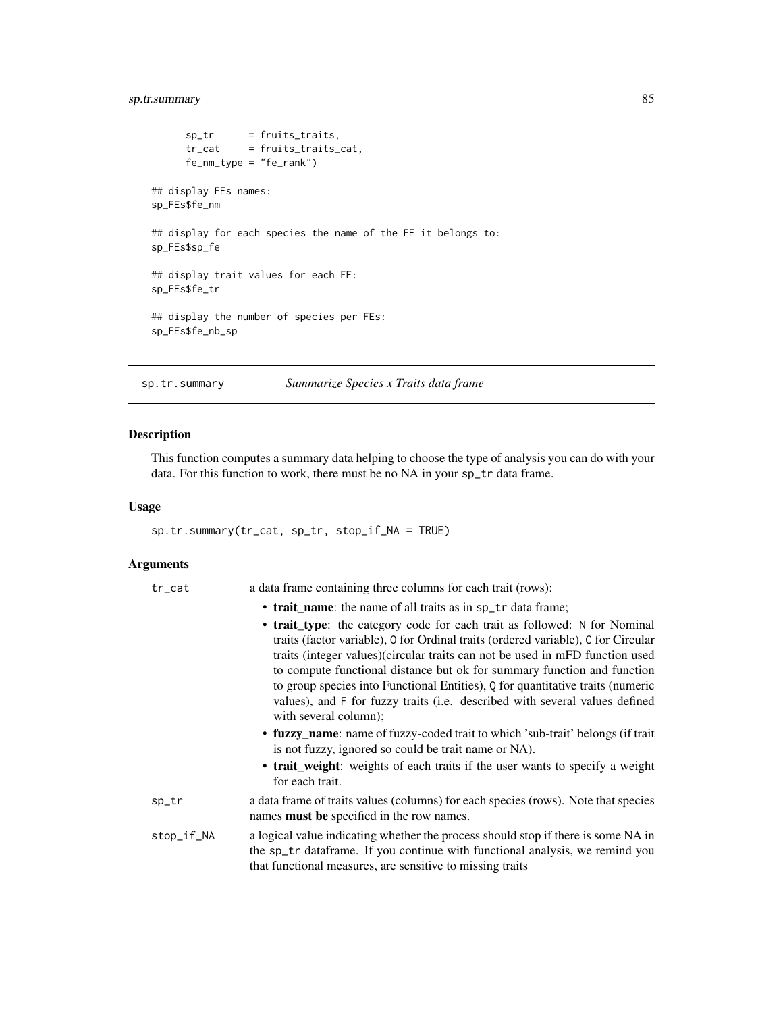# <span id="page-84-0"></span>sp.tr.summary 85

```
sp\_tr = fruits_traits,<br>tr_cat = fruits_traits_
      tr_cat = fruits_traits_cat,
      fe_nm_type = "fe_rank")
## display FEs names:
sp_FEs$fe_nm
## display for each species the name of the FE it belongs to:
sp_FEs$sp_fe
## display trait values for each FE:
sp_FEs$fe_tr
## display the number of species per FEs:
sp_FEs$fe_nb_sp
```
sp.tr.summary *Summarize Species x Traits data frame*

# Description

This function computes a summary data helping to choose the type of analysis you can do with your data. For this function to work, there must be no NA in your sp\_tr data frame.

## Usage

```
sp.tr.summary(tr_cat, sp_tr, stop_if_NA = TRUE)
```
## Arguments

| $tr$ <sub>cat</sub> | a data frame containing three columns for each trait (rows):                                                                                                                                                                                                                                                                                                                                                                                                                                                        |
|---------------------|---------------------------------------------------------------------------------------------------------------------------------------------------------------------------------------------------------------------------------------------------------------------------------------------------------------------------------------------------------------------------------------------------------------------------------------------------------------------------------------------------------------------|
|                     | • trait name: the name of all traits as in sp_tr data frame;                                                                                                                                                                                                                                                                                                                                                                                                                                                        |
|                     | • trait_type: the category code for each trait as followed: N for Nominal<br>traits (factor variable), 0 for Ordinal traits (ordered variable), C for Circular<br>traits (integer values)(circular traits can not be used in mFD function used<br>to compute functional distance but ok for summary function and function<br>to group species into Functional Entities), Q for quantitative traits (numeric<br>values), and F for fuzzy traits (i.e. described with several values defined<br>with several column); |
|                     | • fuzzy name: name of fuzzy-coded trait to which 'sub-trait' belongs (if trait<br>is not fuzzy, ignored so could be trait name or NA).                                                                                                                                                                                                                                                                                                                                                                              |
|                     | • trait_weight: weights of each traits if the user wants to specify a weight<br>for each trait.                                                                                                                                                                                                                                                                                                                                                                                                                     |
| sp_tr               | a data frame of traits values (columns) for each species (rows). Note that species<br>names <b>must be</b> specified in the row names.                                                                                                                                                                                                                                                                                                                                                                              |
| stop_if_NA          | a logical value indicating whether the process should stop if there is some NA in<br>the sp_tr dataframe. If you continue with functional analysis, we remind you<br>that functional measures, are sensitive to missing traits                                                                                                                                                                                                                                                                                      |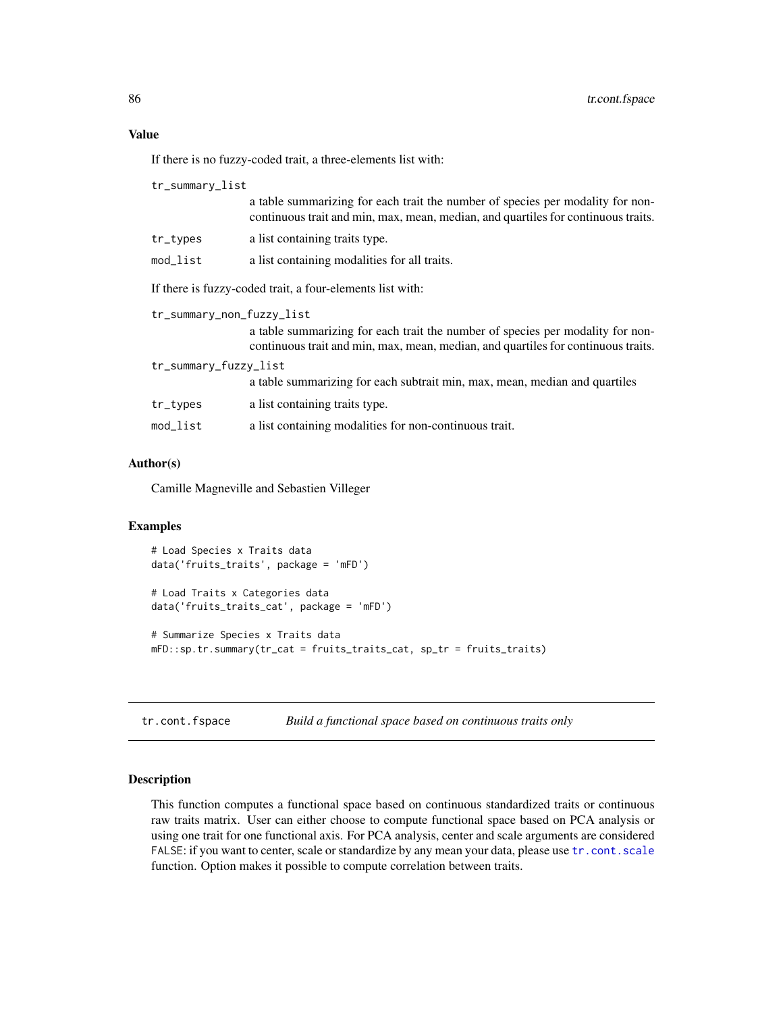# <span id="page-85-1"></span>Value

If there is no fuzzy-coded trait, a three-elements list with:

| tr_summary_list                                           |                                                                                                                                                                     |
|-----------------------------------------------------------|---------------------------------------------------------------------------------------------------------------------------------------------------------------------|
|                                                           | a table summarizing for each trait the number of species per modality for non-<br>continuous trait and min, max, mean, median, and quartiles for continuous traits. |
| tr_types                                                  | a list containing traits type.                                                                                                                                      |
| $mod\_list$                                               | a list containing modalities for all traits.                                                                                                                        |
| If there is fuzzy-coded trait, a four-elements list with: |                                                                                                                                                                     |
| tr_summary_non_fuzzy_list                                 |                                                                                                                                                                     |
|                                                           | a table summarizing for each trait the number of species per modality for non-<br>continuous trait and min, max, mean, median, and quartiles for continuous traits. |
| tr_summary_fuzzy_list                                     |                                                                                                                                                                     |
|                                                           | a table summarizing for each subtrait min, max, mean, median and quartiles                                                                                          |
| tr_types                                                  | a list containing traits type.                                                                                                                                      |
| mod_list                                                  | a list containing modalities for non-continuous trait.                                                                                                              |
|                                                           |                                                                                                                                                                     |

## Author(s)

Camille Magneville and Sebastien Villeger

# Examples

```
# Load Species x Traits data
data('fruits_traits', package = 'mFD')
# Load Traits x Categories data
data('fruits_traits_cat', package = 'mFD')
# Summarize Species x Traits data
mFD::sp.tr.summary(tr_cat = fruits_traits_cat, sp_tr = fruits_traits)
```
<span id="page-85-0"></span>tr.cont.fspace *Build a functional space based on continuous traits only*

## Description

This function computes a functional space based on continuous standardized traits or continuous raw traits matrix. User can either choose to compute functional space based on PCA analysis or using one trait for one functional axis. For PCA analysis, center and scale arguments are considered FALSE: if you want to center, scale or standardize by any mean your data, please use [tr.cont.scale](#page-87-0) function. Option makes it possible to compute correlation between traits.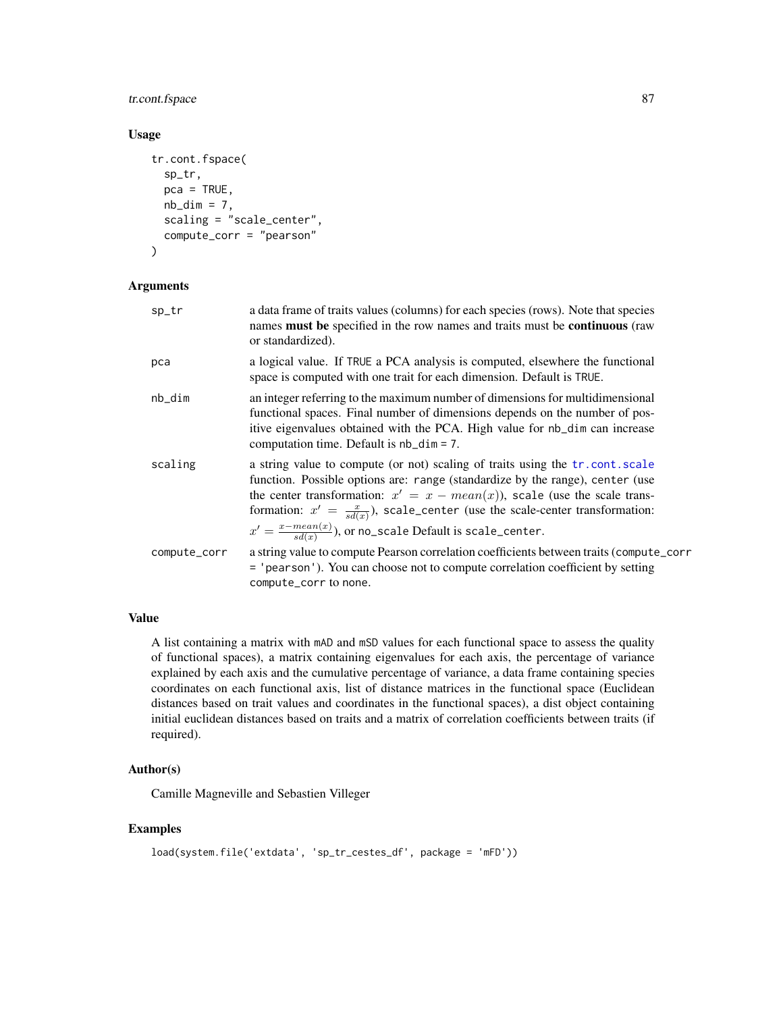# <span id="page-86-0"></span>tr.cont.fspace 87

## Usage

```
tr.cont.fspace(
  sp_tr,
 pca = TRUE,nb\_dim = 7,
 scaling = "scale_center",
  compute_corr = "pearson"
)
```
# Arguments

| sp_tr        | a data frame of traits values (columns) for each species (rows). Note that species<br>names must be specified in the row names and traits must be continuous (raw<br>or standardized).                                                                                                                                                                                                                              |
|--------------|---------------------------------------------------------------------------------------------------------------------------------------------------------------------------------------------------------------------------------------------------------------------------------------------------------------------------------------------------------------------------------------------------------------------|
| pca          | a logical value. If TRUE a PCA analysis is computed, elsewhere the functional<br>space is computed with one trait for each dimension. Default is TRUE.                                                                                                                                                                                                                                                              |
| nb_dim       | an integer referring to the maximum number of dimensions for multidimensional<br>functional spaces. Final number of dimensions depends on the number of pos-<br>itive eigenvalues obtained with the PCA. High value for nb_dim can increase<br>computation time. Default is $nb\_dim = 7$ .                                                                                                                         |
| scaling      | a string value to compute (or not) scaling of traits using the tr. cont. scale<br>function. Possible options are: range (standardize by the range), center (use<br>the center transformation: $x' = x - mean(x)$ , scale (use the scale trans-<br>formation: $x' = \frac{x}{sd(x)}$ , scale_center (use the scale-center transformation:<br>$x' = \frac{x - mean(x)}{sd(x)}$ , or no_scale Default is scale_center. |
| compute_corr | a string value to compute Pearson correlation coefficients between traits (compute_corr<br>= 'pearson'). You can choose not to compute correlation coefficient by setting<br>compute_corr to none.                                                                                                                                                                                                                  |

## Value

A list containing a matrix with mAD and mSD values for each functional space to assess the quality of functional spaces), a matrix containing eigenvalues for each axis, the percentage of variance explained by each axis and the cumulative percentage of variance, a data frame containing species coordinates on each functional axis, list of distance matrices in the functional space (Euclidean distances based on trait values and coordinates in the functional spaces), a dist object containing initial euclidean distances based on traits and a matrix of correlation coefficients between traits (if required).

#### Author(s)

Camille Magneville and Sebastien Villeger

```
load(system.file('extdata', 'sp_tr_cestes_df', package = 'mFD'))
```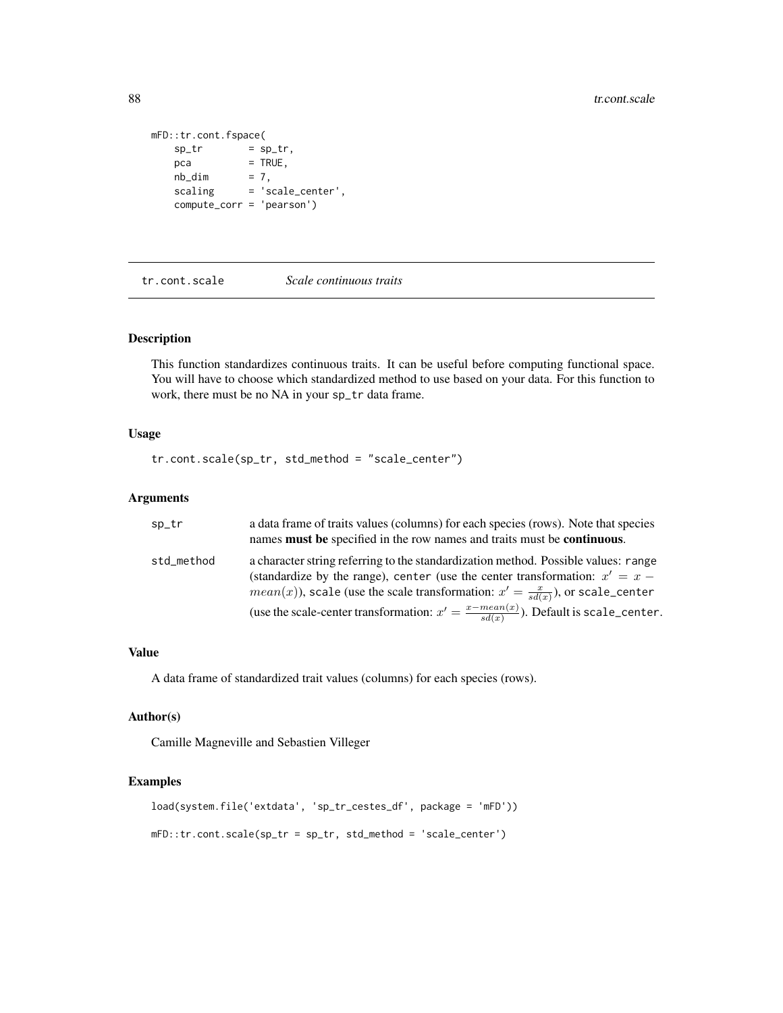```
mFD::tr.cont.fspace(
   sp_{t}r = sp_{t},
   pca = TRUE,
   nb\_dimnb\_dim = 7,<br>scaling = 'scale_center',
   compute_corr = 'pearson')
```
<span id="page-87-0"></span>tr.cont.scale *Scale continuous traits*

## Description

This function standardizes continuous traits. It can be useful before computing functional space. You will have to choose which standardized method to use based on your data. For this function to work, there must be no NA in your sp\_tr data frame.

#### Usage

tr.cont.scale(sp\_tr, std\_method = "scale\_center")

## Arguments

| sp_tr      | a data frame of traits values (columns) for each species (rows). Note that species<br>names <b>must</b> be specified in the row names and traits must be <b>continuous</b> .                                                                                      |
|------------|-------------------------------------------------------------------------------------------------------------------------------------------------------------------------------------------------------------------------------------------------------------------|
| std_method | a character string referring to the standardization method. Possible values: range<br>(standardize by the range), center (use the center transformation: $x' = x -$<br>$mean(x)$ , scale (use the scale transformation: $x' = \frac{x}{sd(x)}$ ), or scale_center |
|            | (use the scale-center transformation: $x' = \frac{x - mean(x)}{sd(x)}$ ). Default is scale_center.                                                                                                                                                                |

## Value

A data frame of standardized trait values (columns) for each species (rows).

## Author(s)

Camille Magneville and Sebastien Villeger

```
load(system.file('extdata', 'sp_tr_cestes_df', package = 'mFD'))
mFD::tr.cont.scale(sp_tr = sp_tr, std_method = 'scale_center')
```
<span id="page-87-1"></span>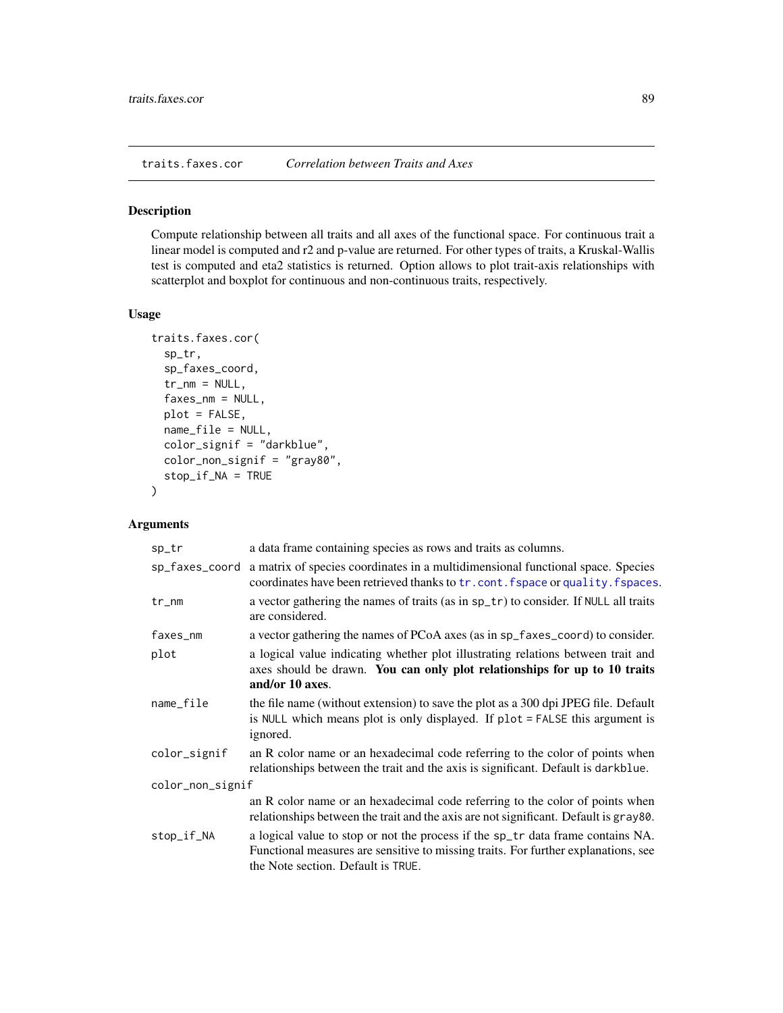<span id="page-88-0"></span>traits.faxes.cor *Correlation between Traits and Axes*

# Description

Compute relationship between all traits and all axes of the functional space. For continuous trait a linear model is computed and r2 and p-value are returned. For other types of traits, a Kruskal-Wallis test is computed and eta2 statistics is returned. Option allows to plot trait-axis relationships with scatterplot and boxplot for continuous and non-continuous traits, respectively.

#### Usage

```
traits.faxes.cor(
  sp_tr,
  sp_faxes_coord,
  tr_{mm} = NULL,
  faxes_nm = NULL,
  plot = FALSE,
  name_file = NULL,
  color_signif = "darkblue",
  color_non_signif = "gray80",
  stop_if_NA = TRUE
\mathcal{E}
```
# Arguments

| sp_tr            | a data frame containing species as rows and traits as columns.                                                                                                                                              |
|------------------|-------------------------------------------------------------------------------------------------------------------------------------------------------------------------------------------------------------|
| sp_faxes_coord   | a matrix of species coordinates in a multidimensional functional space. Species<br>coordinates have been retrieved thanks to tr. cont. fspace or quality. fspaces.                                          |
| $tr_{mm}$        | a vector gathering the names of traits (as in sp_tr) to consider. If NULL all traits<br>are considered.                                                                                                     |
| faxes_nm         | a vector gathering the names of PCoA axes (as in sp_faxes_coord) to consider.                                                                                                                               |
| plot             | a logical value indicating whether plot illustrating relations between trait and<br>axes should be drawn. You can only plot relationships for up to 10 traits<br>and/or 10 axes.                            |
| name_file        | the file name (without extension) to save the plot as a 300 dpi JPEG file. Default<br>is NULL which means plot is only displayed. If plot = FALSE this argument is<br>ignored.                              |
| color_signif     | an R color name or an hexadecimal code referring to the color of points when<br>relationships between the trait and the axis is significant. Default is darkblue.                                           |
| color_non_signif |                                                                                                                                                                                                             |
|                  | an R color name or an hexadecimal code referring to the color of points when<br>relationships between the trait and the axis are not significant. Default is gray80.                                        |
| stop_if_NA       | a logical value to stop or not the process if the sp_tr data frame contains NA.<br>Functional measures are sensitive to missing traits. For further explanations, see<br>the Note section. Default is TRUE. |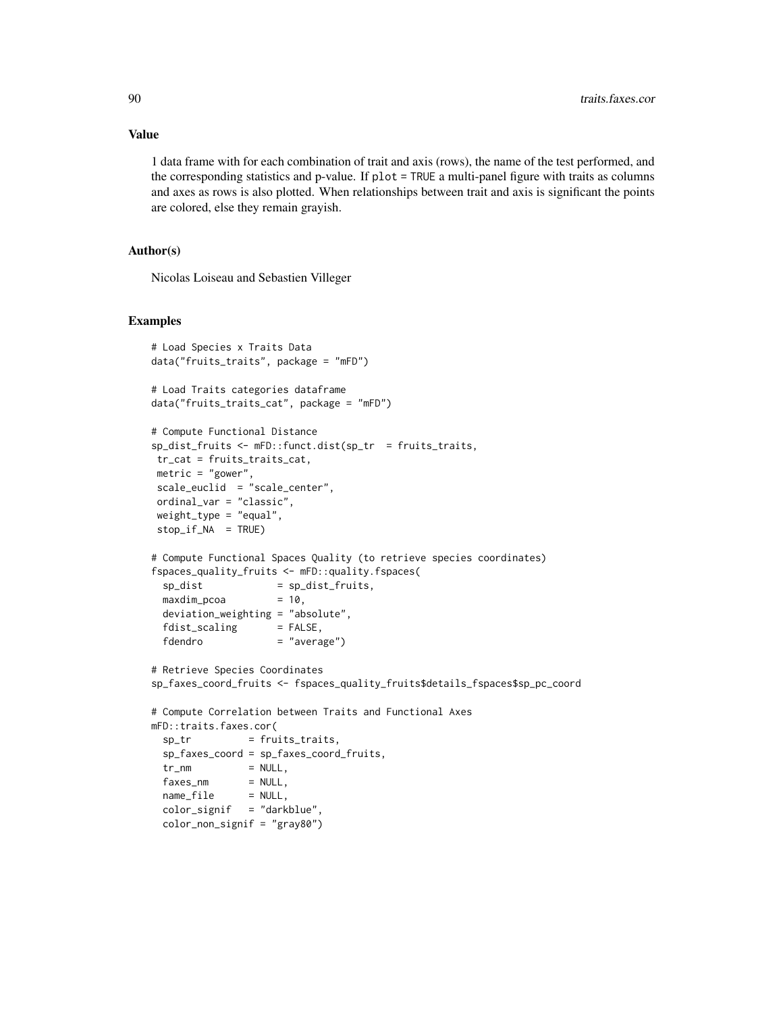1 data frame with for each combination of trait and axis (rows), the name of the test performed, and the corresponding statistics and p-value. If plot = TRUE a multi-panel figure with traits as columns and axes as rows is also plotted. When relationships between trait and axis is significant the points are colored, else they remain grayish.

## Author(s)

Nicolas Loiseau and Sebastien Villeger

```
# Load Species x Traits Data
data("fruits_traits", package = "mFD")
# Load Traits categories dataframe
data("fruits_traits_cat", package = "mFD")
# Compute Functional Distance
sp_dist_fruits <- mFD::funct.dist(sp_tr = fruits_traits,
tr_cat = fruits_traits_cat,
metric = "gower",
scale_euclid = "scale_center",
ordinal_var = "classic",
weight_type = "equal",
stop_if_NA = TRUE)
# Compute Functional Spaces Quality (to retrieve species coordinates)
fspaces_quality_fruits <- mFD::quality.fspaces(
 sp\_dist = sp\_dist\_fruits,
 maxdim\_pcoa = 10,
 deviation_weighting = "absolute",
 fdist\_scaling = FALSE,
 fdendro = "average")
# Retrieve Species Coordinates
sp_faxes_coord_fruits <- fspaces_quality_fruits$details_fspaces$sp_pc_coord
# Compute Correlation between Traits and Functional Axes
mFD::traits.faxes.cor(
 sp_tr = fruits_traits,
 sp_faxes_coord = sp_faxes_coord_fruits,
 tr_{nm} = NULL,
 faxes_nm = NULL,<br>pame^{-f+1} = NULL,name_file = NULL,
 color_signif = "darkblue",
 color_non_signif = "gray80")
```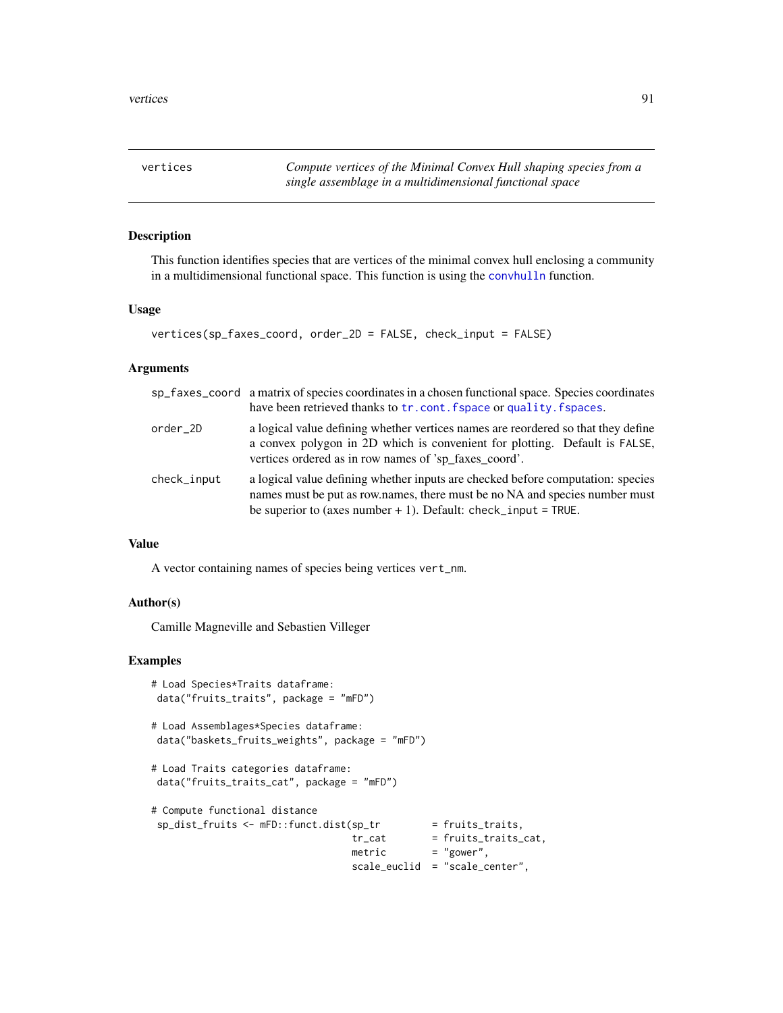<span id="page-90-0"></span>vertices *Compute vertices of the Minimal Convex Hull shaping species from a single assemblage in a multidimensional functional space*

## Description

This function identifies species that are vertices of the minimal convex hull enclosing a community in a multidimensional functional space. This function is using the [convhulln](#page-0-0) function.

## Usage

```
vertices(sp_faxes_coord, order_2D = FALSE, check_input = FALSE)
```
## Arguments

|             | sp_faxes_coord a matrix of species coordinates in a chosen functional space. Species coordinates<br>have been retrieved thanks to tr. cont. fspace or quality. fspaces.                                                            |
|-------------|------------------------------------------------------------------------------------------------------------------------------------------------------------------------------------------------------------------------------------|
| order 2D    | a logical value defining whether vertices names are reordered so that they define<br>a convex polygon in 2D which is convenient for plotting. Default is FALSE,<br>vertices ordered as in row names of 'sp_faxes_coord'.           |
| check_input | a logical value defining whether inputs are checked before computation: species<br>names must be put as row names, there must be no NA and species number must<br>be superior to (axes number $+1$ ). Default: check_input = TRUE. |

## Value

A vector containing names of species being vertices vert\_nm.

## Author(s)

Camille Magneville and Sebastien Villeger

```
# Load Species*Traits dataframe:
data("fruits_traits", package = "mFD")
# Load Assemblages*Species dataframe:
data("baskets_fruits_weights", package = "mFD")
# Load Traits categories dataframe:
data("fruits_traits_cat", package = "mFD")
# Compute functional distance
sp\_dist\_fruits \leftarrow mFD::funct.dist(sp\_tr = fruits\_traits,tr_{cat} = fruits_traits_cat,<br>mothic
                                   metric = "gower",
                                   scale_euclid = "scale_center",
```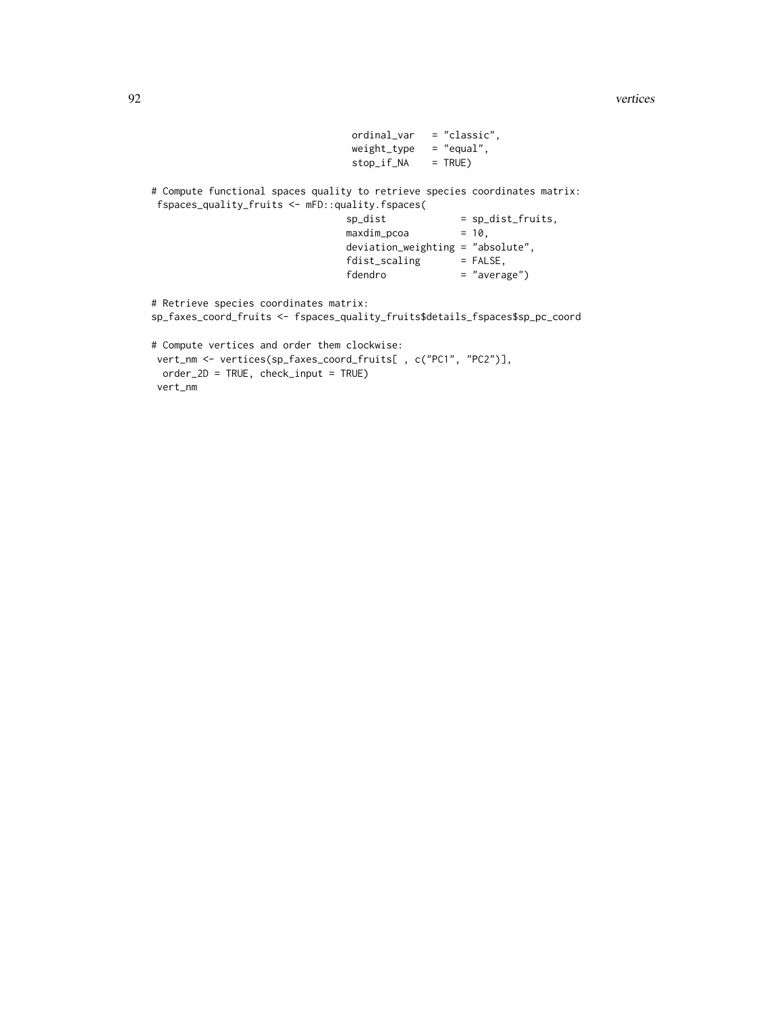92 vertices

```
ordinal_var = "classic",
                                 weight_type = "equal",
                                stop_if_NA = TRUE)
# Compute functional spaces quality to retrieve species coordinates matrix:
fspaces_quality_fruits <- mFD::quality.fspaces(
                               sp\_dist = sp\_dist\_fruits,
                               maxdim\_pcoa = 10,
                               deviation_weighting = "absolute",
                               fdist\_scaling = FALSE,
                               fdendro = "average")
# Retrieve species coordinates matrix:
sp_faxes_coord_fruits <- fspaces_quality_fruits$details_fspaces$sp_pc_coord
# Compute vertices and order them clockwise:
vert_nm <- vertices(sp_faxes_coord_fruits[ , c("PC1", "PC2")],
 order_2D = TRUE, check_input = TRUE)
vert_nm
```